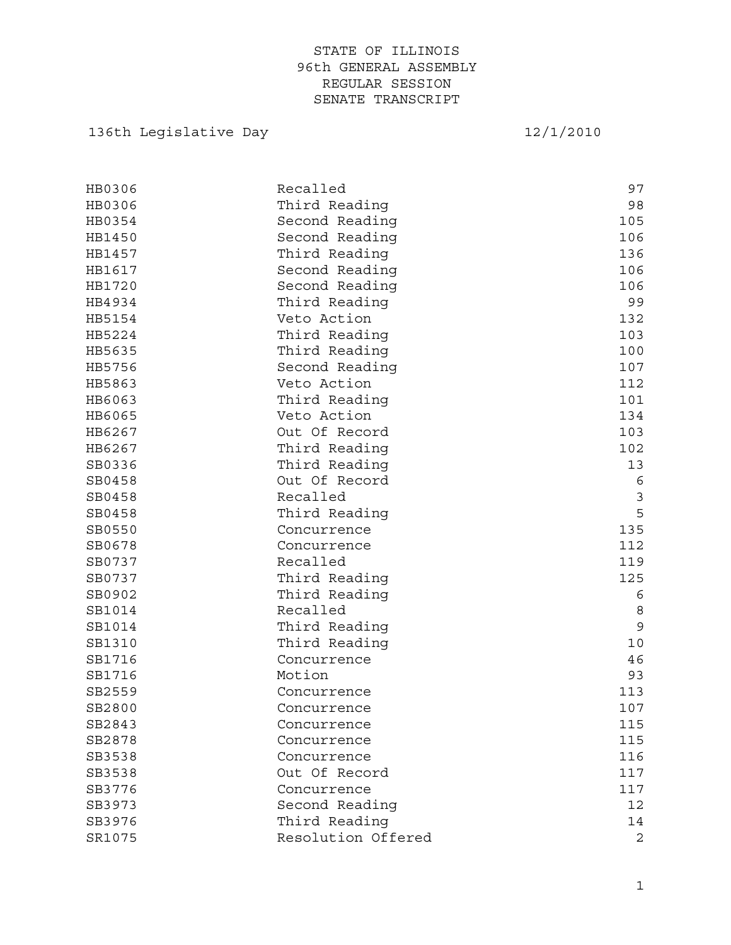# 136th Legislative Day 12/1/2010

| HB0306 | Recalled           | 97          |
|--------|--------------------|-------------|
| HB0306 | Third Reading      | 98          |
| HB0354 | Second Reading     | 105         |
| HB1450 | Second Reading     | 106         |
| HB1457 | Third Reading      | 136         |
| HB1617 | Second Reading     | 106         |
| HB1720 | Second Reading     | 106         |
| HB4934 | Third Reading      | 99          |
| HB5154 | Veto Action        | 132         |
| HB5224 | Third Reading      | 103         |
| HB5635 | Third Reading      | 100         |
| HB5756 | Second Reading     | 107         |
| HB5863 | Veto Action        | 112         |
| HB6063 | Third Reading      | 101         |
| HB6065 | Veto Action        | 134         |
| HB6267 | Out Of Record      | 103         |
| HB6267 | Third Reading      | 102         |
| SB0336 | Third Reading      | 13          |
| SB0458 | Out Of Record      | 6           |
| SB0458 | Recalled           | $\mathsf 3$ |
| SB0458 | Third Reading      | 5           |
| SB0550 | Concurrence        | 135         |
| SB0678 | Concurrence        | 112         |
| SB0737 | Recalled           | 119         |
| SB0737 | Third Reading      | 125         |
| SB0902 | Third Reading      | 6           |
| SB1014 | Recalled           | 8           |
| SB1014 | Third Reading      | 9           |
| SB1310 | Third Reading      | 10          |
| SB1716 | Concurrence        | 46          |
| SB1716 | Motion             | 93          |
| SB2559 | Concurrence        | 113         |
| SB2800 | Concurrence        | 107         |
| SB2843 | Concurrence        | 115         |
| SB2878 | Concurrence        | 115         |
| SB3538 | Concurrence        | 116         |
| SB3538 | Out Of Record      | 117         |
| SB3776 | Concurrence        | 117         |
| SB3973 | Second Reading     | 12          |
| SB3976 | Third Reading      | 14          |
| SR1075 | Resolution Offered | 2           |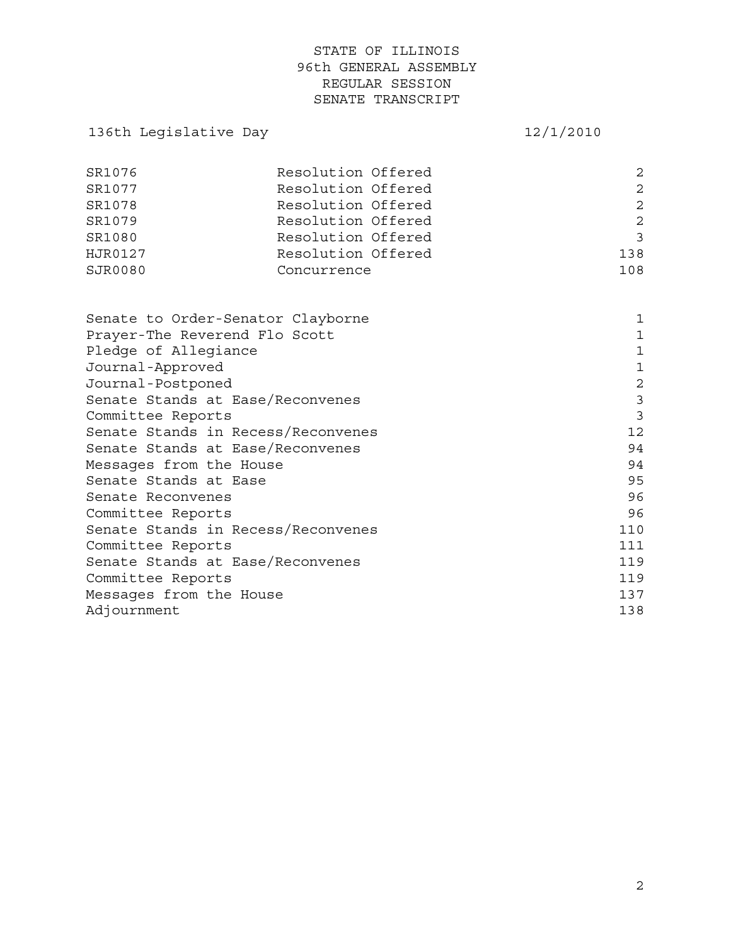# 136th Legislative Day 12/1/2010

| SR1076  | Resolution Offered | $\mathcal{L}$ |
|---------|--------------------|---------------|
| SR1077  | Resolution Offered | 2             |
| SR1078  | Resolution Offered | $\mathcal{L}$ |
| SR1079  | Resolution Offered | 2             |
| SR1080  | Resolution Offered | 3             |
| HJR0127 | Resolution Offered | 138           |
| SJR0080 | Concurrence        | 108           |

| Senate to Order-Senator Clayborne  | 1              |
|------------------------------------|----------------|
| Prayer-The Reverend Flo Scott      | 1              |
| Pledge of Allegiance               | 1              |
| Journal-Approved                   | 1              |
| Journal-Postponed                  | $\overline{2}$ |
| Senate Stands at Ease/Reconvenes   | 3              |
| Committee Reports                  | 3              |
| Senate Stands in Recess/Reconvenes | $12 \,$        |
| Senate Stands at Ease/Reconvenes   | 94             |
| Messages from the House            | 94             |
| Senate Stands at Ease              | 95             |
| Senate Reconvenes                  | 96             |
| Committee Reports                  | 96             |
| Senate Stands in Recess/Reconvenes | 110            |
| Committee Reports                  | 111            |
| Senate Stands at Ease/Reconvenes   | 119            |
| Committee Reports                  | 119            |
| Messages from the House            | 137            |
| Adjournment                        | 138            |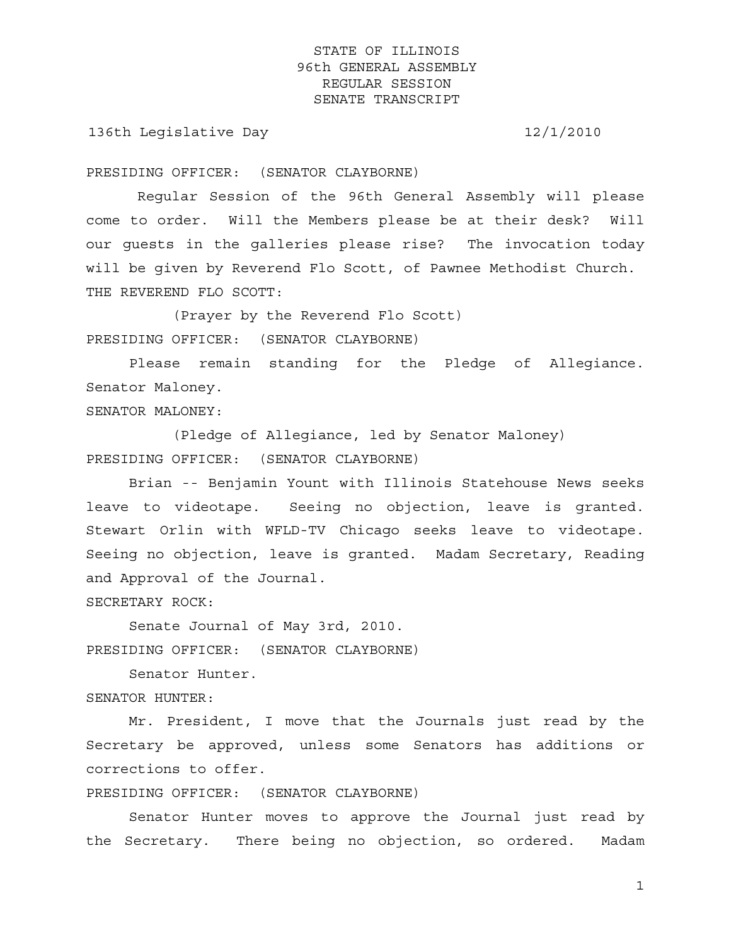136th Legislative Day 12/1/2010

PRESIDING OFFICER: (SENATOR CLAYBORNE)

 Regular Session of the 96th General Assembly will please come to order. Will the Members please be at their desk? Will our guests in the galleries please rise? The invocation today will be given by Reverend Flo Scott, of Pawnee Methodist Church. THE REVEREND FLO SCOTT:

 (Prayer by the Reverend Flo Scott) PRESIDING OFFICER: (SENATOR CLAYBORNE)

 Please remain standing for the Pledge of Allegiance. Senator Maloney.

SENATOR MALONEY:

 (Pledge of Allegiance, led by Senator Maloney) PRESIDING OFFICER: (SENATOR CLAYBORNE)

 Brian -- Benjamin Yount with Illinois Statehouse News seeks leave to videotape. Seeing no objection, leave is granted. Stewart Orlin with WFLD-TV Chicago seeks leave to videotape. Seeing no objection, leave is granted. Madam Secretary, Reading and Approval of the Journal.

SECRETARY ROCK:

 Senate Journal of May 3rd, 2010. PRESIDING OFFICER: (SENATOR CLAYBORNE)

 Senator Hunter. SENATOR HUNTER:

 Mr. President, I move that the Journals just read by the Secretary be approved, unless some Senators has additions or corrections to offer.

PRESIDING OFFICER: (SENATOR CLAYBORNE)

 Senator Hunter moves to approve the Journal just read by the Secretary. There being no objection, so ordered. Madam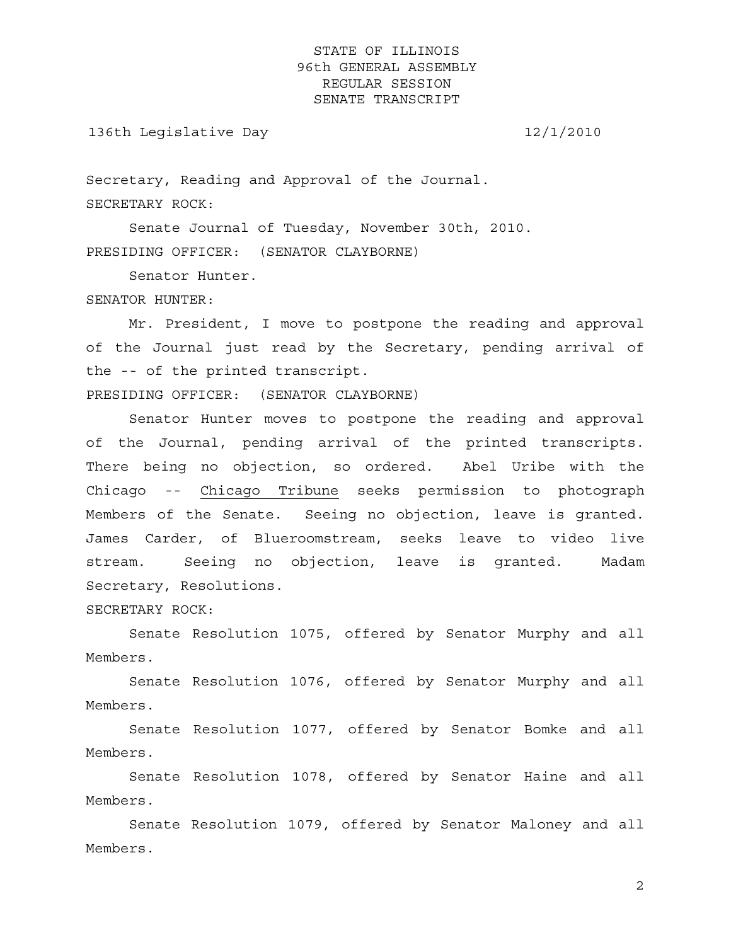136th Legislative Day 12/1/2010

Secretary, Reading and Approval of the Journal. SECRETARY ROCK:

 Senate Journal of Tuesday, November 30th, 2010. PRESIDING OFFICER: (SENATOR CLAYBORNE)

Senator Hunter.

#### SENATOR HUNTER:

 Mr. President, I move to postpone the reading and approval of the Journal just read by the Secretary, pending arrival of the -- of the printed transcript.

PRESIDING OFFICER: (SENATOR CLAYBORNE)

 Senator Hunter moves to postpone the reading and approval of the Journal, pending arrival of the printed transcripts. There being no objection, so ordered. Abel Uribe with the Chicago -- Chicago Tribune seeks permission to photograph Members of the Senate. Seeing no objection, leave is granted. James Carder, of Blueroomstream, seeks leave to video live stream. Seeing no objection, leave is granted. Madam Secretary, Resolutions.

SECRETARY ROCK:

 Senate Resolution 1075, offered by Senator Murphy and all Members.

 Senate Resolution 1076, offered by Senator Murphy and all Members.

 Senate Resolution 1077, offered by Senator Bomke and all Members.

 Senate Resolution 1078, offered by Senator Haine and all Members.

 Senate Resolution 1079, offered by Senator Maloney and all Members.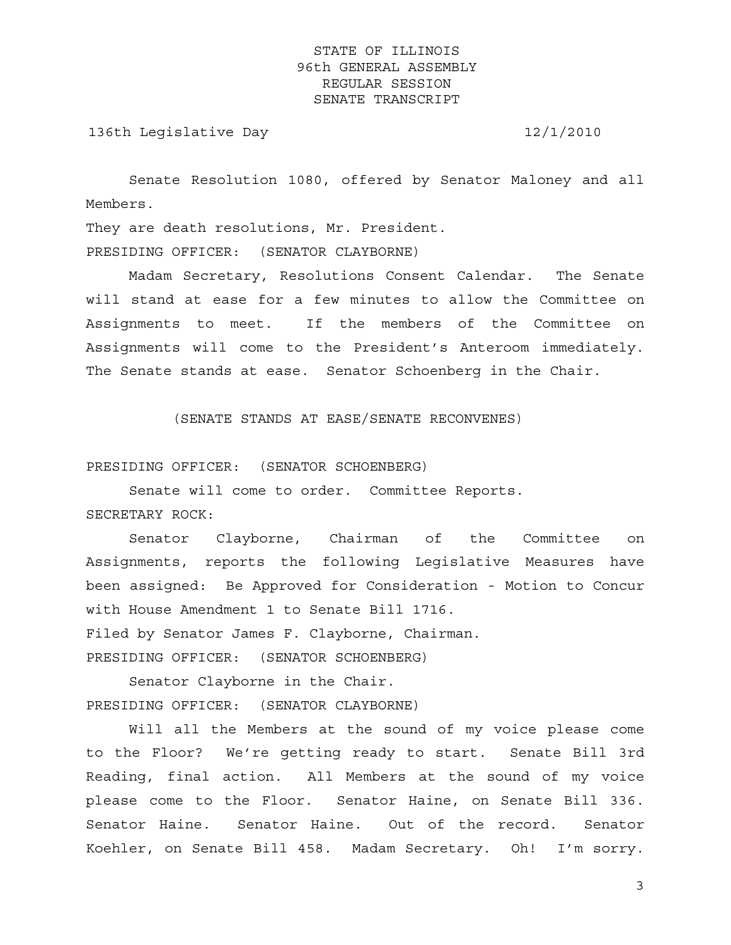136th Legislative Day 12/1/2010

 Senate Resolution 1080, offered by Senator Maloney and all Members.

They are death resolutions, Mr. President. PRESIDING OFFICER: (SENATOR CLAYBORNE)

 Madam Secretary, Resolutions Consent Calendar. The Senate will stand at ease for a few minutes to allow the Committee on Assignments to meet. If the members of the Committee on Assignments will come to the President's Anteroom immediately. The Senate stands at ease. Senator Schoenberg in the Chair.

(SENATE STANDS AT EASE/SENATE RECONVENES)

PRESIDING OFFICER: (SENATOR SCHOENBERG)

Senate will come to order. Committee Reports.

SECRETARY ROCK:

 Senator Clayborne, Chairman of the Committee on Assignments, reports the following Legislative Measures have been assigned: Be Approved for Consideration - Motion to Concur with House Amendment 1 to Senate Bill 1716. Filed by Senator James F. Clayborne, Chairman.

PRESIDING OFFICER: (SENATOR SCHOENBERG)

 Senator Clayborne in the Chair. PRESIDING OFFICER: (SENATOR CLAYBORNE)

 Will all the Members at the sound of my voice please come to the Floor? We're getting ready to start. Senate Bill 3rd Reading, final action. All Members at the sound of my voice please come to the Floor. Senator Haine, on Senate Bill 336. Senator Haine. Senator Haine. Out of the record. Senator Koehler, on Senate Bill 458. Madam Secretary. Oh! I'm sorry.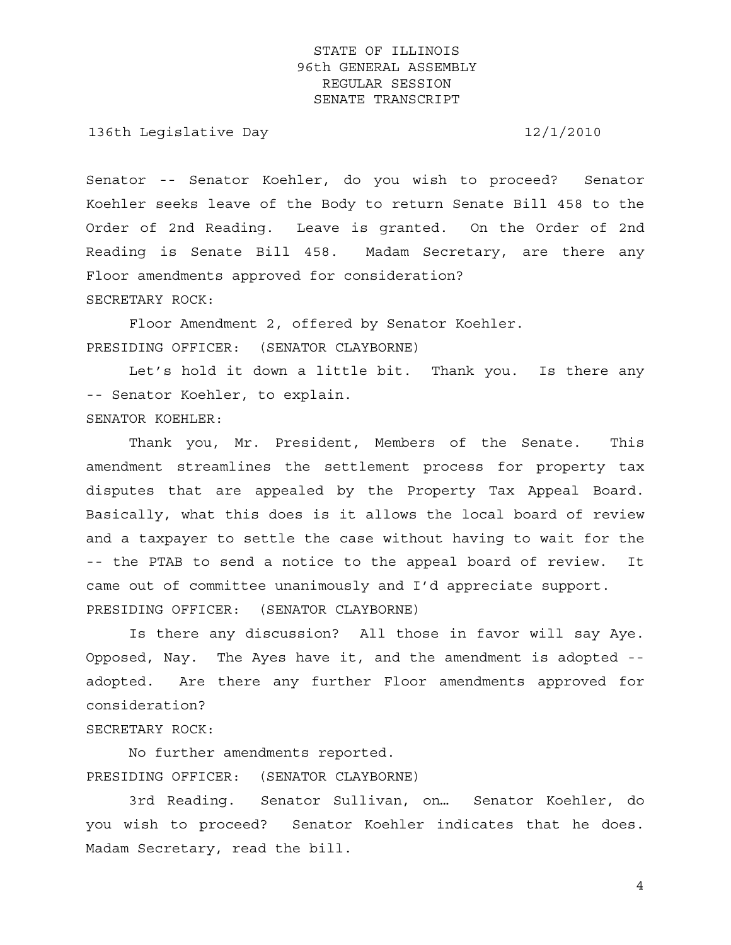136th Legislative Day 12/1/2010

Senator -- Senator Koehler, do you wish to proceed? Senator Koehler seeks leave of the Body to return Senate Bill 458 to the Order of 2nd Reading. Leave is granted. On the Order of 2nd Reading is Senate Bill 458. Madam Secretary, are there any Floor amendments approved for consideration? SECRETARY ROCK:

 Floor Amendment 2, offered by Senator Koehler. PRESIDING OFFICER: (SENATOR CLAYBORNE)

 Let's hold it down a little bit. Thank you. Is there any -- Senator Koehler, to explain. SENATOR KOEHLER:

 Thank you, Mr. President, Members of the Senate. This amendment streamlines the settlement process for property tax disputes that are appealed by the Property Tax Appeal Board. Basically, what this does is it allows the local board of review and a taxpayer to settle the case without having to wait for the -- the PTAB to send a notice to the appeal board of review. It came out of committee unanimously and I'd appreciate support. PRESIDING OFFICER: (SENATOR CLAYBORNE)

 Is there any discussion? All those in favor will say Aye. Opposed, Nay. The Ayes have it, and the amendment is adopted - adopted. Are there any further Floor amendments approved for consideration?

### SECRETARY ROCK:

 No further amendments reported. PRESIDING OFFICER: (SENATOR CLAYBORNE)

 3rd Reading. Senator Sullivan, on… Senator Koehler, do you wish to proceed? Senator Koehler indicates that he does. Madam Secretary, read the bill.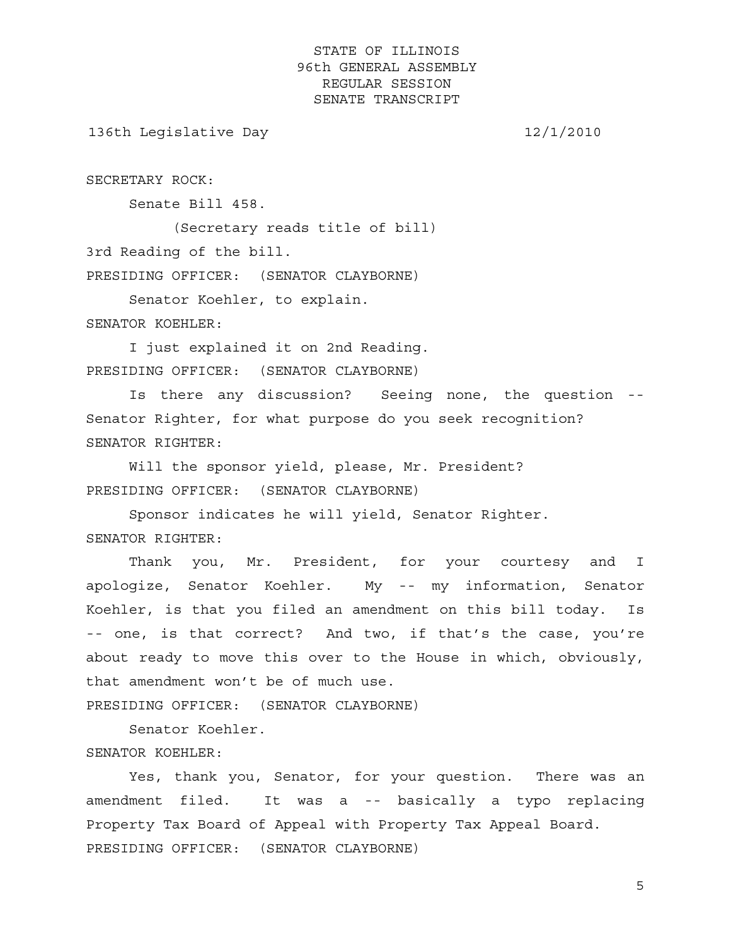136th Legislative Day 12/1/2010

SECRETARY ROCK:

Senate Bill 458.

 (Secretary reads title of bill) 3rd Reading of the bill.

PRESIDING OFFICER: (SENATOR CLAYBORNE)

Senator Koehler, to explain.

SENATOR KOEHLER:

 I just explained it on 2nd Reading. PRESIDING OFFICER: (SENATOR CLAYBORNE)

 Is there any discussion? Seeing none, the question -- Senator Righter, for what purpose do you seek recognition? SENATOR RIGHTER:

 Will the sponsor yield, please, Mr. President? PRESIDING OFFICER: (SENATOR CLAYBORNE)

 Sponsor indicates he will yield, Senator Righter. SENATOR RIGHTER:

 Thank you, Mr. President, for your courtesy and I apologize, Senator Koehler. My -- my information, Senator Koehler, is that you filed an amendment on this bill today. Is -- one, is that correct? And two, if that's the case, you're about ready to move this over to the House in which, obviously, that amendment won't be of much use.

PRESIDING OFFICER: (SENATOR CLAYBORNE)

 Senator Koehler. SENATOR KOEHLER:

 Yes, thank you, Senator, for your question. There was an amendment filed. It was a -- basically a typo replacing Property Tax Board of Appeal with Property Tax Appeal Board. PRESIDING OFFICER: (SENATOR CLAYBORNE)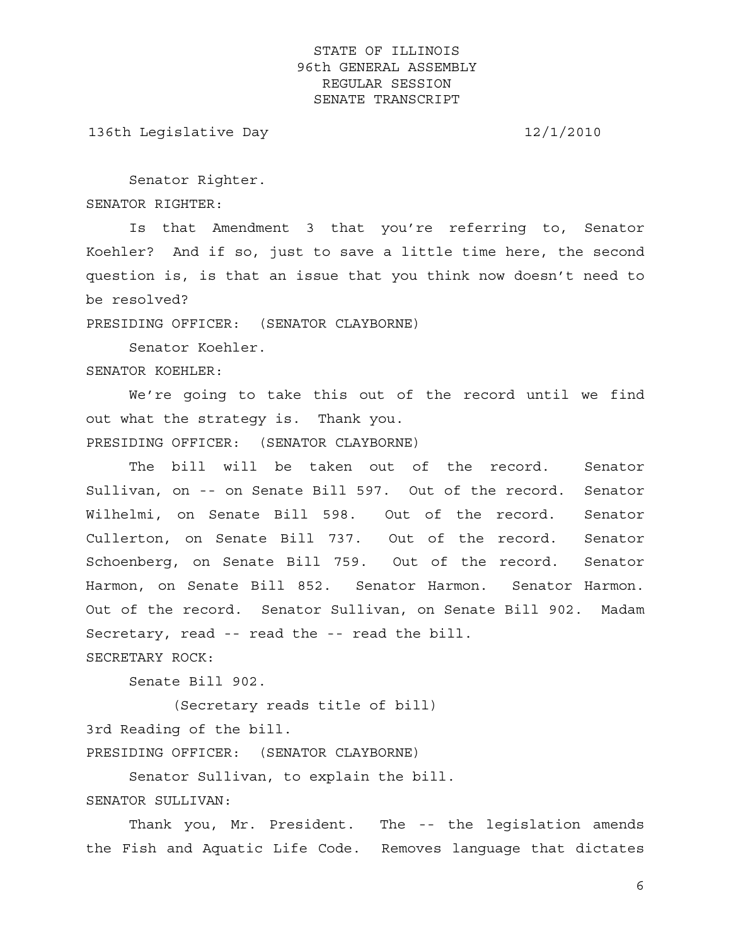136th Legislative Day 12/1/2010

Senator Righter.

SENATOR RIGHTER:

 Is that Amendment 3 that you're referring to, Senator Koehler? And if so, just to save a little time here, the second question is, is that an issue that you think now doesn't need to be resolved?

PRESIDING OFFICER: (SENATOR CLAYBORNE)

Senator Koehler.

SENATOR KOEHLER:

 We're going to take this out of the record until we find out what the strategy is. Thank you. PRESIDING OFFICER: (SENATOR CLAYBORNE)

 The bill will be taken out of the record. Senator Sullivan, on -- on Senate Bill 597. Out of the record. Senator Wilhelmi, on Senate Bill 598. Out of the record. Senator Cullerton, on Senate Bill 737. Out of the record. Senator Schoenberg, on Senate Bill 759. Out of the record. Senator Harmon, on Senate Bill 852. Senator Harmon. Senator Harmon. Out of the record. Senator Sullivan, on Senate Bill 902. Madam Secretary, read -- read the -- read the bill. SECRETARY ROCK:

Senate Bill 902.

 (Secretary reads title of bill) 3rd Reading of the bill. PRESIDING OFFICER: (SENATOR CLAYBORNE)

Senator Sullivan, to explain the bill.

SENATOR SULLIVAN:

 Thank you, Mr. President. The -- the legislation amends the Fish and Aquatic Life Code. Removes language that dictates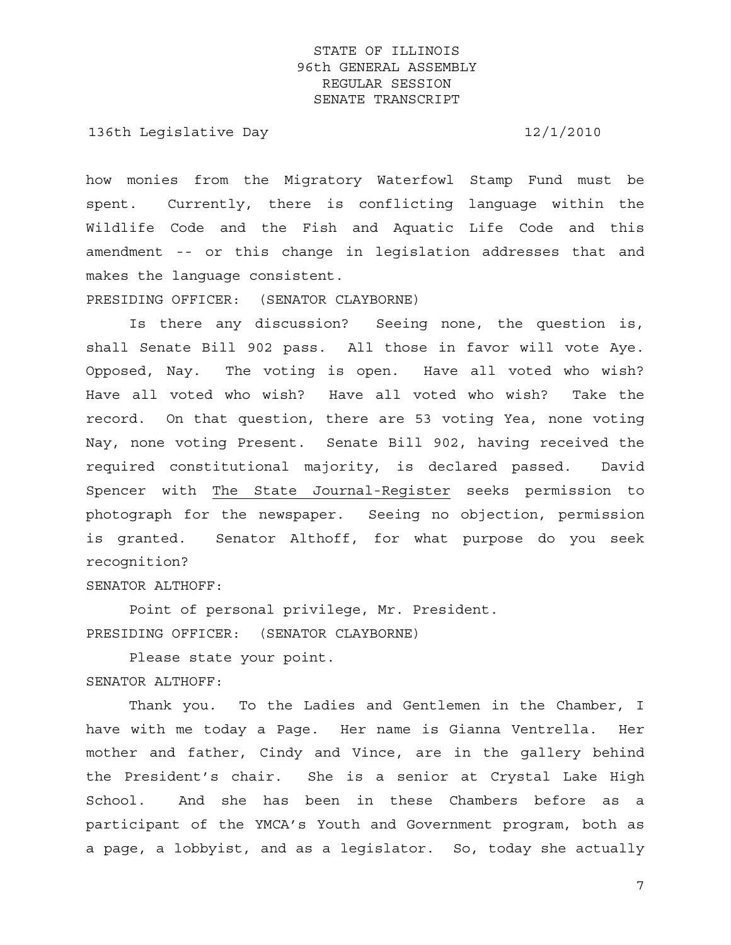136th Legislative Day 12/1/2010

how monies from the Migratory Waterfowl Stamp Fund must be spent. Currently, there is conflicting language within the Wildlife Code and the Fish and Aquatic Life Code and this amendment -- or this change in legislation addresses that and makes the language consistent.

PRESIDING OFFICER: (SENATOR CLAYBORNE)

 Is there any discussion? Seeing none, the question is, shall Senate Bill 902 pass. All those in favor will vote Aye. Opposed, Nay. The voting is open. Have all voted who wish? Have all voted who wish? Have all voted who wish? Take the record. On that question, there are 53 voting Yea, none voting Nay, none voting Present. Senate Bill 902, having received the required constitutional majority, is declared passed. David Spencer with The State Journal-Register seeks permission to photograph for the newspaper. Seeing no objection, permission is granted. Senator Althoff, for what purpose do you seek recognition?

SENATOR ALTHOFF:

 Point of personal privilege, Mr. President. PRESIDING OFFICER: (SENATOR CLAYBORNE)

 Please state your point. SENATOR ALTHOFF:

 Thank you. To the Ladies and Gentlemen in the Chamber, I have with me today a Page. Her name is Gianna Ventrella. Her mother and father, Cindy and Vince, are in the gallery behind the President's chair. She is a senior at Crystal Lake High School. And she has been in these Chambers before as a participant of the YMCA's Youth and Government program, both as a page, a lobbyist, and as a legislator. So, today she actually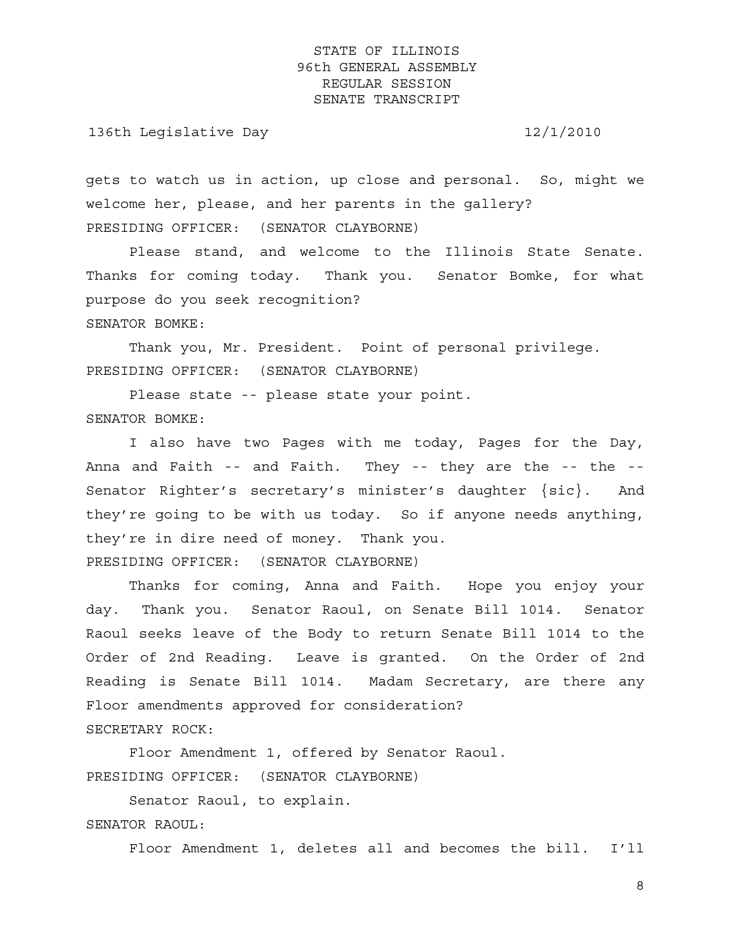136th Legislative Day 12/1/2010

gets to watch us in action, up close and personal. So, might we welcome her, please, and her parents in the gallery? PRESIDING OFFICER: (SENATOR CLAYBORNE)

 Please stand, and welcome to the Illinois State Senate. Thanks for coming today. Thank you. Senator Bomke, for what purpose do you seek recognition? SENATOR BOMKE:

 Thank you, Mr. President. Point of personal privilege. PRESIDING OFFICER: (SENATOR CLAYBORNE)

 Please state -- please state your point. SENATOR BOMKE:

 I also have two Pages with me today, Pages for the Day, Anna and Faith -- and Faith. They -- they are the -- the -- Senator Righter's secretary's minister's daughter {sic}. And they're going to be with us today. So if anyone needs anything, they're in dire need of money. Thank you. PRESIDING OFFICER: (SENATOR CLAYBORNE)

 Thanks for coming, Anna and Faith. Hope you enjoy your day. Thank you. Senator Raoul, on Senate Bill 1014. Senator Raoul seeks leave of the Body to return Senate Bill 1014 to the Order of 2nd Reading. Leave is granted. On the Order of 2nd Reading is Senate Bill 1014. Madam Secretary, are there any Floor amendments approved for consideration?

SECRETARY ROCK:

 Floor Amendment 1, offered by Senator Raoul. PRESIDING OFFICER: (SENATOR CLAYBORNE)

 Senator Raoul, to explain. SENATOR RAOUL:

Floor Amendment 1, deletes all and becomes the bill. I'll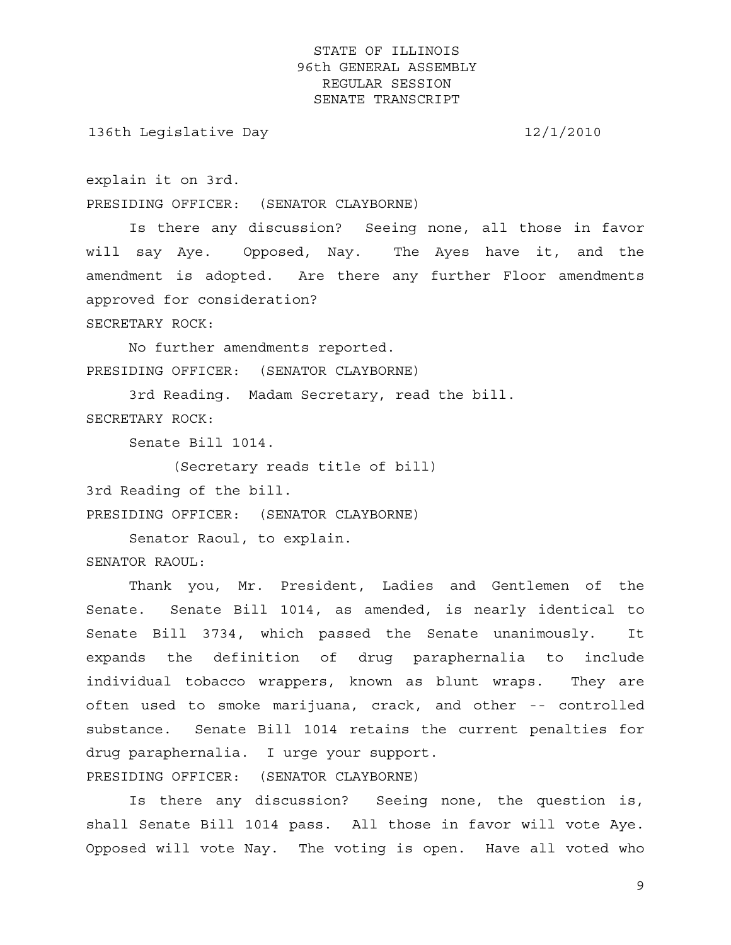136th Legislative Day 12/1/2010

explain it on 3rd.

PRESIDING OFFICER: (SENATOR CLAYBORNE)

 Is there any discussion? Seeing none, all those in favor will say Aye. Opposed, Nay. The Ayes have it, and the amendment is adopted. Are there any further Floor amendments approved for consideration?

SECRETARY ROCK:

 No further amendments reported. PRESIDING OFFICER: (SENATOR CLAYBORNE)

 3rd Reading. Madam Secretary, read the bill. SECRETARY ROCK:

Senate Bill 1014.

(Secretary reads title of bill)

3rd Reading of the bill.

PRESIDING OFFICER: (SENATOR CLAYBORNE)

Senator Raoul, to explain.

SENATOR RAOUL:

 Thank you, Mr. President, Ladies and Gentlemen of the Senate. Senate Bill 1014, as amended, is nearly identical to Senate Bill 3734, which passed the Senate unanimously. It expands the definition of drug paraphernalia to include individual tobacco wrappers, known as blunt wraps. They are often used to smoke marijuana, crack, and other -- controlled substance. Senate Bill 1014 retains the current penalties for drug paraphernalia. I urge your support.

PRESIDING OFFICER: (SENATOR CLAYBORNE)

 Is there any discussion? Seeing none, the question is, shall Senate Bill 1014 pass. All those in favor will vote Aye. Opposed will vote Nay. The voting is open. Have all voted who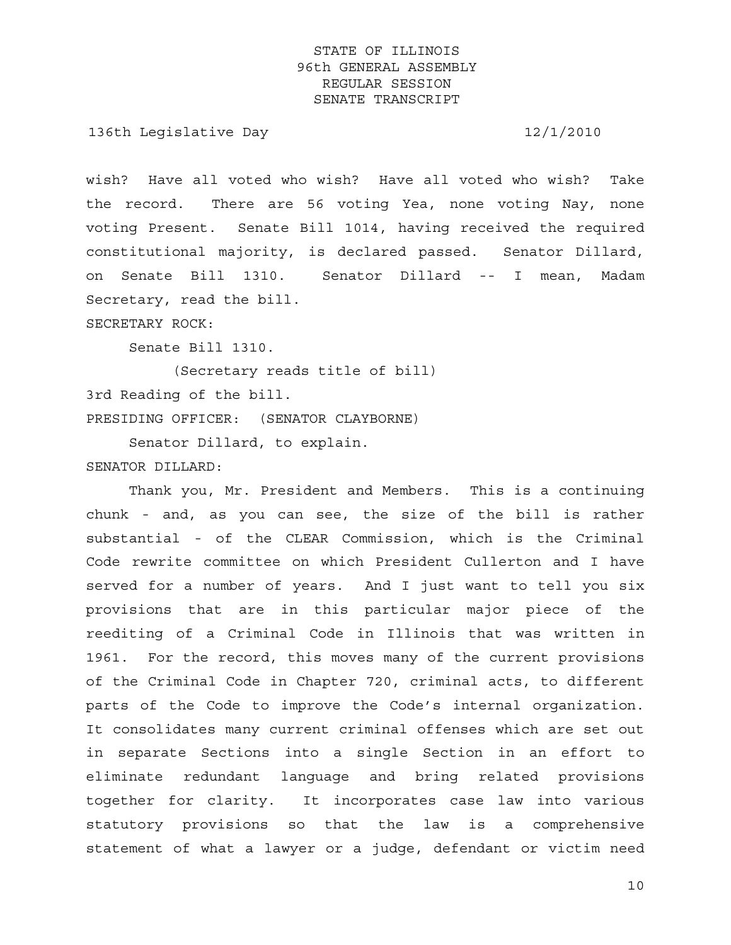136th Legislative Day 12/1/2010

wish? Have all voted who wish? Have all voted who wish? Take the record. There are 56 voting Yea, none voting Nay, none voting Present. Senate Bill 1014, having received the required constitutional majority, is declared passed. Senator Dillard, on Senate Bill 1310. Senator Dillard -- I mean, Madam Secretary, read the bill.

SECRETARY ROCK:

Senate Bill 1310.

 (Secretary reads title of bill) 3rd Reading of the bill. PRESIDING OFFICER: (SENATOR CLAYBORNE)

 Senator Dillard, to explain. SENATOR DILLARD:

 Thank you, Mr. President and Members. This is a continuing chunk - and, as you can see, the size of the bill is rather substantial - of the CLEAR Commission, which is the Criminal Code rewrite committee on which President Cullerton and I have served for a number of years. And I just want to tell you six provisions that are in this particular major piece of the reediting of a Criminal Code in Illinois that was written in 1961. For the record, this moves many of the current provisions of the Criminal Code in Chapter 720, criminal acts, to different parts of the Code to improve the Code's internal organization. It consolidates many current criminal offenses which are set out in separate Sections into a single Section in an effort to eliminate redundant language and bring related provisions together for clarity. It incorporates case law into various statutory provisions so that the law is a comprehensive statement of what a lawyer or a judge, defendant or victim need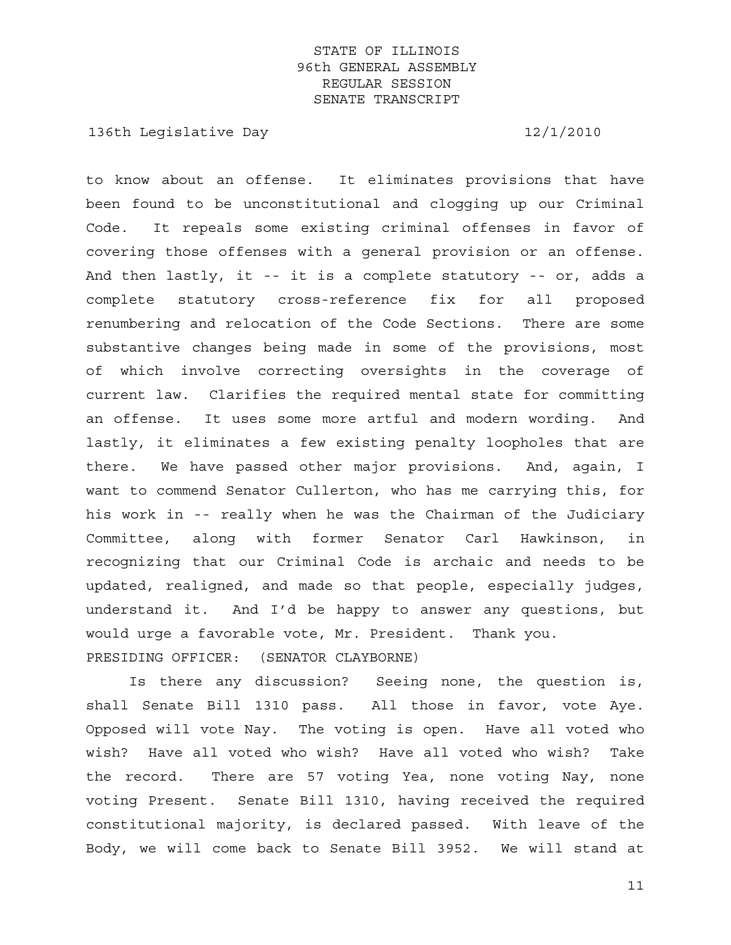136th Legislative Day 12/1/2010

to know about an offense. It eliminates provisions that have been found to be unconstitutional and clogging up our Criminal Code. It repeals some existing criminal offenses in favor of covering those offenses with a general provision or an offense. And then lastly, it -- it is a complete statutory -- or, adds a complete statutory cross-reference fix for all proposed renumbering and relocation of the Code Sections. There are some substantive changes being made in some of the provisions, most of which involve correcting oversights in the coverage of current law. Clarifies the required mental state for committing an offense. It uses some more artful and modern wording. And lastly, it eliminates a few existing penalty loopholes that are there. We have passed other major provisions. And, again, I want to commend Senator Cullerton, who has me carrying this, for his work in -- really when he was the Chairman of the Judiciary Committee, along with former Senator Carl Hawkinson, in recognizing that our Criminal Code is archaic and needs to be updated, realigned, and made so that people, especially judges, understand it. And I'd be happy to answer any questions, but would urge a favorable vote, Mr. President. Thank you. PRESIDING OFFICER: (SENATOR CLAYBORNE)

 Is there any discussion? Seeing none, the question is, shall Senate Bill 1310 pass. All those in favor, vote Aye. Opposed will vote Nay. The voting is open. Have all voted who wish? Have all voted who wish? Have all voted who wish? Take the record. There are 57 voting Yea, none voting Nay, none voting Present. Senate Bill 1310, having received the required constitutional majority, is declared passed. With leave of the Body, we will come back to Senate Bill 3952. We will stand at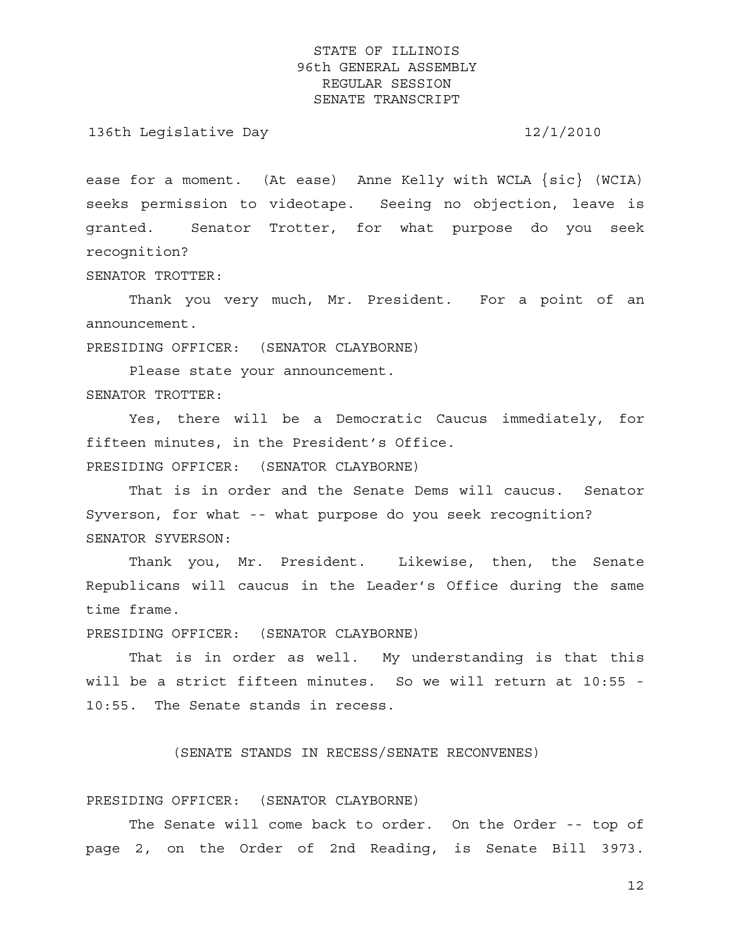136th Legislative Day 12/1/2010

ease for a moment. (At ease) Anne Kelly with WCLA  $\{sic\}$  (WCIA) seeks permission to videotape. Seeing no objection, leave is granted. Senator Trotter, for what purpose do you seek recognition?

SENATOR TROTTER:

 Thank you very much, Mr. President. For a point of an announcement.

PRESIDING OFFICER: (SENATOR CLAYBORNE)

 Please state your announcement. SENATOR TROTTER:

 Yes, there will be a Democratic Caucus immediately, for fifteen minutes, in the President's Office.

PRESIDING OFFICER: (SENATOR CLAYBORNE)

 That is in order and the Senate Dems will caucus. Senator Syverson, for what -- what purpose do you seek recognition? SENATOR SYVERSON:

Thank you, Mr. President. Likewise, then, the Senate Republicans will caucus in the Leader's Office during the same time frame.

PRESIDING OFFICER: (SENATOR CLAYBORNE)

 That is in order as well. My understanding is that this will be a strict fifteen minutes. So we will return at 10:55 - 10:55. The Senate stands in recess.

(SENATE STANDS IN RECESS/SENATE RECONVENES)

#### PRESIDING OFFICER: (SENATOR CLAYBORNE)

 The Senate will come back to order. On the Order -- top of page 2, on the Order of 2nd Reading, is Senate Bill 3973.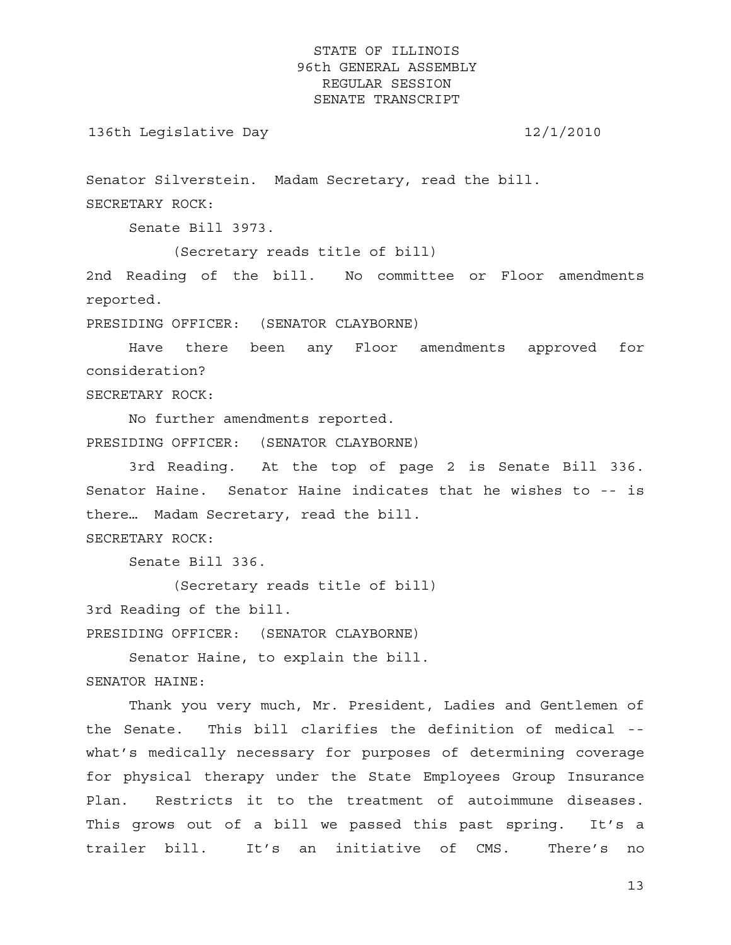136th Legislative Day 12/1/2010

Senator Silverstein. Madam Secretary, read the bill. SECRETARY ROCK:

Senate Bill 3973.

(Secretary reads title of bill)

2nd Reading of the bill. No committee or Floor amendments reported.

PRESIDING OFFICER: (SENATOR CLAYBORNE)

 Have there been any Floor amendments approved for consideration?

SECRETARY ROCK:

 No further amendments reported. PRESIDING OFFICER: (SENATOR CLAYBORNE)

 3rd Reading. At the top of page 2 is Senate Bill 336. Senator Haine. Senator Haine indicates that he wishes to -- is there… Madam Secretary, read the bill.

SECRETARY ROCK:

Senate Bill 336.

(Secretary reads title of bill)

3rd Reading of the bill.

PRESIDING OFFICER: (SENATOR CLAYBORNE)

 Senator Haine, to explain the bill. SENATOR HAINE:

 Thank you very much, Mr. President, Ladies and Gentlemen of the Senate. This bill clarifies the definition of medical - what's medically necessary for purposes of determining coverage for physical therapy under the State Employees Group Insurance Plan. Restricts it to the treatment of autoimmune diseases. This grows out of a bill we passed this past spring. It's a trailer bill. It's an initiative of CMS. There's no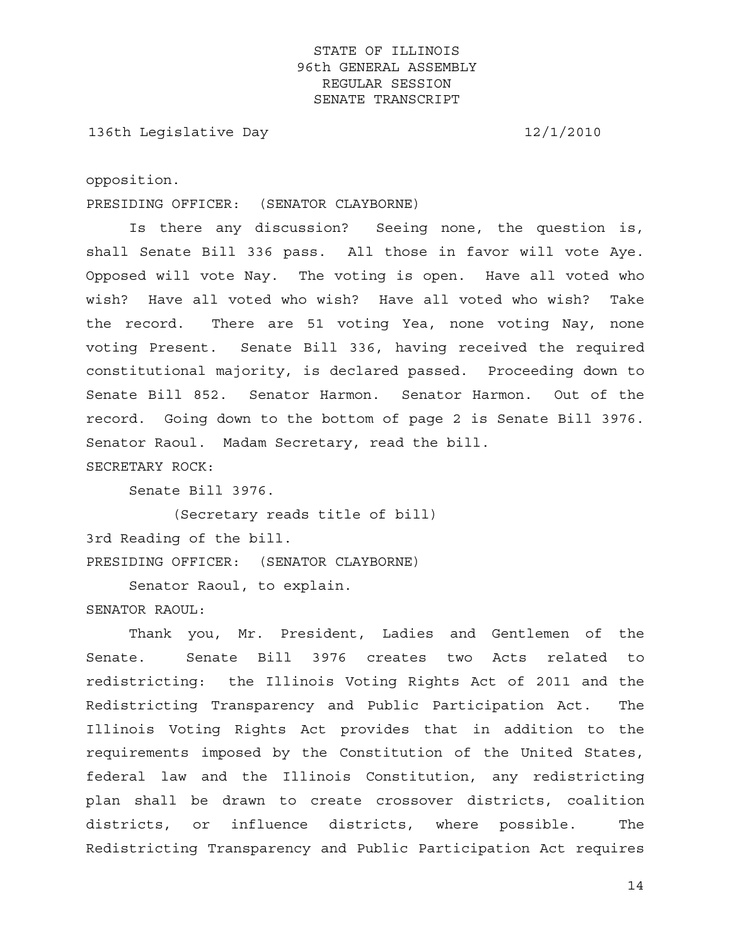136th Legislative Day 12/1/2010

opposition.

PRESIDING OFFICER: (SENATOR CLAYBORNE)

 Is there any discussion? Seeing none, the question is, shall Senate Bill 336 pass. All those in favor will vote Aye. Opposed will vote Nay. The voting is open. Have all voted who wish? Have all voted who wish? Have all voted who wish? Take the record. There are 51 voting Yea, none voting Nay, none voting Present. Senate Bill 336, having received the required constitutional majority, is declared passed. Proceeding down to Senate Bill 852. Senator Harmon. Senator Harmon. Out of the record. Going down to the bottom of page 2 is Senate Bill 3976. Senator Raoul. Madam Secretary, read the bill.

SECRETARY ROCK:

Senate Bill 3976.

 (Secretary reads title of bill) 3rd Reading of the bill. PRESIDING OFFICER: (SENATOR CLAYBORNE)

Senator Raoul, to explain.

SENATOR RAOUL:

 Thank you, Mr. President, Ladies and Gentlemen of the Senate. Senate Bill 3976 creates two Acts related to redistricting: the Illinois Voting Rights Act of 2011 and the Redistricting Transparency and Public Participation Act. The Illinois Voting Rights Act provides that in addition to the requirements imposed by the Constitution of the United States, federal law and the Illinois Constitution, any redistricting plan shall be drawn to create crossover districts, coalition districts, or influence districts, where possible. The Redistricting Transparency and Public Participation Act requires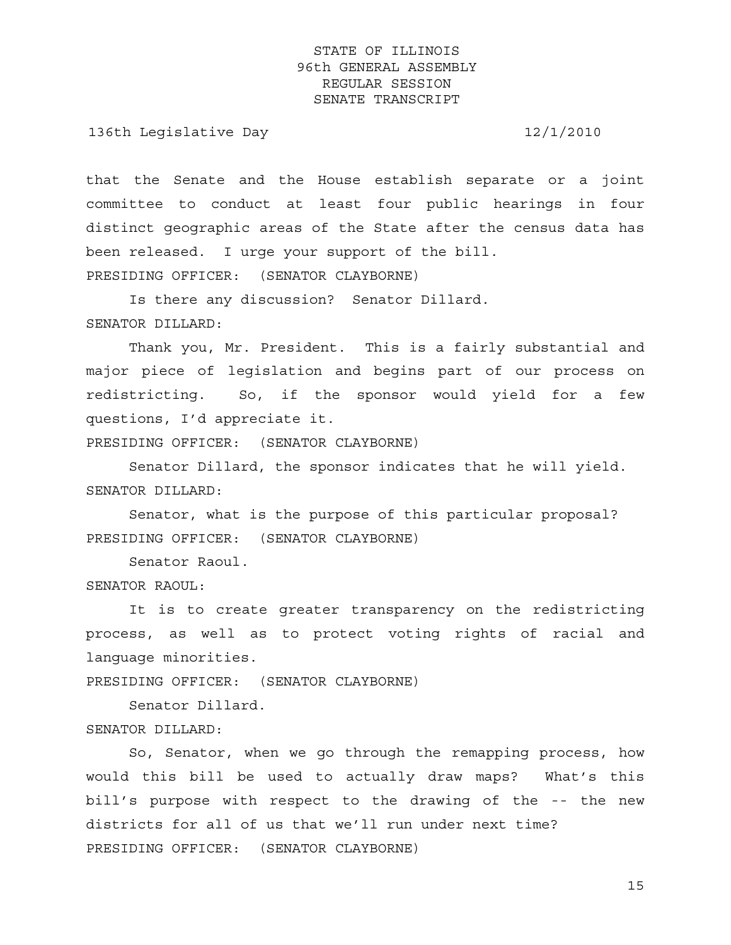136th Legislative Day 12/1/2010

that the Senate and the House establish separate or a joint committee to conduct at least four public hearings in four distinct geographic areas of the State after the census data has been released. I urge your support of the bill. PRESIDING OFFICER: (SENATOR CLAYBORNE)

 Is there any discussion? Senator Dillard. SENATOR DILLARD:

 Thank you, Mr. President. This is a fairly substantial and major piece of legislation and begins part of our process on redistricting. So, if the sponsor would yield for a few questions, I'd appreciate it.

PRESIDING OFFICER: (SENATOR CLAYBORNE)

 Senator Dillard, the sponsor indicates that he will yield. SENATOR DILLARD:

 Senator, what is the purpose of this particular proposal? PRESIDING OFFICER: (SENATOR CLAYBORNE)

Senator Raoul.

SENATOR RAOUL:

 It is to create greater transparency on the redistricting process, as well as to protect voting rights of racial and language minorities.

PRESIDING OFFICER: (SENATOR CLAYBORNE)

Senator Dillard.

SENATOR DILLARD:

 So, Senator, when we go through the remapping process, how would this bill be used to actually draw maps? What's this bill's purpose with respect to the drawing of the -- the new districts for all of us that we'll run under next time? PRESIDING OFFICER: (SENATOR CLAYBORNE)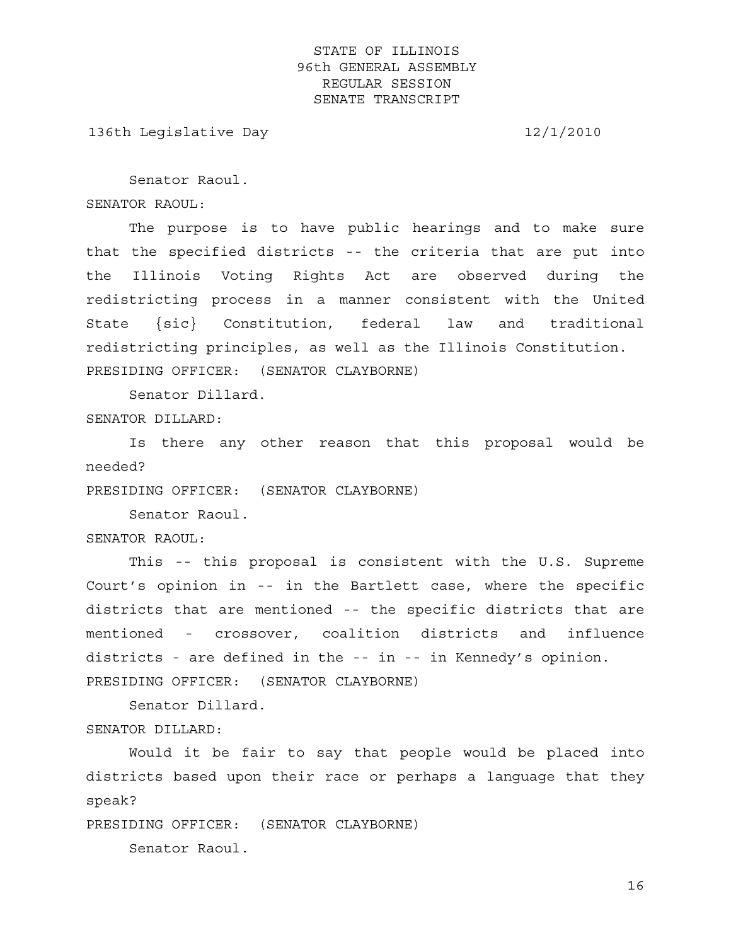136th Legislative Day 12/1/2010

Senator Raoul.

SENATOR RAOUL:

 The purpose is to have public hearings and to make sure that the specified districts -- the criteria that are put into the Illinois Voting Rights Act are observed during the redistricting process in a manner consistent with the United State {sic} Constitution, federal law and traditional redistricting principles, as well as the Illinois Constitution. PRESIDING OFFICER: (SENATOR CLAYBORNE)

Senator Dillard.

SENATOR DILLARD:

 Is there any other reason that this proposal would be needed?

PRESIDING OFFICER: (SENATOR CLAYBORNE)

Senator Raoul.

SENATOR RAOUL:

 This -- this proposal is consistent with the U.S. Supreme Court's opinion in -- in the Bartlett case, where the specific districts that are mentioned -- the specific districts that are mentioned - crossover, coalition districts and influence districts - are defined in the -- in -- in Kennedy's opinion. PRESIDING OFFICER: (SENATOR CLAYBORNE)

 Senator Dillard. SENATOR DILLARD:

 Would it be fair to say that people would be placed into districts based upon their race or perhaps a language that they speak?

PRESIDING OFFICER: (SENATOR CLAYBORNE)

Senator Raoul.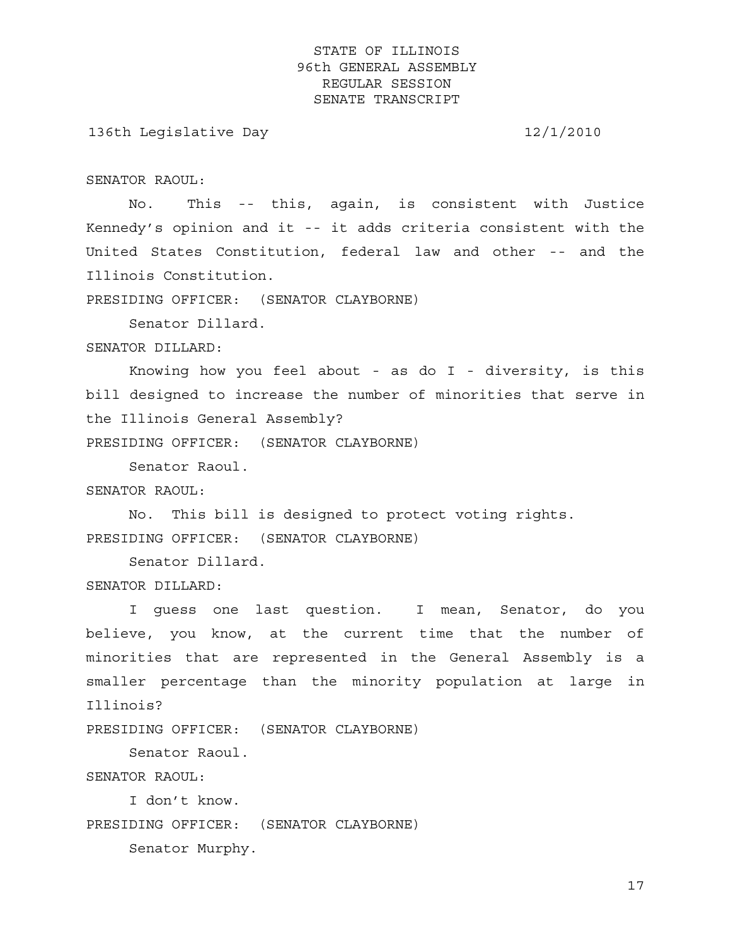136th Legislative Day 12/1/2010

SENATOR RAOUL:

 No. This -- this, again, is consistent with Justice Kennedy's opinion and it -- it adds criteria consistent with the United States Constitution, federal law and other -- and the Illinois Constitution.

PRESIDING OFFICER: (SENATOR CLAYBORNE)

Senator Dillard.

SENATOR DILLARD:

 Knowing how you feel about - as do I - diversity, is this bill designed to increase the number of minorities that serve in the Illinois General Assembly?

PRESIDING OFFICER: (SENATOR CLAYBORNE)

Senator Raoul.

SENATOR RAOUL:

 No. This bill is designed to protect voting rights. PRESIDING OFFICER: (SENATOR CLAYBORNE)

Senator Dillard.

SENATOR DILLARD:

 I guess one last question. I mean, Senator, do you believe, you know, at the current time that the number of minorities that are represented in the General Assembly is a smaller percentage than the minority population at large in Illinois?

PRESIDING OFFICER: (SENATOR CLAYBORNE)

Senator Raoul.

SENATOR RAOUL:

I don't know.

PRESIDING OFFICER: (SENATOR CLAYBORNE)

Senator Murphy.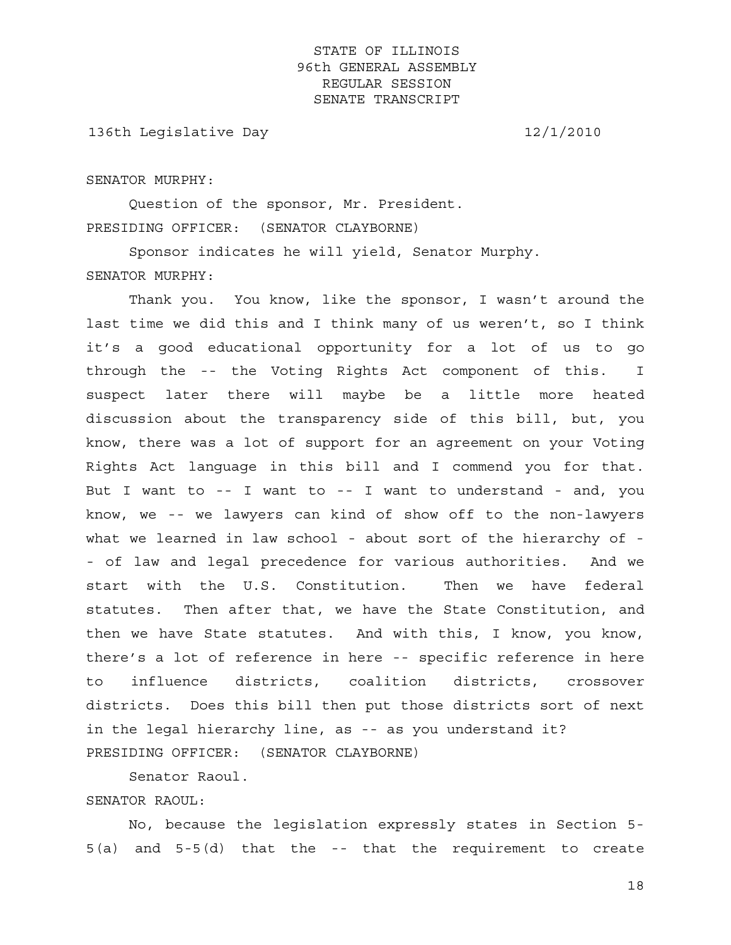136th Legislative Day 12/1/2010

#### SENATOR MURPHY:

 Question of the sponsor, Mr. President. PRESIDING OFFICER: (SENATOR CLAYBORNE)

 Sponsor indicates he will yield, Senator Murphy. SENATOR MURPHY:

 Thank you. You know, like the sponsor, I wasn't around the last time we did this and I think many of us weren't, so I think it's a good educational opportunity for a lot of us to go through the -- the Voting Rights Act component of this. I suspect later there will maybe be a little more heated discussion about the transparency side of this bill, but, you know, there was a lot of support for an agreement on your Voting Rights Act language in this bill and I commend you for that. But I want to -- I want to -- I want to understand - and, you know, we -- we lawyers can kind of show off to the non-lawyers what we learned in law school - about sort of the hierarchy of -- of law and legal precedence for various authorities. And we start with the U.S. Constitution. Then we have federal statutes. Then after that, we have the State Constitution, and then we have State statutes. And with this, I know, you know, there's a lot of reference in here -- specific reference in here to influence districts, coalition districts, crossover districts. Does this bill then put those districts sort of next in the legal hierarchy line, as -- as you understand it? PRESIDING OFFICER: (SENATOR CLAYBORNE)

Senator Raoul.

### SENATOR RAOUL:

 No, because the legislation expressly states in Section 5- 5(a) and 5-5(d) that the -- that the requirement to create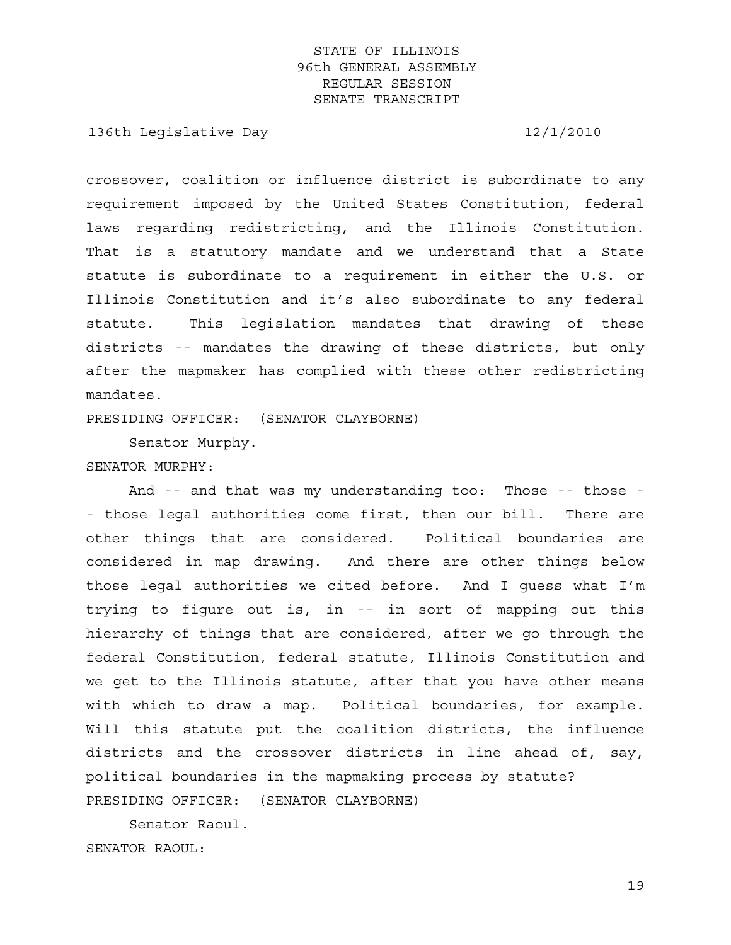136th Legislative Day 12/1/2010

crossover, coalition or influence district is subordinate to any requirement imposed by the United States Constitution, federal laws regarding redistricting, and the Illinois Constitution. That is a statutory mandate and we understand that a State statute is subordinate to a requirement in either the U.S. or Illinois Constitution and it's also subordinate to any federal statute. This legislation mandates that drawing of these districts -- mandates the drawing of these districts, but only after the mapmaker has complied with these other redistricting mandates.

PRESIDING OFFICER: (SENATOR CLAYBORNE)

Senator Murphy.

### SENATOR MURPHY:

 And -- and that was my understanding too: Those -- those - - those legal authorities come first, then our bill. There are other things that are considered. Political boundaries are considered in map drawing. And there are other things below those legal authorities we cited before. And I guess what I'm trying to figure out is, in -- in sort of mapping out this hierarchy of things that are considered, after we go through the federal Constitution, federal statute, Illinois Constitution and we get to the Illinois statute, after that you have other means with which to draw a map. Political boundaries, for example. Will this statute put the coalition districts, the influence districts and the crossover districts in line ahead of, say, political boundaries in the mapmaking process by statute? PRESIDING OFFICER: (SENATOR CLAYBORNE)

 Senator Raoul. SENATOR RAOUL: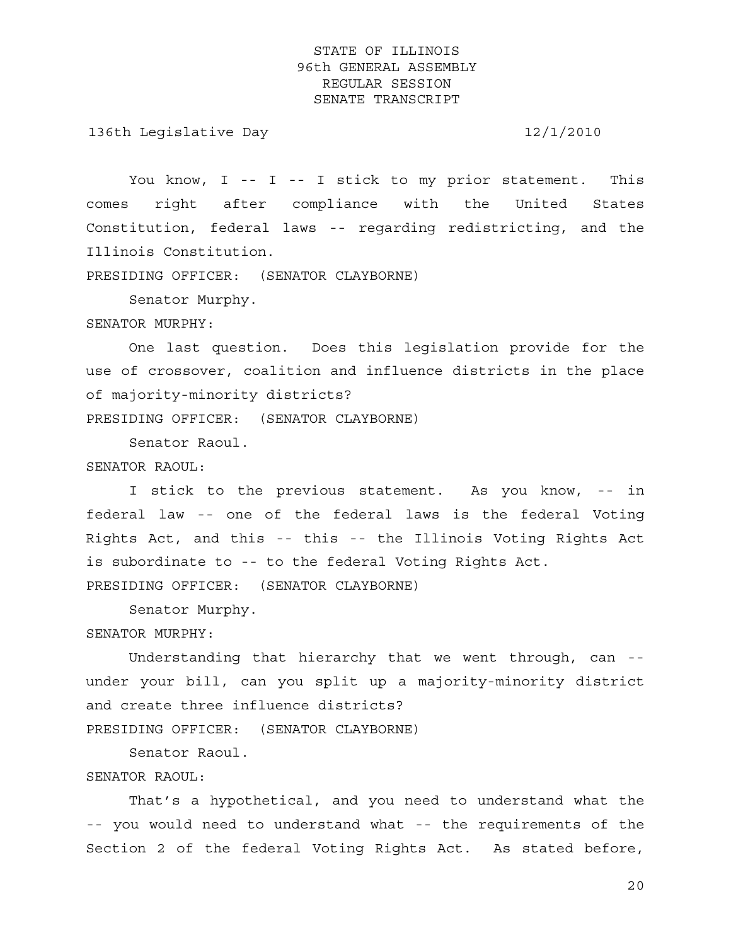136th Legislative Day 12/1/2010

You know, I -- I -- I stick to my prior statement. This comes right after compliance with the United States Constitution, federal laws -- regarding redistricting, and the Illinois Constitution.

PRESIDING OFFICER: (SENATOR CLAYBORNE)

Senator Murphy.

SENATOR MURPHY:

 One last question. Does this legislation provide for the use of crossover, coalition and influence districts in the place of majority-minority districts?

PRESIDING OFFICER: (SENATOR CLAYBORNE)

Senator Raoul.

SENATOR RAOUL:

 I stick to the previous statement. As you know, -- in federal law -- one of the federal laws is the federal Voting Rights Act, and this -- this -- the Illinois Voting Rights Act is subordinate to -- to the federal Voting Rights Act. PRESIDING OFFICER: (SENATOR CLAYBORNE)

Senator Murphy.

### SENATOR MURPHY:

 Understanding that hierarchy that we went through, can - under your bill, can you split up a majority-minority district and create three influence districts?

PRESIDING OFFICER: (SENATOR CLAYBORNE)

Senator Raoul.

### SENATOR RAOUL:

 That's a hypothetical, and you need to understand what the -- you would need to understand what -- the requirements of the Section 2 of the federal Voting Rights Act. As stated before,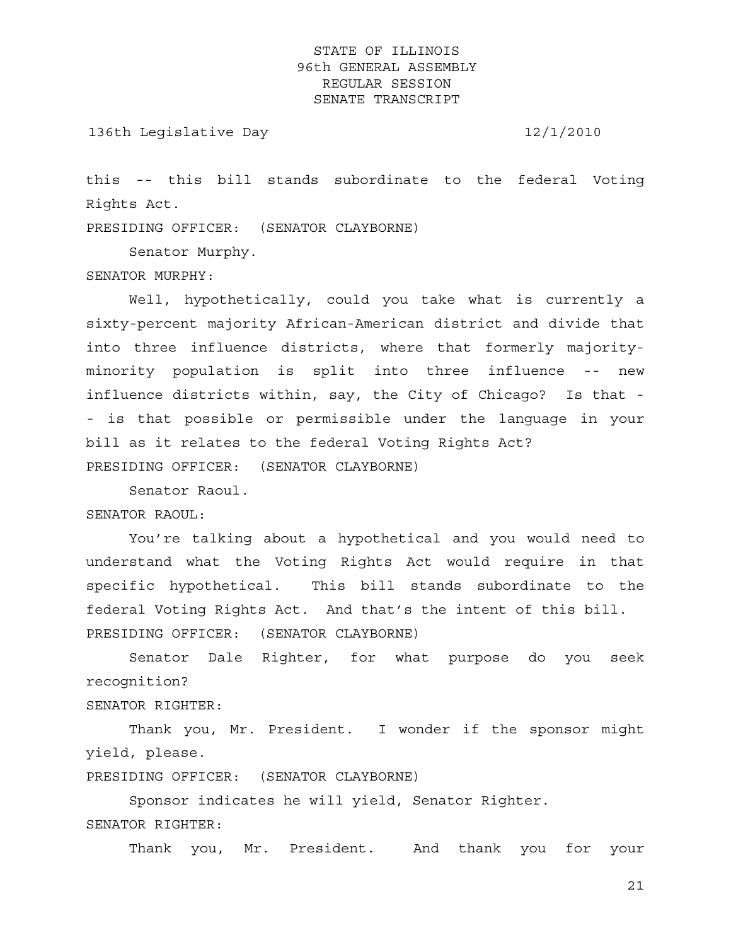136th Legislative Day 12/1/2010

this -- this bill stands subordinate to the federal Voting Rights Act.

PRESIDING OFFICER: (SENATOR CLAYBORNE)

Senator Murphy.

SENATOR MURPHY:

 Well, hypothetically, could you take what is currently a sixty-percent majority African-American district and divide that into three influence districts, where that formerly majorityminority population is split into three influence -- new influence districts within, say, the City of Chicago? Is that - - is that possible or permissible under the language in your bill as it relates to the federal Voting Rights Act? PRESIDING OFFICER: (SENATOR CLAYBORNE)

Senator Raoul.

SENATOR RAOUL:

 You're talking about a hypothetical and you would need to understand what the Voting Rights Act would require in that specific hypothetical. This bill stands subordinate to the federal Voting Rights Act. And that's the intent of this bill. PRESIDING OFFICER: (SENATOR CLAYBORNE)

 Senator Dale Righter, for what purpose do you seek recognition?

SENATOR RIGHTER:

 Thank you, Mr. President. I wonder if the sponsor might yield, please.

PRESIDING OFFICER: (SENATOR CLAYBORNE)

 Sponsor indicates he will yield, Senator Righter. SENATOR RIGHTER:

Thank you, Mr. President. And thank you for your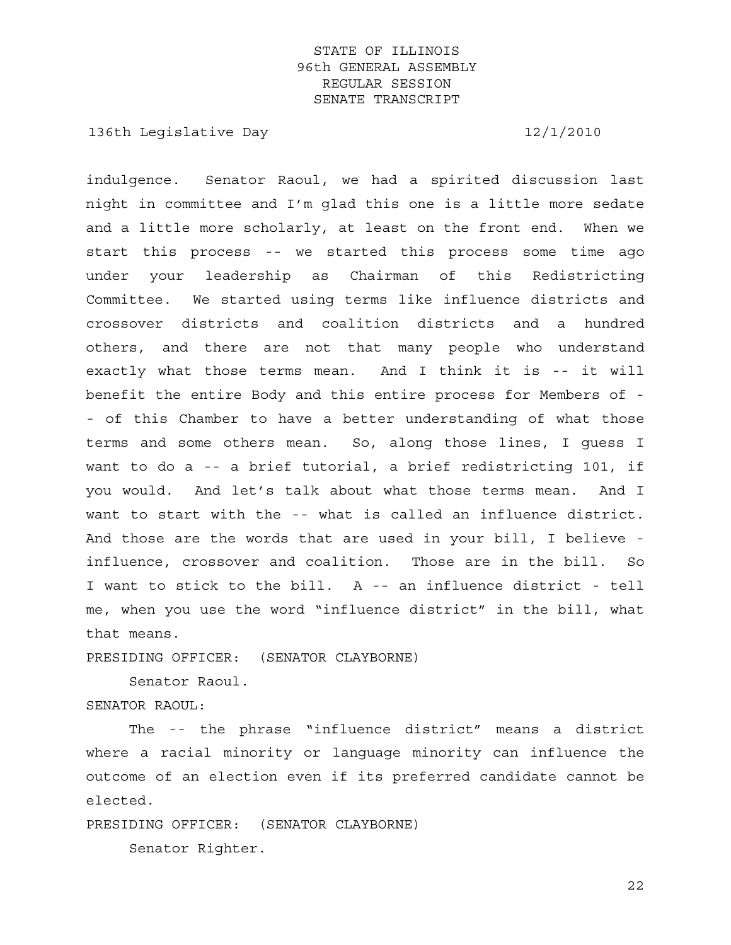136th Legislative Day 12/1/2010

indulgence. Senator Raoul, we had a spirited discussion last night in committee and I'm glad this one is a little more sedate and a little more scholarly, at least on the front end. When we start this process -- we started this process some time ago under your leadership as Chairman of this Redistricting Committee. We started using terms like influence districts and crossover districts and coalition districts and a hundred others, and there are not that many people who understand exactly what those terms mean. And I think it is -- it will benefit the entire Body and this entire process for Members of - - of this Chamber to have a better understanding of what those terms and some others mean. So, along those lines, I guess I want to do a -- a brief tutorial, a brief redistricting 101, if you would. And let's talk about what those terms mean. And I want to start with the -- what is called an influence district. And those are the words that are used in your bill, I believe influence, crossover and coalition. Those are in the bill. So I want to stick to the bill. A -- an influence district - tell me, when you use the word "influence district" in the bill, what that means.

PRESIDING OFFICER: (SENATOR CLAYBORNE)

Senator Raoul.

SENATOR RAOUL:

 The -- the phrase "influence district" means a district where a racial minority or language minority can influence the outcome of an election even if its preferred candidate cannot be elected.

PRESIDING OFFICER: (SENATOR CLAYBORNE)

Senator Righter.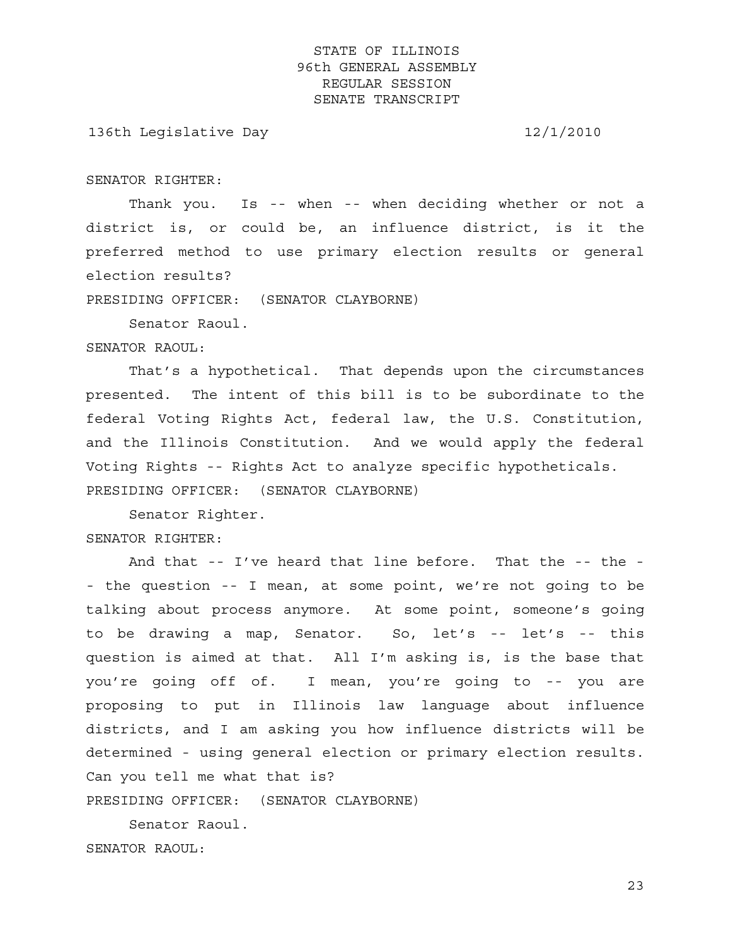136th Legislative Day 12/1/2010

SENATOR RIGHTER:

 Thank you. Is -- when -- when deciding whether or not a district is, or could be, an influence district, is it the preferred method to use primary election results or general election results?

PRESIDING OFFICER: (SENATOR CLAYBORNE)

Senator Raoul.

#### SENATOR RAOUL:

 That's a hypothetical. That depends upon the circumstances presented. The intent of this bill is to be subordinate to the federal Voting Rights Act, federal law, the U.S. Constitution, and the Illinois Constitution. And we would apply the federal Voting Rights -- Rights Act to analyze specific hypotheticals. PRESIDING OFFICER: (SENATOR CLAYBORNE)

 Senator Righter. SENATOR RIGHTER:

 And that -- I've heard that line before. That the -- the - - the question -- I mean, at some point, we're not going to be talking about process anymore. At some point, someone's going to be drawing a map, Senator. So, let's -- let's -- this question is aimed at that. All I'm asking is, is the base that you're going off of. I mean, you're going to -- you are proposing to put in Illinois law language about influence districts, and I am asking you how influence districts will be determined - using general election or primary election results. Can you tell me what that is? PRESIDING OFFICER: (SENATOR CLAYBORNE)

 Senator Raoul. SENATOR RAOUL: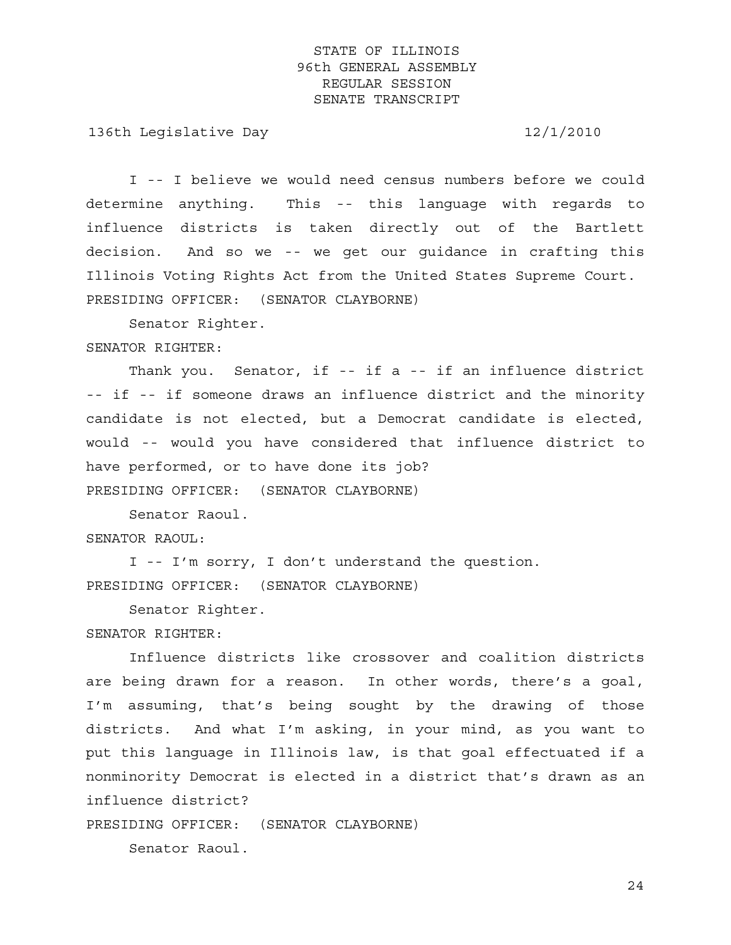136th Legislative Day 12/1/2010

 I -- I believe we would need census numbers before we could determine anything. This -- this language with regards to influence districts is taken directly out of the Bartlett decision. And so we -- we get our guidance in crafting this Illinois Voting Rights Act from the United States Supreme Court. PRESIDING OFFICER: (SENATOR CLAYBORNE)

Senator Righter.

### SENATOR RIGHTER:

 Thank you. Senator, if -- if a -- if an influence district -- if -- if someone draws an influence district and the minority candidate is not elected, but a Democrat candidate is elected, would -- would you have considered that influence district to have performed, or to have done its job?

PRESIDING OFFICER: (SENATOR CLAYBORNE)

 Senator Raoul. SENATOR RAOUL:

 I -- I'm sorry, I don't understand the question. PRESIDING OFFICER: (SENATOR CLAYBORNE)

Senator Righter.

### SENATOR RIGHTER:

 Influence districts like crossover and coalition districts are being drawn for a reason. In other words, there's a goal, I'm assuming, that's being sought by the drawing of those districts. And what I'm asking, in your mind, as you want to put this language in Illinois law, is that goal effectuated if a nonminority Democrat is elected in a district that's drawn as an influence district?

PRESIDING OFFICER: (SENATOR CLAYBORNE)

Senator Raoul.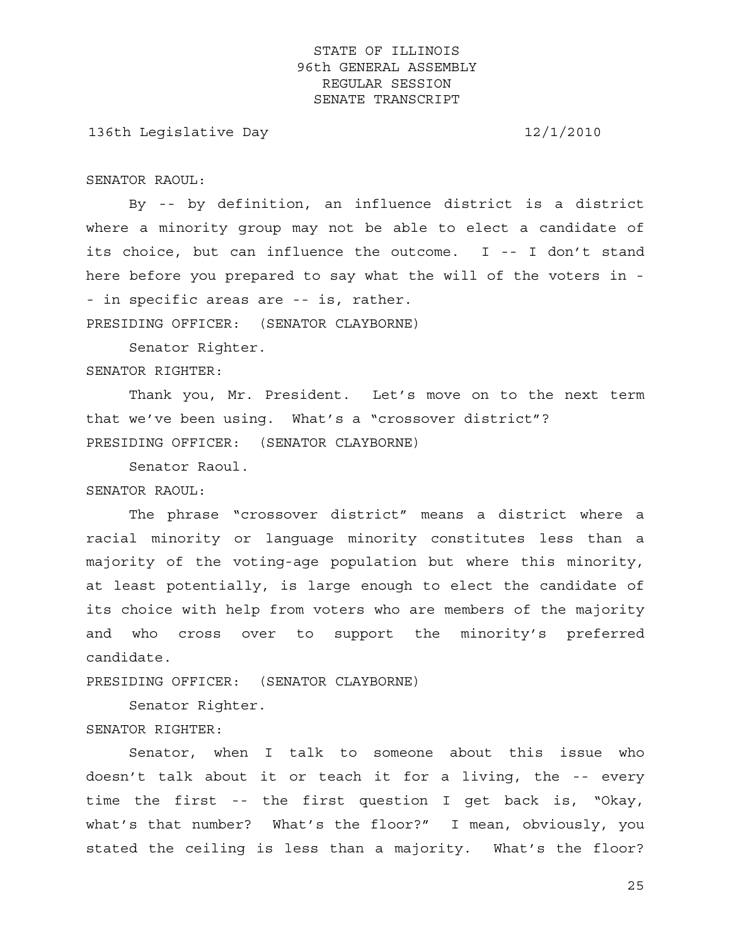136th Legislative Day 12/1/2010

SENATOR RAOUL:

 By -- by definition, an influence district is a district where a minority group may not be able to elect a candidate of its choice, but can influence the outcome. I -- I don't stand here before you prepared to say what the will of the voters in - - in specific areas are -- is, rather.

PRESIDING OFFICER: (SENATOR CLAYBORNE)

Senator Righter.

SENATOR RIGHTER:

 Thank you, Mr. President. Let's move on to the next term that we've been using. What's a "crossover district"? PRESIDING OFFICER: (SENATOR CLAYBORNE)

Senator Raoul.

SENATOR RAOUL:

 The phrase "crossover district" means a district where a racial minority or language minority constitutes less than a majority of the voting-age population but where this minority, at least potentially, is large enough to elect the candidate of its choice with help from voters who are members of the majority and who cross over to support the minority's preferred candidate.

PRESIDING OFFICER: (SENATOR CLAYBORNE)

 Senator Righter. SENATOR RIGHTER:

 Senator, when I talk to someone about this issue who doesn't talk about it or teach it for a living, the -- every time the first -- the first question I get back is, "Okay, what's that number? What's the floor?" I mean, obviously, you stated the ceiling is less than a majority. What's the floor?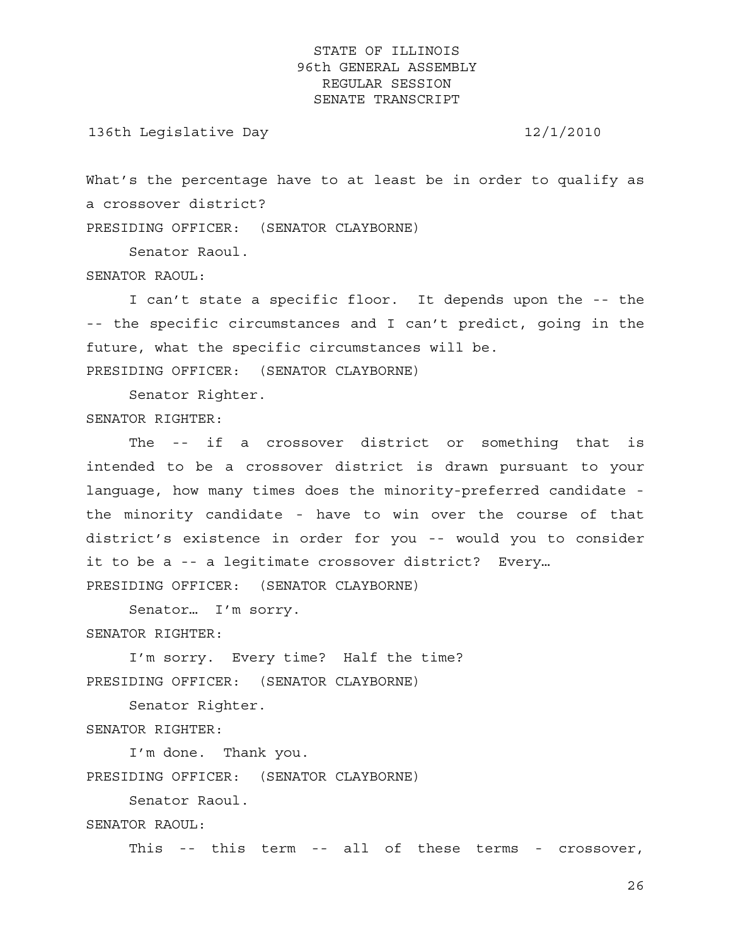136th Legislative Day 12/1/2010

What's the percentage have to at least be in order to qualify as a crossover district?

PRESIDING OFFICER: (SENATOR CLAYBORNE)

Senator Raoul.

SENATOR RAOUL:

 I can't state a specific floor. It depends upon the -- the -- the specific circumstances and I can't predict, going in the future, what the specific circumstances will be.

PRESIDING OFFICER: (SENATOR CLAYBORNE)

Senator Righter.

SENATOR RIGHTER:

 The -- if a crossover district or something that is intended to be a crossover district is drawn pursuant to your language, how many times does the minority-preferred candidate the minority candidate - have to win over the course of that district's existence in order for you -- would you to consider it to be a -- a legitimate crossover district? Every… PRESIDING OFFICER: (SENATOR CLAYBORNE)

Senator… I'm sorry.

SENATOR RIGHTER:

 I'm sorry. Every time? Half the time? PRESIDING OFFICER: (SENATOR CLAYBORNE)

Senator Righter.

SENATOR RIGHTER:

 I'm done. Thank you. PRESIDING OFFICER: (SENATOR CLAYBORNE)

Senator Raoul.

SENATOR RAOUL:

This -- this term -- all of these terms - crossover,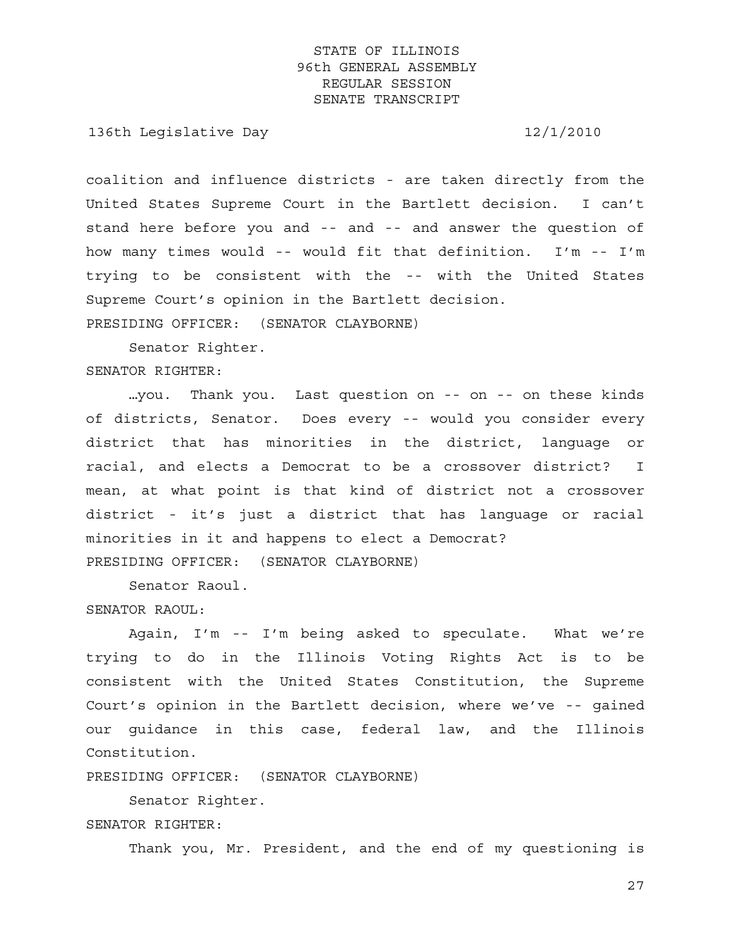136th Legislative Day 12/1/2010

coalition and influence districts - are taken directly from the United States Supreme Court in the Bartlett decision. I can't stand here before you and -- and -- and answer the question of how many times would -- would fit that definition. I'm -- I'm trying to be consistent with the -- with the United States Supreme Court's opinion in the Bartlett decision. PRESIDING OFFICER: (SENATOR CLAYBORNE)

Senator Righter.

SENATOR RIGHTER:

 …you. Thank you. Last question on -- on -- on these kinds of districts, Senator. Does every -- would you consider every district that has minorities in the district, language or racial, and elects a Democrat to be a crossover district? I mean, at what point is that kind of district not a crossover district - it's just a district that has language or racial minorities in it and happens to elect a Democrat? PRESIDING OFFICER: (SENATOR CLAYBORNE)

Senator Raoul.

SENATOR RAOUL:

 Again, I'm -- I'm being asked to speculate. What we're trying to do in the Illinois Voting Rights Act is to be consistent with the United States Constitution, the Supreme Court's opinion in the Bartlett decision, where we've -- gained our guidance in this case, federal law, and the Illinois Constitution.

PRESIDING OFFICER: (SENATOR CLAYBORNE)

 Senator Righter. SENATOR RIGHTER:

Thank you, Mr. President, and the end of my questioning is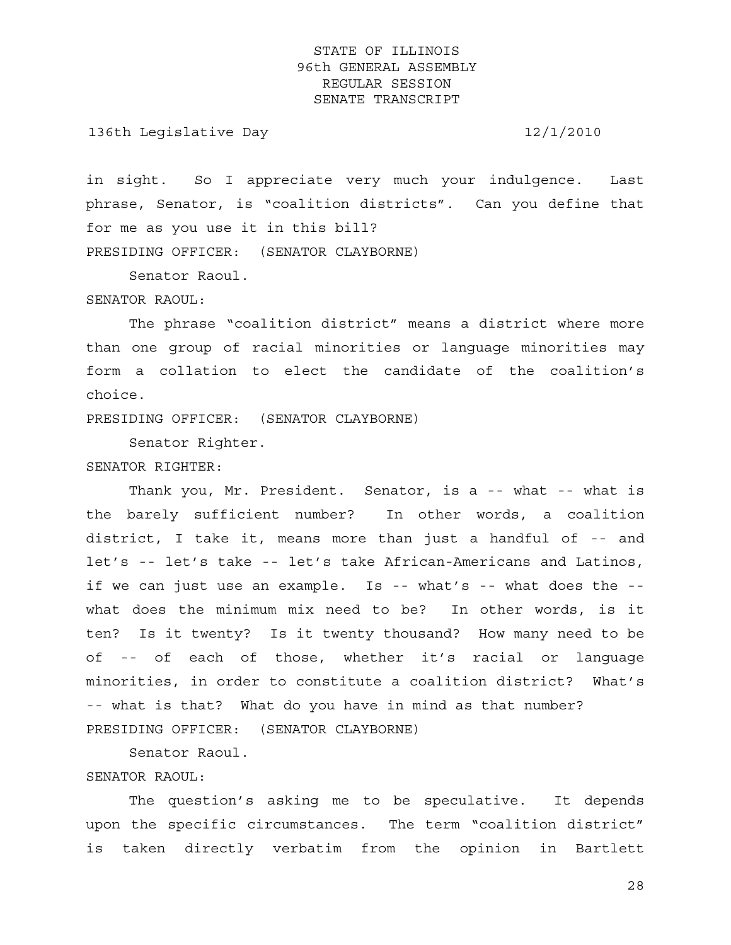136th Legislative Day 12/1/2010

in sight. So I appreciate very much your indulgence. Last phrase, Senator, is "coalition districts". Can you define that for me as you use it in this bill? PRESIDING OFFICER: (SENATOR CLAYBORNE)

Senator Raoul.

#### SENATOR RAOUL:

 The phrase "coalition district" means a district where more than one group of racial minorities or language minorities may form a collation to elect the candidate of the coalition's choice.

PRESIDING OFFICER: (SENATOR CLAYBORNE)

Senator Righter.

### SENATOR RIGHTER:

Thank you, Mr. President. Senator, is a -- what -- what is the barely sufficient number? In other words, a coalition district, I take it, means more than just a handful of -- and let's -- let's take -- let's take African-Americans and Latinos, if we can just use an example. Is  $-$ - what's  $-$ - what does the  $-$ what does the minimum mix need to be? In other words, is it ten? Is it twenty? Is it twenty thousand? How many need to be of -- of each of those, whether it's racial or language minorities, in order to constitute a coalition district? What's -- what is that? What do you have in mind as that number? PRESIDING OFFICER: (SENATOR CLAYBORNE)

Senator Raoul.

### SENATOR RAOUL:

 The question's asking me to be speculative. It depends upon the specific circumstances. The term "coalition district" is taken directly verbatim from the opinion in Bartlett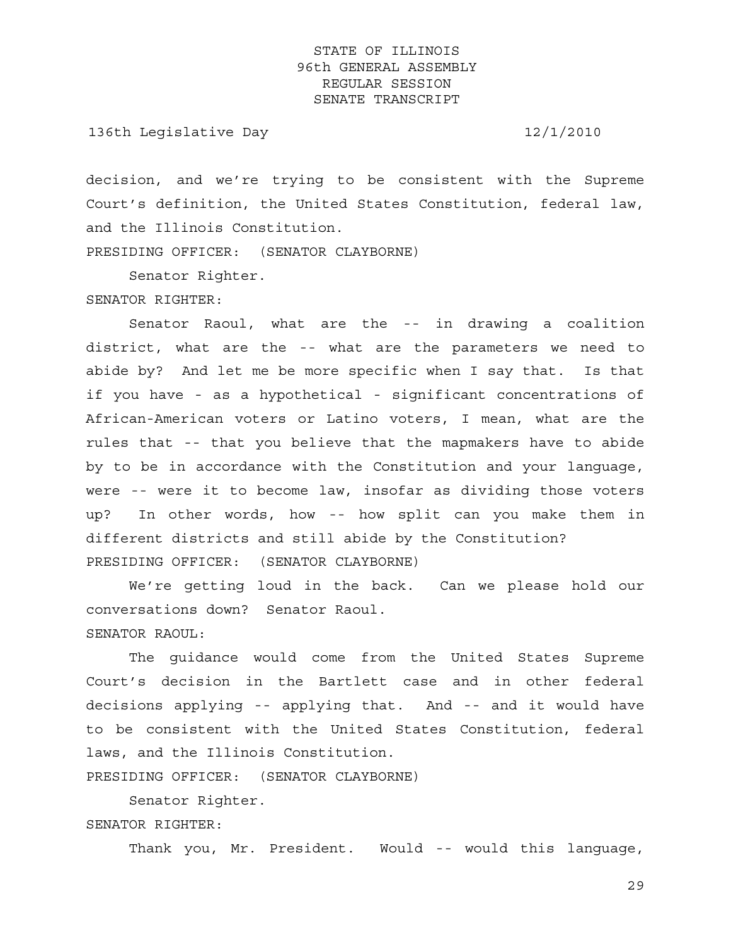136th Legislative Day 12/1/2010

decision, and we're trying to be consistent with the Supreme Court's definition, the United States Constitution, federal law, and the Illinois Constitution.

PRESIDING OFFICER: (SENATOR CLAYBORNE)

Senator Righter.

SENATOR RIGHTER:

 Senator Raoul, what are the -- in drawing a coalition district, what are the -- what are the parameters we need to abide by? And let me be more specific when I say that. Is that if you have - as a hypothetical - significant concentrations of African-American voters or Latino voters, I mean, what are the rules that -- that you believe that the mapmakers have to abide by to be in accordance with the Constitution and your language, were -- were it to become law, insofar as dividing those voters up? In other words, how -- how split can you make them in different districts and still abide by the Constitution? PRESIDING OFFICER: (SENATOR CLAYBORNE)

 We're getting loud in the back. Can we please hold our conversations down? Senator Raoul. SENATOR RAOUL:

 The guidance would come from the United States Supreme Court's decision in the Bartlett case and in other federal decisions applying -- applying that. And -- and it would have to be consistent with the United States Constitution, federal laws, and the Illinois Constitution.

PRESIDING OFFICER: (SENATOR CLAYBORNE)

 Senator Righter. SENATOR RIGHTER:

Thank you, Mr. President. Would -- would this language,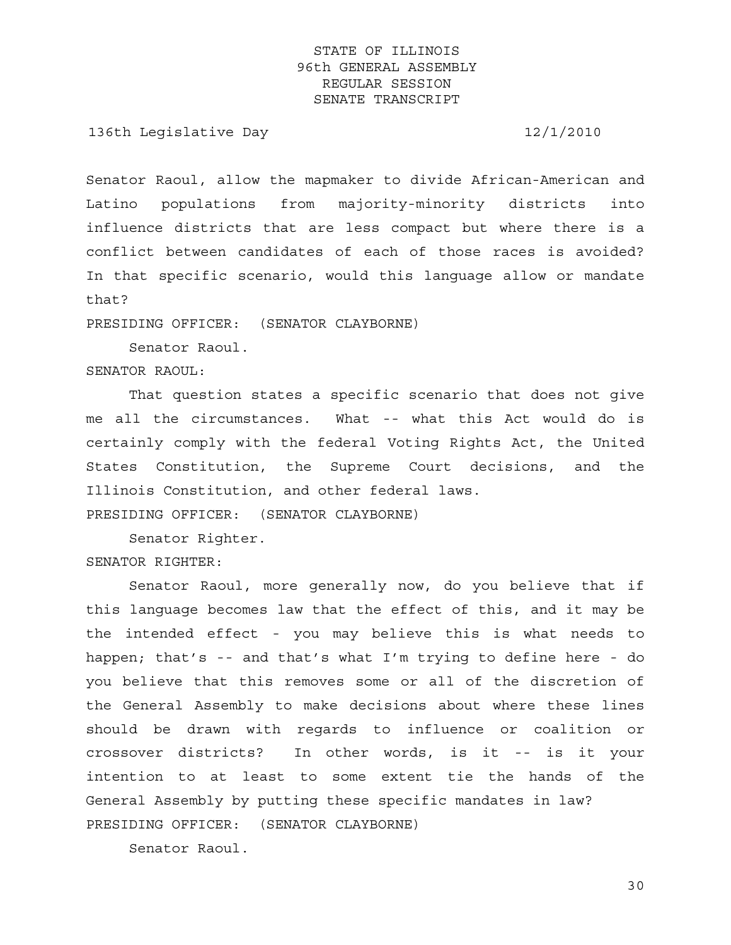136th Legislative Day 12/1/2010

Senator Raoul, allow the mapmaker to divide African-American and Latino populations from majority-minority districts into influence districts that are less compact but where there is a conflict between candidates of each of those races is avoided? In that specific scenario, would this language allow or mandate that?

PRESIDING OFFICER: (SENATOR CLAYBORNE)

Senator Raoul.

SENATOR RAOUL:

 That question states a specific scenario that does not give me all the circumstances. What -- what this Act would do is certainly comply with the federal Voting Rights Act, the United States Constitution, the Supreme Court decisions, and the Illinois Constitution, and other federal laws.

PRESIDING OFFICER: (SENATOR CLAYBORNE)

Senator Righter.

SENATOR RIGHTER:

 Senator Raoul, more generally now, do you believe that if this language becomes law that the effect of this, and it may be the intended effect - you may believe this is what needs to happen; that's -- and that's what I'm trying to define here - do you believe that this removes some or all of the discretion of the General Assembly to make decisions about where these lines should be drawn with regards to influence or coalition or crossover districts? In other words, is it -- is it your intention to at least to some extent tie the hands of the General Assembly by putting these specific mandates in law? PRESIDING OFFICER: (SENATOR CLAYBORNE)

Senator Raoul.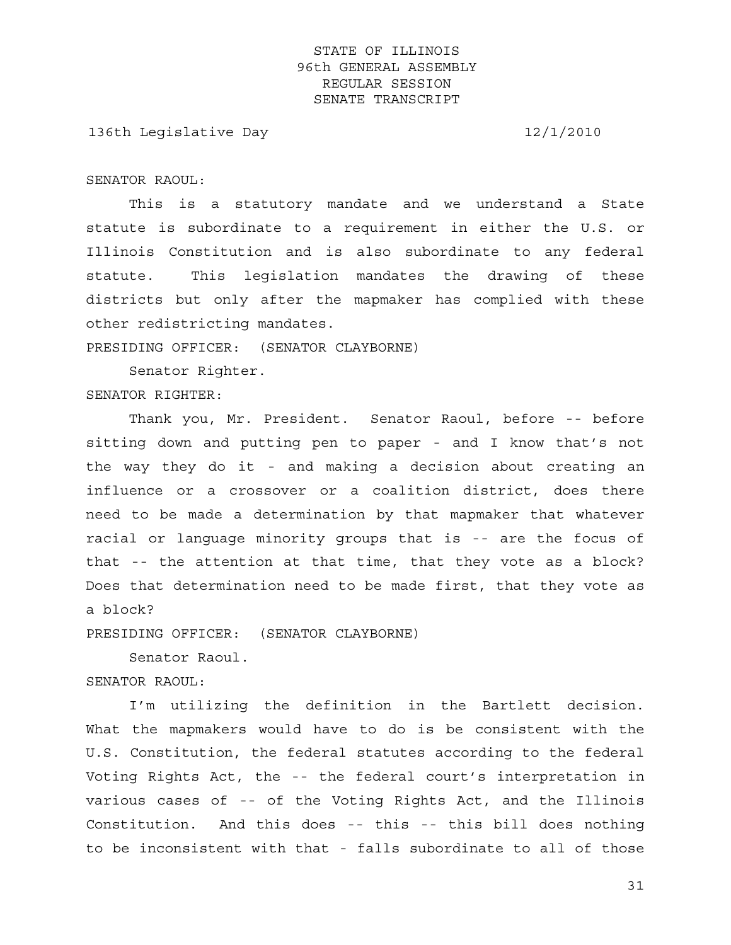136th Legislative Day 12/1/2010

SENATOR RAOUL:

 This is a statutory mandate and we understand a State statute is subordinate to a requirement in either the U.S. or Illinois Constitution and is also subordinate to any federal statute. This legislation mandates the drawing of these districts but only after the mapmaker has complied with these other redistricting mandates.

PRESIDING OFFICER: (SENATOR CLAYBORNE)

 Senator Righter. SENATOR RIGHTER:

 Thank you, Mr. President. Senator Raoul, before -- before sitting down and putting pen to paper - and I know that's not the way they do it - and making a decision about creating an influence or a crossover or a coalition district, does there need to be made a determination by that mapmaker that whatever racial or language minority groups that is -- are the focus of that -- the attention at that time, that they vote as a block? Does that determination need to be made first, that they vote as a block?

PRESIDING OFFICER: (SENATOR CLAYBORNE)

Senator Raoul.

SENATOR RAOUL:

 I'm utilizing the definition in the Bartlett decision. What the mapmakers would have to do is be consistent with the U.S. Constitution, the federal statutes according to the federal Voting Rights Act, the -- the federal court's interpretation in various cases of -- of the Voting Rights Act, and the Illinois Constitution. And this does -- this -- this bill does nothing to be inconsistent with that - falls subordinate to all of those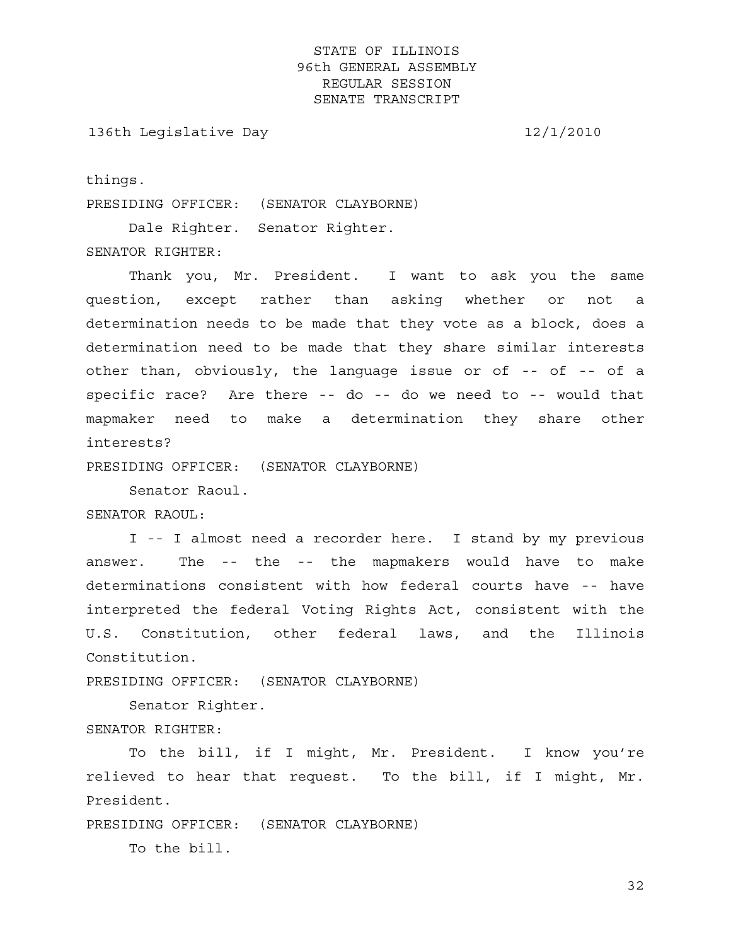136th Legislative Day 12/1/2010

things.

PRESIDING OFFICER: (SENATOR CLAYBORNE)

Dale Righter. Senator Righter.

SENATOR RIGHTER:

 Thank you, Mr. President. I want to ask you the same question, except rather than asking whether or not a determination needs to be made that they vote as a block, does a determination need to be made that they share similar interests other than, obviously, the language issue or of -- of -- of a specific race? Are there -- do -- do we need to -- would that mapmaker need to make a determination they share other interests?

PRESIDING OFFICER: (SENATOR CLAYBORNE)

Senator Raoul.

SENATOR RAOUL:

 I -- I almost need a recorder here. I stand by my previous answer. The -- the -- the mapmakers would have to make determinations consistent with how federal courts have -- have interpreted the federal Voting Rights Act, consistent with the U.S. Constitution, other federal laws, and the Illinois Constitution.

PRESIDING OFFICER: (SENATOR CLAYBORNE)

Senator Righter.

SENATOR RIGHTER:

 To the bill, if I might, Mr. President. I know you're relieved to hear that request. To the bill, if I might, Mr. President.

PRESIDING OFFICER: (SENATOR CLAYBORNE)

To the bill.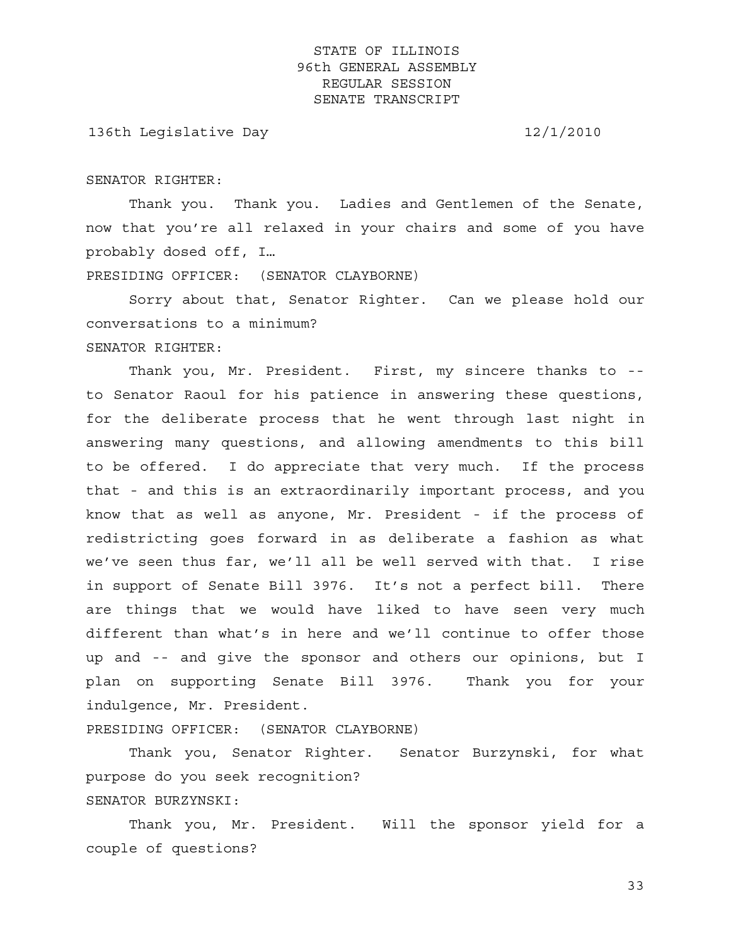136th Legislative Day 12/1/2010

SENATOR RIGHTER:

 Thank you. Thank you. Ladies and Gentlemen of the Senate, now that you're all relaxed in your chairs and some of you have probably dosed off, I…

PRESIDING OFFICER: (SENATOR CLAYBORNE)

 Sorry about that, Senator Righter. Can we please hold our conversations to a minimum? SENATOR RIGHTER:

 Thank you, Mr. President. First, my sincere thanks to - to Senator Raoul for his patience in answering these questions, for the deliberate process that he went through last night in answering many questions, and allowing amendments to this bill to be offered. I do appreciate that very much. If the process that - and this is an extraordinarily important process, and you know that as well as anyone, Mr. President - if the process of redistricting goes forward in as deliberate a fashion as what we've seen thus far, we'll all be well served with that. I rise in support of Senate Bill 3976. It's not a perfect bill. There are things that we would have liked to have seen very much different than what's in here and we'll continue to offer those up and -- and give the sponsor and others our opinions, but I plan on supporting Senate Bill 3976. Thank you for your indulgence, Mr. President.

PRESIDING OFFICER: (SENATOR CLAYBORNE)

 Thank you, Senator Righter. Senator Burzynski, for what purpose do you seek recognition? SENATOR BURZYNSKI:

 Thank you, Mr. President. Will the sponsor yield for a couple of questions?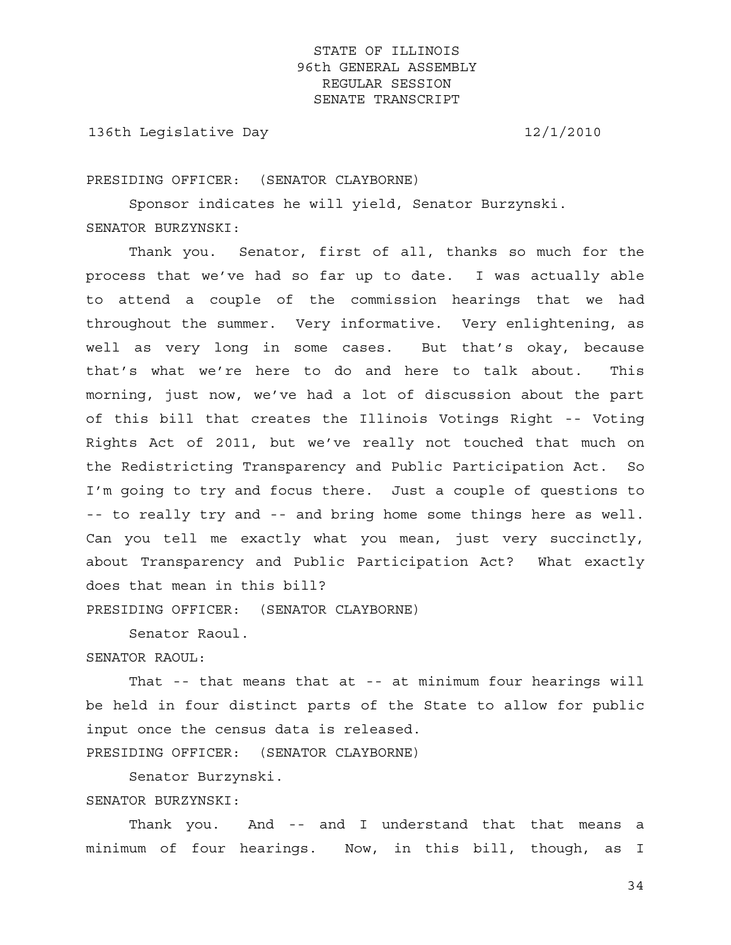136th Legislative Day 12/1/2010

PRESIDING OFFICER: (SENATOR CLAYBORNE)

 Sponsor indicates he will yield, Senator Burzynski. SENATOR BURZYNSKI:

 Thank you. Senator, first of all, thanks so much for the process that we've had so far up to date. I was actually able to attend a couple of the commission hearings that we had throughout the summer. Very informative. Very enlightening, as well as very long in some cases. But that's okay, because that's what we're here to do and here to talk about. This morning, just now, we've had a lot of discussion about the part of this bill that creates the Illinois Votings Right -- Voting Rights Act of 2011, but we've really not touched that much on the Redistricting Transparency and Public Participation Act. So I'm going to try and focus there. Just a couple of questions to -- to really try and -- and bring home some things here as well. Can you tell me exactly what you mean, just very succinctly, about Transparency and Public Participation Act? What exactly does that mean in this bill?

PRESIDING OFFICER: (SENATOR CLAYBORNE)

 Senator Raoul. SENATOR RAOUL:

 That -- that means that at -- at minimum four hearings will be held in four distinct parts of the State to allow for public input once the census data is released. PRESIDING OFFICER: (SENATOR CLAYBORNE)

Senator Burzynski.

SENATOR BURZYNSKI:

Thank you. And -- and I understand that that means a minimum of four hearings. Now, in this bill, though, as I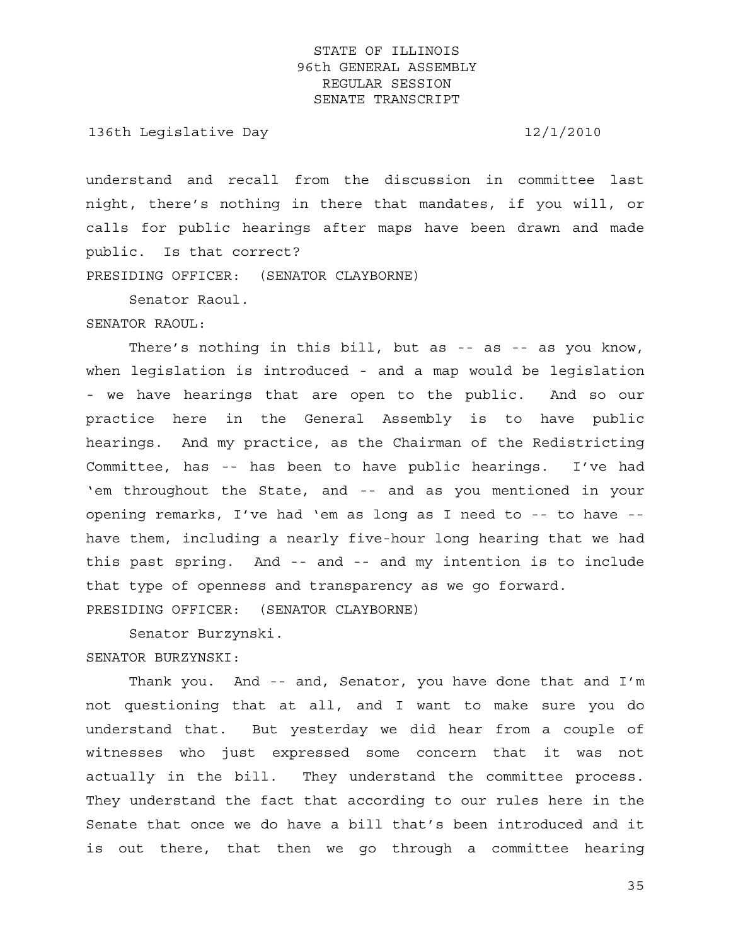136th Legislative Day 12/1/2010

understand and recall from the discussion in committee last night, there's nothing in there that mandates, if you will, or calls for public hearings after maps have been drawn and made public. Is that correct?

PRESIDING OFFICER: (SENATOR CLAYBORNE)

Senator Raoul.

SENATOR RAOUL:

There's nothing in this bill, but as -- as -- as you know, when legislation is introduced - and a map would be legislation - we have hearings that are open to the public. And so our practice here in the General Assembly is to have public hearings. And my practice, as the Chairman of the Redistricting Committee, has -- has been to have public hearings. I've had 'em throughout the State, and -- and as you mentioned in your opening remarks, I've had 'em as long as I need to -- to have - have them, including a nearly five-hour long hearing that we had this past spring. And -- and -- and my intention is to include that type of openness and transparency as we go forward. PRESIDING OFFICER: (SENATOR CLAYBORNE)

 Senator Burzynski. SENATOR BURZYNSKI:

 Thank you. And -- and, Senator, you have done that and I'm not questioning that at all, and I want to make sure you do understand that. But yesterday we did hear from a couple of witnesses who just expressed some concern that it was not actually in the bill. They understand the committee process. They understand the fact that according to our rules here in the Senate that once we do have a bill that's been introduced and it is out there, that then we go through a committee hearing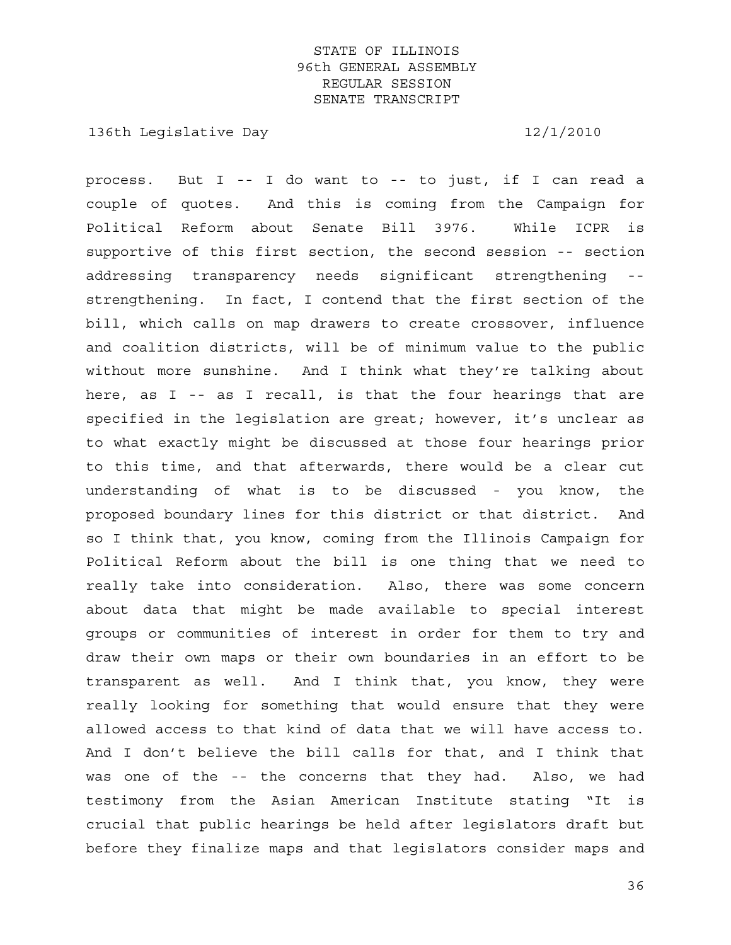136th Legislative Day 12/1/2010

process. But I -- I do want to -- to just, if I can read a couple of quotes. And this is coming from the Campaign for Political Reform about Senate Bill 3976. While ICPR is supportive of this first section, the second session -- section addressing transparency needs significant strengthening - strengthening. In fact, I contend that the first section of the bill, which calls on map drawers to create crossover, influence and coalition districts, will be of minimum value to the public without more sunshine. And I think what they're talking about here, as I -- as I recall, is that the four hearings that are specified in the legislation are great; however, it's unclear as to what exactly might be discussed at those four hearings prior to this time, and that afterwards, there would be a clear cut understanding of what is to be discussed - you know, the proposed boundary lines for this district or that district. And so I think that, you know, coming from the Illinois Campaign for Political Reform about the bill is one thing that we need to really take into consideration. Also, there was some concern about data that might be made available to special interest groups or communities of interest in order for them to try and draw their own maps or their own boundaries in an effort to be transparent as well. And I think that, you know, they were really looking for something that would ensure that they were allowed access to that kind of data that we will have access to. And I don't believe the bill calls for that, and I think that was one of the -- the concerns that they had. Also, we had testimony from the Asian American Institute stating "It is crucial that public hearings be held after legislators draft but before they finalize maps and that legislators consider maps and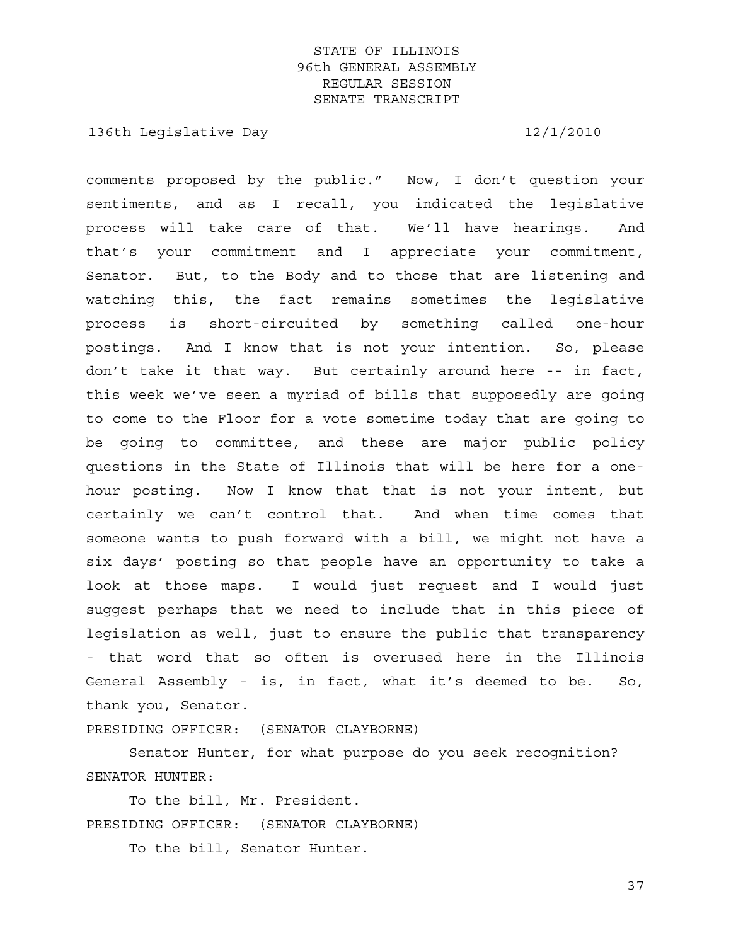136th Legislative Day 12/1/2010

comments proposed by the public." Now, I don't question your sentiments, and as I recall, you indicated the legislative process will take care of that. We'll have hearings. And that's your commitment and I appreciate your commitment, Senator. But, to the Body and to those that are listening and watching this, the fact remains sometimes the legislative process is short-circuited by something called one-hour postings. And I know that is not your intention. So, please don't take it that way. But certainly around here -- in fact, this week we've seen a myriad of bills that supposedly are going to come to the Floor for a vote sometime today that are going to be going to committee, and these are major public policy questions in the State of Illinois that will be here for a onehour posting. Now I know that that is not your intent, but certainly we can't control that. And when time comes that someone wants to push forward with a bill, we might not have a six days' posting so that people have an opportunity to take a look at those maps. I would just request and I would just suggest perhaps that we need to include that in this piece of legislation as well, just to ensure the public that transparency - that word that so often is overused here in the Illinois General Assembly - is, in fact, what it's deemed to be. So, thank you, Senator.

PRESIDING OFFICER: (SENATOR CLAYBORNE)

 Senator Hunter, for what purpose do you seek recognition? SENATOR HUNTER:

 To the bill, Mr. President. PRESIDING OFFICER: (SENATOR CLAYBORNE)

To the bill, Senator Hunter.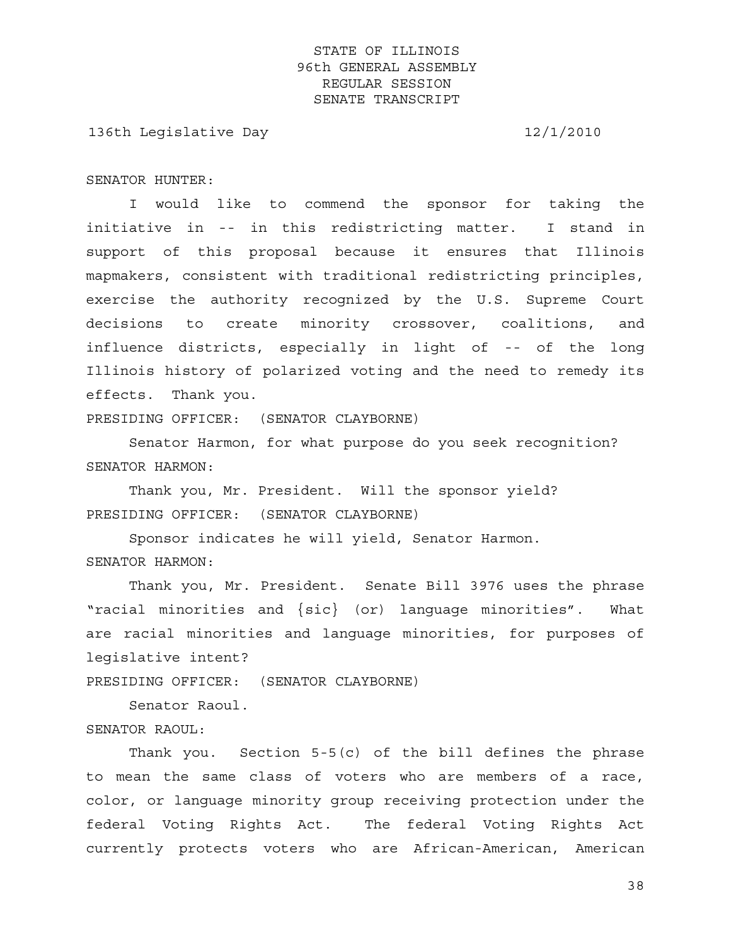136th Legislative Day 12/1/2010

SENATOR HUNTER:

 I would like to commend the sponsor for taking the initiative in -- in this redistricting matter. I stand in support of this proposal because it ensures that Illinois mapmakers, consistent with traditional redistricting principles, exercise the authority recognized by the U.S. Supreme Court decisions to create minority crossover, coalitions, and influence districts, especially in light of -- of the long Illinois history of polarized voting and the need to remedy its effects. Thank you.

PRESIDING OFFICER: (SENATOR CLAYBORNE)

 Senator Harmon, for what purpose do you seek recognition? SENATOR HARMON:

 Thank you, Mr. President. Will the sponsor yield? PRESIDING OFFICER: (SENATOR CLAYBORNE)

 Sponsor indicates he will yield, Senator Harmon. SENATOR HARMON:

 Thank you, Mr. President. Senate Bill 3976 uses the phrase "racial minorities and {sic} (or) language minorities". What are racial minorities and language minorities, for purposes of legislative intent?

PRESIDING OFFICER: (SENATOR CLAYBORNE)

Senator Raoul.

SENATOR RAOUL:

 Thank you. Section 5-5(c) of the bill defines the phrase to mean the same class of voters who are members of a race, color, or language minority group receiving protection under the federal Voting Rights Act. The federal Voting Rights Act currently protects voters who are African-American, American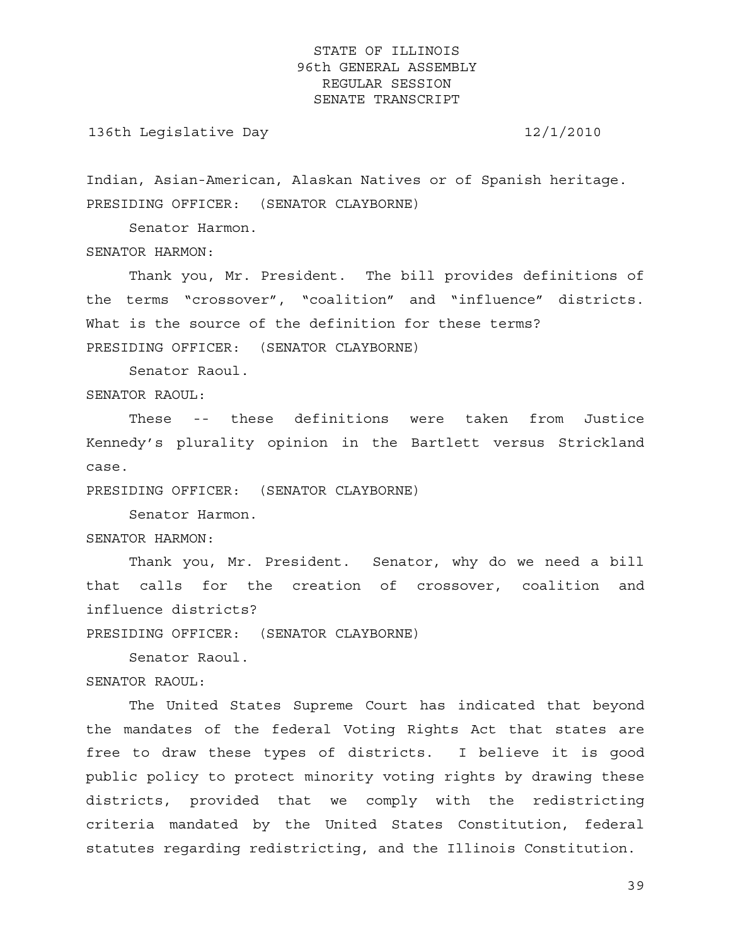136th Legislative Day 12/1/2010

Indian, Asian-American, Alaskan Natives or of Spanish heritage. PRESIDING OFFICER: (SENATOR CLAYBORNE)

Senator Harmon.

SENATOR HARMON:

 Thank you, Mr. President. The bill provides definitions of the terms "crossover", "coalition" and "influence" districts. What is the source of the definition for these terms? PRESIDING OFFICER: (SENATOR CLAYBORNE)

Senator Raoul.

SENATOR RAOUL:

 These -- these definitions were taken from Justice Kennedy's plurality opinion in the Bartlett versus Strickland case.

PRESIDING OFFICER: (SENATOR CLAYBORNE)

 Senator Harmon. SENATOR HARMON:

 Thank you, Mr. President. Senator, why do we need a bill that calls for the creation of crossover, coalition and influence districts?

PRESIDING OFFICER: (SENATOR CLAYBORNE)

Senator Raoul.

SENATOR RAOUL:

 The United States Supreme Court has indicated that beyond the mandates of the federal Voting Rights Act that states are free to draw these types of districts. I believe it is good public policy to protect minority voting rights by drawing these districts, provided that we comply with the redistricting criteria mandated by the United States Constitution, federal statutes regarding redistricting, and the Illinois Constitution.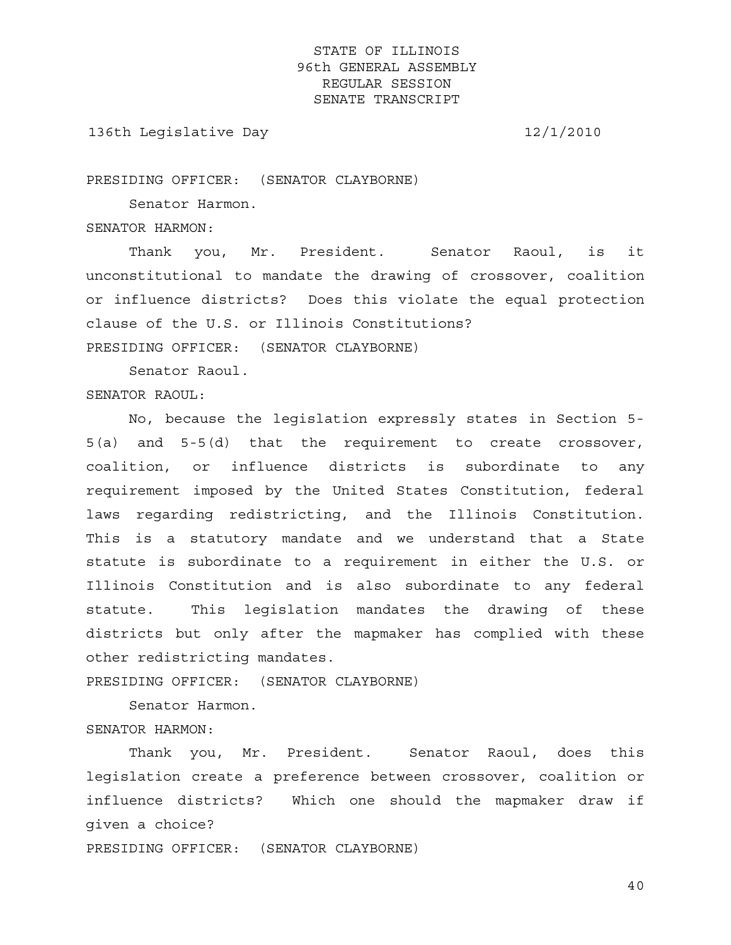136th Legislative Day 12/1/2010

PRESIDING OFFICER: (SENATOR CLAYBORNE)

Senator Harmon.

SENATOR HARMON:

 Thank you, Mr. President. Senator Raoul, is it unconstitutional to mandate the drawing of crossover, coalition or influence districts? Does this violate the equal protection clause of the U.S. or Illinois Constitutions?

PRESIDING OFFICER: (SENATOR CLAYBORNE)

Senator Raoul.

#### SENATOR RAOUL:

 No, because the legislation expressly states in Section 5- 5(a) and 5-5(d) that the requirement to create crossover, coalition, or influence districts is subordinate to any requirement imposed by the United States Constitution, federal laws regarding redistricting, and the Illinois Constitution. This is a statutory mandate and we understand that a State statute is subordinate to a requirement in either the U.S. or Illinois Constitution and is also subordinate to any federal statute. This legislation mandates the drawing of these districts but only after the mapmaker has complied with these other redistricting mandates.

PRESIDING OFFICER: (SENATOR CLAYBORNE)

Senator Harmon.

SENATOR HARMON:

 Thank you, Mr. President. Senator Raoul, does this legislation create a preference between crossover, coalition or influence districts? Which one should the mapmaker draw if given a choice?

PRESIDING OFFICER: (SENATOR CLAYBORNE)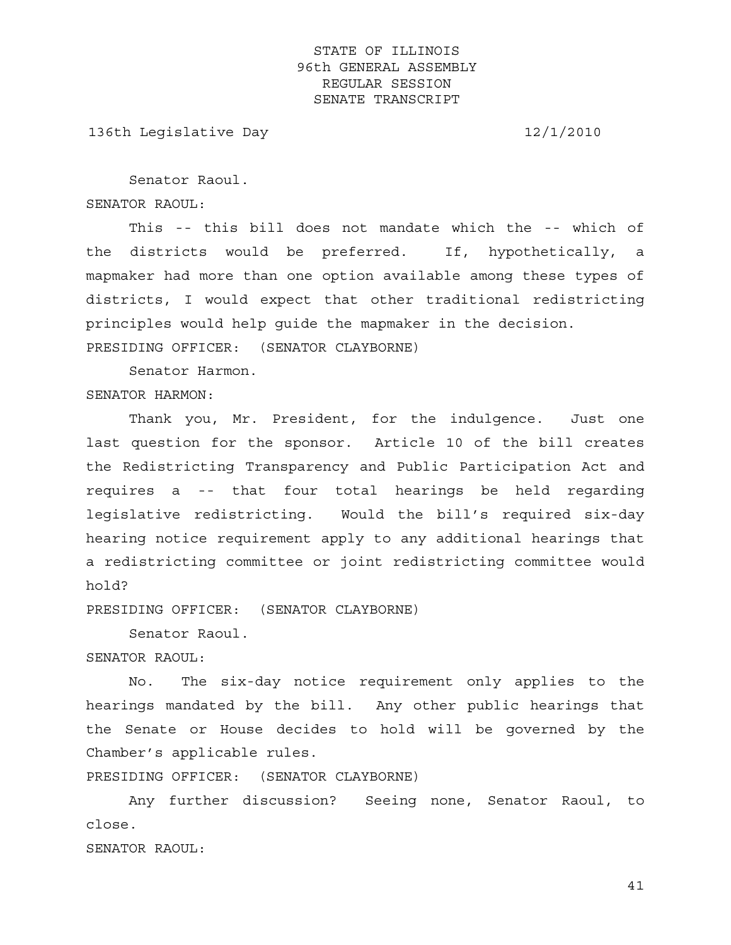136th Legislative Day 12/1/2010

 Senator Raoul. SENATOR RAOUL:

 This -- this bill does not mandate which the -- which of the districts would be preferred. If, hypothetically, a mapmaker had more than one option available among these types of districts, I would expect that other traditional redistricting principles would help guide the mapmaker in the decision.

PRESIDING OFFICER: (SENATOR CLAYBORNE)

 Senator Harmon. SENATOR HARMON:

 Thank you, Mr. President, for the indulgence. Just one last question for the sponsor. Article 10 of the bill creates the Redistricting Transparency and Public Participation Act and requires a -- that four total hearings be held regarding legislative redistricting. Would the bill's required six-day hearing notice requirement apply to any additional hearings that a redistricting committee or joint redistricting committee would hold?

PRESIDING OFFICER: (SENATOR CLAYBORNE)

 Senator Raoul. SENATOR RAOUL:

 No. The six-day notice requirement only applies to the hearings mandated by the bill. Any other public hearings that the Senate or House decides to hold will be governed by the Chamber's applicable rules.

PRESIDING OFFICER: (SENATOR CLAYBORNE)

 Any further discussion? Seeing none, Senator Raoul, to close.

SENATOR RAOUL: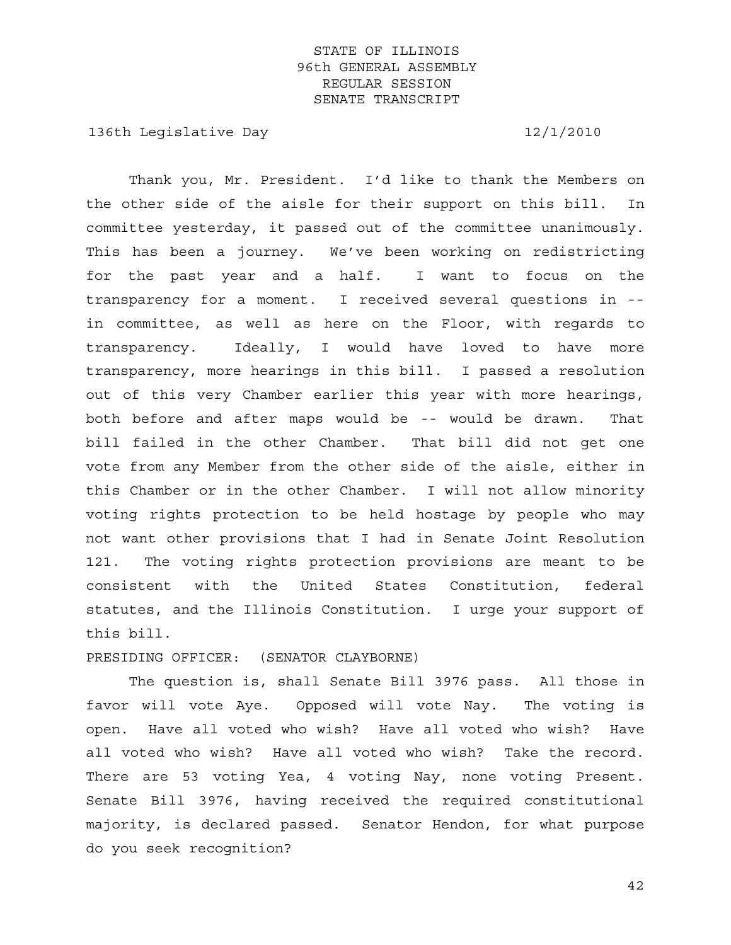136th Legislative Day 12/1/2010

 Thank you, Mr. President. I'd like to thank the Members on the other side of the aisle for their support on this bill. In committee yesterday, it passed out of the committee unanimously. This has been a journey. We've been working on redistricting for the past year and a half. I want to focus on the transparency for a moment. I received several questions in - in committee, as well as here on the Floor, with regards to transparency. Ideally, I would have loved to have more transparency, more hearings in this bill. I passed a resolution out of this very Chamber earlier this year with more hearings, both before and after maps would be -- would be drawn. That bill failed in the other Chamber. That bill did not get one vote from any Member from the other side of the aisle, either in this Chamber or in the other Chamber. I will not allow minority voting rights protection to be held hostage by people who may not want other provisions that I had in Senate Joint Resolution 121. The voting rights protection provisions are meant to be consistent with the United States Constitution, federal statutes, and the Illinois Constitution. I urge your support of this bill.

PRESIDING OFFICER: (SENATOR CLAYBORNE)

 The question is, shall Senate Bill 3976 pass. All those in favor will vote Aye. Opposed will vote Nay. The voting is open. Have all voted who wish? Have all voted who wish? Have all voted who wish? Have all voted who wish? Take the record. There are 53 voting Yea, 4 voting Nay, none voting Present. Senate Bill 3976, having received the required constitutional majority, is declared passed. Senator Hendon, for what purpose do you seek recognition?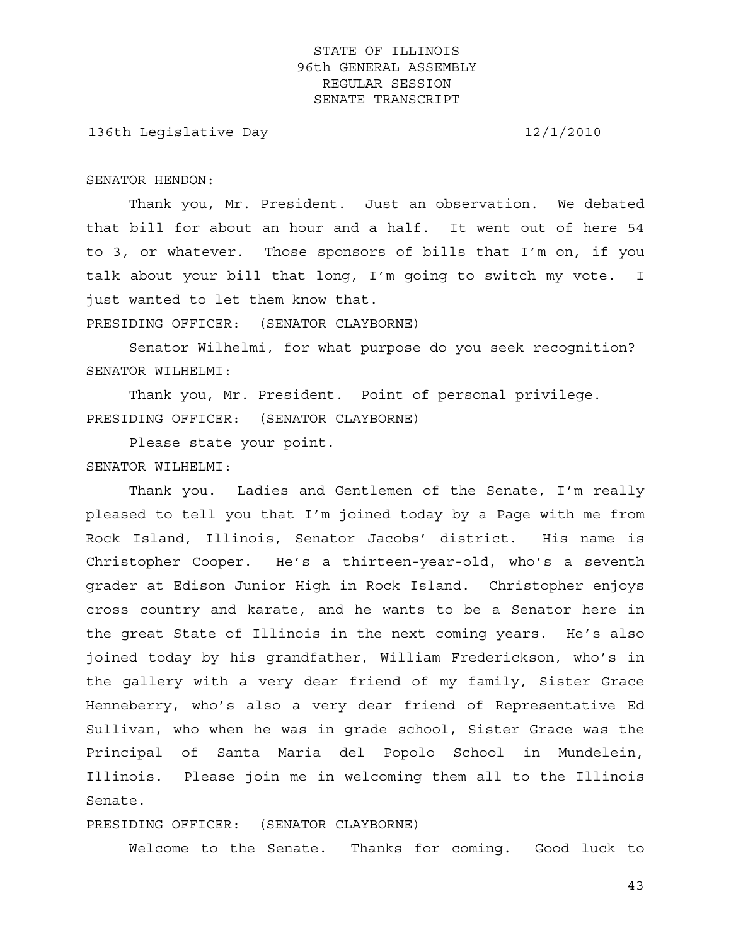136th Legislative Day 12/1/2010

SENATOR HENDON:

 Thank you, Mr. President. Just an observation. We debated that bill for about an hour and a half. It went out of here 54 to 3, or whatever. Those sponsors of bills that I'm on, if you talk about your bill that long, I'm going to switch my vote. I just wanted to let them know that.

PRESIDING OFFICER: (SENATOR CLAYBORNE)

 Senator Wilhelmi, for what purpose do you seek recognition? SENATOR WILHELMI:

 Thank you, Mr. President. Point of personal privilege. PRESIDING OFFICER: (SENATOR CLAYBORNE)

Please state your point.

#### SENATOR WILHELMI:

 Thank you. Ladies and Gentlemen of the Senate, I'm really pleased to tell you that I'm joined today by a Page with me from Rock Island, Illinois, Senator Jacobs' district. His name is Christopher Cooper. He's a thirteen-year-old, who's a seventh grader at Edison Junior High in Rock Island. Christopher enjoys cross country and karate, and he wants to be a Senator here in the great State of Illinois in the next coming years. He's also joined today by his grandfather, William Frederickson, who's in the gallery with a very dear friend of my family, Sister Grace Henneberry, who's also a very dear friend of Representative Ed Sullivan, who when he was in grade school, Sister Grace was the Principal of Santa Maria del Popolo School in Mundelein, Illinois. Please join me in welcoming them all to the Illinois Senate.

PRESIDING OFFICER: (SENATOR CLAYBORNE)

Welcome to the Senate. Thanks for coming. Good luck to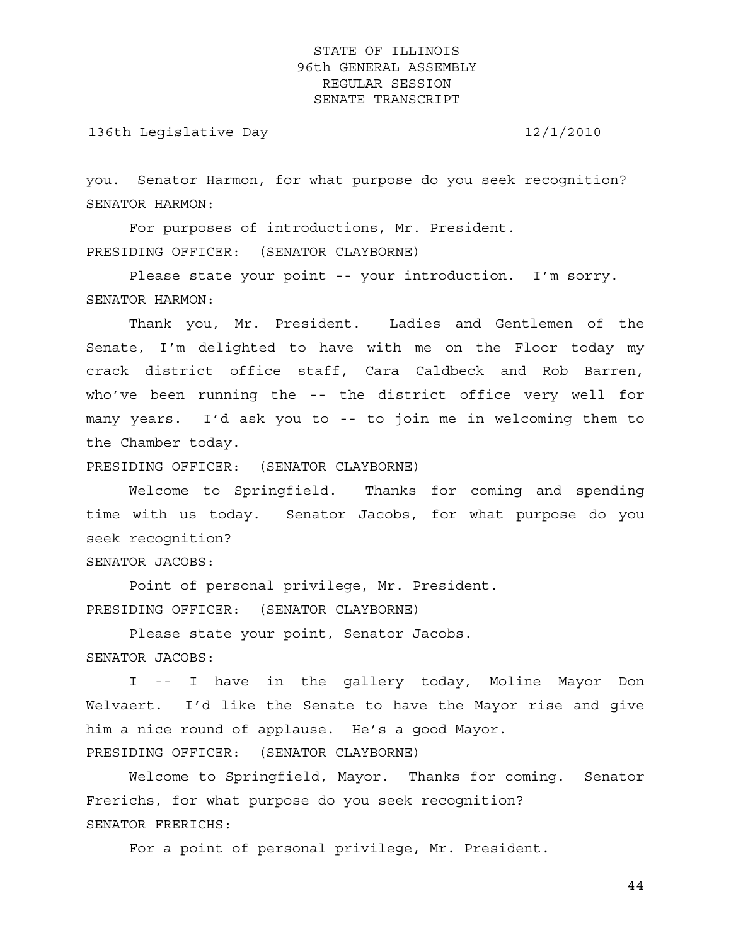136th Legislative Day 12/1/2010

you. Senator Harmon, for what purpose do you seek recognition? SENATOR HARMON:

 For purposes of introductions, Mr. President. PRESIDING OFFICER: (SENATOR CLAYBORNE)

 Please state your point -- your introduction. I'm sorry. SENATOR HARMON:

 Thank you, Mr. President. Ladies and Gentlemen of the Senate, I'm delighted to have with me on the Floor today my crack district office staff, Cara Caldbeck and Rob Barren, who've been running the -- the district office very well for many years. I'd ask you to -- to join me in welcoming them to the Chamber today.

PRESIDING OFFICER: (SENATOR CLAYBORNE)

 Welcome to Springfield. Thanks for coming and spending time with us today. Senator Jacobs, for what purpose do you seek recognition?

SENATOR JACOBS:

 Point of personal privilege, Mr. President. PRESIDING OFFICER: (SENATOR CLAYBORNE)

 Please state your point, Senator Jacobs. SENATOR JACOBS:

 I -- I have in the gallery today, Moline Mayor Don Welvaert. I'd like the Senate to have the Mayor rise and give him a nice round of applause. He's a good Mayor. PRESIDING OFFICER: (SENATOR CLAYBORNE)

 Welcome to Springfield, Mayor. Thanks for coming. Senator Frerichs, for what purpose do you seek recognition? SENATOR FRERICHS:

For a point of personal privilege, Mr. President.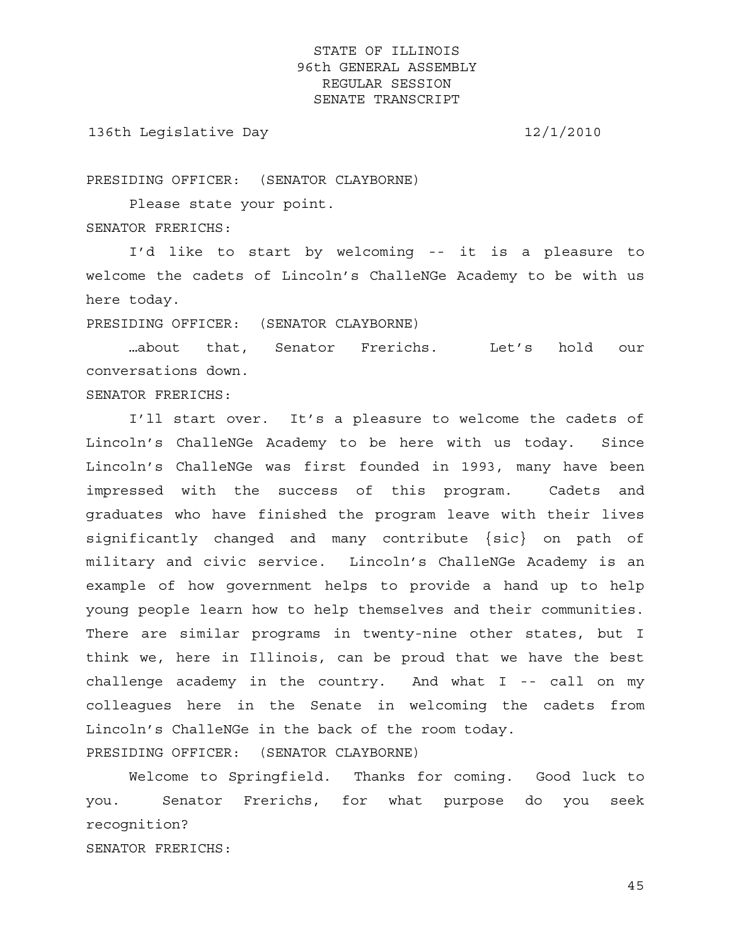136th Legislative Day 12/1/2010

PRESIDING OFFICER: (SENATOR CLAYBORNE)

 Please state your point. SENATOR FRERICHS:

 I'd like to start by welcoming -- it is a pleasure to welcome the cadets of Lincoln's ChalleNGe Academy to be with us here today.

PRESIDING OFFICER: (SENATOR CLAYBORNE)

 …about that, Senator Frerichs. Let's hold our conversations down.

SENATOR FRERICHS:

 I'll start over. It's a pleasure to welcome the cadets of Lincoln's ChalleNGe Academy to be here with us today. Since Lincoln's ChalleNGe was first founded in 1993, many have been impressed with the success of this program. Cadets and graduates who have finished the program leave with their lives significantly changed and many contribute {sic} on path of military and civic service. Lincoln's ChalleNGe Academy is an example of how government helps to provide a hand up to help young people learn how to help themselves and their communities. There are similar programs in twenty-nine other states, but I think we, here in Illinois, can be proud that we have the best challenge academy in the country. And what I -- call on my colleagues here in the Senate in welcoming the cadets from Lincoln's ChalleNGe in the back of the room today. PRESIDING OFFICER: (SENATOR CLAYBORNE)

 Welcome to Springfield. Thanks for coming. Good luck to you. Senator Frerichs, for what purpose do you seek recognition? SENATOR FRERICHS: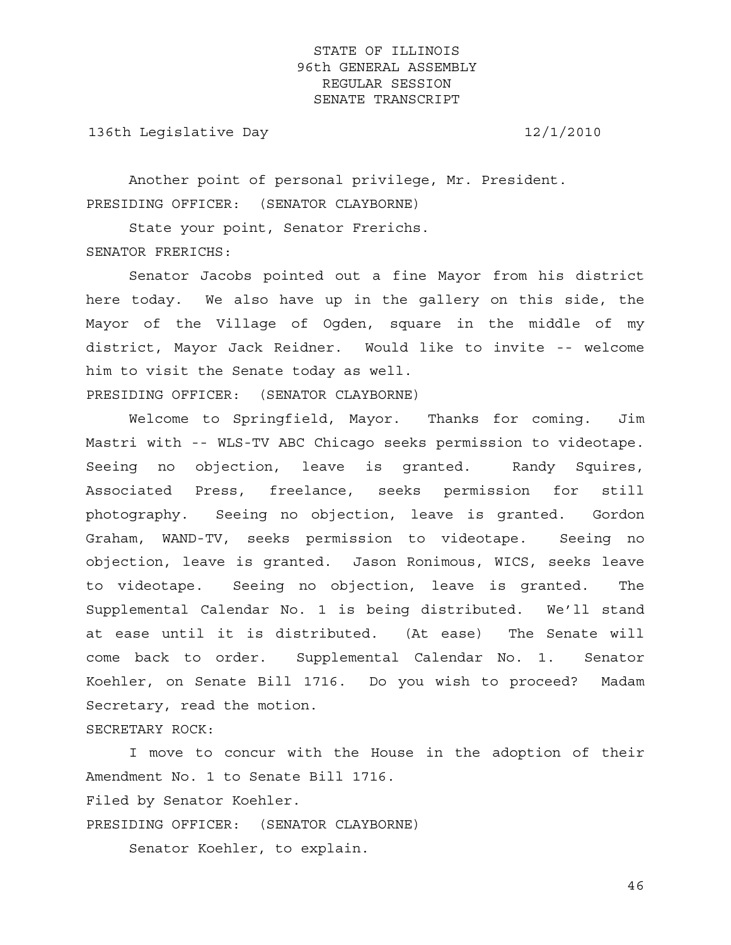136th Legislative Day 12/1/2010

 Another point of personal privilege, Mr. President. PRESIDING OFFICER: (SENATOR CLAYBORNE)

 State your point, Senator Frerichs. SENATOR FRERICHS:

 Senator Jacobs pointed out a fine Mayor from his district here today. We also have up in the gallery on this side, the Mayor of the Village of Ogden, square in the middle of my district, Mayor Jack Reidner. Would like to invite -- welcome him to visit the Senate today as well. PRESIDING OFFICER: (SENATOR CLAYBORNE)

 Welcome to Springfield, Mayor. Thanks for coming. Jim Mastri with -- WLS-TV ABC Chicago seeks permission to videotape. Seeing no objection, leave is granted. Randy Squires, Associated Press, freelance, seeks permission for still photography. Seeing no objection, leave is granted. Gordon Graham, WAND-TV, seeks permission to videotape. Seeing no objection, leave is granted. Jason Ronimous, WICS, seeks leave to videotape. Seeing no objection, leave is granted. The Supplemental Calendar No. 1 is being distributed. We'll stand at ease until it is distributed. (At ease) The Senate will come back to order. Supplemental Calendar No. 1. Senator Koehler, on Senate Bill 1716. Do you wish to proceed? Madam Secretary, read the motion.

SECRETARY ROCK:

 I move to concur with the House in the adoption of their Amendment No. 1 to Senate Bill 1716. Filed by Senator Koehler. PRESIDING OFFICER: (SENATOR CLAYBORNE) Senator Koehler, to explain.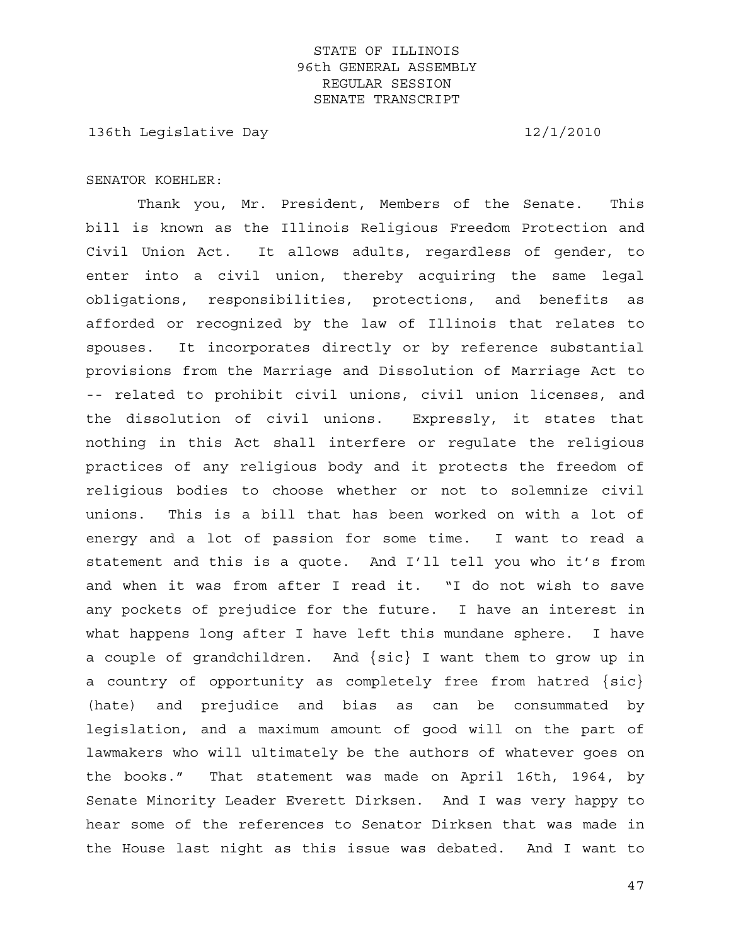136th Legislative Day 12/1/2010

#### SENATOR KOEHLER:

 Thank you, Mr. President, Members of the Senate. This bill is known as the Illinois Religious Freedom Protection and Civil Union Act. It allows adults, regardless of gender, to enter into a civil union, thereby acquiring the same legal obligations, responsibilities, protections, and benefits as afforded or recognized by the law of Illinois that relates to spouses. It incorporates directly or by reference substantial provisions from the Marriage and Dissolution of Marriage Act to -- related to prohibit civil unions, civil union licenses, and the dissolution of civil unions. Expressly, it states that nothing in this Act shall interfere or regulate the religious practices of any religious body and it protects the freedom of religious bodies to choose whether or not to solemnize civil unions. This is a bill that has been worked on with a lot of energy and a lot of passion for some time. I want to read a statement and this is a quote. And I'll tell you who it's from and when it was from after I read it. "I do not wish to save any pockets of prejudice for the future. I have an interest in what happens long after I have left this mundane sphere. I have a couple of grandchildren. And {sic} I want them to grow up in a country of opportunity as completely free from hatred {sic} (hate) and prejudice and bias as can be consummated by legislation, and a maximum amount of good will on the part of lawmakers who will ultimately be the authors of whatever goes on the books." That statement was made on April 16th, 1964, by Senate Minority Leader Everett Dirksen. And I was very happy to hear some of the references to Senator Dirksen that was made in the House last night as this issue was debated. And I want to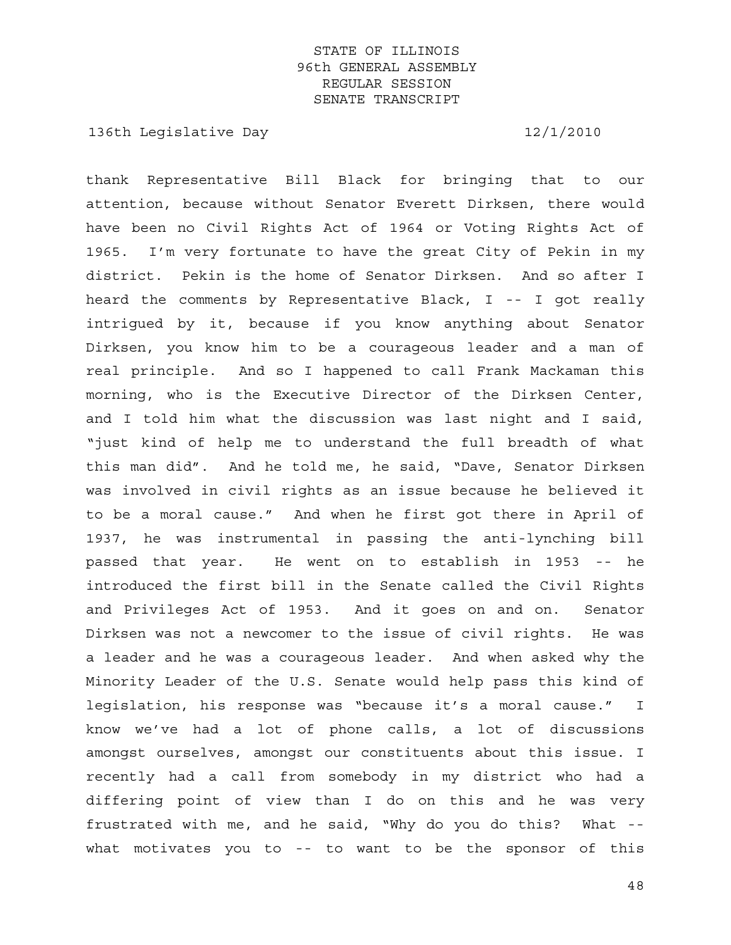136th Legislative Day 12/1/2010

thank Representative Bill Black for bringing that to our attention, because without Senator Everett Dirksen, there would have been no Civil Rights Act of 1964 or Voting Rights Act of 1965. I'm very fortunate to have the great City of Pekin in my district. Pekin is the home of Senator Dirksen. And so after I heard the comments by Representative Black, I -- I got really intrigued by it, because if you know anything about Senator Dirksen, you know him to be a courageous leader and a man of real principle. And so I happened to call Frank Mackaman this morning, who is the Executive Director of the Dirksen Center, and I told him what the discussion was last night and I said, "just kind of help me to understand the full breadth of what this man did". And he told me, he said, "Dave, Senator Dirksen was involved in civil rights as an issue because he believed it to be a moral cause." And when he first got there in April of 1937, he was instrumental in passing the anti-lynching bill passed that year. He went on to establish in 1953 -- he introduced the first bill in the Senate called the Civil Rights and Privileges Act of 1953. And it goes on and on. Senator Dirksen was not a newcomer to the issue of civil rights. He was a leader and he was a courageous leader. And when asked why the Minority Leader of the U.S. Senate would help pass this kind of legislation, his response was "because it's a moral cause." I know we've had a lot of phone calls, a lot of discussions amongst ourselves, amongst our constituents about this issue. I recently had a call from somebody in my district who had a differing point of view than I do on this and he was very frustrated with me, and he said, "Why do you do this? What - what motivates you to -- to want to be the sponsor of this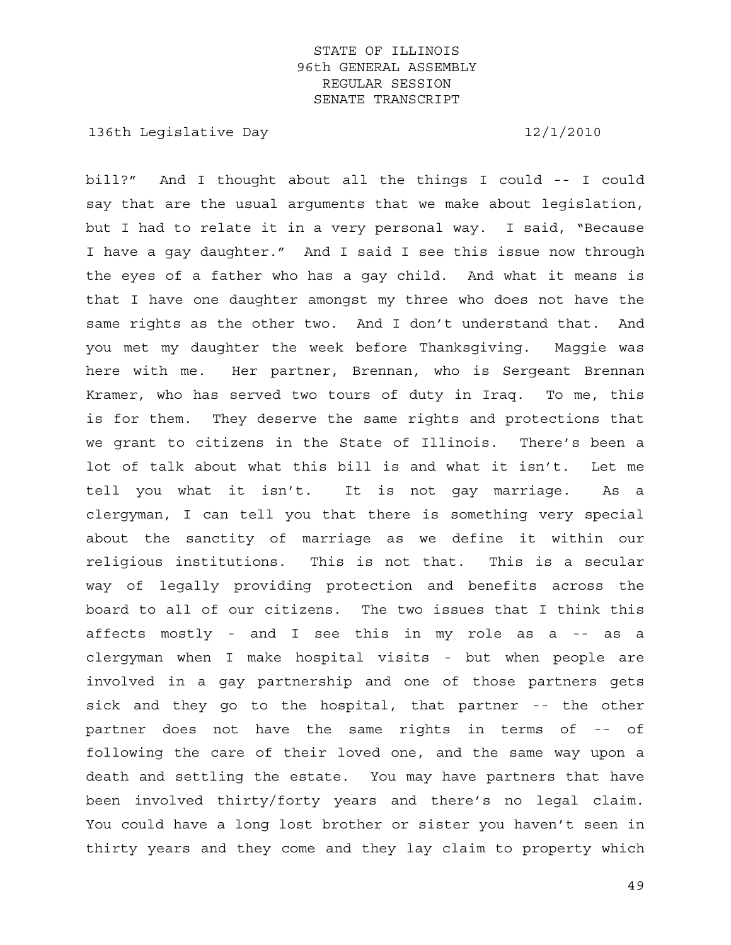136th Legislative Day 12/1/2010

bill?" And I thought about all the things I could -- I could say that are the usual arguments that we make about legislation, but I had to relate it in a very personal way. I said, "Because I have a gay daughter." And I said I see this issue now through the eyes of a father who has a gay child. And what it means is that I have one daughter amongst my three who does not have the same rights as the other two. And I don't understand that. And you met my daughter the week before Thanksgiving. Maggie was here with me. Her partner, Brennan, who is Sergeant Brennan Kramer, who has served two tours of duty in Iraq. To me, this is for them. They deserve the same rights and protections that we grant to citizens in the State of Illinois. There's been a lot of talk about what this bill is and what it isn't. Let me tell you what it isn't. It is not gay marriage. As a clergyman, I can tell you that there is something very special about the sanctity of marriage as we define it within our religious institutions. This is not that. This is a secular way of legally providing protection and benefits across the board to all of our citizens. The two issues that I think this affects mostly - and I see this in my role as a -- as a clergyman when I make hospital visits - but when people are involved in a gay partnership and one of those partners gets sick and they go to the hospital, that partner -- the other partner does not have the same rights in terms of -- of following the care of their loved one, and the same way upon a death and settling the estate. You may have partners that have been involved thirty/forty years and there's no legal claim. You could have a long lost brother or sister you haven't seen in thirty years and they come and they lay claim to property which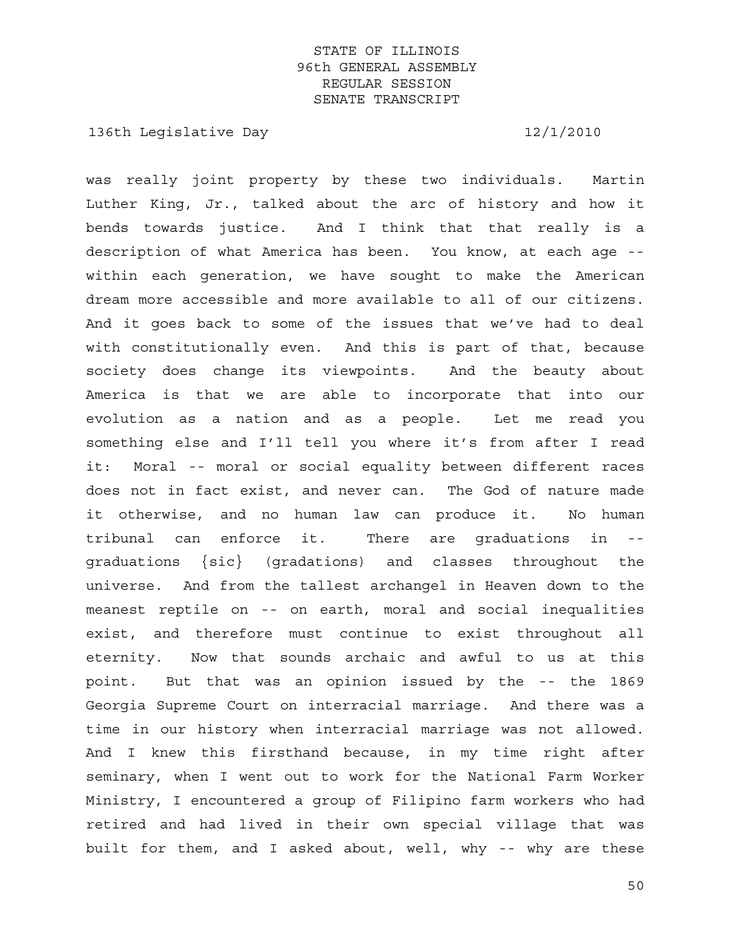136th Legislative Day 12/1/2010

was really joint property by these two individuals. Martin Luther King, Jr., talked about the arc of history and how it bends towards justice. And I think that that really is a description of what America has been. You know, at each age - within each generation, we have sought to make the American dream more accessible and more available to all of our citizens. And it goes back to some of the issues that we've had to deal with constitutionally even. And this is part of that, because society does change its viewpoints. And the beauty about America is that we are able to incorporate that into our evolution as a nation and as a people. Let me read you something else and I'll tell you where it's from after I read it: Moral -- moral or social equality between different races does not in fact exist, and never can. The God of nature made it otherwise, and no human law can produce it. No human tribunal can enforce it. There are graduations in - graduations {sic} (gradations) and classes throughout the universe. And from the tallest archangel in Heaven down to the meanest reptile on -- on earth, moral and social inequalities exist, and therefore must continue to exist throughout all eternity. Now that sounds archaic and awful to us at this point. But that was an opinion issued by the -- the 1869 Georgia Supreme Court on interracial marriage. And there was a time in our history when interracial marriage was not allowed. And I knew this firsthand because, in my time right after seminary, when I went out to work for the National Farm Worker Ministry, I encountered a group of Filipino farm workers who had retired and had lived in their own special village that was built for them, and I asked about, well, why -- why are these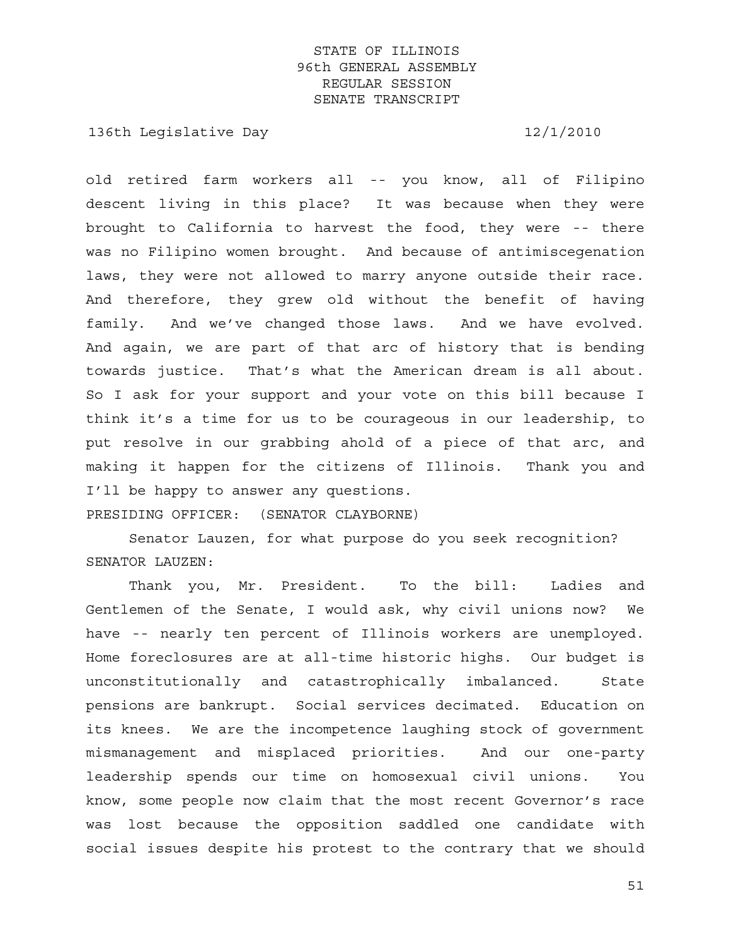136th Legislative Day 12/1/2010

old retired farm workers all -- you know, all of Filipino descent living in this place? It was because when they were brought to California to harvest the food, they were -- there was no Filipino women brought. And because of antimiscegenation laws, they were not allowed to marry anyone outside their race. And therefore, they grew old without the benefit of having family. And we've changed those laws. And we have evolved. And again, we are part of that arc of history that is bending towards justice. That's what the American dream is all about. So I ask for your support and your vote on this bill because I think it's a time for us to be courageous in our leadership, to put resolve in our grabbing ahold of a piece of that arc, and making it happen for the citizens of Illinois. Thank you and I'll be happy to answer any questions.

PRESIDING OFFICER: (SENATOR CLAYBORNE)

 Senator Lauzen, for what purpose do you seek recognition? SENATOR LAUZEN:

 Thank you, Mr. President. To the bill: Ladies and Gentlemen of the Senate, I would ask, why civil unions now? We have -- nearly ten percent of Illinois workers are unemployed. Home foreclosures are at all-time historic highs. Our budget is unconstitutionally and catastrophically imbalanced. State pensions are bankrupt. Social services decimated. Education on its knees. We are the incompetence laughing stock of government mismanagement and misplaced priorities. And our one-party leadership spends our time on homosexual civil unions. You know, some people now claim that the most recent Governor's race was lost because the opposition saddled one candidate with social issues despite his protest to the contrary that we should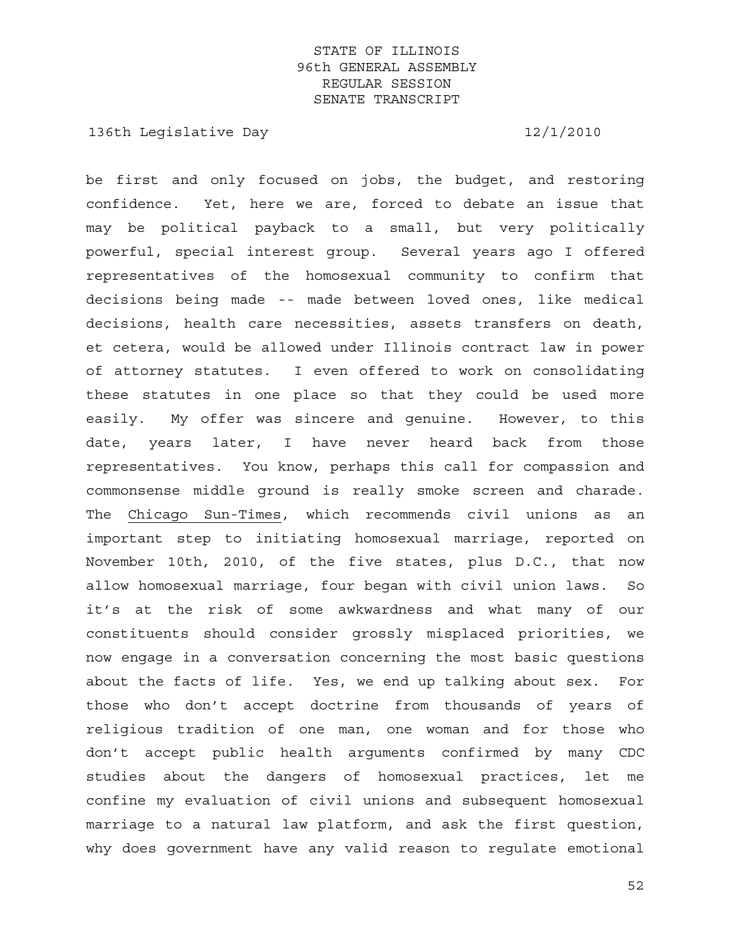136th Legislative Day 12/1/2010

be first and only focused on jobs, the budget, and restoring confidence. Yet, here we are, forced to debate an issue that may be political payback to a small, but very politically powerful, special interest group. Several years ago I offered representatives of the homosexual community to confirm that decisions being made -- made between loved ones, like medical decisions, health care necessities, assets transfers on death, et cetera, would be allowed under Illinois contract law in power of attorney statutes. I even offered to work on consolidating these statutes in one place so that they could be used more easily. My offer was sincere and genuine. However, to this date, years later, I have never heard back from those representatives. You know, perhaps this call for compassion and commonsense middle ground is really smoke screen and charade. The Chicago Sun-Times, which recommends civil unions as an important step to initiating homosexual marriage, reported on November 10th, 2010, of the five states, plus D.C., that now allow homosexual marriage, four began with civil union laws. So it's at the risk of some awkwardness and what many of our constituents should consider grossly misplaced priorities, we now engage in a conversation concerning the most basic questions about the facts of life. Yes, we end up talking about sex. For those who don't accept doctrine from thousands of years of religious tradition of one man, one woman and for those who don't accept public health arguments confirmed by many CDC studies about the dangers of homosexual practices, let me confine my evaluation of civil unions and subsequent homosexual marriage to a natural law platform, and ask the first question, why does government have any valid reason to regulate emotional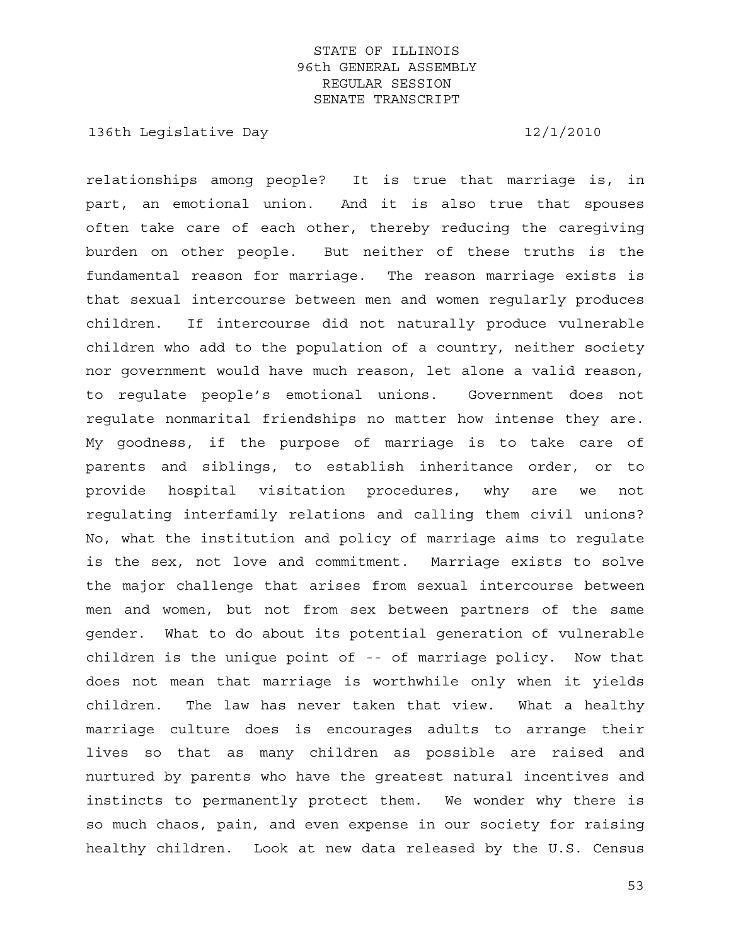136th Legislative Day 12/1/2010

relationships among people? It is true that marriage is, in part, an emotional union. And it is also true that spouses often take care of each other, thereby reducing the caregiving burden on other people. But neither of these truths is the fundamental reason for marriage. The reason marriage exists is that sexual intercourse between men and women regularly produces children. If intercourse did not naturally produce vulnerable children who add to the population of a country, neither society nor government would have much reason, let alone a valid reason, to regulate people's emotional unions. Government does not regulate nonmarital friendships no matter how intense they are. My goodness, if the purpose of marriage is to take care of parents and siblings, to establish inheritance order, or to provide hospital visitation procedures, why are we not regulating interfamily relations and calling them civil unions? No, what the institution and policy of marriage aims to regulate is the sex, not love and commitment. Marriage exists to solve the major challenge that arises from sexual intercourse between men and women, but not from sex between partners of the same gender. What to do about its potential generation of vulnerable children is the unique point of -- of marriage policy. Now that does not mean that marriage is worthwhile only when it yields children. The law has never taken that view. What a healthy marriage culture does is encourages adults to arrange their lives so that as many children as possible are raised and nurtured by parents who have the greatest natural incentives and instincts to permanently protect them. We wonder why there is so much chaos, pain, and even expense in our society for raising healthy children. Look at new data released by the U.S. Census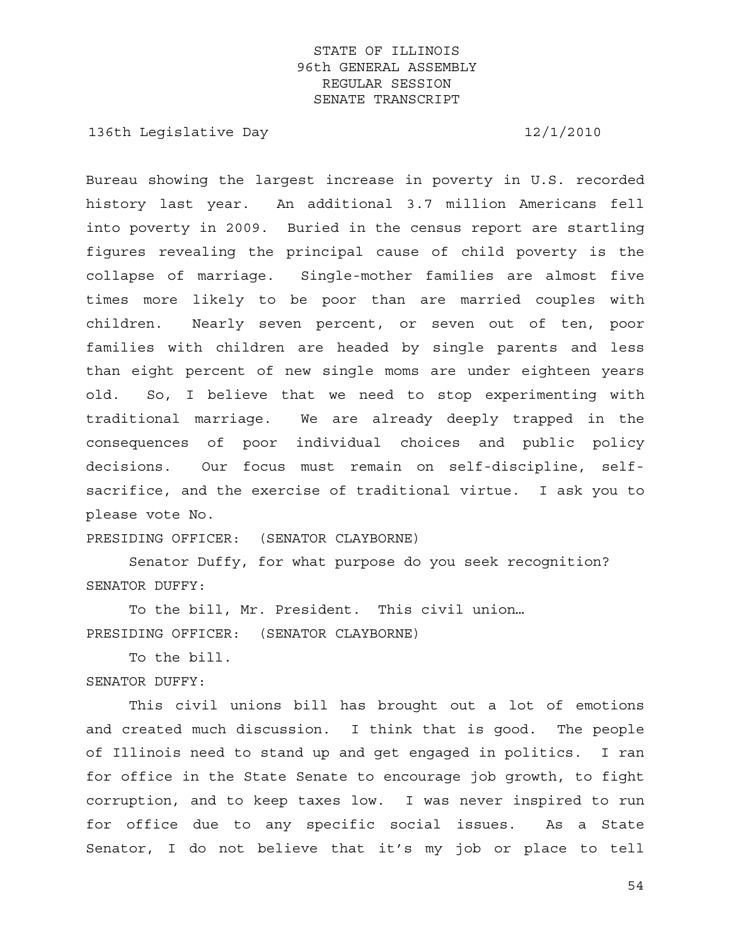136th Legislative Day 12/1/2010

Bureau showing the largest increase in poverty in U.S. recorded history last year. An additional 3.7 million Americans fell into poverty in 2009. Buried in the census report are startling figures revealing the principal cause of child poverty is the collapse of marriage. Single-mother families are almost five times more likely to be poor than are married couples with children. Nearly seven percent, or seven out of ten, poor families with children are headed by single parents and less than eight percent of new single moms are under eighteen years old. So, I believe that we need to stop experimenting with traditional marriage. We are already deeply trapped in the consequences of poor individual choices and public policy decisions. Our focus must remain on self-discipline, selfsacrifice, and the exercise of traditional virtue. I ask you to please vote No.

PRESIDING OFFICER: (SENATOR CLAYBORNE)

 Senator Duffy, for what purpose do you seek recognition? SENATOR DUFFY:

 To the bill, Mr. President. This civil union… PRESIDING OFFICER: (SENATOR CLAYBORNE)

 To the bill. SENATOR DUFFY:

 This civil unions bill has brought out a lot of emotions and created much discussion. I think that is good. The people of Illinois need to stand up and get engaged in politics. I ran for office in the State Senate to encourage job growth, to fight corruption, and to keep taxes low. I was never inspired to run for office due to any specific social issues. As a State Senator, I do not believe that it's my job or place to tell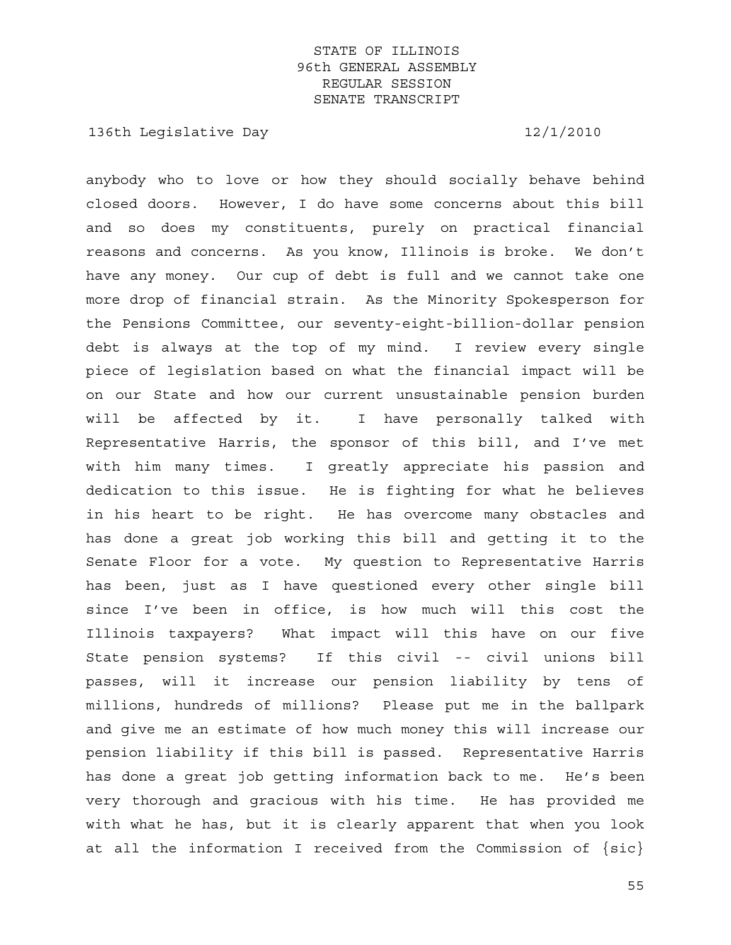136th Legislative Day 12/1/2010

anybody who to love or how they should socially behave behind closed doors. However, I do have some concerns about this bill and so does my constituents, purely on practical financial reasons and concerns. As you know, Illinois is broke. We don't have any money. Our cup of debt is full and we cannot take one more drop of financial strain. As the Minority Spokesperson for the Pensions Committee, our seventy-eight-billion-dollar pension debt is always at the top of my mind. I review every single piece of legislation based on what the financial impact will be on our State and how our current unsustainable pension burden will be affected by it. I have personally talked with Representative Harris, the sponsor of this bill, and I've met with him many times. I greatly appreciate his passion and dedication to this issue. He is fighting for what he believes in his heart to be right. He has overcome many obstacles and has done a great job working this bill and getting it to the Senate Floor for a vote. My question to Representative Harris has been, just as I have questioned every other single bill since I've been in office, is how much will this cost the Illinois taxpayers? What impact will this have on our five State pension systems? If this civil -- civil unions bill passes, will it increase our pension liability by tens of millions, hundreds of millions? Please put me in the ballpark and give me an estimate of how much money this will increase our pension liability if this bill is passed. Representative Harris has done a great job getting information back to me. He's been very thorough and gracious with his time. He has provided me with what he has, but it is clearly apparent that when you look at all the information I received from the Commission of  $\{sic\}$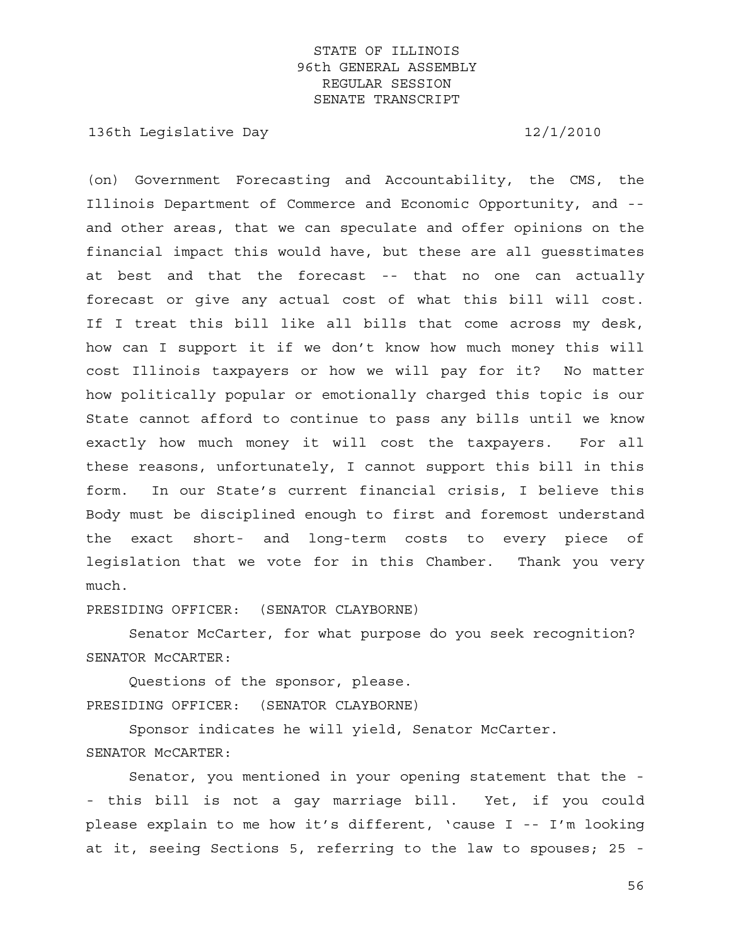136th Legislative Day 12/1/2010

(on) Government Forecasting and Accountability, the CMS, the Illinois Department of Commerce and Economic Opportunity, and - and other areas, that we can speculate and offer opinions on the financial impact this would have, but these are all guesstimates at best and that the forecast -- that no one can actually forecast or give any actual cost of what this bill will cost. If I treat this bill like all bills that come across my desk, how can I support it if we don't know how much money this will cost Illinois taxpayers or how we will pay for it? No matter how politically popular or emotionally charged this topic is our State cannot afford to continue to pass any bills until we know exactly how much money it will cost the taxpayers. For all these reasons, unfortunately, I cannot support this bill in this form. In our State's current financial crisis, I believe this Body must be disciplined enough to first and foremost understand the exact short- and long-term costs to every piece of legislation that we vote for in this Chamber. Thank you very much.

PRESIDING OFFICER: (SENATOR CLAYBORNE)

 Senator McCarter, for what purpose do you seek recognition? SENATOR McCARTER:

 Questions of the sponsor, please. PRESIDING OFFICER: (SENATOR CLAYBORNE)

 Sponsor indicates he will yield, Senator McCarter. SENATOR McCARTER:

 Senator, you mentioned in your opening statement that the - - this bill is not a gay marriage bill. Yet, if you could please explain to me how it's different, 'cause I -- I'm looking at it, seeing Sections 5, referring to the law to spouses; 25 -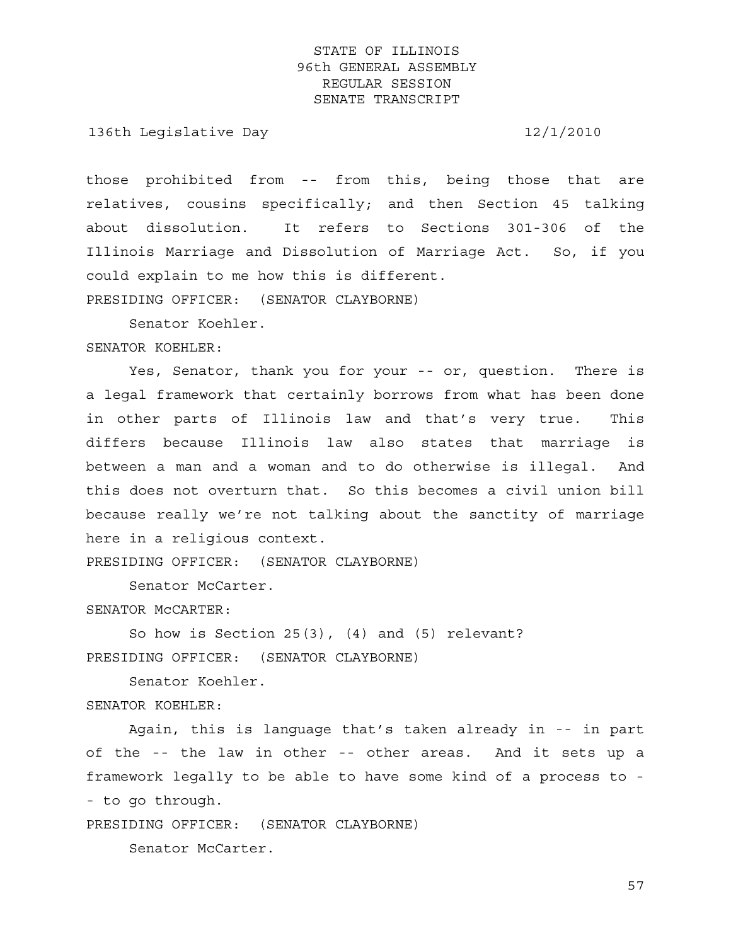136th Legislative Day 12/1/2010

those prohibited from -- from this, being those that are relatives, cousins specifically; and then Section 45 talking about dissolution. It refers to Sections 301-306 of the Illinois Marriage and Dissolution of Marriage Act. So, if you could explain to me how this is different.

PRESIDING OFFICER: (SENATOR CLAYBORNE)

Senator Koehler.

#### SENATOR KOEHLER:

 Yes, Senator, thank you for your -- or, question. There is a legal framework that certainly borrows from what has been done in other parts of Illinois law and that's very true. This differs because Illinois law also states that marriage is between a man and a woman and to do otherwise is illegal. And this does not overturn that. So this becomes a civil union bill because really we're not talking about the sanctity of marriage here in a religious context.

PRESIDING OFFICER: (SENATOR CLAYBORNE)

Senator McCarter.

SENATOR McCARTER:

 So how is Section 25(3), (4) and (5) relevant? PRESIDING OFFICER: (SENATOR CLAYBORNE)

Senator Koehler.

SENATOR KOEHLER:

 Again, this is language that's taken already in -- in part of the -- the law in other -- other areas. And it sets up a framework legally to be able to have some kind of a process to - - to go through.

PRESIDING OFFICER: (SENATOR CLAYBORNE)

Senator McCarter.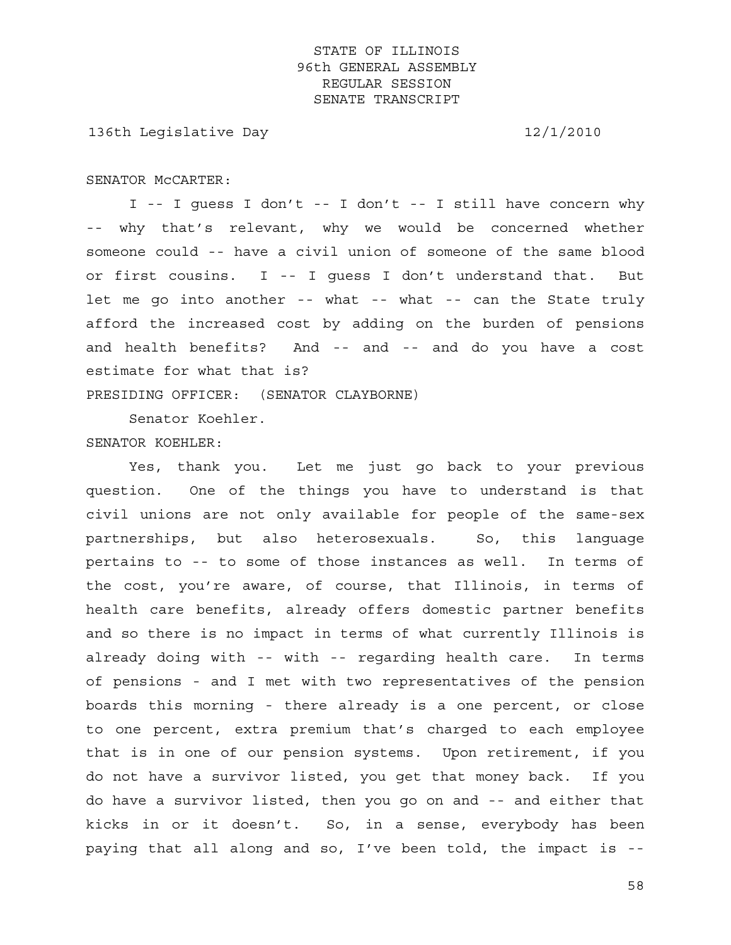136th Legislative Day 12/1/2010

#### SENATOR McCARTER:

 I -- I guess I don't -- I don't -- I still have concern why -- why that's relevant, why we would be concerned whether someone could -- have a civil union of someone of the same blood or first cousins. I -- I guess I don't understand that. But let me go into another -- what -- what -- can the State truly afford the increased cost by adding on the burden of pensions and health benefits? And -- and -- and do you have a cost estimate for what that is?

PRESIDING OFFICER: (SENATOR CLAYBORNE)

Senator Koehler.

#### SENATOR KOEHLER:

 Yes, thank you. Let me just go back to your previous question. One of the things you have to understand is that civil unions are not only available for people of the same-sex partnerships, but also heterosexuals. So, this language pertains to -- to some of those instances as well. In terms of the cost, you're aware, of course, that Illinois, in terms of health care benefits, already offers domestic partner benefits and so there is no impact in terms of what currently Illinois is already doing with -- with -- regarding health care. In terms of pensions - and I met with two representatives of the pension boards this morning - there already is a one percent, or close to one percent, extra premium that's charged to each employee that is in one of our pension systems. Upon retirement, if you do not have a survivor listed, you get that money back. If you do have a survivor listed, then you go on and -- and either that kicks in or it doesn't. So, in a sense, everybody has been paying that all along and so, I've been told, the impact is --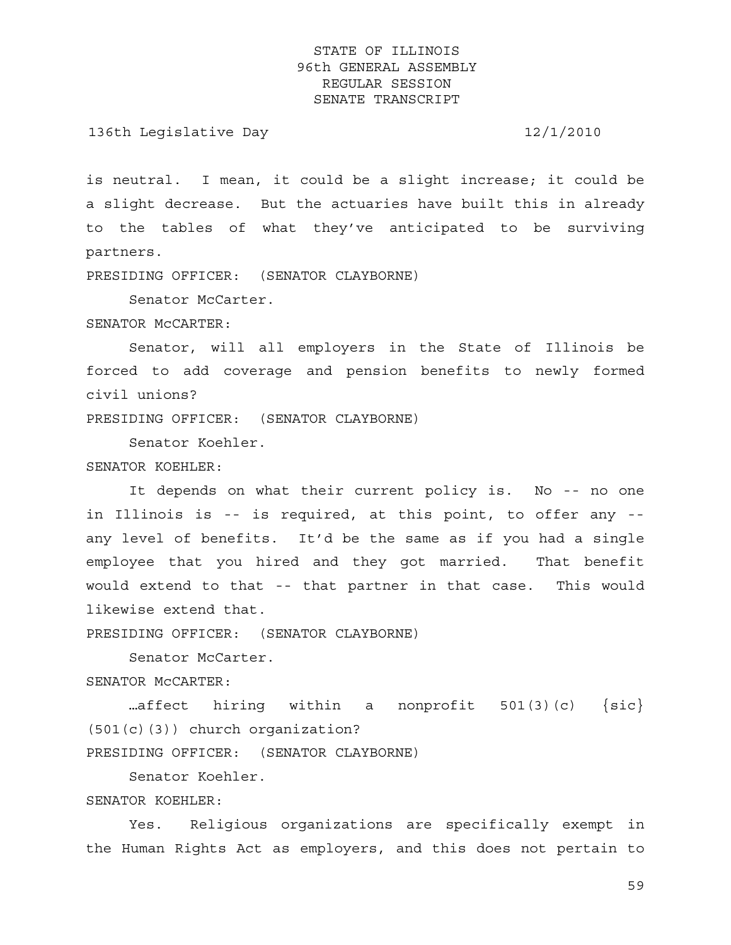136th Legislative Day 12/1/2010

is neutral. I mean, it could be a slight increase; it could be a slight decrease. But the actuaries have built this in already to the tables of what they've anticipated to be surviving partners.

PRESIDING OFFICER: (SENATOR CLAYBORNE)

Senator McCarter.

SENATOR McCARTER:

 Senator, will all employers in the State of Illinois be forced to add coverage and pension benefits to newly formed civil unions?

PRESIDING OFFICER: (SENATOR CLAYBORNE)

Senator Koehler.

SENATOR KOEHLER:

 It depends on what their current policy is. No -- no one in Illinois is -- is required, at this point, to offer any - any level of benefits. It'd be the same as if you had a single employee that you hired and they got married. That benefit would extend to that -- that partner in that case. This would likewise extend that.

PRESIDING OFFICER: (SENATOR CLAYBORNE)

 Senator McCarter. SENATOR McCARTER:

...affect hiring within a nonprofit  $501(3)(c)$  {sic} (501(c)(3)) church organization? PRESIDING OFFICER: (SENATOR CLAYBORNE)

Senator Koehler.

SENATOR KOEHLER:

 Yes. Religious organizations are specifically exempt in the Human Rights Act as employers, and this does not pertain to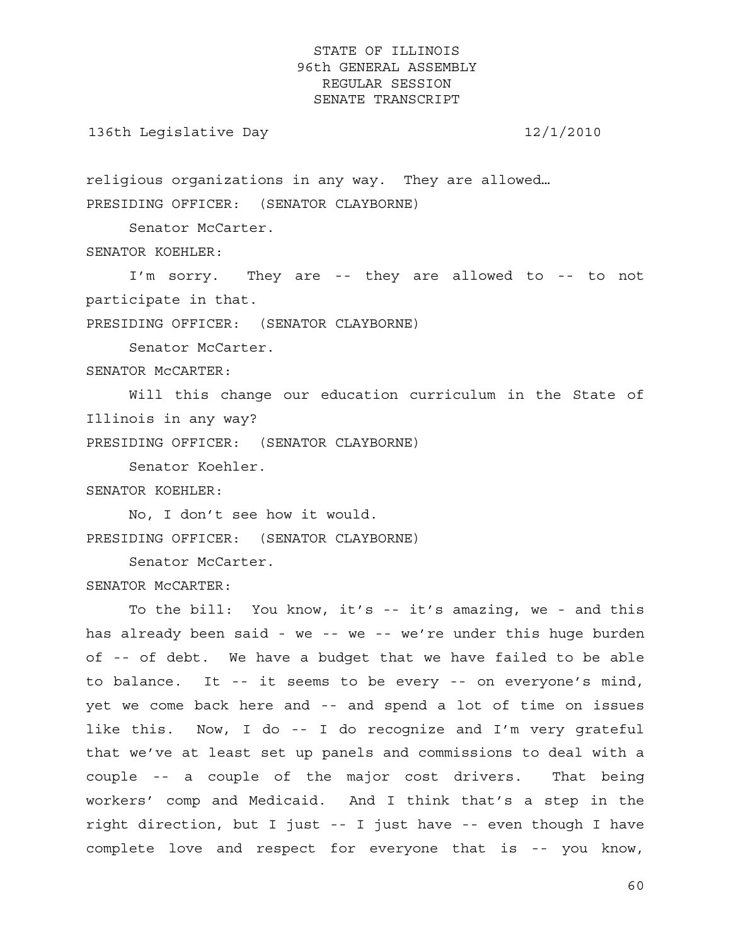136th Legislative Day 12/1/2010

religious organizations in any way. They are allowed… PRESIDING OFFICER: (SENATOR CLAYBORNE)

Senator McCarter.

SENATOR KOEHLER:

 I'm sorry. They are -- they are allowed to -- to not participate in that.

PRESIDING OFFICER: (SENATOR CLAYBORNE)

Senator McCarter.

SENATOR McCARTER:

 Will this change our education curriculum in the State of Illinois in any way?

PRESIDING OFFICER: (SENATOR CLAYBORNE)

Senator Koehler.

SENATOR KOEHLER:

 No, I don't see how it would. PRESIDING OFFICER: (SENATOR CLAYBORNE)

Senator McCarter.

SENATOR McCARTER:

 To the bill: You know, it's -- it's amazing, we - and this has already been said - we -- we -- we're under this huge burden of -- of debt. We have a budget that we have failed to be able to balance. It -- it seems to be every -- on everyone's mind, yet we come back here and -- and spend a lot of time on issues like this. Now, I do -- I do recognize and I'm very grateful that we've at least set up panels and commissions to deal with a couple -- a couple of the major cost drivers. That being workers' comp and Medicaid. And I think that's a step in the right direction, but I just -- I just have -- even though I have complete love and respect for everyone that is -- you know,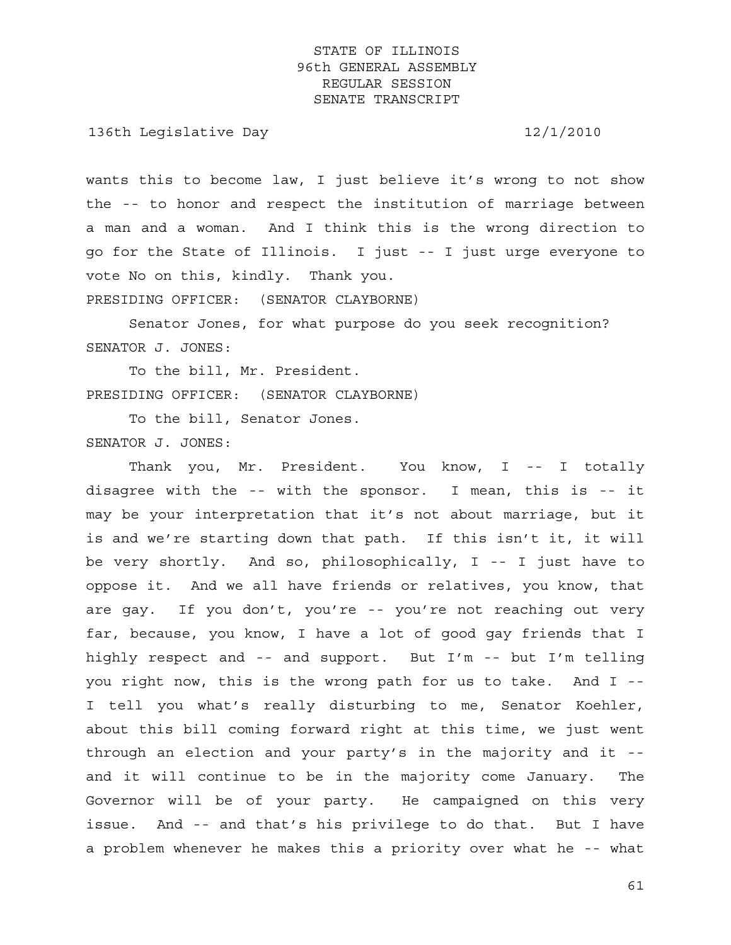136th Legislative Day 12/1/2010

wants this to become law, I just believe it's wrong to not show the -- to honor and respect the institution of marriage between a man and a woman. And I think this is the wrong direction to go for the State of Illinois. I just -- I just urge everyone to vote No on this, kindly. Thank you.

PRESIDING OFFICER: (SENATOR CLAYBORNE)

 Senator Jones, for what purpose do you seek recognition? SENATOR J. JONES:

 To the bill, Mr. President. PRESIDING OFFICER: (SENATOR CLAYBORNE)

 To the bill, Senator Jones. SENATOR J. JONES:

 Thank you, Mr. President. You know, I -- I totally disagree with the -- with the sponsor. I mean, this is -- it may be your interpretation that it's not about marriage, but it is and we're starting down that path. If this isn't it, it will be very shortly. And so, philosophically, I -- I just have to oppose it. And we all have friends or relatives, you know, that are gay. If you don't, you're -- you're not reaching out very far, because, you know, I have a lot of good gay friends that I highly respect and -- and support. But I'm -- but I'm telling you right now, this is the wrong path for us to take. And I -- I tell you what's really disturbing to me, Senator Koehler, about this bill coming forward right at this time, we just went through an election and your party's in the majority and it - and it will continue to be in the majority come January. The Governor will be of your party. He campaigned on this very issue. And -- and that's his privilege to do that. But I have a problem whenever he makes this a priority over what he -- what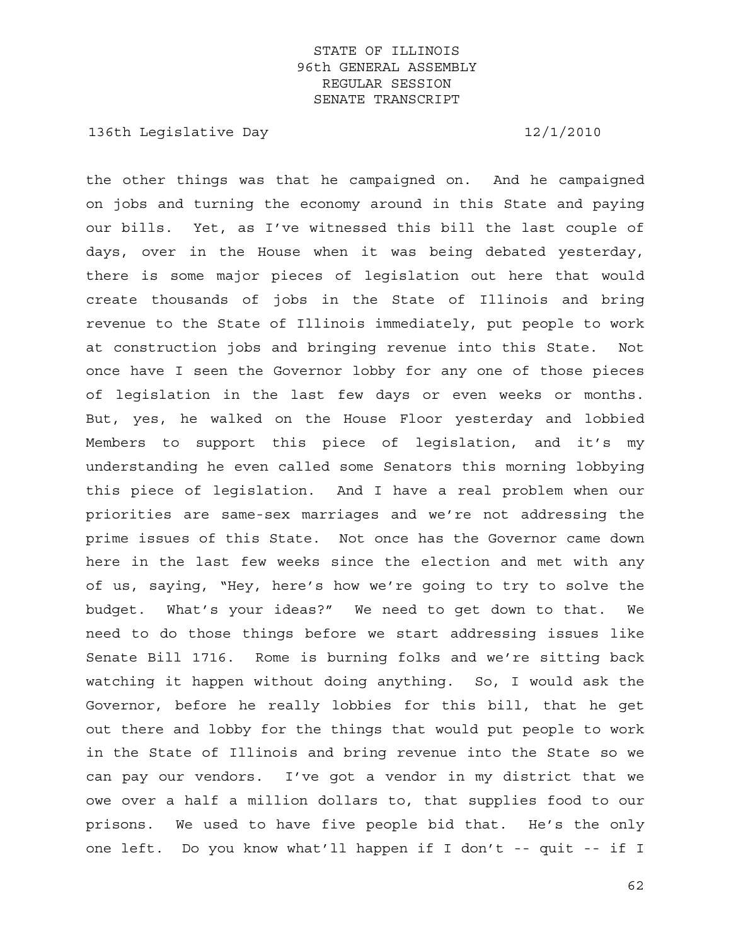136th Legislative Day 12/1/2010

the other things was that he campaigned on. And he campaigned on jobs and turning the economy around in this State and paying our bills. Yet, as I've witnessed this bill the last couple of days, over in the House when it was being debated yesterday, there is some major pieces of legislation out here that would create thousands of jobs in the State of Illinois and bring revenue to the State of Illinois immediately, put people to work at construction jobs and bringing revenue into this State. Not once have I seen the Governor lobby for any one of those pieces of legislation in the last few days or even weeks or months. But, yes, he walked on the House Floor yesterday and lobbied Members to support this piece of legislation, and it's my understanding he even called some Senators this morning lobbying this piece of legislation. And I have a real problem when our priorities are same-sex marriages and we're not addressing the prime issues of this State. Not once has the Governor came down here in the last few weeks since the election and met with any of us, saying, "Hey, here's how we're going to try to solve the budget. What's your ideas?" We need to get down to that. We need to do those things before we start addressing issues like Senate Bill 1716. Rome is burning folks and we're sitting back watching it happen without doing anything. So, I would ask the Governor, before he really lobbies for this bill, that he get out there and lobby for the things that would put people to work in the State of Illinois and bring revenue into the State so we can pay our vendors. I've got a vendor in my district that we owe over a half a million dollars to, that supplies food to our prisons. We used to have five people bid that. He's the only one left. Do you know what'll happen if I don't -- quit -- if I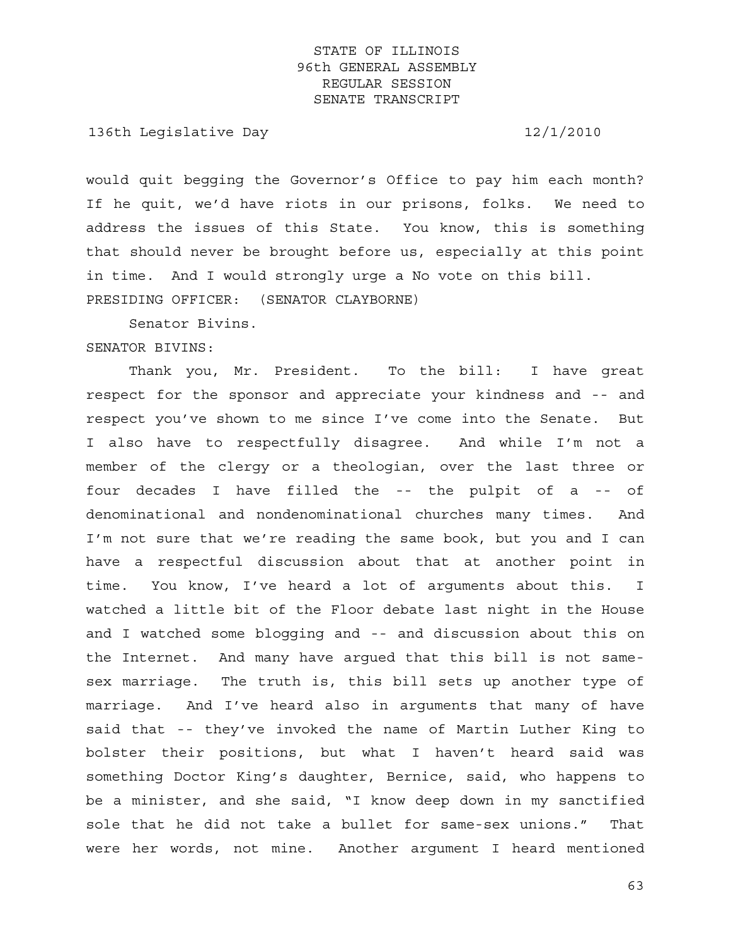136th Legislative Day 12/1/2010

would quit begging the Governor's Office to pay him each month? If he quit, we'd have riots in our prisons, folks. We need to address the issues of this State. You know, this is something that should never be brought before us, especially at this point in time. And I would strongly urge a No vote on this bill. PRESIDING OFFICER: (SENATOR CLAYBORNE)

Senator Bivins.

#### SENATOR BIVINS:

 Thank you, Mr. President. To the bill: I have great respect for the sponsor and appreciate your kindness and -- and respect you've shown to me since I've come into the Senate. But I also have to respectfully disagree. And while I'm not a member of the clergy or a theologian, over the last three or four decades I have filled the -- the pulpit of a -- of denominational and nondenominational churches many times. And I'm not sure that we're reading the same book, but you and I can have a respectful discussion about that at another point in time. You know, I've heard a lot of arguments about this. I watched a little bit of the Floor debate last night in the House and I watched some blogging and -- and discussion about this on the Internet. And many have argued that this bill is not samesex marriage. The truth is, this bill sets up another type of marriage. And I've heard also in arguments that many of have said that -- they've invoked the name of Martin Luther King to bolster their positions, but what I haven't heard said was something Doctor King's daughter, Bernice, said, who happens to be a minister, and she said, "I know deep down in my sanctified sole that he did not take a bullet for same-sex unions." That were her words, not mine. Another argument I heard mentioned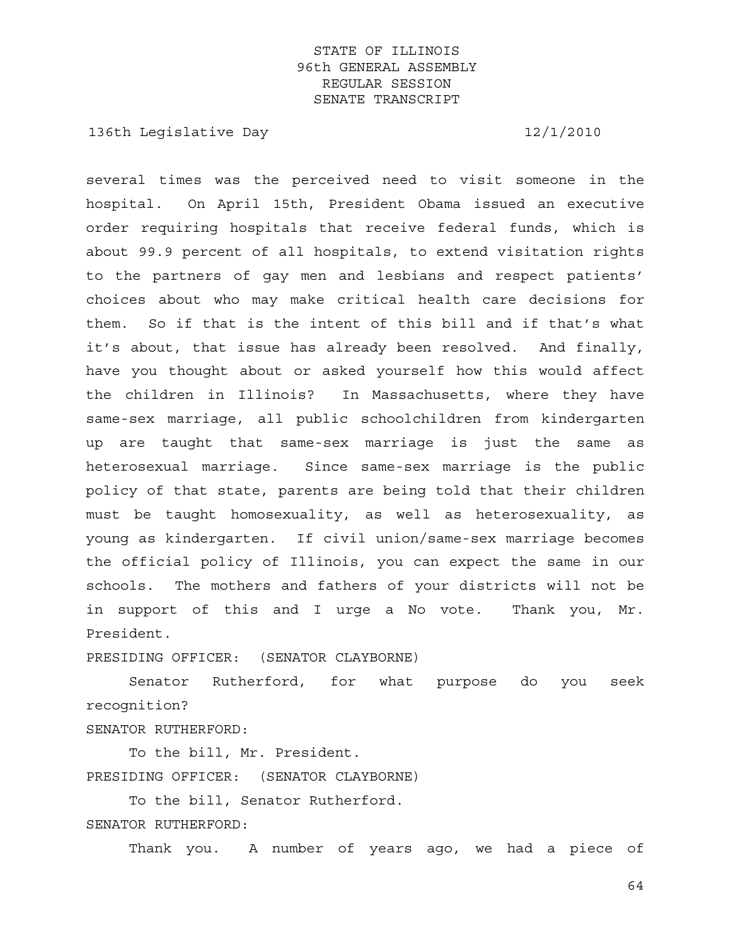136th Legislative Day 12/1/2010

several times was the perceived need to visit someone in the hospital. On April 15th, President Obama issued an executive order requiring hospitals that receive federal funds, which is about 99.9 percent of all hospitals, to extend visitation rights to the partners of gay men and lesbians and respect patients' choices about who may make critical health care decisions for them. So if that is the intent of this bill and if that's what it's about, that issue has already been resolved. And finally, have you thought about or asked yourself how this would affect the children in Illinois? In Massachusetts, where they have same-sex marriage, all public schoolchildren from kindergarten up are taught that same-sex marriage is just the same as heterosexual marriage. Since same-sex marriage is the public policy of that state, parents are being told that their children must be taught homosexuality, as well as heterosexuality, as young as kindergarten. If civil union/same-sex marriage becomes the official policy of Illinois, you can expect the same in our schools. The mothers and fathers of your districts will not be in support of this and I urge a No vote. Thank you, Mr. President.

PRESIDING OFFICER: (SENATOR CLAYBORNE)

 Senator Rutherford, for what purpose do you seek recognition?

SENATOR RUTHERFORD:

 To the bill, Mr. President. PRESIDING OFFICER: (SENATOR CLAYBORNE)

 To the bill, Senator Rutherford. SENATOR RUTHERFORD:

Thank you. A number of years ago, we had a piece of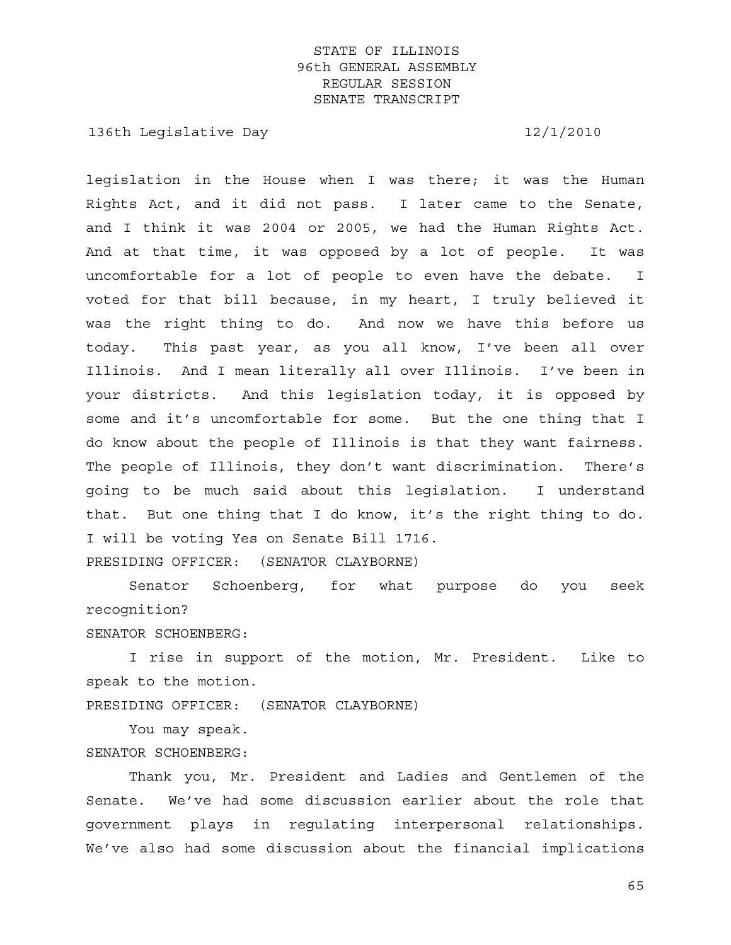136th Legislative Day 12/1/2010

legislation in the House when I was there; it was the Human Rights Act, and it did not pass. I later came to the Senate, and I think it was 2004 or 2005, we had the Human Rights Act. And at that time, it was opposed by a lot of people. It was uncomfortable for a lot of people to even have the debate. I voted for that bill because, in my heart, I truly believed it was the right thing to do. And now we have this before us today. This past year, as you all know, I've been all over Illinois. And I mean literally all over Illinois. I've been in your districts. And this legislation today, it is opposed by some and it's uncomfortable for some. But the one thing that I do know about the people of Illinois is that they want fairness. The people of Illinois, they don't want discrimination. There's going to be much said about this legislation. I understand that. But one thing that I do know, it's the right thing to do. I will be voting Yes on Senate Bill 1716. PRESIDING OFFICER: (SENATOR CLAYBORNE)

 Senator Schoenberg, for what purpose do you seek recognition?

SENATOR SCHOENBERG:

 I rise in support of the motion, Mr. President. Like to speak to the motion.

PRESIDING OFFICER: (SENATOR CLAYBORNE)

 You may speak. SENATOR SCHOENBERG:

 Thank you, Mr. President and Ladies and Gentlemen of the Senate. We've had some discussion earlier about the role that government plays in regulating interpersonal relationships. We've also had some discussion about the financial implications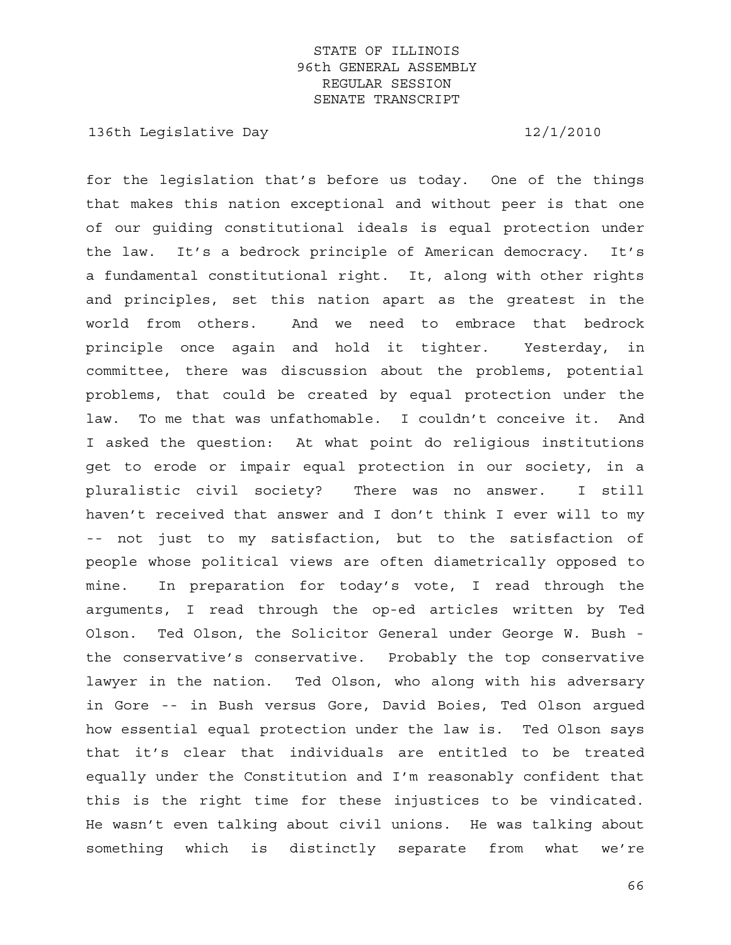136th Legislative Day 12/1/2010

for the legislation that's before us today. One of the things that makes this nation exceptional and without peer is that one of our guiding constitutional ideals is equal protection under the law. It's a bedrock principle of American democracy. It's a fundamental constitutional right. It, along with other rights and principles, set this nation apart as the greatest in the world from others. And we need to embrace that bedrock principle once again and hold it tighter. Yesterday, in committee, there was discussion about the problems, potential problems, that could be created by equal protection under the law. To me that was unfathomable. I couldn't conceive it. And I asked the question: At what point do religious institutions get to erode or impair equal protection in our society, in a pluralistic civil society? There was no answer. I still haven't received that answer and I don't think I ever will to my -- not just to my satisfaction, but to the satisfaction of people whose political views are often diametrically opposed to mine. In preparation for today's vote, I read through the arguments, I read through the op-ed articles written by Ted Olson. Ted Olson, the Solicitor General under George W. Bush the conservative's conservative. Probably the top conservative lawyer in the nation. Ted Olson, who along with his adversary in Gore -- in Bush versus Gore, David Boies, Ted Olson argued how essential equal protection under the law is. Ted Olson says that it's clear that individuals are entitled to be treated equally under the Constitution and I'm reasonably confident that this is the right time for these injustices to be vindicated. He wasn't even talking about civil unions. He was talking about something which is distinctly separate from what we're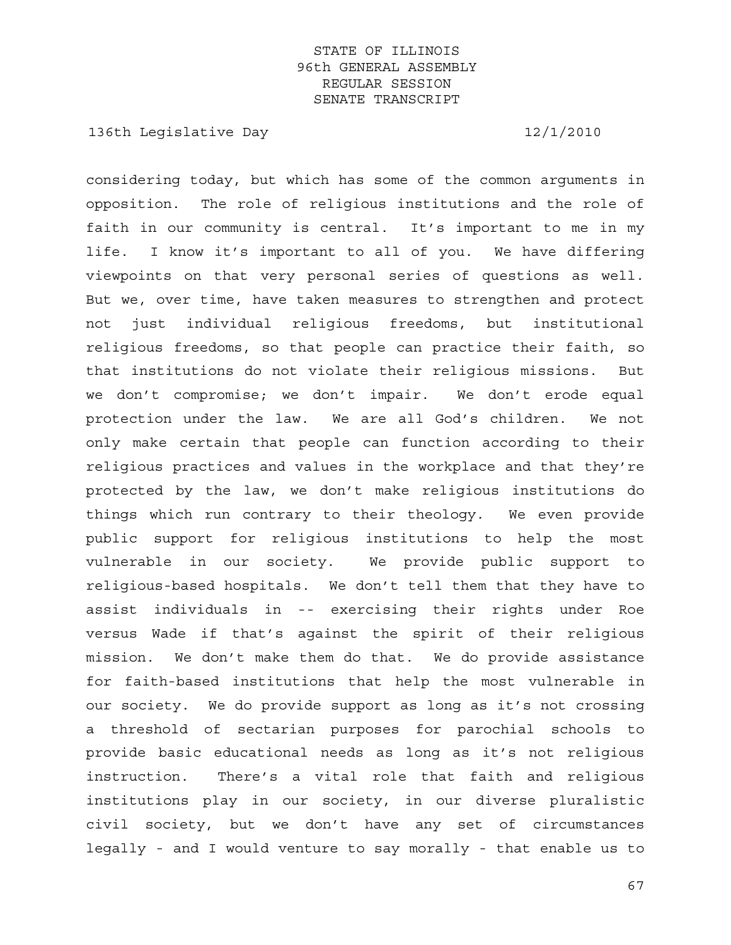136th Legislative Day 12/1/2010

considering today, but which has some of the common arguments in opposition. The role of religious institutions and the role of faith in our community is central. It's important to me in my life. I know it's important to all of you. We have differing viewpoints on that very personal series of questions as well. But we, over time, have taken measures to strengthen and protect not just individual religious freedoms, but institutional religious freedoms, so that people can practice their faith, so that institutions do not violate their religious missions. But we don't compromise; we don't impair. We don't erode equal protection under the law. We are all God's children. We not only make certain that people can function according to their religious practices and values in the workplace and that they're protected by the law, we don't make religious institutions do things which run contrary to their theology. We even provide public support for religious institutions to help the most vulnerable in our society. We provide public support to religious-based hospitals. We don't tell them that they have to assist individuals in -- exercising their rights under Roe versus Wade if that's against the spirit of their religious mission. We don't make them do that. We do provide assistance for faith-based institutions that help the most vulnerable in our society. We do provide support as long as it's not crossing a threshold of sectarian purposes for parochial schools to provide basic educational needs as long as it's not religious instruction. There's a vital role that faith and religious institutions play in our society, in our diverse pluralistic civil society, but we don't have any set of circumstances legally - and I would venture to say morally - that enable us to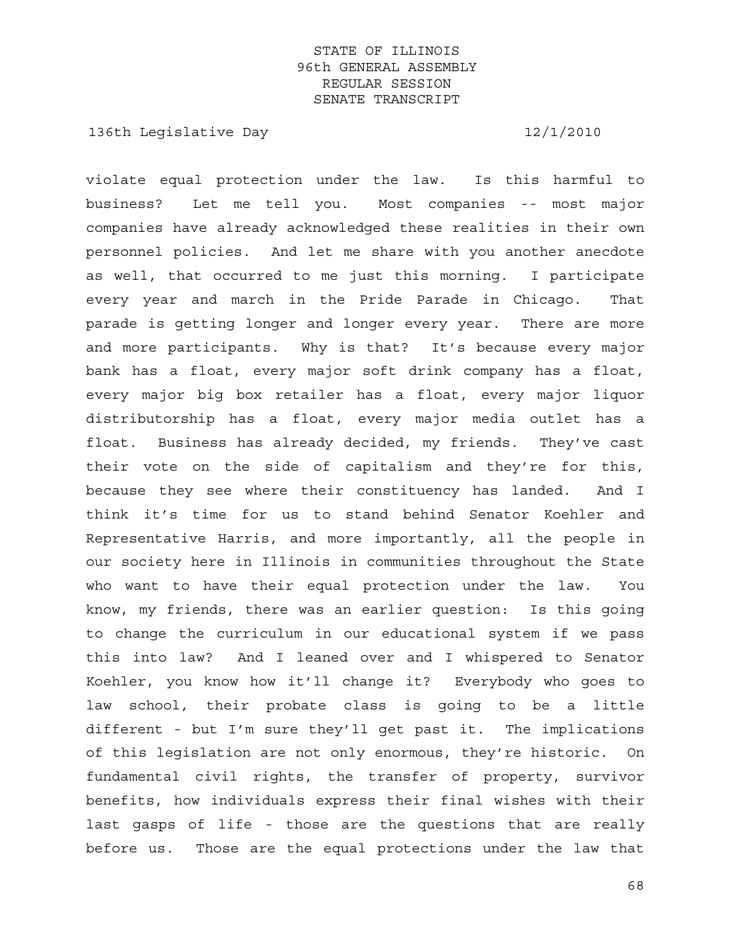136th Legislative Day 12/1/2010

violate equal protection under the law. Is this harmful to business? Let me tell you. Most companies -- most major companies have already acknowledged these realities in their own personnel policies. And let me share with you another anecdote as well, that occurred to me just this morning. I participate every year and march in the Pride Parade in Chicago. That parade is getting longer and longer every year. There are more and more participants. Why is that? It's because every major bank has a float, every major soft drink company has a float, every major big box retailer has a float, every major liquor distributorship has a float, every major media outlet has a float. Business has already decided, my friends. They've cast their vote on the side of capitalism and they're for this, because they see where their constituency has landed. And I think it's time for us to stand behind Senator Koehler and Representative Harris, and more importantly, all the people in our society here in Illinois in communities throughout the State who want to have their equal protection under the law. You know, my friends, there was an earlier question: Is this going to change the curriculum in our educational system if we pass this into law? And I leaned over and I whispered to Senator Koehler, you know how it'll change it? Everybody who goes to law school, their probate class is going to be a little different - but I'm sure they'll get past it. The implications of this legislation are not only enormous, they're historic. On fundamental civil rights, the transfer of property, survivor benefits, how individuals express their final wishes with their last gasps of life - those are the questions that are really before us. Those are the equal protections under the law that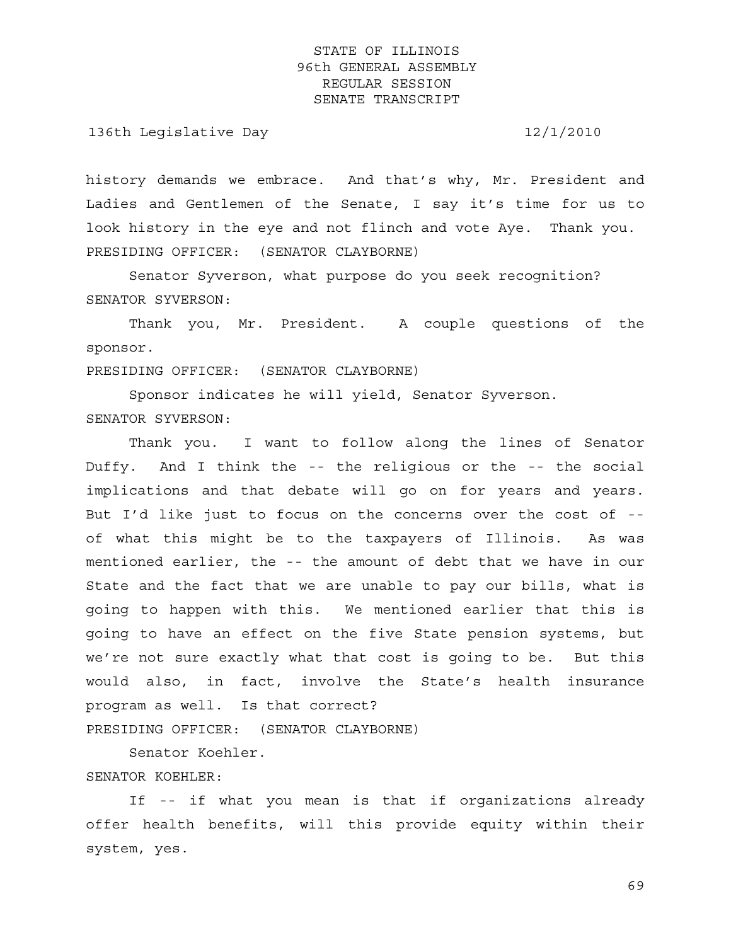136th Legislative Day 12/1/2010

history demands we embrace. And that's why, Mr. President and Ladies and Gentlemen of the Senate, I say it's time for us to look history in the eye and not flinch and vote Aye. Thank you. PRESIDING OFFICER: (SENATOR CLAYBORNE)

 Senator Syverson, what purpose do you seek recognition? SENATOR SYVERSON:

 Thank you, Mr. President. A couple questions of the sponsor.

PRESIDING OFFICER: (SENATOR CLAYBORNE)

 Sponsor indicates he will yield, Senator Syverson. SENATOR SYVERSON:

 Thank you. I want to follow along the lines of Senator Duffy. And I think the -- the religious or the -- the social implications and that debate will go on for years and years. But I'd like just to focus on the concerns over the cost of - of what this might be to the taxpayers of Illinois. As was mentioned earlier, the -- the amount of debt that we have in our State and the fact that we are unable to pay our bills, what is going to happen with this. We mentioned earlier that this is going to have an effect on the five State pension systems, but we're not sure exactly what that cost is going to be. But this would also, in fact, involve the State's health insurance program as well. Is that correct?

PRESIDING OFFICER: (SENATOR CLAYBORNE)

Senator Koehler.

#### SENATOR KOEHLER:

 If -- if what you mean is that if organizations already offer health benefits, will this provide equity within their system, yes.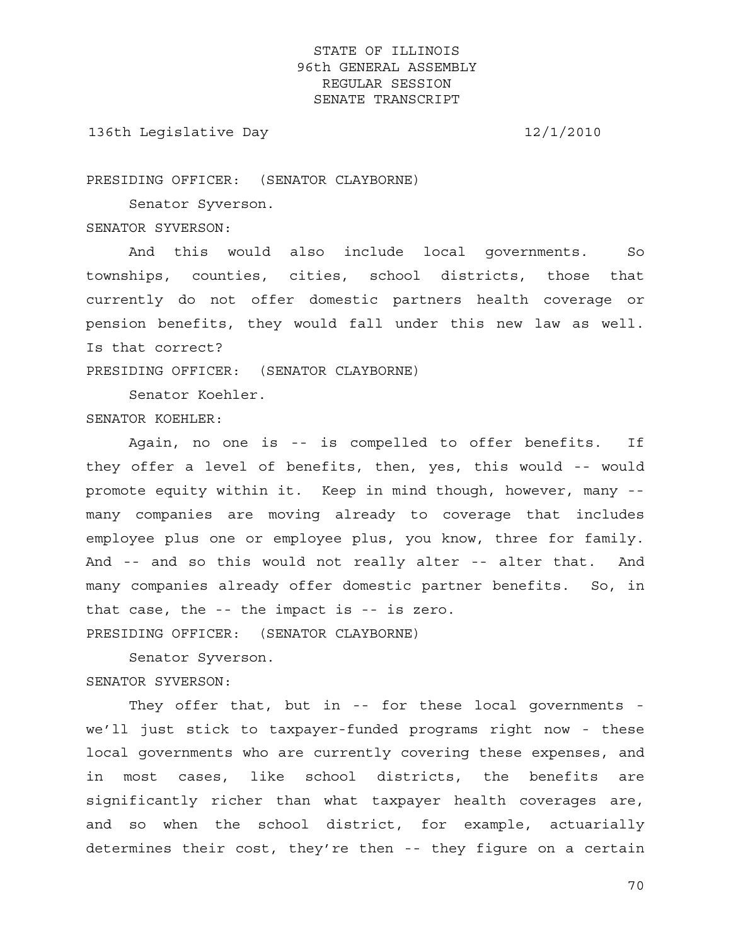136th Legislative Day 12/1/2010

PRESIDING OFFICER: (SENATOR CLAYBORNE)

 Senator Syverson. SENATOR SYVERSON:

 And this would also include local governments. So townships, counties, cities, school districts, those that currently do not offer domestic partners health coverage or pension benefits, they would fall under this new law as well. Is that correct?

PRESIDING OFFICER: (SENATOR CLAYBORNE)

Senator Koehler.

SENATOR KOEHLER:

 Again, no one is -- is compelled to offer benefits. If they offer a level of benefits, then, yes, this would -- would promote equity within it. Keep in mind though, however, many - many companies are moving already to coverage that includes employee plus one or employee plus, you know, three for family. And -- and so this would not really alter -- alter that. And many companies already offer domestic partner benefits. So, in that case, the -- the impact is -- is zero. PRESIDING OFFICER: (SENATOR CLAYBORNE)

 Senator Syverson. SENATOR SYVERSON:

 They offer that, but in -- for these local governments we'll just stick to taxpayer-funded programs right now - these local governments who are currently covering these expenses, and in most cases, like school districts, the benefits are significantly richer than what taxpayer health coverages are, and so when the school district, for example, actuarially determines their cost, they're then -- they figure on a certain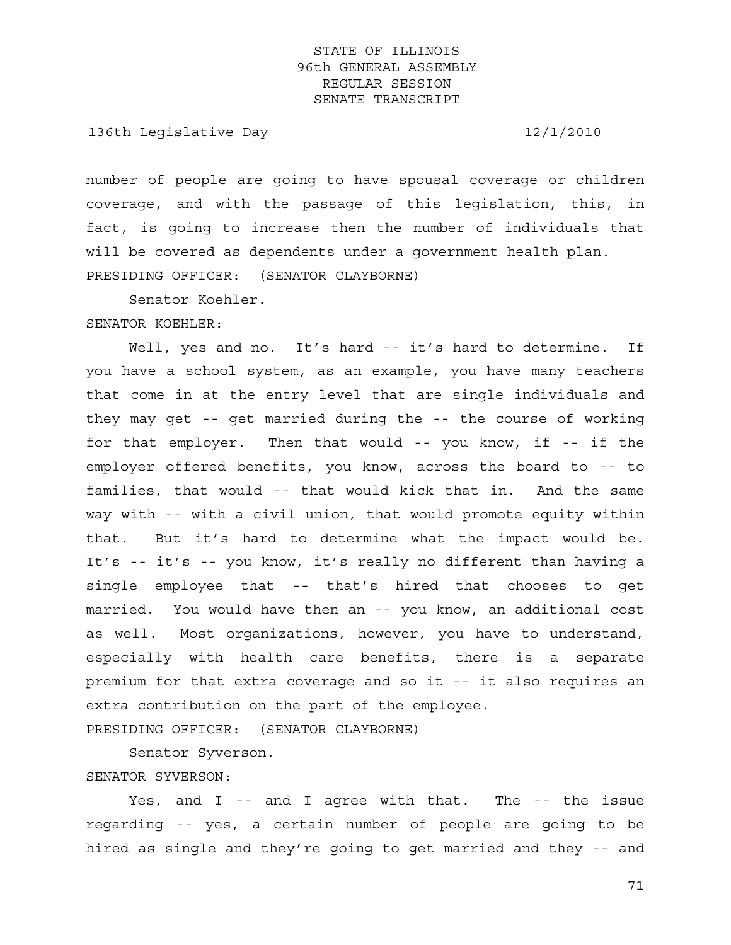136th Legislative Day 12/1/2010

number of people are going to have spousal coverage or children coverage, and with the passage of this legislation, this, in fact, is going to increase then the number of individuals that will be covered as dependents under a government health plan. PRESIDING OFFICER: (SENATOR CLAYBORNE)

Senator Koehler.

SENATOR KOEHLER:

Well, yes and no. It's hard -- it's hard to determine. If you have a school system, as an example, you have many teachers that come in at the entry level that are single individuals and they may get -- get married during the -- the course of working for that employer. Then that would -- you know, if -- if the employer offered benefits, you know, across the board to -- to families, that would -- that would kick that in. And the same way with -- with a civil union, that would promote equity within that. But it's hard to determine what the impact would be. It's -- it's -- you know, it's really no different than having a single employee that -- that's hired that chooses to get married. You would have then an -- you know, an additional cost as well. Most organizations, however, you have to understand, especially with health care benefits, there is a separate premium for that extra coverage and so it -- it also requires an extra contribution on the part of the employee.

PRESIDING OFFICER: (SENATOR CLAYBORNE)

Senator Syverson.

SENATOR SYVERSON:

Yes, and I -- and I agree with that. The -- the issue regarding -- yes, a certain number of people are going to be hired as single and they're going to get married and they -- and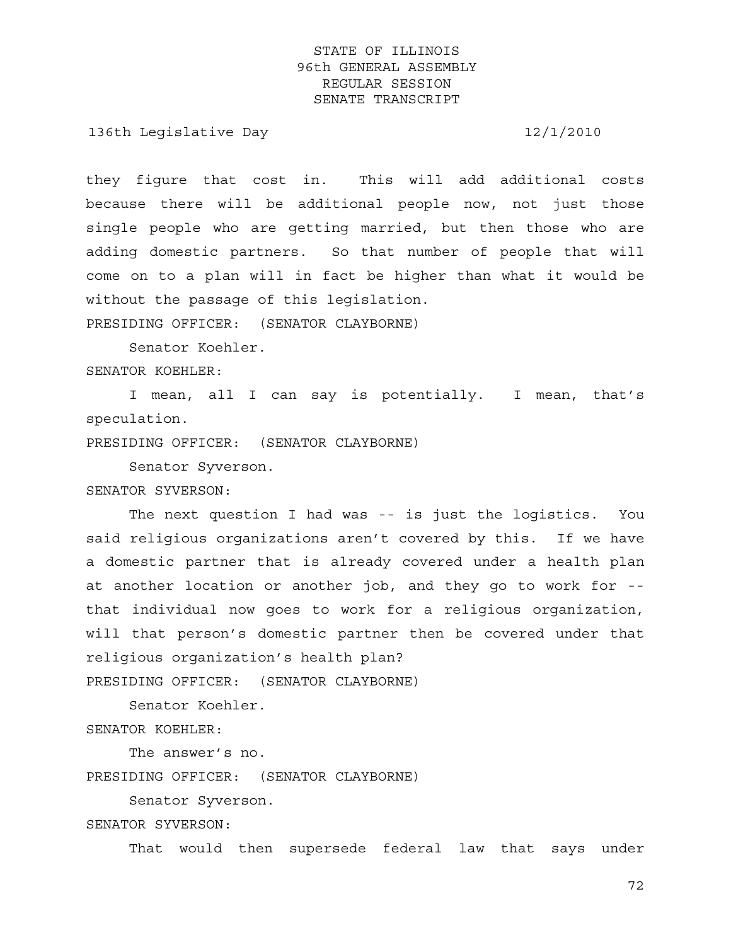136th Legislative Day 12/1/2010

they figure that cost in. This will add additional costs because there will be additional people now, not just those single people who are getting married, but then those who are adding domestic partners. So that number of people that will come on to a plan will in fact be higher than what it would be without the passage of this legislation.

PRESIDING OFFICER: (SENATOR CLAYBORNE)

Senator Koehler.

SENATOR KOEHLER:

 I mean, all I can say is potentially. I mean, that's speculation.

PRESIDING OFFICER: (SENATOR CLAYBORNE)

Senator Syverson.

SENATOR SYVERSON:

 The next question I had was -- is just the logistics. You said religious organizations aren't covered by this. If we have a domestic partner that is already covered under a health plan at another location or another job, and they go to work for - that individual now goes to work for a religious organization, will that person's domestic partner then be covered under that religious organization's health plan? PRESIDING OFFICER: (SENATOR CLAYBORNE)

Senator Koehler.

SENATOR KOEHLER:

The answer's no.

PRESIDING OFFICER: (SENATOR CLAYBORNE)

Senator Syverson.

SENATOR SYVERSON:

That would then supersede federal law that says under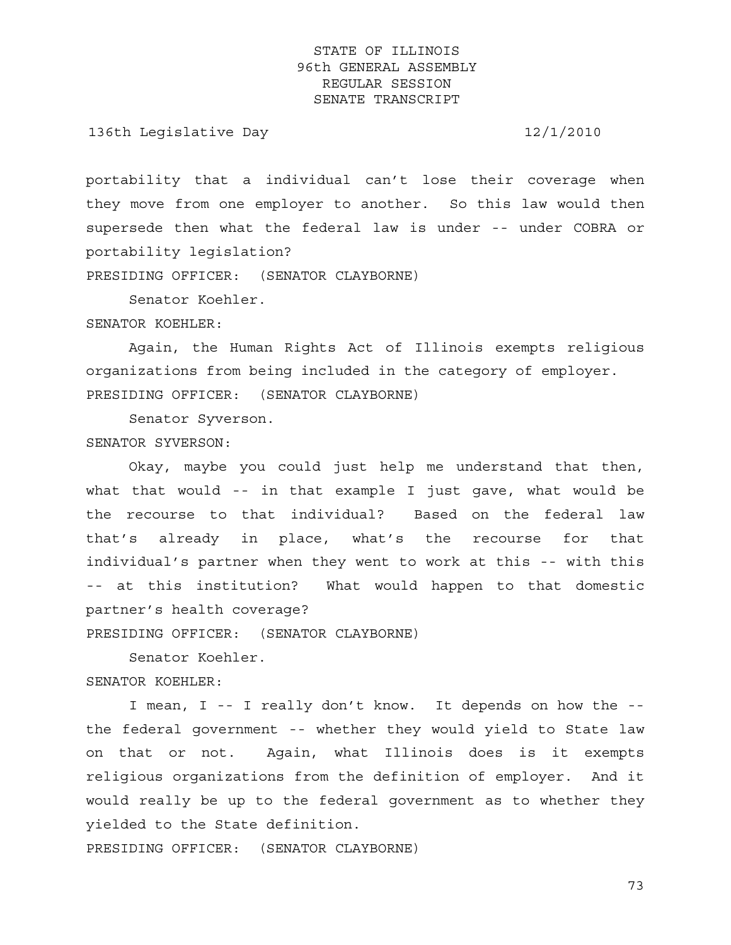136th Legislative Day 12/1/2010

portability that a individual can't lose their coverage when they move from one employer to another. So this law would then supersede then what the federal law is under -- under COBRA or portability legislation?

PRESIDING OFFICER: (SENATOR CLAYBORNE)

Senator Koehler.

SENATOR KOEHLER:

 Again, the Human Rights Act of Illinois exempts religious organizations from being included in the category of employer. PRESIDING OFFICER: (SENATOR CLAYBORNE)

Senator Syverson.

SENATOR SYVERSON:

 Okay, maybe you could just help me understand that then, what that would -- in that example I just gave, what would be the recourse to that individual? Based on the federal law that's already in place, what's the recourse for that individual's partner when they went to work at this -- with this -- at this institution? What would happen to that domestic partner's health coverage?

PRESIDING OFFICER: (SENATOR CLAYBORNE)

 Senator Koehler. SENATOR KOEHLER:

 I mean, I -- I really don't know. It depends on how the - the federal government -- whether they would yield to State law on that or not. Again, what Illinois does is it exempts religious organizations from the definition of employer. And it would really be up to the federal government as to whether they yielded to the State definition.

PRESIDING OFFICER: (SENATOR CLAYBORNE)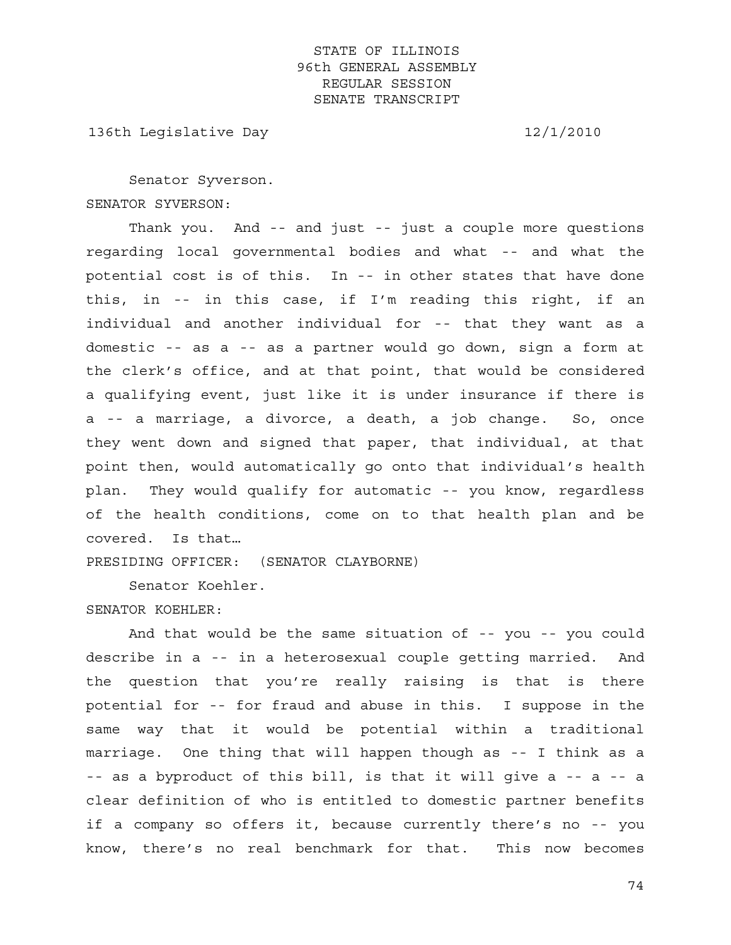136th Legislative Day 12/1/2010

 Senator Syverson. SENATOR SYVERSON:

 Thank you. And -- and just -- just a couple more questions regarding local governmental bodies and what -- and what the potential cost is of this. In -- in other states that have done this, in -- in this case, if I'm reading this right, if an individual and another individual for -- that they want as a domestic -- as a -- as a partner would go down, sign a form at the clerk's office, and at that point, that would be considered a qualifying event, just like it is under insurance if there is a -- a marriage, a divorce, a death, a job change. So, once they went down and signed that paper, that individual, at that point then, would automatically go onto that individual's health plan. They would qualify for automatic -- you know, regardless of the health conditions, come on to that health plan and be covered. Is that…

PRESIDING OFFICER: (SENATOR CLAYBORNE)

Senator Koehler.

#### SENATOR KOEHLER:

 And that would be the same situation of -- you -- you could describe in a -- in a heterosexual couple getting married. And the question that you're really raising is that is there potential for -- for fraud and abuse in this. I suppose in the same way that it would be potential within a traditional marriage. One thing that will happen though as -- I think as a -- as a byproduct of this bill, is that it will give a -- a -- a clear definition of who is entitled to domestic partner benefits if a company so offers it, because currently there's no -- you know, there's no real benchmark for that. This now becomes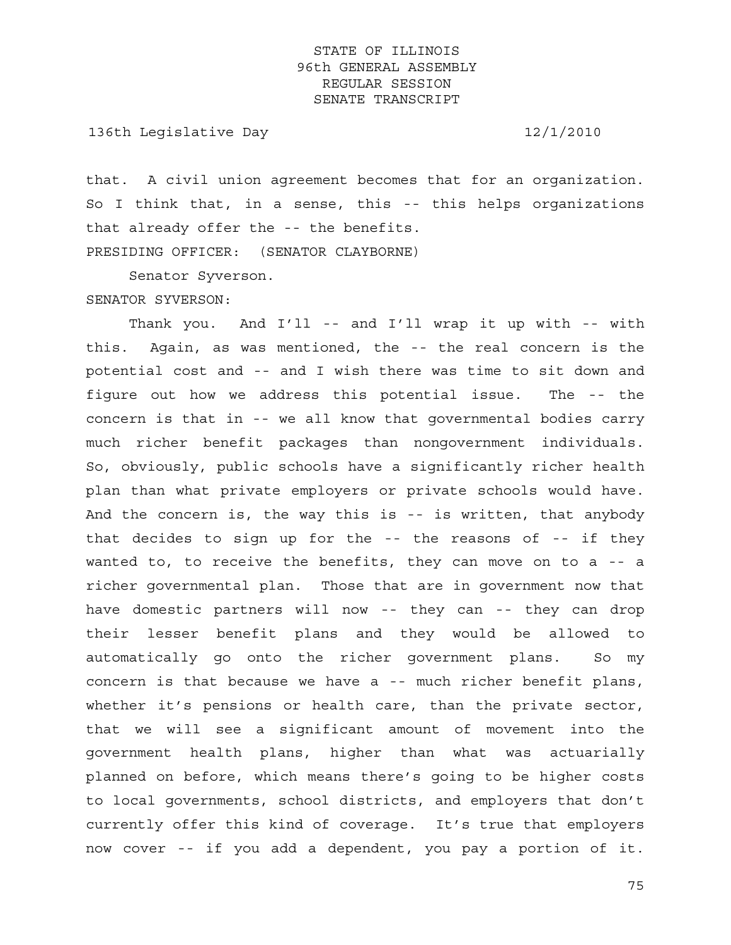136th Legislative Day 12/1/2010

that. A civil union agreement becomes that for an organization. So I think that, in a sense, this -- this helps organizations that already offer the -- the benefits. PRESIDING OFFICER: (SENATOR CLAYBORNE)

Senator Syverson.

#### SENATOR SYVERSON:

 Thank you. And I'll -- and I'll wrap it up with -- with this. Again, as was mentioned, the -- the real concern is the potential cost and -- and I wish there was time to sit down and figure out how we address this potential issue. The -- the concern is that in -- we all know that governmental bodies carry much richer benefit packages than nongovernment individuals. So, obviously, public schools have a significantly richer health plan than what private employers or private schools would have. And the concern is, the way this is -- is written, that anybody that decides to sign up for the -- the reasons of -- if they wanted to, to receive the benefits, they can move on to a -- a richer governmental plan. Those that are in government now that have domestic partners will now -- they can -- they can drop their lesser benefit plans and they would be allowed to automatically go onto the richer government plans. So my concern is that because we have a -- much richer benefit plans, whether it's pensions or health care, than the private sector, that we will see a significant amount of movement into the government health plans, higher than what was actuarially planned on before, which means there's going to be higher costs to local governments, school districts, and employers that don't currently offer this kind of coverage. It's true that employers now cover -- if you add a dependent, you pay a portion of it.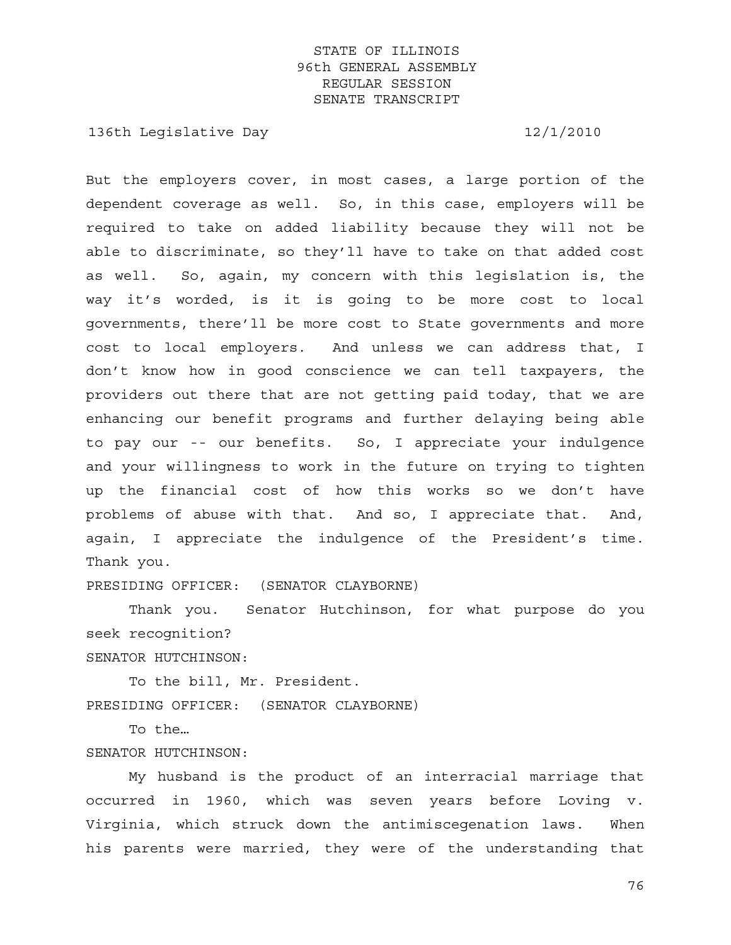136th Legislative Day 12/1/2010

But the employers cover, in most cases, a large portion of the dependent coverage as well. So, in this case, employers will be required to take on added liability because they will not be able to discriminate, so they'll have to take on that added cost as well. So, again, my concern with this legislation is, the way it's worded, is it is going to be more cost to local governments, there'll be more cost to State governments and more cost to local employers. And unless we can address that, I don't know how in good conscience we can tell taxpayers, the providers out there that are not getting paid today, that we are enhancing our benefit programs and further delaying being able to pay our -- our benefits. So, I appreciate your indulgence and your willingness to work in the future on trying to tighten up the financial cost of how this works so we don't have problems of abuse with that. And so, I appreciate that. And, again, I appreciate the indulgence of the President's time. Thank you.

PRESIDING OFFICER: (SENATOR CLAYBORNE)

 Thank you. Senator Hutchinson, for what purpose do you seek recognition?

SENATOR HUTCHINSON:

 To the bill, Mr. President. PRESIDING OFFICER: (SENATOR CLAYBORNE)

To the…

SENATOR HUTCHINSON:

 My husband is the product of an interracial marriage that occurred in 1960, which was seven years before Loving v. Virginia, which struck down the antimiscegenation laws. When his parents were married, they were of the understanding that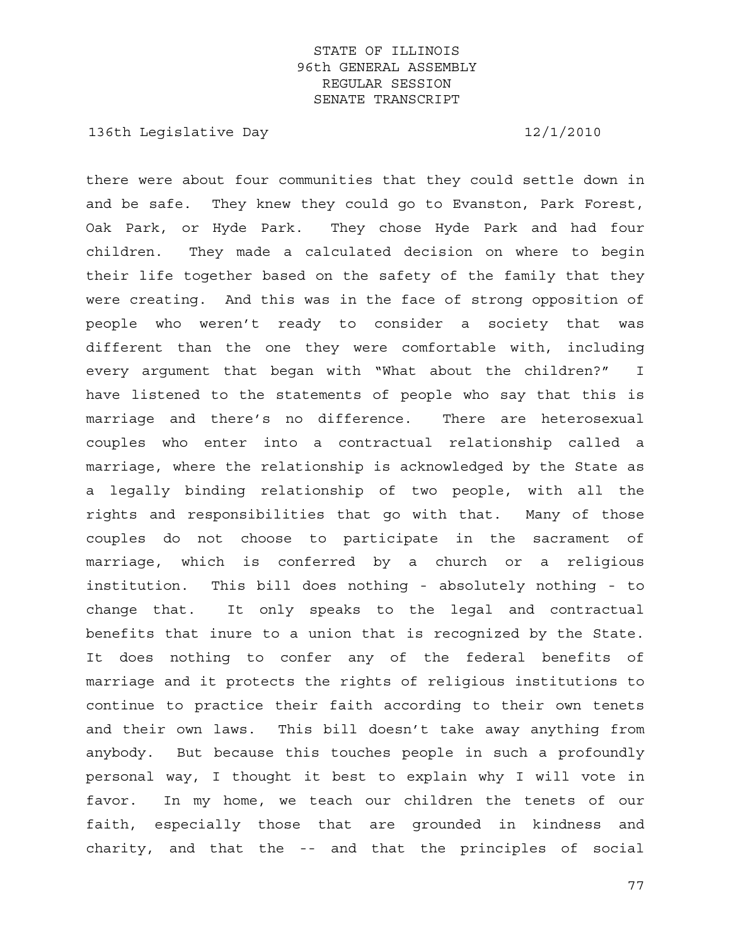136th Legislative Day 12/1/2010

there were about four communities that they could settle down in and be safe. They knew they could go to Evanston, Park Forest, Oak Park, or Hyde Park. They chose Hyde Park and had four children. They made a calculated decision on where to begin their life together based on the safety of the family that they were creating. And this was in the face of strong opposition of people who weren't ready to consider a society that was different than the one they were comfortable with, including every argument that began with "What about the children?" I have listened to the statements of people who say that this is marriage and there's no difference. There are heterosexual couples who enter into a contractual relationship called a marriage, where the relationship is acknowledged by the State as a legally binding relationship of two people, with all the rights and responsibilities that go with that. Many of those couples do not choose to participate in the sacrament of marriage, which is conferred by a church or a religious institution. This bill does nothing - absolutely nothing - to change that. It only speaks to the legal and contractual benefits that inure to a union that is recognized by the State. It does nothing to confer any of the federal benefits of marriage and it protects the rights of religious institutions to continue to practice their faith according to their own tenets and their own laws. This bill doesn't take away anything from anybody. But because this touches people in such a profoundly personal way, I thought it best to explain why I will vote in favor. In my home, we teach our children the tenets of our faith, especially those that are grounded in kindness and charity, and that the -- and that the principles of social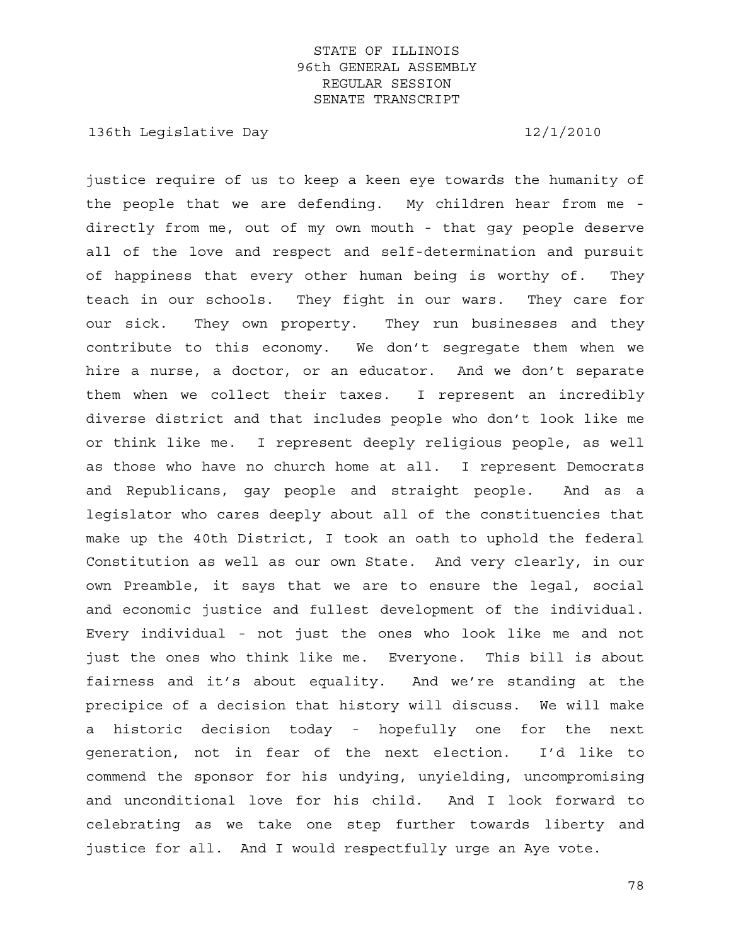136th Legislative Day 12/1/2010

justice require of us to keep a keen eye towards the humanity of the people that we are defending. My children hear from me directly from me, out of my own mouth - that gay people deserve all of the love and respect and self-determination and pursuit of happiness that every other human being is worthy of. They teach in our schools. They fight in our wars. They care for our sick. They own property. They run businesses and they contribute to this economy. We don't segregate them when we hire a nurse, a doctor, or an educator. And we don't separate them when we collect their taxes. I represent an incredibly diverse district and that includes people who don't look like me or think like me. I represent deeply religious people, as well as those who have no church home at all. I represent Democrats and Republicans, gay people and straight people. And as a legislator who cares deeply about all of the constituencies that make up the 40th District, I took an oath to uphold the federal Constitution as well as our own State. And very clearly, in our own Preamble, it says that we are to ensure the legal, social and economic justice and fullest development of the individual. Every individual - not just the ones who look like me and not just the ones who think like me. Everyone. This bill is about fairness and it's about equality. And we're standing at the precipice of a decision that history will discuss. We will make a historic decision today - hopefully one for the next generation, not in fear of the next election. I'd like to commend the sponsor for his undying, unyielding, uncompromising and unconditional love for his child. And I look forward to celebrating as we take one step further towards liberty and justice for all. And I would respectfully urge an Aye vote.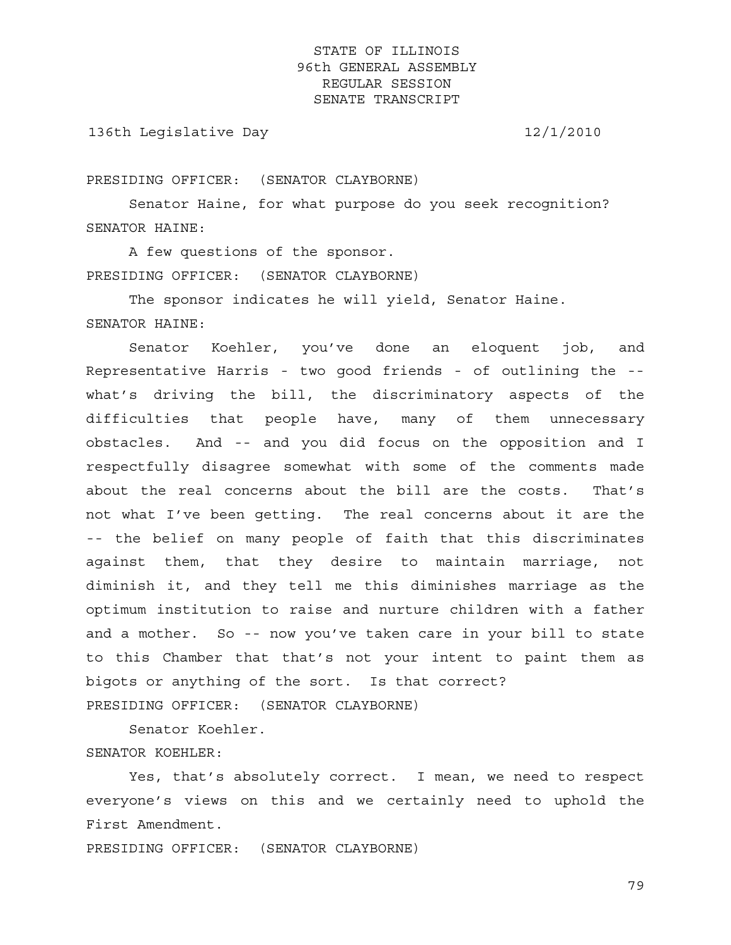136th Legislative Day 12/1/2010

PRESIDING OFFICER: (SENATOR CLAYBORNE)

 Senator Haine, for what purpose do you seek recognition? SENATOR HAINE:

 A few questions of the sponsor. PRESIDING OFFICER: (SENATOR CLAYBORNE)

 The sponsor indicates he will yield, Senator Haine. SENATOR HAINE:

 Senator Koehler, you've done an eloquent job, and Representative Harris - two good friends - of outlining the - what's driving the bill, the discriminatory aspects of the difficulties that people have, many of them unnecessary obstacles. And -- and you did focus on the opposition and I respectfully disagree somewhat with some of the comments made about the real concerns about the bill are the costs. That's not what I've been getting. The real concerns about it are the -- the belief on many people of faith that this discriminates against them, that they desire to maintain marriage, not diminish it, and they tell me this diminishes marriage as the optimum institution to raise and nurture children with a father and a mother. So -- now you've taken care in your bill to state to this Chamber that that's not your intent to paint them as bigots or anything of the sort. Is that correct? PRESIDING OFFICER: (SENATOR CLAYBORNE)

 Senator Koehler. SENATOR KOEHLER:

 Yes, that's absolutely correct. I mean, we need to respect everyone's views on this and we certainly need to uphold the First Amendment.

PRESIDING OFFICER: (SENATOR CLAYBORNE)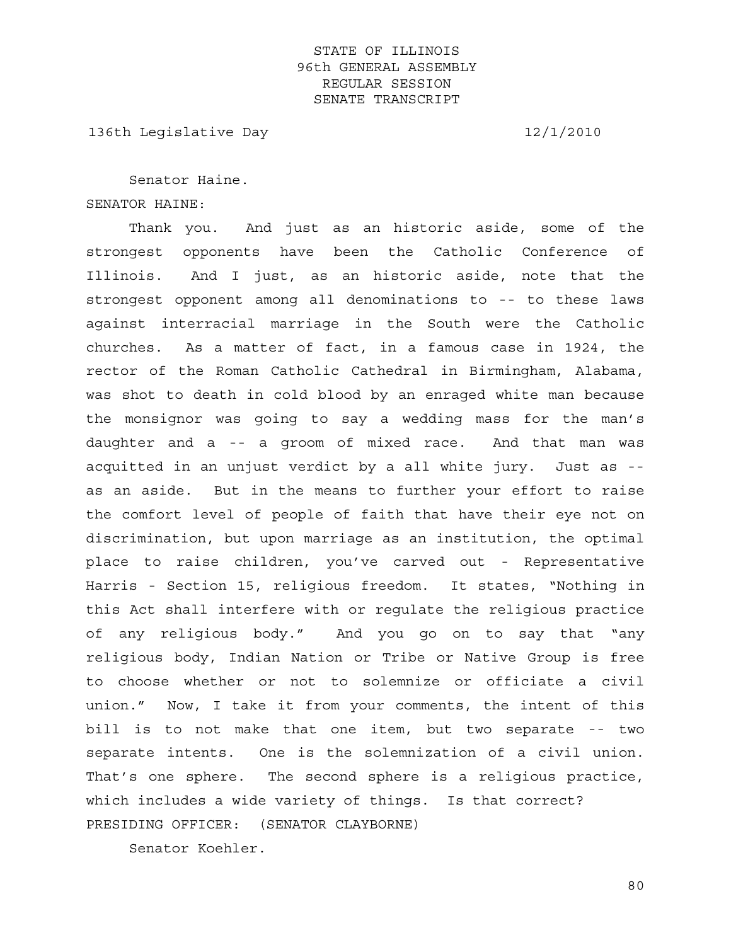136th Legislative Day 12/1/2010

 Senator Haine. SENATOR HAINE:

 Thank you. And just as an historic aside, some of the strongest opponents have been the Catholic Conference of Illinois. And I just, as an historic aside, note that the strongest opponent among all denominations to -- to these laws against interracial marriage in the South were the Catholic churches. As a matter of fact, in a famous case in 1924, the rector of the Roman Catholic Cathedral in Birmingham, Alabama, was shot to death in cold blood by an enraged white man because the monsignor was going to say a wedding mass for the man's daughter and a -- a groom of mixed race. And that man was acquitted in an unjust verdict by a all white jury. Just as - as an aside. But in the means to further your effort to raise the comfort level of people of faith that have their eye not on discrimination, but upon marriage as an institution, the optimal place to raise children, you've carved out - Representative Harris - Section 15, religious freedom. It states, "Nothing in this Act shall interfere with or regulate the religious practice of any religious body." And you go on to say that "any religious body, Indian Nation or Tribe or Native Group is free to choose whether or not to solemnize or officiate a civil union." Now, I take it from your comments, the intent of this bill is to not make that one item, but two separate -- two separate intents. One is the solemnization of a civil union. That's one sphere. The second sphere is a religious practice, which includes a wide variety of things. Is that correct? PRESIDING OFFICER: (SENATOR CLAYBORNE)

Senator Koehler.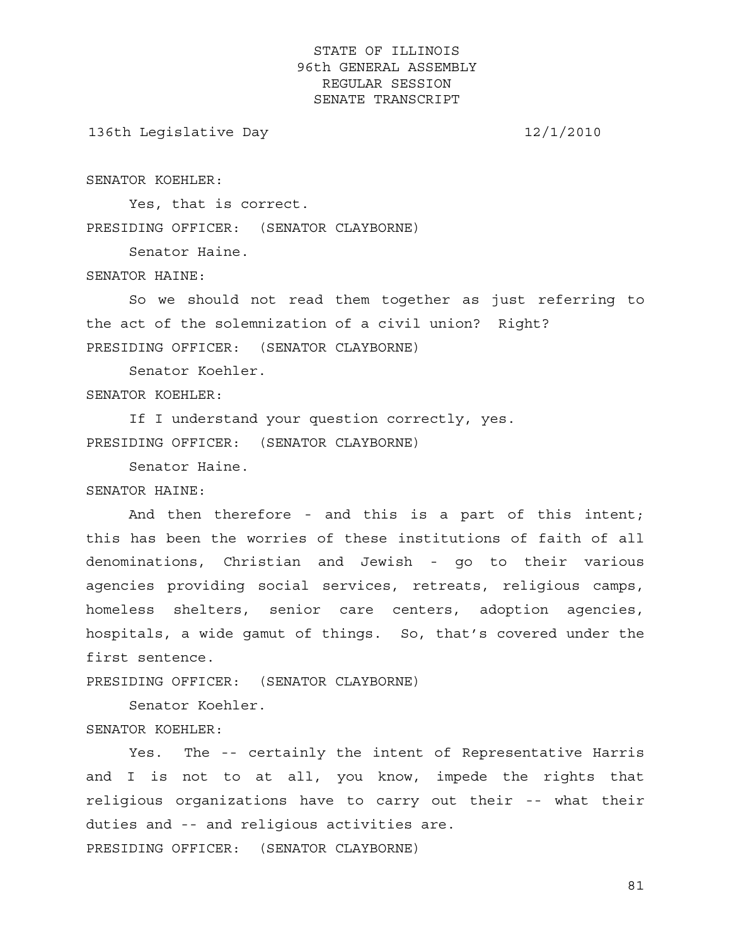136th Legislative Day 12/1/2010

SENATOR KOEHLER:

 Yes, that is correct. PRESIDING OFFICER: (SENATOR CLAYBORNE)

Senator Haine.

#### SENATOR HAINE:

 So we should not read them together as just referring to the act of the solemnization of a civil union? Right? PRESIDING OFFICER: (SENATOR CLAYBORNE)

Senator Koehler.

SENATOR KOEHLER:

 If I understand your question correctly, yes. PRESIDING OFFICER: (SENATOR CLAYBORNE)

Senator Haine.

SENATOR HAINE:

 And then therefore - and this is a part of this intent; this has been the worries of these institutions of faith of all denominations, Christian and Jewish - go to their various agencies providing social services, retreats, religious camps, homeless shelters, senior care centers, adoption agencies, hospitals, a wide gamut of things. So, that's covered under the first sentence.

PRESIDING OFFICER: (SENATOR CLAYBORNE)

 Senator Koehler. SENATOR KOEHLER:

 Yes. The -- certainly the intent of Representative Harris and I is not to at all, you know, impede the rights that religious organizations have to carry out their -- what their duties and -- and religious activities are. PRESIDING OFFICER: (SENATOR CLAYBORNE)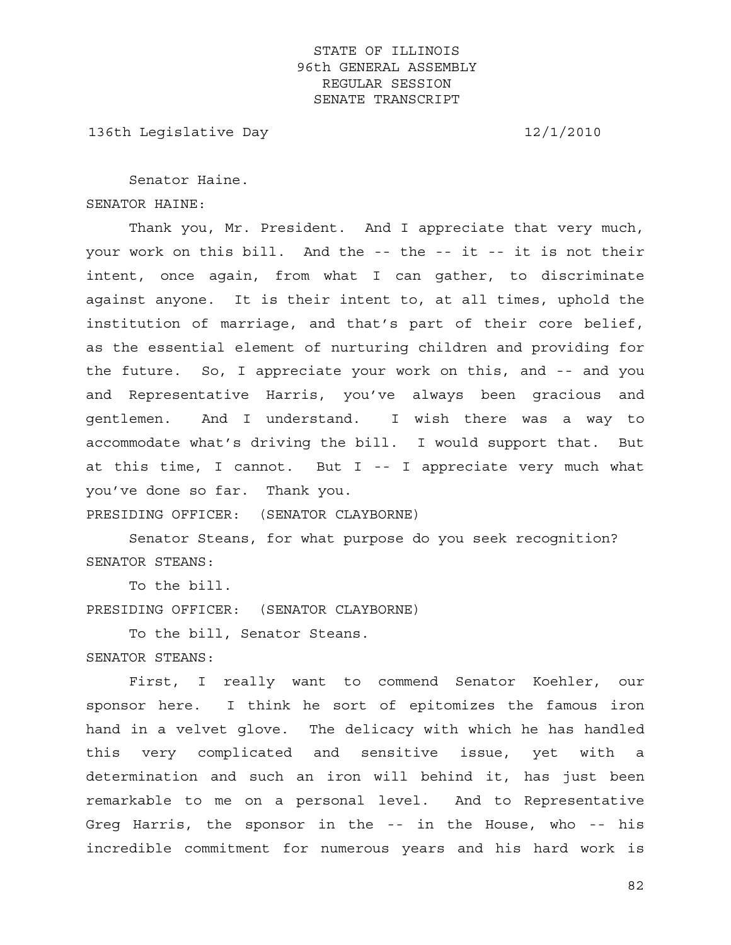136th Legislative Day 12/1/2010

 Senator Haine. SENATOR HAINE:

 Thank you, Mr. President. And I appreciate that very much, your work on this bill. And the -- the -- it -- it is not their intent, once again, from what I can gather, to discriminate against anyone. It is their intent to, at all times, uphold the institution of marriage, and that's part of their core belief, as the essential element of nurturing children and providing for the future. So, I appreciate your work on this, and -- and you and Representative Harris, you've always been gracious and gentlemen. And I understand. I wish there was a way to accommodate what's driving the bill. I would support that. But at this time, I cannot. But I -- I appreciate very much what you've done so far. Thank you.

PRESIDING OFFICER: (SENATOR CLAYBORNE)

 Senator Steans, for what purpose do you seek recognition? SENATOR STEANS:

To the bill.

PRESIDING OFFICER: (SENATOR CLAYBORNE)

 To the bill, Senator Steans. SENATOR STEANS:

 First, I really want to commend Senator Koehler, our sponsor here. I think he sort of epitomizes the famous iron hand in a velvet glove. The delicacy with which he has handled this very complicated and sensitive issue, yet with a determination and such an iron will behind it, has just been remarkable to me on a personal level. And to Representative Greg Harris, the sponsor in the -- in the House, who -- his incredible commitment for numerous years and his hard work is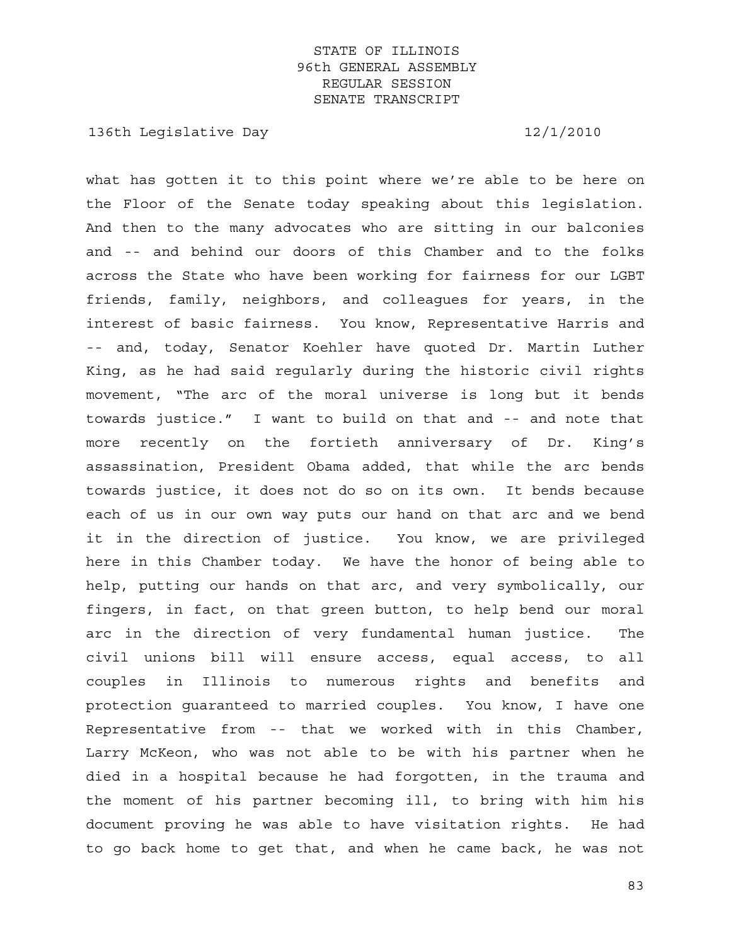136th Legislative Day 12/1/2010

what has gotten it to this point where we're able to be here on the Floor of the Senate today speaking about this legislation. And then to the many advocates who are sitting in our balconies and -- and behind our doors of this Chamber and to the folks across the State who have been working for fairness for our LGBT friends, family, neighbors, and colleagues for years, in the interest of basic fairness. You know, Representative Harris and -- and, today, Senator Koehler have quoted Dr. Martin Luther King, as he had said regularly during the historic civil rights movement, "The arc of the moral universe is long but it bends towards justice." I want to build on that and -- and note that more recently on the fortieth anniversary of Dr. King's assassination, President Obama added, that while the arc bends towards justice, it does not do so on its own. It bends because each of us in our own way puts our hand on that arc and we bend it in the direction of justice. You know, we are privileged here in this Chamber today. We have the honor of being able to help, putting our hands on that arc, and very symbolically, our fingers, in fact, on that green button, to help bend our moral arc in the direction of very fundamental human justice. The civil unions bill will ensure access, equal access, to all couples in Illinois to numerous rights and benefits and protection guaranteed to married couples. You know, I have one Representative from -- that we worked with in this Chamber, Larry McKeon, who was not able to be with his partner when he died in a hospital because he had forgotten, in the trauma and the moment of his partner becoming ill, to bring with him his document proving he was able to have visitation rights. He had to go back home to get that, and when he came back, he was not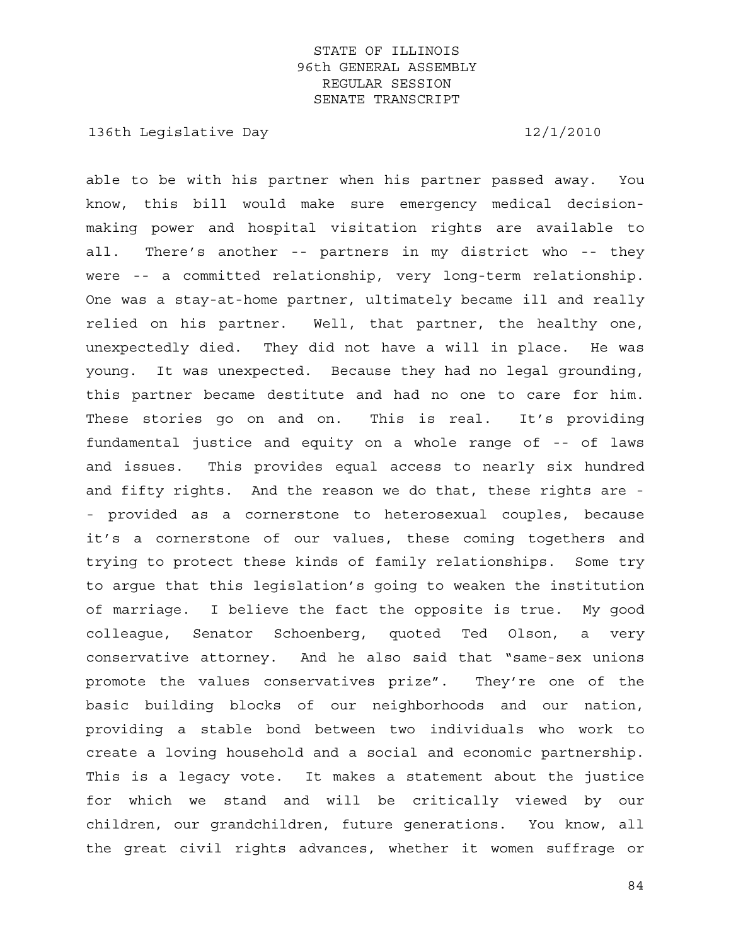136th Legislative Day 12/1/2010

able to be with his partner when his partner passed away. You know, this bill would make sure emergency medical decisionmaking power and hospital visitation rights are available to all. There's another -- partners in my district who -- they were -- a committed relationship, very long-term relationship. One was a stay-at-home partner, ultimately became ill and really relied on his partner. Well, that partner, the healthy one, unexpectedly died. They did not have a will in place. He was young. It was unexpected. Because they had no legal grounding, this partner became destitute and had no one to care for him. These stories go on and on. This is real. It's providing fundamental justice and equity on a whole range of -- of laws and issues. This provides equal access to nearly six hundred and fifty rights. And the reason we do that, these rights are - - provided as a cornerstone to heterosexual couples, because it's a cornerstone of our values, these coming togethers and trying to protect these kinds of family relationships. Some try to argue that this legislation's going to weaken the institution of marriage. I believe the fact the opposite is true. My good colleague, Senator Schoenberg, quoted Ted Olson, a very conservative attorney. And he also said that "same-sex unions promote the values conservatives prize". They're one of the basic building blocks of our neighborhoods and our nation, providing a stable bond between two individuals who work to create a loving household and a social and economic partnership. This is a legacy vote. It makes a statement about the justice for which we stand and will be critically viewed by our children, our grandchildren, future generations. You know, all the great civil rights advances, whether it women suffrage or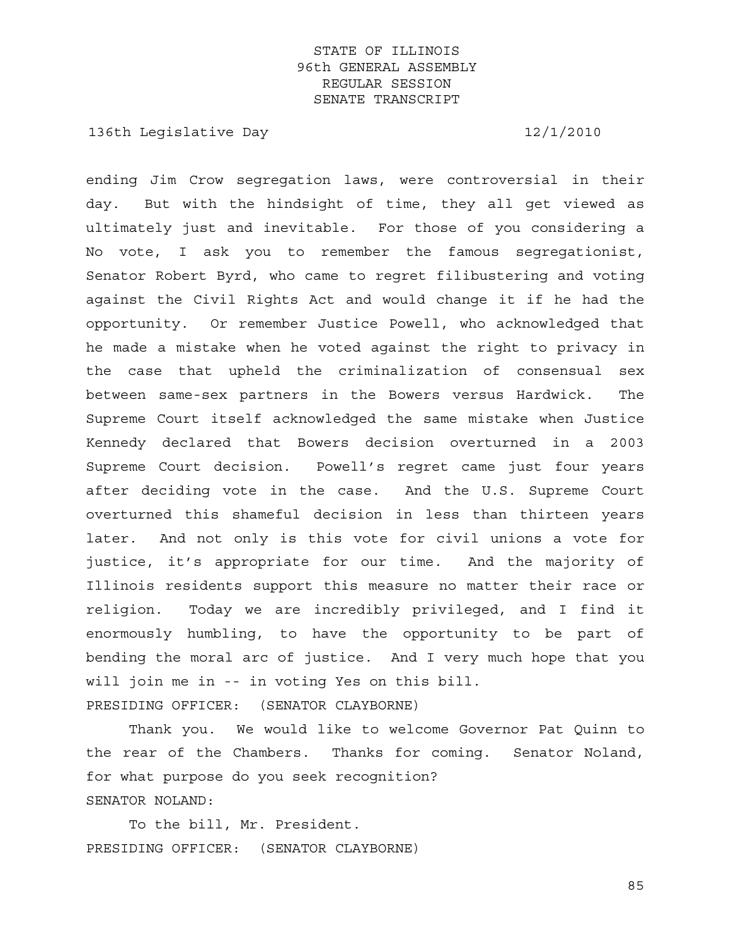136th Legislative Day 12/1/2010

ending Jim Crow segregation laws, were controversial in their day. But with the hindsight of time, they all get viewed as ultimately just and inevitable. For those of you considering a No vote, I ask you to remember the famous segregationist, Senator Robert Byrd, who came to regret filibustering and voting against the Civil Rights Act and would change it if he had the opportunity. Or remember Justice Powell, who acknowledged that he made a mistake when he voted against the right to privacy in the case that upheld the criminalization of consensual sex between same-sex partners in the Bowers versus Hardwick. The Supreme Court itself acknowledged the same mistake when Justice Kennedy declared that Bowers decision overturned in a 2003 Supreme Court decision. Powell's regret came just four years after deciding vote in the case. And the U.S. Supreme Court overturned this shameful decision in less than thirteen years later. And not only is this vote for civil unions a vote for justice, it's appropriate for our time. And the majority of Illinois residents support this measure no matter their race or religion. Today we are incredibly privileged, and I find it enormously humbling, to have the opportunity to be part of bending the moral arc of justice. And I very much hope that you will join me in -- in voting Yes on this bill.

PRESIDING OFFICER: (SENATOR CLAYBORNE)

 Thank you. We would like to welcome Governor Pat Quinn to the rear of the Chambers. Thanks for coming. Senator Noland, for what purpose do you seek recognition? SENATOR NOLAND:

 To the bill, Mr. President. PRESIDING OFFICER: (SENATOR CLAYBORNE)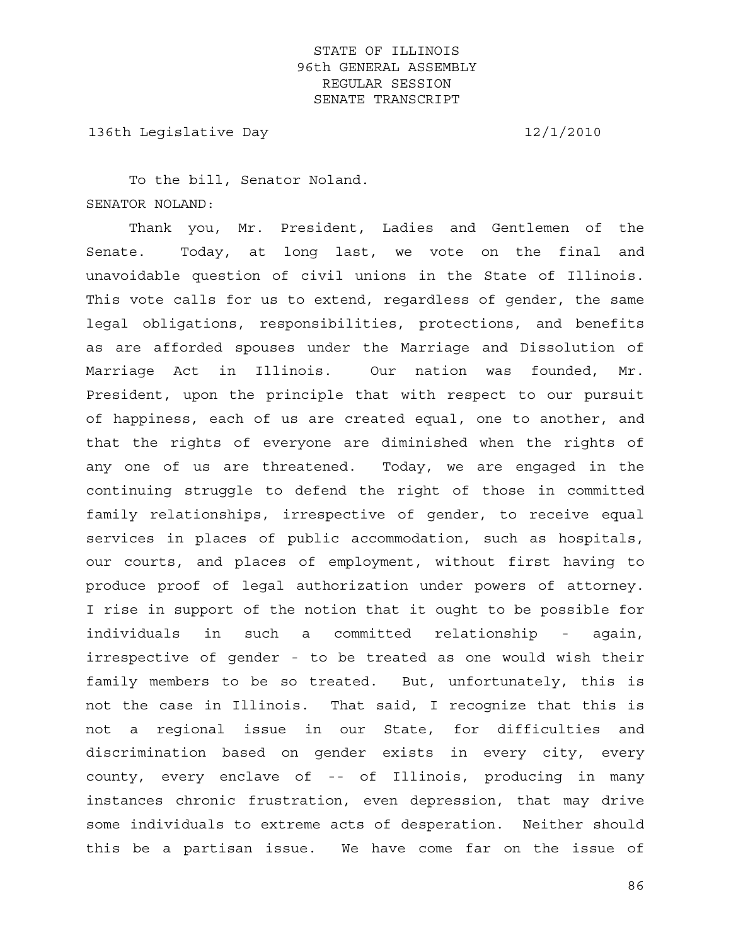136th Legislative Day 12/1/2010

 To the bill, Senator Noland. SENATOR NOLAND:

 Thank you, Mr. President, Ladies and Gentlemen of the Senate. Today, at long last, we vote on the final and unavoidable question of civil unions in the State of Illinois. This vote calls for us to extend, regardless of gender, the same legal obligations, responsibilities, protections, and benefits as are afforded spouses under the Marriage and Dissolution of Marriage Act in Illinois. Our nation was founded, Mr. President, upon the principle that with respect to our pursuit of happiness, each of us are created equal, one to another, and that the rights of everyone are diminished when the rights of any one of us are threatened. Today, we are engaged in the continuing struggle to defend the right of those in committed family relationships, irrespective of gender, to receive equal services in places of public accommodation, such as hospitals, our courts, and places of employment, without first having to produce proof of legal authorization under powers of attorney. I rise in support of the notion that it ought to be possible for individuals in such a committed relationship - again, irrespective of gender - to be treated as one would wish their family members to be so treated. But, unfortunately, this is not the case in Illinois. That said, I recognize that this is not a regional issue in our State, for difficulties and discrimination based on gender exists in every city, every county, every enclave of -- of Illinois, producing in many instances chronic frustration, even depression, that may drive some individuals to extreme acts of desperation. Neither should this be a partisan issue. We have come far on the issue of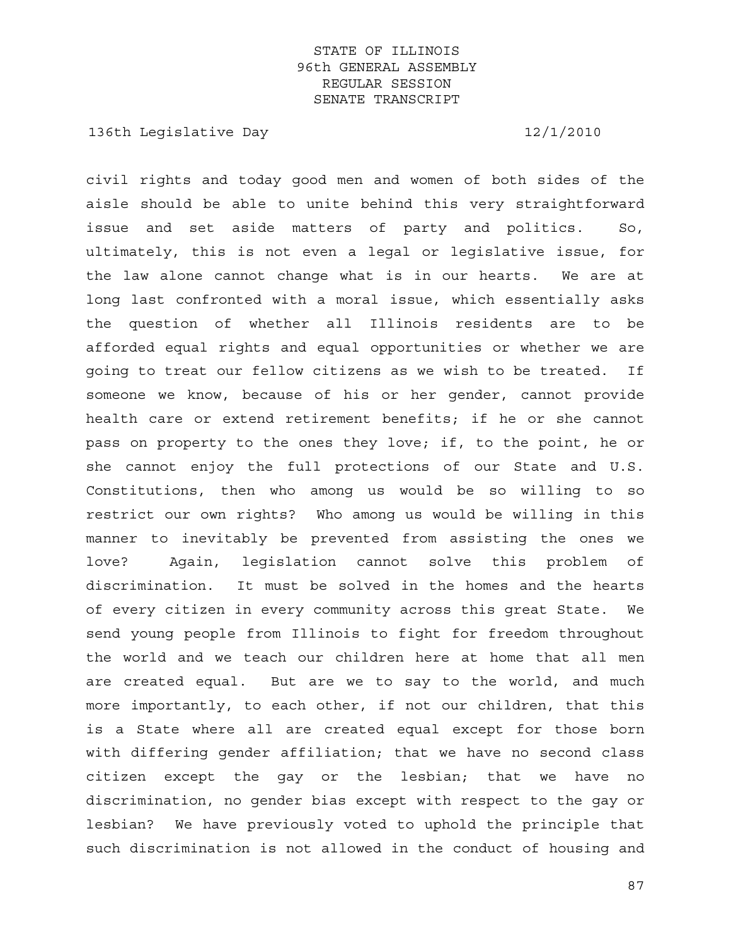136th Legislative Day 12/1/2010

civil rights and today good men and women of both sides of the aisle should be able to unite behind this very straightforward issue and set aside matters of party and politics. So, ultimately, this is not even a legal or legislative issue, for the law alone cannot change what is in our hearts. We are at long last confronted with a moral issue, which essentially asks the question of whether all Illinois residents are to be afforded equal rights and equal opportunities or whether we are going to treat our fellow citizens as we wish to be treated. If someone we know, because of his or her gender, cannot provide health care or extend retirement benefits; if he or she cannot pass on property to the ones they love; if, to the point, he or she cannot enjoy the full protections of our State and U.S. Constitutions, then who among us would be so willing to so restrict our own rights? Who among us would be willing in this manner to inevitably be prevented from assisting the ones we love? Again, legislation cannot solve this problem of discrimination. It must be solved in the homes and the hearts of every citizen in every community across this great State. We send young people from Illinois to fight for freedom throughout the world and we teach our children here at home that all men are created equal. But are we to say to the world, and much more importantly, to each other, if not our children, that this is a State where all are created equal except for those born with differing gender affiliation; that we have no second class citizen except the gay or the lesbian; that we have no discrimination, no gender bias except with respect to the gay or lesbian? We have previously voted to uphold the principle that such discrimination is not allowed in the conduct of housing and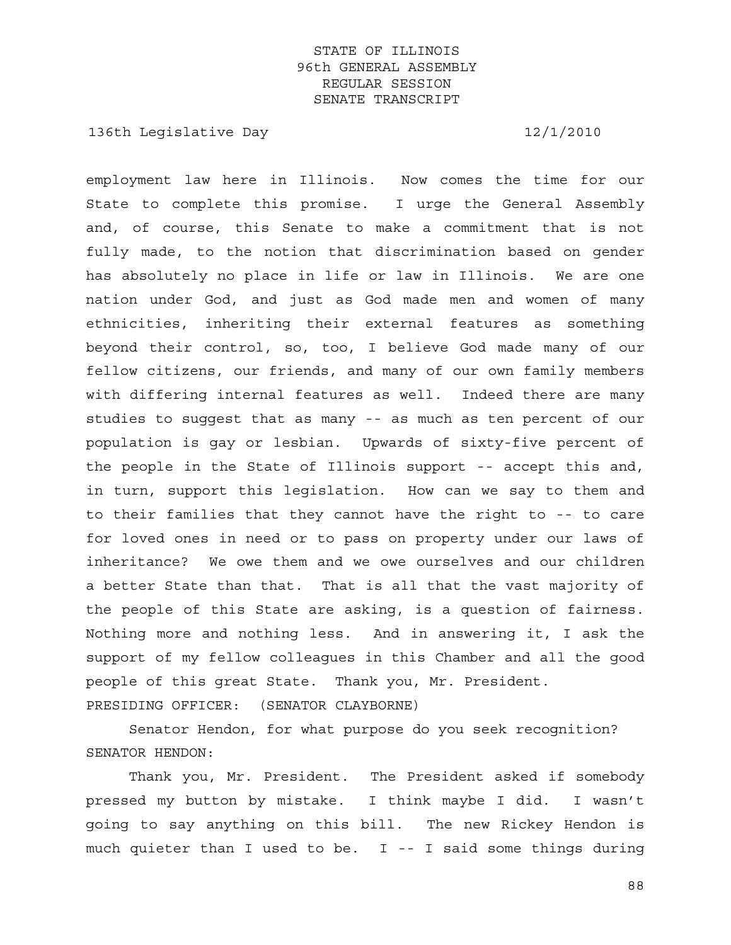136th Legislative Day 12/1/2010

employment law here in Illinois. Now comes the time for our State to complete this promise. I urge the General Assembly and, of course, this Senate to make a commitment that is not fully made, to the notion that discrimination based on gender has absolutely no place in life or law in Illinois. We are one nation under God, and just as God made men and women of many ethnicities, inheriting their external features as something beyond their control, so, too, I believe God made many of our fellow citizens, our friends, and many of our own family members with differing internal features as well. Indeed there are many studies to suggest that as many -- as much as ten percent of our population is gay or lesbian. Upwards of sixty-five percent of the people in the State of Illinois support -- accept this and, in turn, support this legislation. How can we say to them and to their families that they cannot have the right to -- to care for loved ones in need or to pass on property under our laws of inheritance? We owe them and we owe ourselves and our children a better State than that. That is all that the vast majority of the people of this State are asking, is a question of fairness. Nothing more and nothing less. And in answering it, I ask the support of my fellow colleagues in this Chamber and all the good people of this great State. Thank you, Mr. President. PRESIDING OFFICER: (SENATOR CLAYBORNE)

 Senator Hendon, for what purpose do you seek recognition? SENATOR HENDON:

 Thank you, Mr. President. The President asked if somebody pressed my button by mistake. I think maybe I did. I wasn't going to say anything on this bill. The new Rickey Hendon is much quieter than I used to be. I -- I said some things during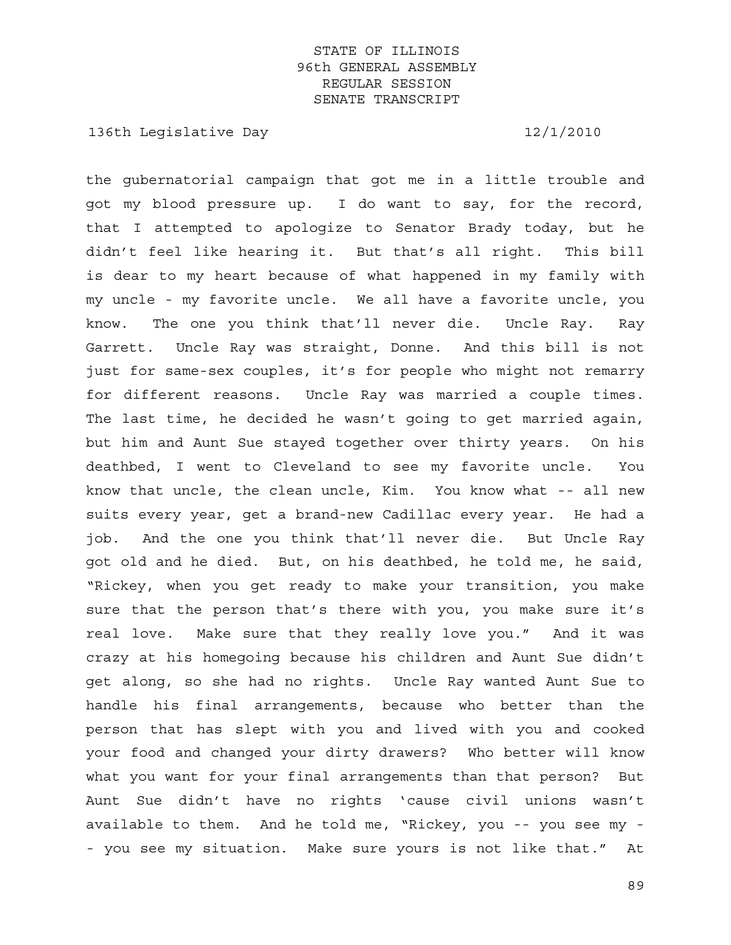136th Legislative Day 12/1/2010

the gubernatorial campaign that got me in a little trouble and got my blood pressure up. I do want to say, for the record, that I attempted to apologize to Senator Brady today, but he didn't feel like hearing it. But that's all right. This bill is dear to my heart because of what happened in my family with my uncle - my favorite uncle. We all have a favorite uncle, you know. The one you think that'll never die. Uncle Ray. Ray Garrett. Uncle Ray was straight, Donne. And this bill is not just for same-sex couples, it's for people who might not remarry for different reasons. Uncle Ray was married a couple times. The last time, he decided he wasn't going to get married again, but him and Aunt Sue stayed together over thirty years. On his deathbed, I went to Cleveland to see my favorite uncle. You know that uncle, the clean uncle, Kim. You know what -- all new suits every year, get a brand-new Cadillac every year. He had a job. And the one you think that'll never die. But Uncle Ray got old and he died. But, on his deathbed, he told me, he said, "Rickey, when you get ready to make your transition, you make sure that the person that's there with you, you make sure it's real love. Make sure that they really love you." And it was crazy at his homegoing because his children and Aunt Sue didn't get along, so she had no rights. Uncle Ray wanted Aunt Sue to handle his final arrangements, because who better than the person that has slept with you and lived with you and cooked your food and changed your dirty drawers? Who better will know what you want for your final arrangements than that person? But Aunt Sue didn't have no rights 'cause civil unions wasn't available to them. And he told me, "Rickey, you -- you see my - - you see my situation. Make sure yours is not like that." At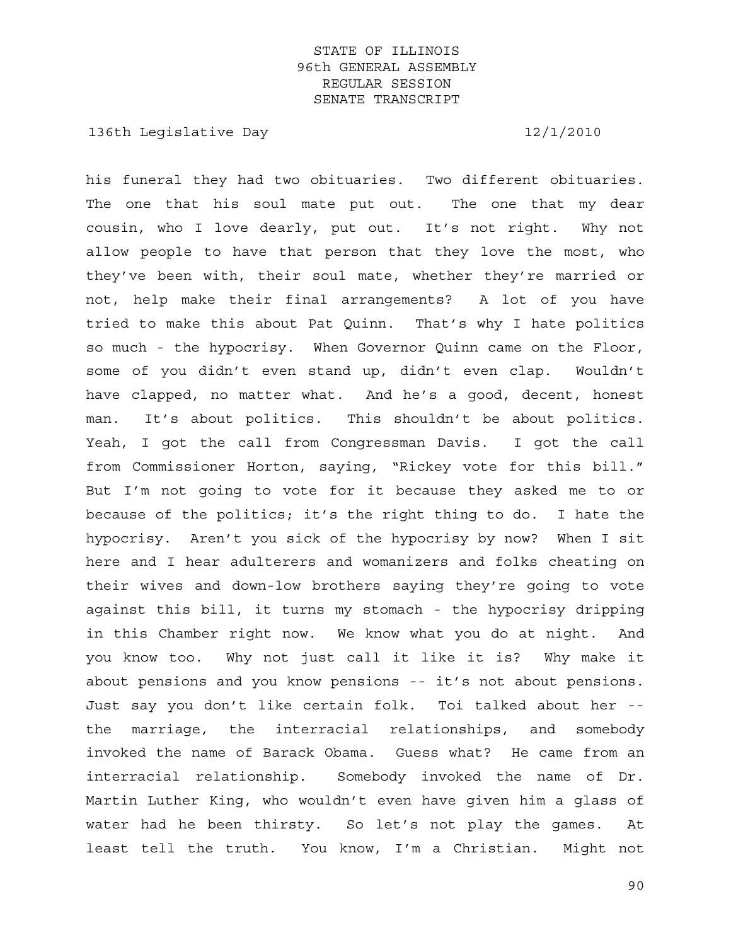136th Legislative Day 12/1/2010

his funeral they had two obituaries. Two different obituaries. The one that his soul mate put out. The one that my dear cousin, who I love dearly, put out. It's not right. Why not allow people to have that person that they love the most, who they've been with, their soul mate, whether they're married or not, help make their final arrangements? A lot of you have tried to make this about Pat Quinn. That's why I hate politics so much - the hypocrisy. When Governor Quinn came on the Floor, some of you didn't even stand up, didn't even clap. Wouldn't have clapped, no matter what. And he's a good, decent, honest man. It's about politics. This shouldn't be about politics. Yeah, I got the call from Congressman Davis. I got the call from Commissioner Horton, saying, "Rickey vote for this bill." But I'm not going to vote for it because they asked me to or because of the politics; it's the right thing to do. I hate the hypocrisy. Aren't you sick of the hypocrisy by now? When I sit here and I hear adulterers and womanizers and folks cheating on their wives and down-low brothers saying they're going to vote against this bill, it turns my stomach - the hypocrisy dripping in this Chamber right now. We know what you do at night. And you know too. Why not just call it like it is? Why make it about pensions and you know pensions -- it's not about pensions. Just say you don't like certain folk. Toi talked about her - the marriage, the interracial relationships, and somebody invoked the name of Barack Obama. Guess what? He came from an interracial relationship. Somebody invoked the name of Dr. Martin Luther King, who wouldn't even have given him a glass of water had he been thirsty. So let's not play the games. At least tell the truth. You know, I'm a Christian. Might not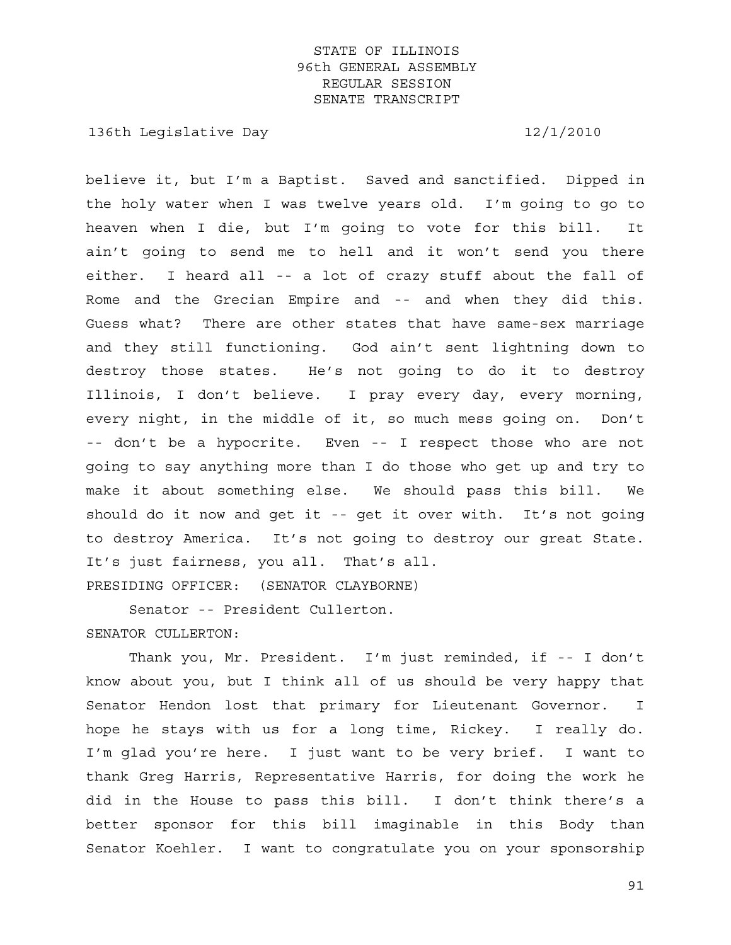136th Legislative Day 12/1/2010

believe it, but I'm a Baptist. Saved and sanctified. Dipped in the holy water when I was twelve years old. I'm going to go to heaven when I die, but I'm going to vote for this bill. It ain't going to send me to hell and it won't send you there either. I heard all -- a lot of crazy stuff about the fall of Rome and the Grecian Empire and -- and when they did this. Guess what? There are other states that have same-sex marriage and they still functioning. God ain't sent lightning down to destroy those states. He's not going to do it to destroy Illinois, I don't believe. I pray every day, every morning, every night, in the middle of it, so much mess going on. Don't -- don't be a hypocrite. Even -- I respect those who are not going to say anything more than I do those who get up and try to make it about something else. We should pass this bill. We should do it now and get it -- get it over with. It's not going to destroy America. It's not going to destroy our great State. It's just fairness, you all. That's all. PRESIDING OFFICER: (SENATOR CLAYBORNE)

 Senator -- President Cullerton. SENATOR CULLERTON:

 Thank you, Mr. President. I'm just reminded, if -- I don't know about you, but I think all of us should be very happy that Senator Hendon lost that primary for Lieutenant Governor. I hope he stays with us for a long time, Rickey. I really do. I'm glad you're here. I just want to be very brief. I want to thank Greg Harris, Representative Harris, for doing the work he did in the House to pass this bill. I don't think there's a better sponsor for this bill imaginable in this Body than Senator Koehler. I want to congratulate you on your sponsorship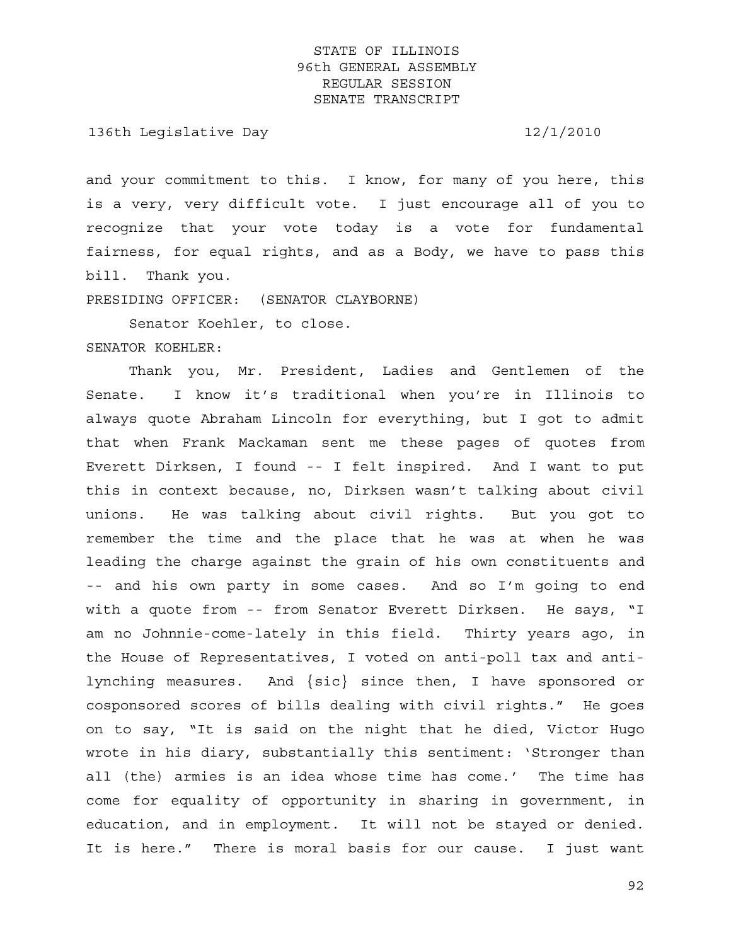136th Legislative Day 12/1/2010

and your commitment to this. I know, for many of you here, this is a very, very difficult vote. I just encourage all of you to recognize that your vote today is a vote for fundamental fairness, for equal rights, and as a Body, we have to pass this bill. Thank you.

PRESIDING OFFICER: (SENATOR CLAYBORNE)

Senator Koehler, to close.

#### SENATOR KOEHLER:

 Thank you, Mr. President, Ladies and Gentlemen of the Senate. I know it's traditional when you're in Illinois to always quote Abraham Lincoln for everything, but I got to admit that when Frank Mackaman sent me these pages of quotes from Everett Dirksen, I found -- I felt inspired. And I want to put this in context because, no, Dirksen wasn't talking about civil unions. He was talking about civil rights. But you got to remember the time and the place that he was at when he was leading the charge against the grain of his own constituents and -- and his own party in some cases. And so I'm going to end with a quote from -- from Senator Everett Dirksen. He says, "I am no Johnnie-come-lately in this field. Thirty years ago, in the House of Representatives, I voted on anti-poll tax and antilynching measures. And {sic} since then, I have sponsored or cosponsored scores of bills dealing with civil rights." He goes on to say, "It is said on the night that he died, Victor Hugo wrote in his diary, substantially this sentiment: 'Stronger than all (the) armies is an idea whose time has come.' The time has come for equality of opportunity in sharing in government, in education, and in employment. It will not be stayed or denied. It is here." There is moral basis for our cause. I just want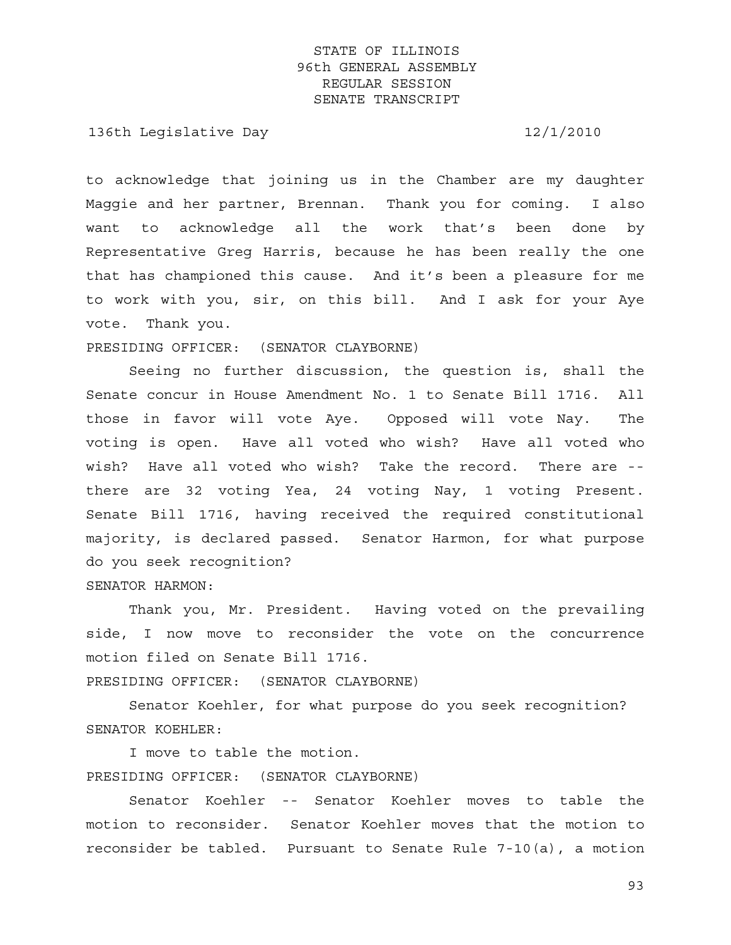136th Legislative Day 12/1/2010

to acknowledge that joining us in the Chamber are my daughter Maggie and her partner, Brennan. Thank you for coming. I also want to acknowledge all the work that's been done by Representative Greg Harris, because he has been really the one that has championed this cause. And it's been a pleasure for me to work with you, sir, on this bill. And I ask for your Aye vote. Thank you.

PRESIDING OFFICER: (SENATOR CLAYBORNE)

 Seeing no further discussion, the question is, shall the Senate concur in House Amendment No. 1 to Senate Bill 1716. All those in favor will vote Aye. Opposed will vote Nay. The voting is open. Have all voted who wish? Have all voted who wish? Have all voted who wish? Take the record. There are - there are 32 voting Yea, 24 voting Nay, 1 voting Present. Senate Bill 1716, having received the required constitutional majority, is declared passed. Senator Harmon, for what purpose do you seek recognition?

SENATOR HARMON:

 Thank you, Mr. President. Having voted on the prevailing side, I now move to reconsider the vote on the concurrence motion filed on Senate Bill 1716.

PRESIDING OFFICER: (SENATOR CLAYBORNE)

 Senator Koehler, for what purpose do you seek recognition? SENATOR KOEHLER:

 I move to table the motion. PRESIDING OFFICER: (SENATOR CLAYBORNE)

 Senator Koehler -- Senator Koehler moves to table the motion to reconsider. Senator Koehler moves that the motion to reconsider be tabled. Pursuant to Senate Rule 7-10(a), a motion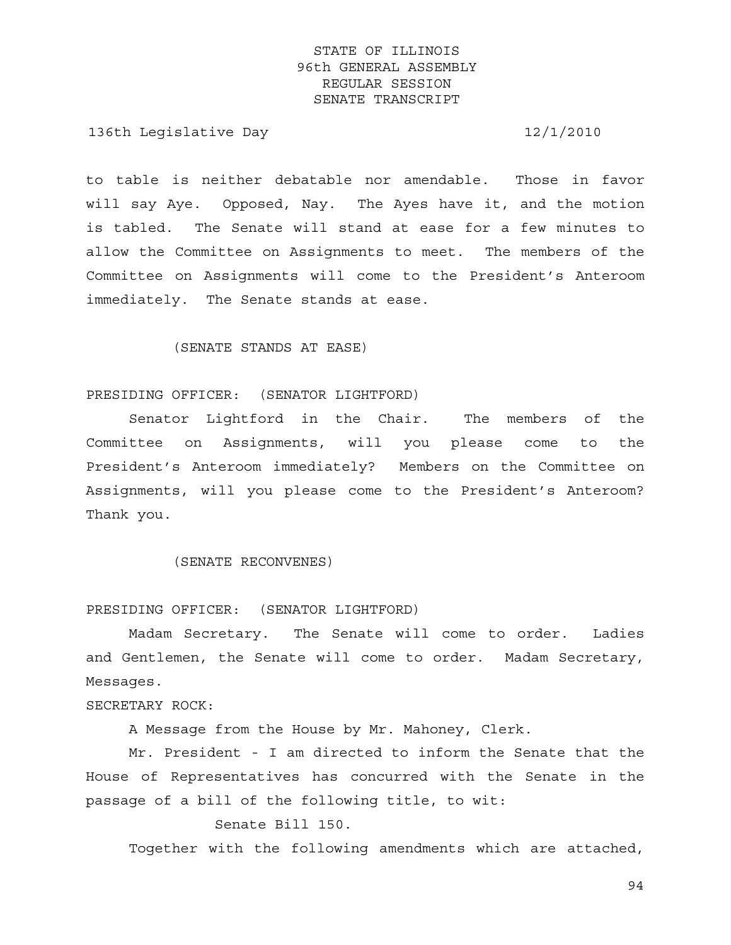136th Legislative Day 12/1/2010

to table is neither debatable nor amendable. Those in favor will say Aye. Opposed, Nay. The Ayes have it, and the motion is tabled. The Senate will stand at ease for a few minutes to allow the Committee on Assignments to meet. The members of the Committee on Assignments will come to the President's Anteroom immediately. The Senate stands at ease.

#### (SENATE STANDS AT EASE)

#### PRESIDING OFFICER: (SENATOR LIGHTFORD)

 Senator Lightford in the Chair. The members of the Committee on Assignments, will you please come to the President's Anteroom immediately? Members on the Committee on Assignments, will you please come to the President's Anteroom? Thank you.

#### (SENATE RECONVENES)

#### PRESIDING OFFICER: (SENATOR LIGHTFORD)

 Madam Secretary. The Senate will come to order. Ladies and Gentlemen, the Senate will come to order. Madam Secretary, Messages.

#### SECRETARY ROCK:

A Message from the House by Mr. Mahoney, Clerk.

 Mr. President - I am directed to inform the Senate that the House of Representatives has concurred with the Senate in the passage of a bill of the following title, to wit:

#### Senate Bill 150.

Together with the following amendments which are attached,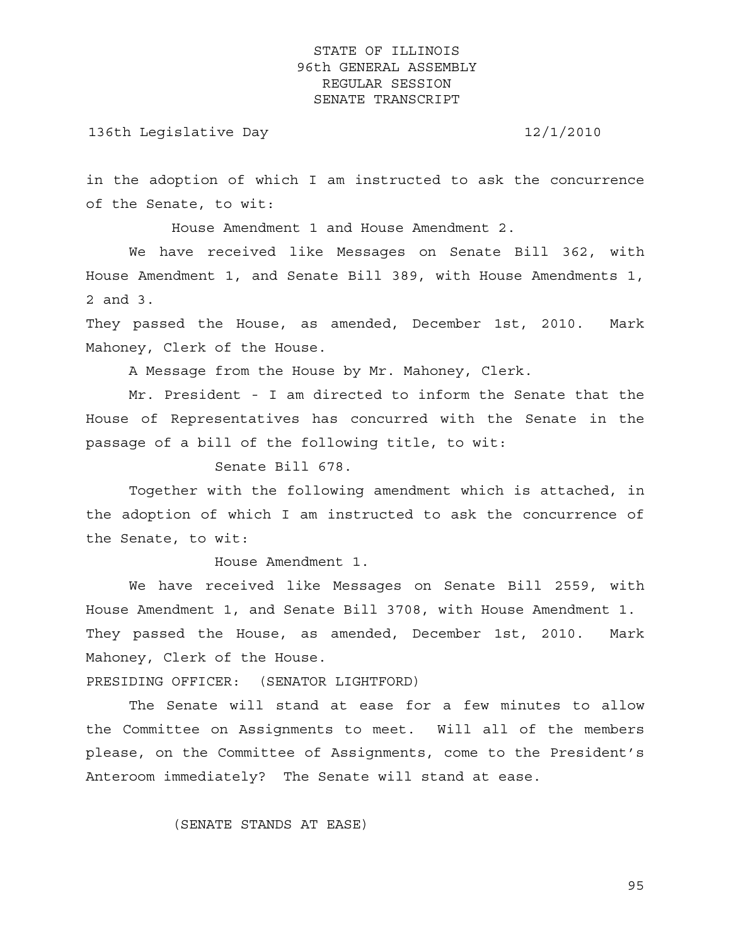#### 136th Legislative Day 12/1/2010

in the adoption of which I am instructed to ask the concurrence of the Senate, to wit:

House Amendment 1 and House Amendment 2.

 We have received like Messages on Senate Bill 362, with House Amendment 1, and Senate Bill 389, with House Amendments 1, 2 and 3.

They passed the House, as amended, December 1st, 2010. Mark Mahoney, Clerk of the House.

A Message from the House by Mr. Mahoney, Clerk.

 Mr. President - I am directed to inform the Senate that the House of Representatives has concurred with the Senate in the passage of a bill of the following title, to wit:

Senate Bill 678.

 Together with the following amendment which is attached, in the adoption of which I am instructed to ask the concurrence of the Senate, to wit:

House Amendment 1.

 We have received like Messages on Senate Bill 2559, with House Amendment 1, and Senate Bill 3708, with House Amendment 1. They passed the House, as amended, December 1st, 2010. Mark Mahoney, Clerk of the House.

PRESIDING OFFICER: (SENATOR LIGHTFORD)

 The Senate will stand at ease for a few minutes to allow the Committee on Assignments to meet. Will all of the members please, on the Committee of Assignments, come to the President's Anteroom immediately? The Senate will stand at ease.

(SENATE STANDS AT EASE)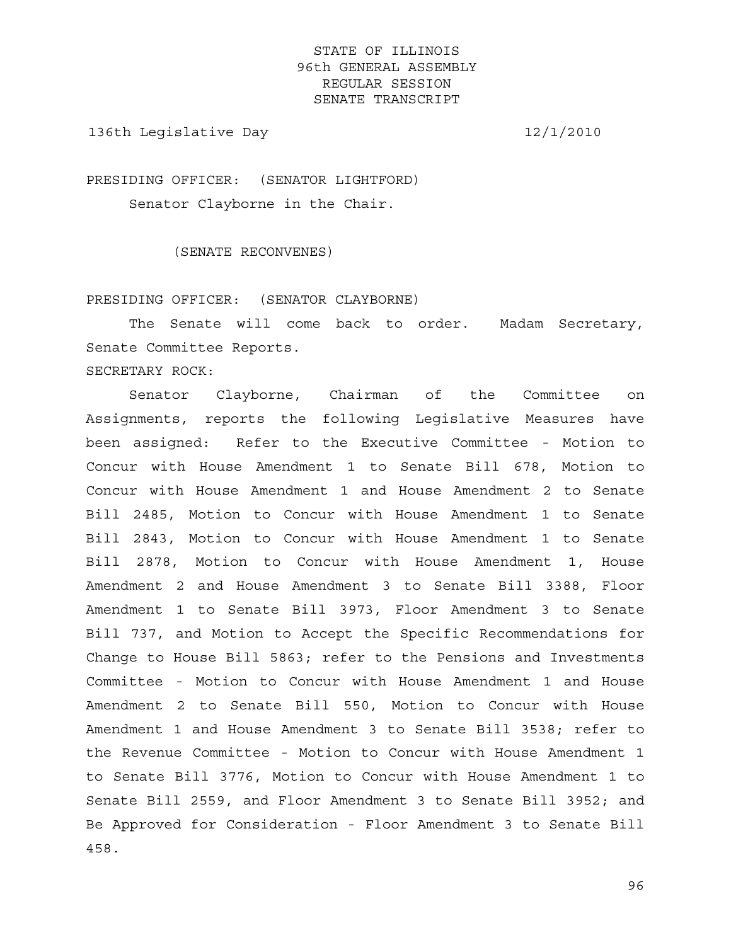136th Legislative Day 12/1/2010

PRESIDING OFFICER: (SENATOR LIGHTFORD) Senator Clayborne in the Chair.

(SENATE RECONVENES)

PRESIDING OFFICER: (SENATOR CLAYBORNE)

 The Senate will come back to order. Madam Secretary, Senate Committee Reports.

SECRETARY ROCK:

 Senator Clayborne, Chairman of the Committee on Assignments, reports the following Legislative Measures have been assigned: Refer to the Executive Committee - Motion to Concur with House Amendment 1 to Senate Bill 678, Motion to Concur with House Amendment 1 and House Amendment 2 to Senate Bill 2485, Motion to Concur with House Amendment 1 to Senate Bill 2843, Motion to Concur with House Amendment 1 to Senate Bill 2878, Motion to Concur with House Amendment 1, House Amendment 2 and House Amendment 3 to Senate Bill 3388, Floor Amendment 1 to Senate Bill 3973, Floor Amendment 3 to Senate Bill 737, and Motion to Accept the Specific Recommendations for Change to House Bill 5863; refer to the Pensions and Investments Committee - Motion to Concur with House Amendment 1 and House Amendment 2 to Senate Bill 550, Motion to Concur with House Amendment 1 and House Amendment 3 to Senate Bill 3538; refer to the Revenue Committee - Motion to Concur with House Amendment 1 to Senate Bill 3776, Motion to Concur with House Amendment 1 to Senate Bill 2559, and Floor Amendment 3 to Senate Bill 3952; and Be Approved for Consideration - Floor Amendment 3 to Senate Bill 458.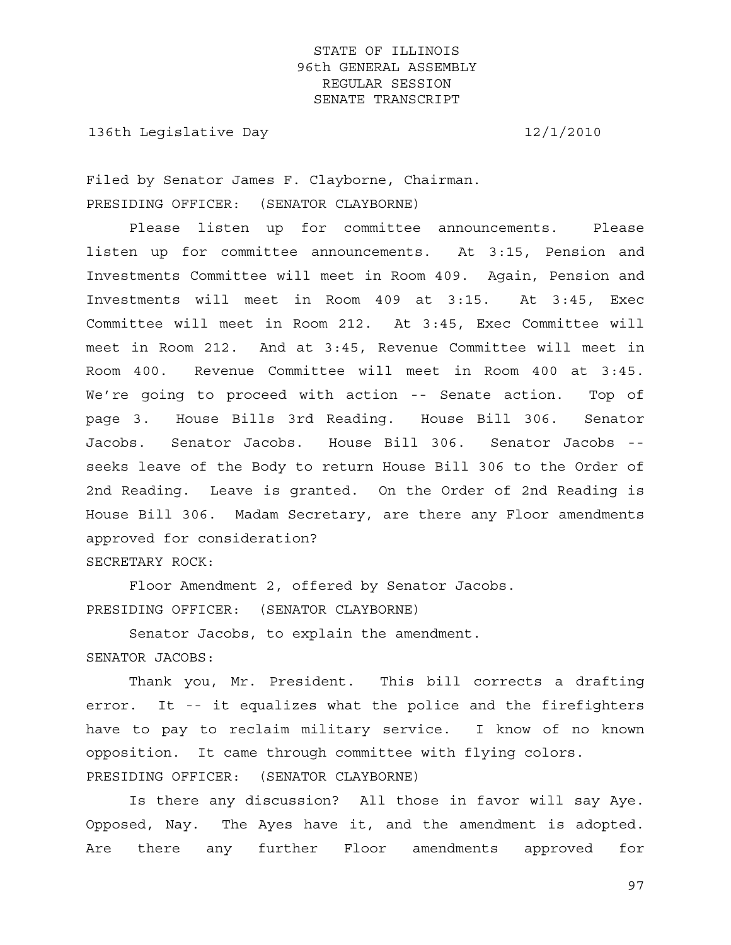136th Legislative Day 12/1/2010

Filed by Senator James F. Clayborne, Chairman. PRESIDING OFFICER: (SENATOR CLAYBORNE)

 Please listen up for committee announcements. Please listen up for committee announcements. At 3:15, Pension and Investments Committee will meet in Room 409. Again, Pension and Investments will meet in Room 409 at 3:15. At 3:45, Exec Committee will meet in Room 212. At 3:45, Exec Committee will meet in Room 212. And at 3:45, Revenue Committee will meet in Room 400. Revenue Committee will meet in Room 400 at 3:45. We're going to proceed with action -- Senate action. Top of page 3. House Bills 3rd Reading. House Bill 306. Senator Jacobs. Senator Jacobs. House Bill 306. Senator Jacobs - seeks leave of the Body to return House Bill 306 to the Order of 2nd Reading. Leave is granted. On the Order of 2nd Reading is House Bill 306. Madam Secretary, are there any Floor amendments approved for consideration? SECRETARY ROCK:

 Floor Amendment 2, offered by Senator Jacobs. PRESIDING OFFICER: (SENATOR CLAYBORNE)

 Senator Jacobs, to explain the amendment. SENATOR JACOBS:

 Thank you, Mr. President. This bill corrects a drafting error. It -- it equalizes what the police and the firefighters have to pay to reclaim military service. I know of no known opposition. It came through committee with flying colors. PRESIDING OFFICER: (SENATOR CLAYBORNE)

 Is there any discussion? All those in favor will say Aye. Opposed, Nay. The Ayes have it, and the amendment is adopted. Are there any further Floor amendments approved for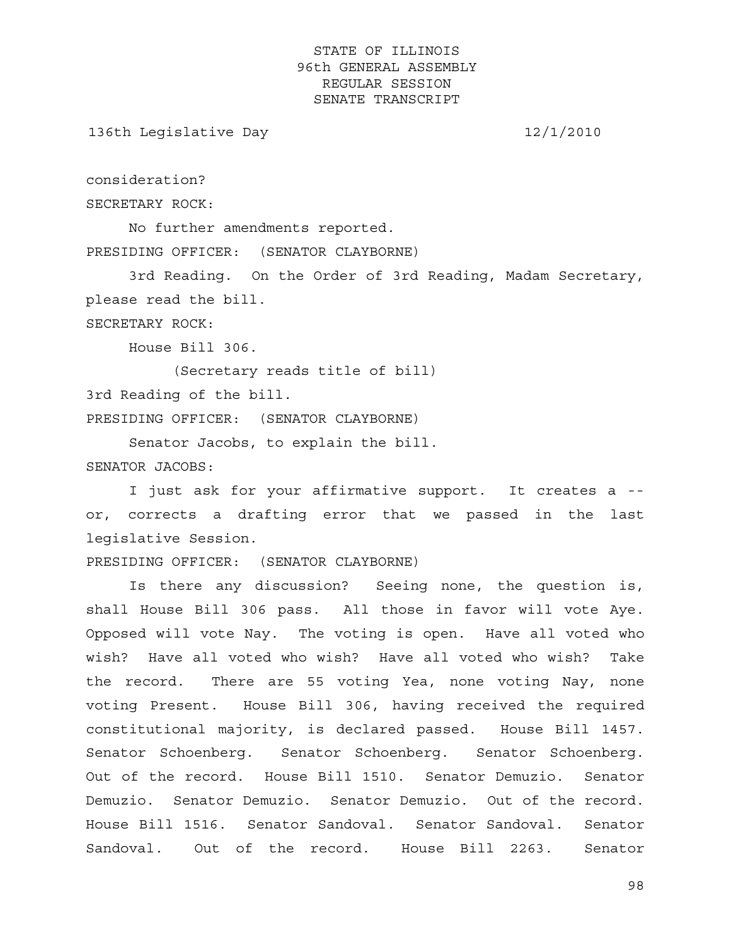136th Legislative Day 12/1/2010

consideration?

SECRETARY ROCK:

 No further amendments reported. PRESIDING OFFICER: (SENATOR CLAYBORNE)

 3rd Reading. On the Order of 3rd Reading, Madam Secretary, please read the bill.

SECRETARY ROCK:

House Bill 306.

 (Secretary reads title of bill) 3rd Reading of the bill. PRESIDING OFFICER: (SENATOR CLAYBORNE)

 Senator Jacobs, to explain the bill. SENATOR JACOBS:

 I just ask for your affirmative support. It creates a - or, corrects a drafting error that we passed in the last legislative Session.

PRESIDING OFFICER: (SENATOR CLAYBORNE)

 Is there any discussion? Seeing none, the question is, shall House Bill 306 pass. All those in favor will vote Aye. Opposed will vote Nay. The voting is open. Have all voted who wish? Have all voted who wish? Have all voted who wish? Take the record. There are 55 voting Yea, none voting Nay, none voting Present. House Bill 306, having received the required constitutional majority, is declared passed. House Bill 1457. Senator Schoenberg. Senator Schoenberg. Senator Schoenberg. Out of the record. House Bill 1510. Senator Demuzio. Senator Demuzio. Senator Demuzio. Senator Demuzio. Out of the record. House Bill 1516. Senator Sandoval. Senator Sandoval. Senator Sandoval. Out of the record. House Bill 2263. Senator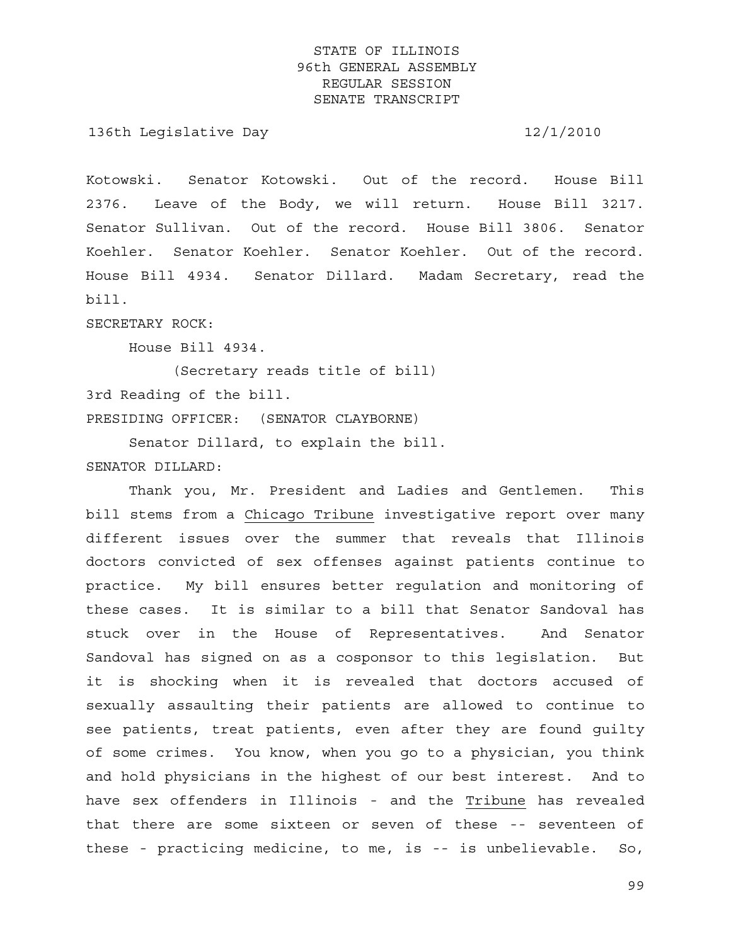136th Legislative Day 12/1/2010

Kotowski. Senator Kotowski. Out of the record. House Bill 2376. Leave of the Body, we will return. House Bill 3217. Senator Sullivan. Out of the record. House Bill 3806. Senator Koehler. Senator Koehler. Senator Koehler. Out of the record. House Bill 4934. Senator Dillard. Madam Secretary, read the bill.

SECRETARY ROCK:

House Bill 4934.

 (Secretary reads title of bill) 3rd Reading of the bill. PRESIDING OFFICER: (SENATOR CLAYBORNE)

 Senator Dillard, to explain the bill. SENATOR DILLARD:

 Thank you, Mr. President and Ladies and Gentlemen. This bill stems from a Chicago Tribune investigative report over many different issues over the summer that reveals that Illinois doctors convicted of sex offenses against patients continue to practice. My bill ensures better regulation and monitoring of these cases. It is similar to a bill that Senator Sandoval has stuck over in the House of Representatives. And Senator Sandoval has signed on as a cosponsor to this legislation. But it is shocking when it is revealed that doctors accused of sexually assaulting their patients are allowed to continue to see patients, treat patients, even after they are found guilty of some crimes. You know, when you go to a physician, you think and hold physicians in the highest of our best interest. And to have sex offenders in Illinois - and the Tribune has revealed that there are some sixteen or seven of these -- seventeen of these - practicing medicine, to me, is -- is unbelievable. So,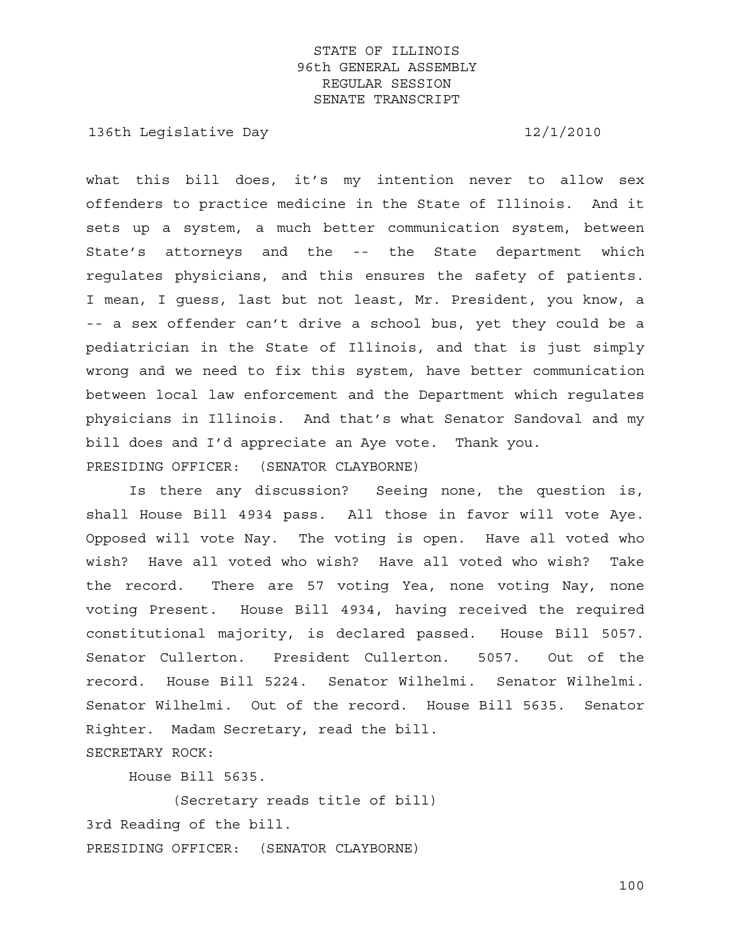136th Legislative Day 12/1/2010

what this bill does, it's my intention never to allow sex offenders to practice medicine in the State of Illinois. And it sets up a system, a much better communication system, between State's attorneys and the -- the State department which regulates physicians, and this ensures the safety of patients. I mean, I guess, last but not least, Mr. President, you know, a -- a sex offender can't drive a school bus, yet they could be a pediatrician in the State of Illinois, and that is just simply wrong and we need to fix this system, have better communication between local law enforcement and the Department which regulates physicians in Illinois. And that's what Senator Sandoval and my bill does and I'd appreciate an Aye vote. Thank you. PRESIDING OFFICER: (SENATOR CLAYBORNE)

 Is there any discussion? Seeing none, the question is, shall House Bill 4934 pass. All those in favor will vote Aye. Opposed will vote Nay. The voting is open. Have all voted who wish? Have all voted who wish? Have all voted who wish? Take the record. There are 57 voting Yea, none voting Nay, none voting Present. House Bill 4934, having received the required constitutional majority, is declared passed. House Bill 5057. Senator Cullerton. President Cullerton. 5057. Out of the record. House Bill 5224. Senator Wilhelmi. Senator Wilhelmi. Senator Wilhelmi. Out of the record. House Bill 5635. Senator Righter. Madam Secretary, read the bill. SECRETARY ROCK:

House Bill 5635.

 (Secretary reads title of bill) 3rd Reading of the bill. PRESIDING OFFICER: (SENATOR CLAYBORNE)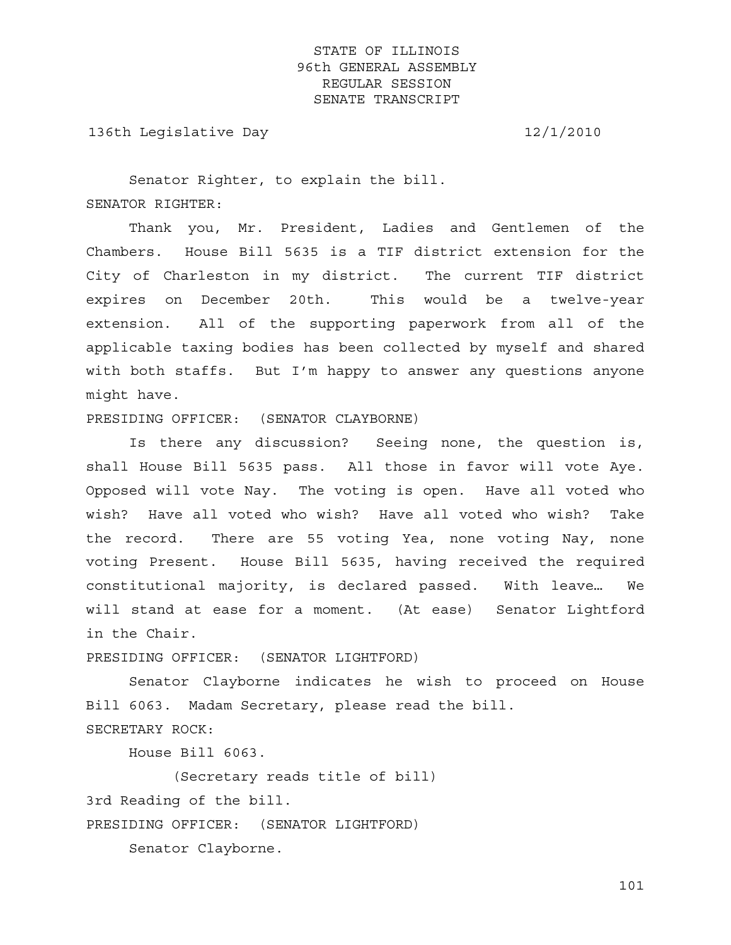136th Legislative Day 12/1/2010

 Senator Righter, to explain the bill. SENATOR RIGHTER:

 Thank you, Mr. President, Ladies and Gentlemen of the Chambers. House Bill 5635 is a TIF district extension for the City of Charleston in my district. The current TIF district expires on December 20th. This would be a twelve-year extension. All of the supporting paperwork from all of the applicable taxing bodies has been collected by myself and shared with both staffs. But I'm happy to answer any questions anyone might have.

PRESIDING OFFICER: (SENATOR CLAYBORNE)

 Is there any discussion? Seeing none, the question is, shall House Bill 5635 pass. All those in favor will vote Aye. Opposed will vote Nay. The voting is open. Have all voted who wish? Have all voted who wish? Have all voted who wish? Take the record. There are 55 voting Yea, none voting Nay, none voting Present. House Bill 5635, having received the required constitutional majority, is declared passed. With leave… We will stand at ease for a moment. (At ease) Senator Lightford in the Chair.

PRESIDING OFFICER: (SENATOR LIGHTFORD)

 Senator Clayborne indicates he wish to proceed on House Bill 6063. Madam Secretary, please read the bill. SECRETARY ROCK:

House Bill 6063.

 (Secretary reads title of bill) 3rd Reading of the bill. PRESIDING OFFICER: (SENATOR LIGHTFORD)

Senator Clayborne.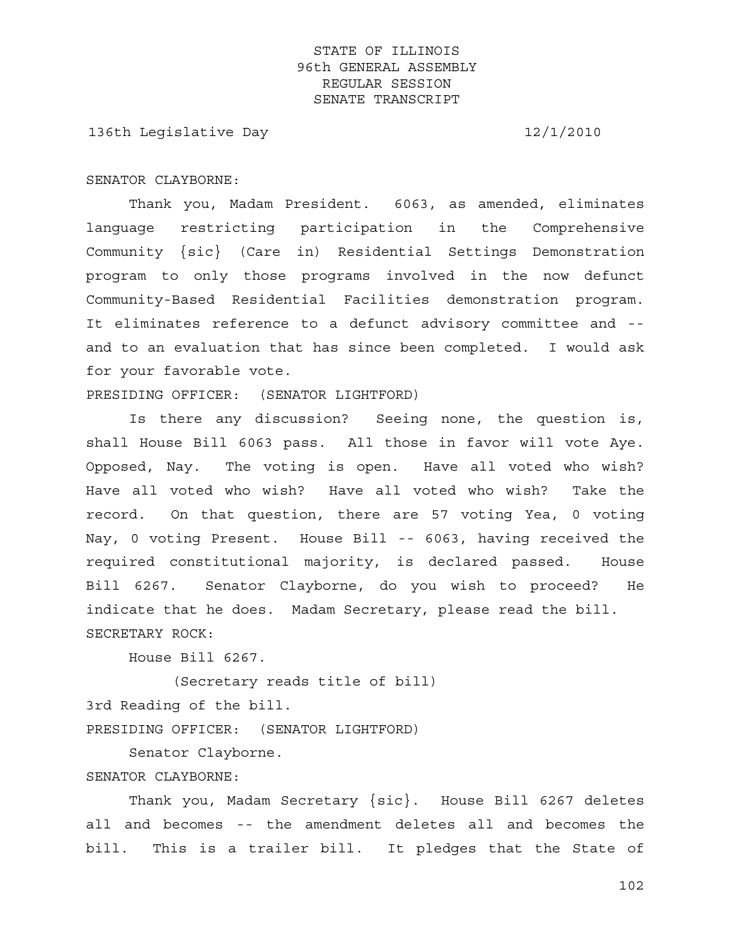136th Legislative Day 12/1/2010

#### SENATOR CLAYBORNE:

 Thank you, Madam President. 6063, as amended, eliminates language restricting participation in the Comprehensive Community {sic} (Care in) Residential Settings Demonstration program to only those programs involved in the now defunct Community-Based Residential Facilities demonstration program. It eliminates reference to a defunct advisory committee and - and to an evaluation that has since been completed. I would ask for your favorable vote.

PRESIDING OFFICER: (SENATOR LIGHTFORD)

 Is there any discussion? Seeing none, the question is, shall House Bill 6063 pass. All those in favor will vote Aye. Opposed, Nay. The voting is open. Have all voted who wish? Have all voted who wish? Have all voted who wish? Take the record. On that question, there are 57 voting Yea, 0 voting Nay, 0 voting Present. House Bill -- 6063, having received the required constitutional majority, is declared passed. House Bill 6267. Senator Clayborne, do you wish to proceed? He indicate that he does. Madam Secretary, please read the bill. SECRETARY ROCK:

House Bill 6267.

 (Secretary reads title of bill) 3rd Reading of the bill. PRESIDING OFFICER: (SENATOR LIGHTFORD)

Senator Clayborne.

#### SENATOR CLAYBORNE:

 Thank you, Madam Secretary {sic}. House Bill 6267 deletes all and becomes -- the amendment deletes all and becomes the bill. This is a trailer bill. It pledges that the State of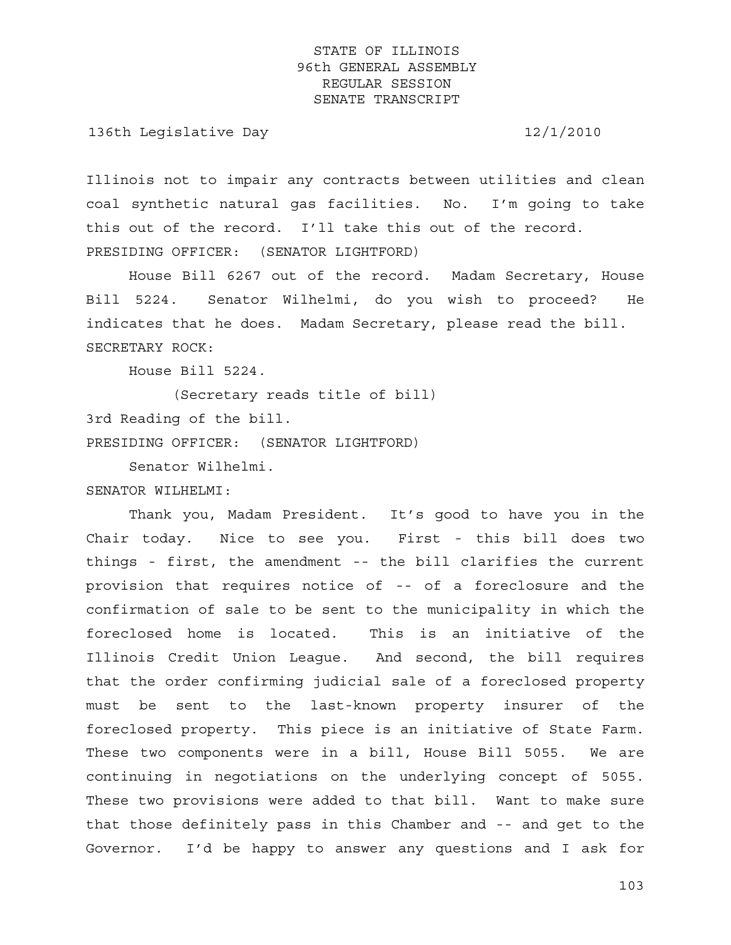136th Legislative Day 12/1/2010

Illinois not to impair any contracts between utilities and clean coal synthetic natural gas facilities. No. I'm going to take this out of the record. I'll take this out of the record. PRESIDING OFFICER: (SENATOR LIGHTFORD)

 House Bill 6267 out of the record. Madam Secretary, House Bill 5224. Senator Wilhelmi, do you wish to proceed? He indicates that he does. Madam Secretary, please read the bill. SECRETARY ROCK:

House Bill 5224.

 (Secretary reads title of bill) 3rd Reading of the bill. PRESIDING OFFICER: (SENATOR LIGHTFORD)

Senator Wilhelmi.

SENATOR WILHELMI:

 Thank you, Madam President. It's good to have you in the Chair today. Nice to see you. First - this bill does two things - first, the amendment -- the bill clarifies the current provision that requires notice of -- of a foreclosure and the confirmation of sale to be sent to the municipality in which the foreclosed home is located. This is an initiative of the Illinois Credit Union League. And second, the bill requires that the order confirming judicial sale of a foreclosed property must be sent to the last-known property insurer of the foreclosed property. This piece is an initiative of State Farm. These two components were in a bill, House Bill 5055. We are continuing in negotiations on the underlying concept of 5055. These two provisions were added to that bill. Want to make sure that those definitely pass in this Chamber and -- and get to the Governor. I'd be happy to answer any questions and I ask for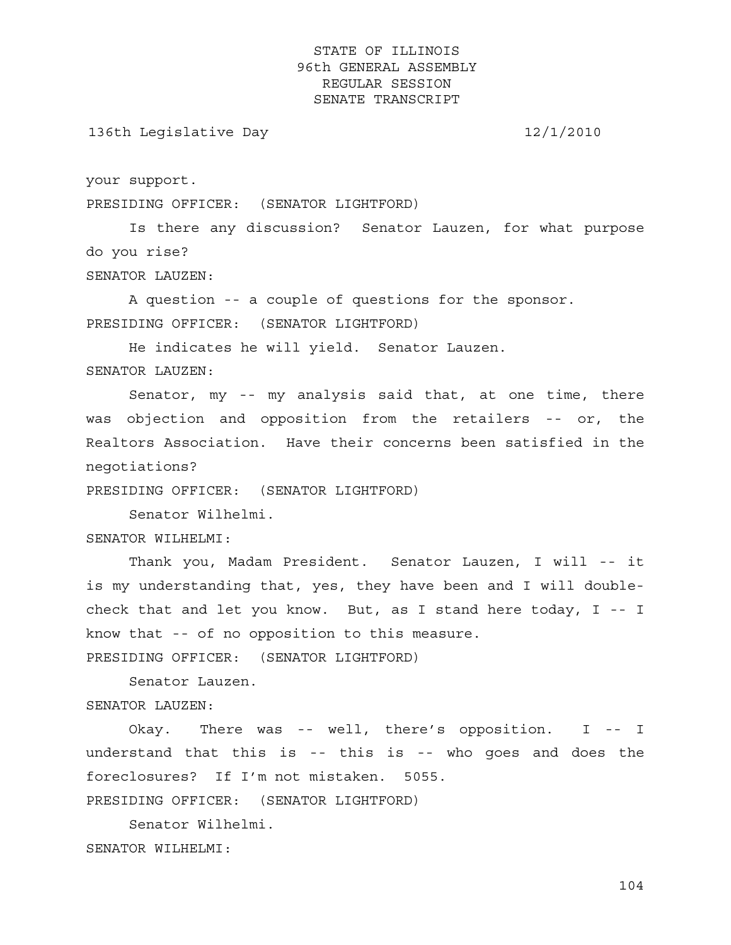136th Legislative Day 12/1/2010

your support.

PRESIDING OFFICER: (SENATOR LIGHTFORD)

 Is there any discussion? Senator Lauzen, for what purpose do you rise?

SENATOR LAUZEN:

 A question -- a couple of questions for the sponsor. PRESIDING OFFICER: (SENATOR LIGHTFORD)

He indicates he will yield. Senator Lauzen.

SENATOR LAUZEN:

 Senator, my -- my analysis said that, at one time, there was objection and opposition from the retailers -- or, the Realtors Association. Have their concerns been satisfied in the negotiations?

PRESIDING OFFICER: (SENATOR LIGHTFORD)

Senator Wilhelmi.

SENATOR WILHELMI:

 Thank you, Madam President. Senator Lauzen, I will -- it is my understanding that, yes, they have been and I will doublecheck that and let you know. But, as I stand here today, I -- I know that -- of no opposition to this measure.

PRESIDING OFFICER: (SENATOR LIGHTFORD)

Senator Lauzen.

SENATOR LAUZEN:

 Okay. There was -- well, there's opposition. I -- I understand that this is -- this is -- who goes and does the foreclosures? If I'm not mistaken. 5055.

PRESIDING OFFICER: (SENATOR LIGHTFORD)

 Senator Wilhelmi. SENATOR WILHELMI: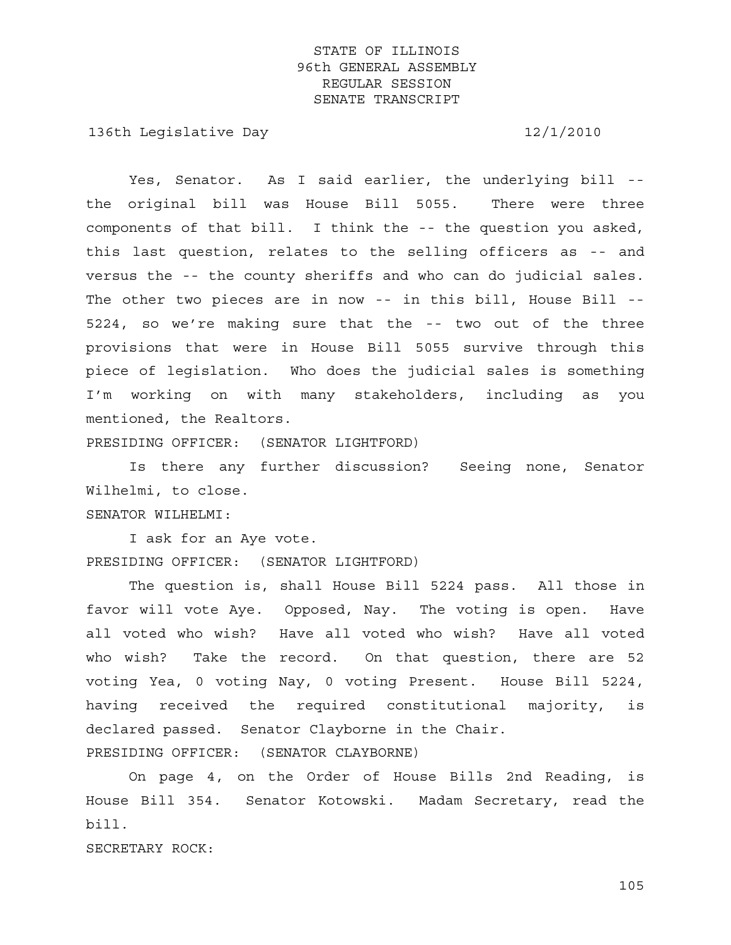136th Legislative Day 12/1/2010

 Yes, Senator. As I said earlier, the underlying bill - the original bill was House Bill 5055. There were three components of that bill. I think the -- the question you asked, this last question, relates to the selling officers as -- and versus the -- the county sheriffs and who can do judicial sales. The other two pieces are in now -- in this bill, House Bill -- 5224, so we're making sure that the -- two out of the three provisions that were in House Bill 5055 survive through this piece of legislation. Who does the judicial sales is something I'm working on with many stakeholders, including as you mentioned, the Realtors.

PRESIDING OFFICER: (SENATOR LIGHTFORD)

 Is there any further discussion? Seeing none, Senator Wilhelmi, to close.

#### SENATOR WILHELMI:

 I ask for an Aye vote. PRESIDING OFFICER: (SENATOR LIGHTFORD)

 The question is, shall House Bill 5224 pass. All those in favor will vote Aye. Opposed, Nay. The voting is open. Have all voted who wish? Have all voted who wish? Have all voted who wish? Take the record. On that question, there are 52 voting Yea, 0 voting Nay, 0 voting Present. House Bill 5224, having received the required constitutional majority, is declared passed. Senator Clayborne in the Chair. PRESIDING OFFICER: (SENATOR CLAYBORNE)

 On page 4, on the Order of House Bills 2nd Reading, is House Bill 354. Senator Kotowski. Madam Secretary, read the bill.

SECRETARY ROCK: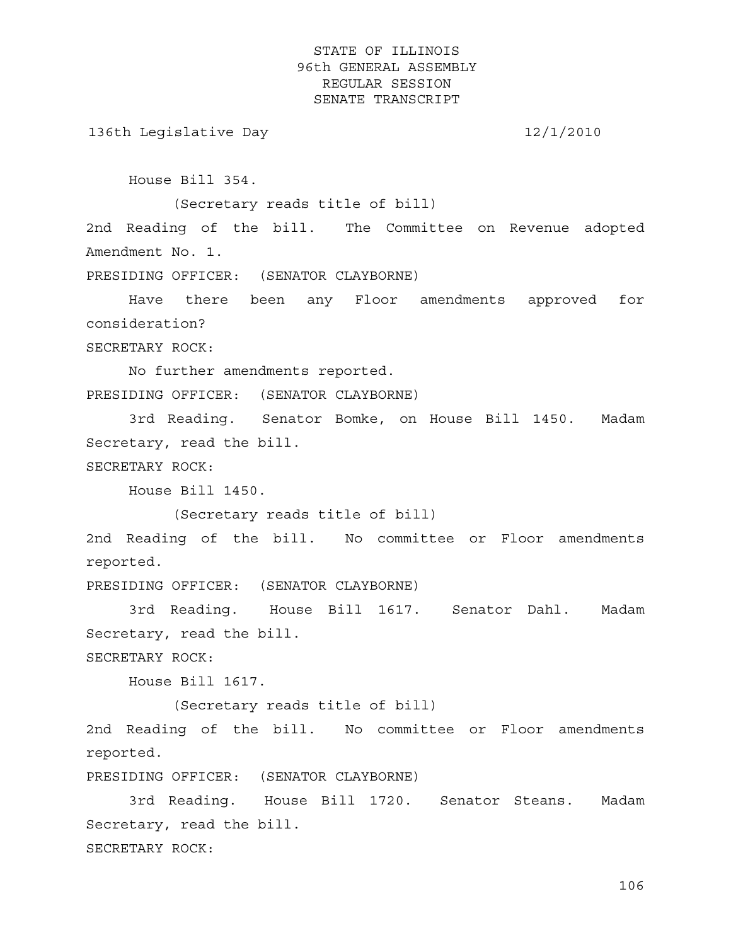136th Legislative Day 12/1/2010

House Bill 354.

(Secretary reads title of bill)

2nd Reading of the bill. The Committee on Revenue adopted Amendment No. 1.

PRESIDING OFFICER: (SENATOR CLAYBORNE)

 Have there been any Floor amendments approved for consideration?

SECRETARY ROCK:

 No further amendments reported. PRESIDING OFFICER: (SENATOR CLAYBORNE)

 3rd Reading. Senator Bomke, on House Bill 1450. Madam Secretary, read the bill.

SECRETARY ROCK:

House Bill 1450.

(Secretary reads title of bill)

2nd Reading of the bill. No committee or Floor amendments reported.

PRESIDING OFFICER: (SENATOR CLAYBORNE)

 3rd Reading. House Bill 1617. Senator Dahl. Madam Secretary, read the bill.

SECRETARY ROCK:

House Bill 1617.

(Secretary reads title of bill)

2nd Reading of the bill. No committee or Floor amendments reported.

PRESIDING OFFICER: (SENATOR CLAYBORNE)

 3rd Reading. House Bill 1720. Senator Steans. Madam Secretary, read the bill. SECRETARY ROCK: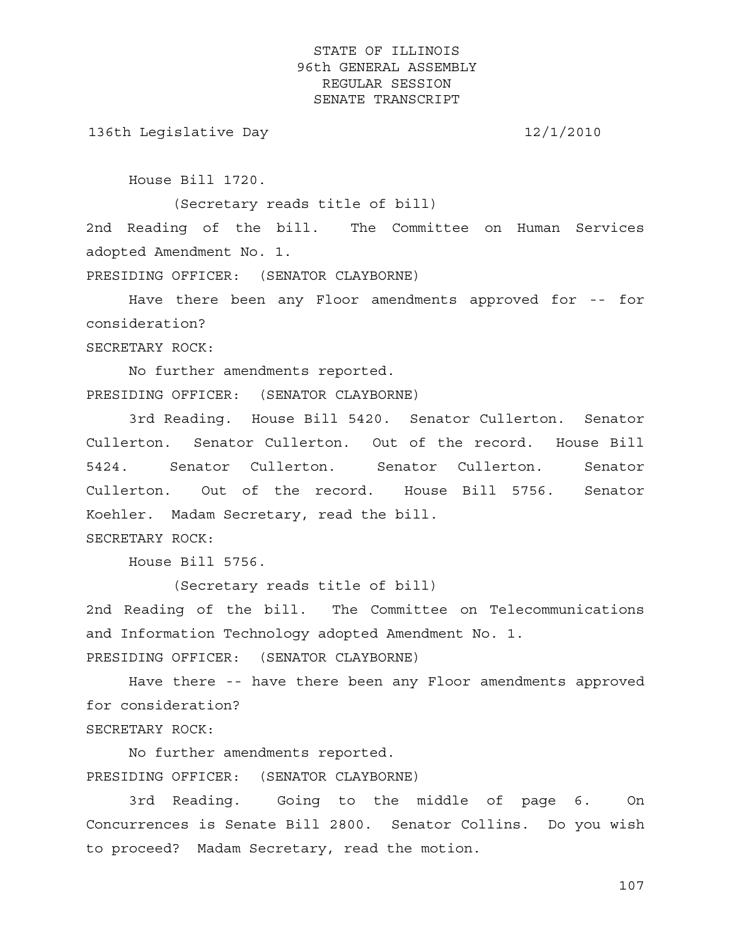136th Legislative Day 12/1/2010

House Bill 1720.

(Secretary reads title of bill)

2nd Reading of the bill. The Committee on Human Services adopted Amendment No. 1.

PRESIDING OFFICER: (SENATOR CLAYBORNE)

 Have there been any Floor amendments approved for -- for consideration?

SECRETARY ROCK:

 No further amendments reported. PRESIDING OFFICER: (SENATOR CLAYBORNE)

 3rd Reading. House Bill 5420. Senator Cullerton. Senator Cullerton. Senator Cullerton. Out of the record. House Bill 5424. Senator Cullerton. Senator Cullerton. Senator Cullerton. Out of the record. House Bill 5756. Senator Koehler. Madam Secretary, read the bill. SECRETARY ROCK:

House Bill 5756.

(Secretary reads title of bill)

2nd Reading of the bill. The Committee on Telecommunications and Information Technology adopted Amendment No. 1. PRESIDING OFFICER: (SENATOR CLAYBORNE)

 Have there -- have there been any Floor amendments approved for consideration?

SECRETARY ROCK:

 No further amendments reported. PRESIDING OFFICER: (SENATOR CLAYBORNE)

 3rd Reading. Going to the middle of page 6. On Concurrences is Senate Bill 2800. Senator Collins. Do you wish to proceed? Madam Secretary, read the motion.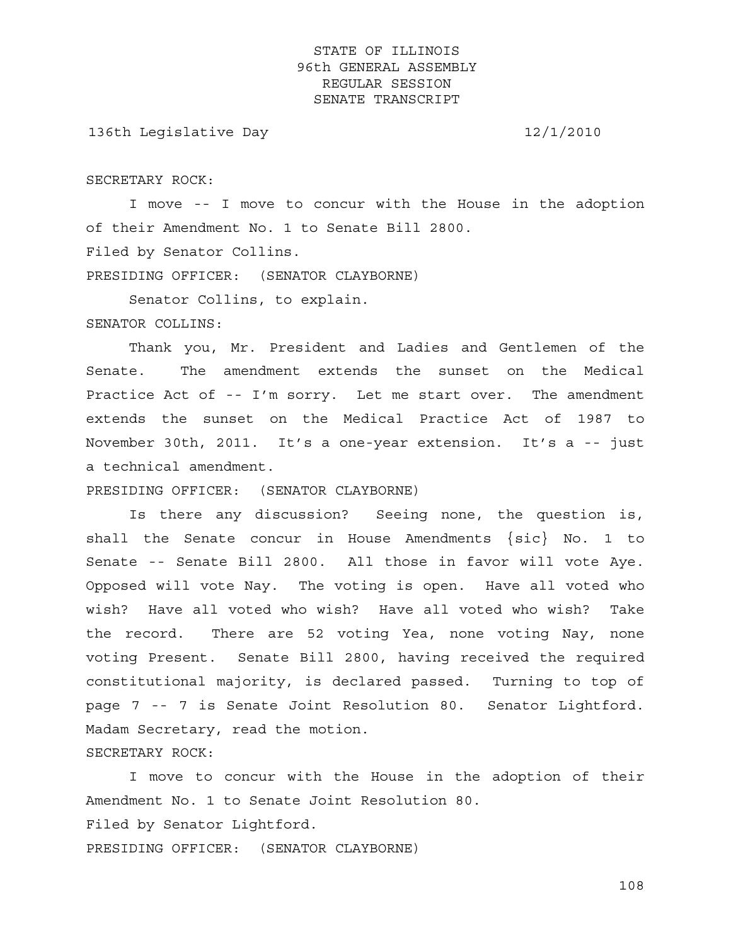136th Legislative Day 12/1/2010

SECRETARY ROCK:

 I move -- I move to concur with the House in the adoption of their Amendment No. 1 to Senate Bill 2800. Filed by Senator Collins.

PRESIDING OFFICER: (SENATOR CLAYBORNE)

Senator Collins, to explain.

SENATOR COLLINS:

 Thank you, Mr. President and Ladies and Gentlemen of the Senate. The amendment extends the sunset on the Medical Practice Act of -- I'm sorry. Let me start over. The amendment extends the sunset on the Medical Practice Act of 1987 to November 30th, 2011. It's a one-year extension. It's a -- just a technical amendment.

PRESIDING OFFICER: (SENATOR CLAYBORNE)

 Is there any discussion? Seeing none, the question is, shall the Senate concur in House Amendments {sic} No. 1 to Senate -- Senate Bill 2800. All those in favor will vote Aye. Opposed will vote Nay. The voting is open. Have all voted who wish? Have all voted who wish? Have all voted who wish? Take the record. There are 52 voting Yea, none voting Nay, none voting Present. Senate Bill 2800, having received the required constitutional majority, is declared passed. Turning to top of page 7 -- 7 is Senate Joint Resolution 80. Senator Lightford. Madam Secretary, read the motion. SECRETARY ROCK:

 I move to concur with the House in the adoption of their Amendment No. 1 to Senate Joint Resolution 80. Filed by Senator Lightford. PRESIDING OFFICER: (SENATOR CLAYBORNE)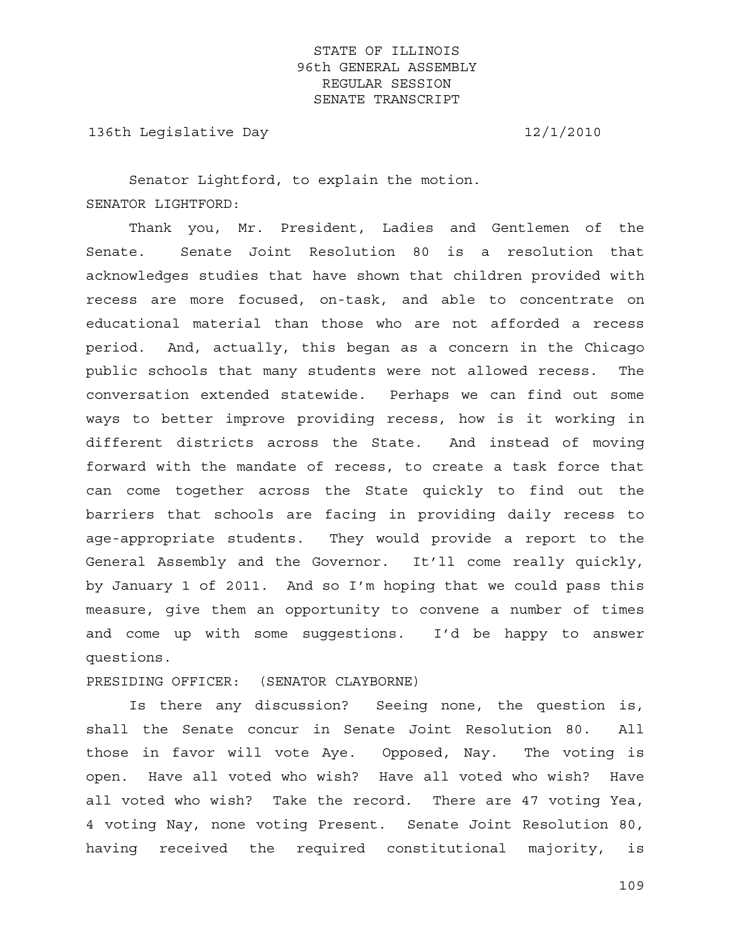136th Legislative Day 12/1/2010

 Senator Lightford, to explain the motion. SENATOR LIGHTFORD:

 Thank you, Mr. President, Ladies and Gentlemen of the Senate. Senate Joint Resolution 80 is a resolution that acknowledges studies that have shown that children provided with recess are more focused, on-task, and able to concentrate on educational material than those who are not afforded a recess period. And, actually, this began as a concern in the Chicago public schools that many students were not allowed recess. The conversation extended statewide. Perhaps we can find out some ways to better improve providing recess, how is it working in different districts across the State. And instead of moving forward with the mandate of recess, to create a task force that can come together across the State quickly to find out the barriers that schools are facing in providing daily recess to age-appropriate students. They would provide a report to the General Assembly and the Governor. It'll come really quickly, by January 1 of 2011. And so I'm hoping that we could pass this measure, give them an opportunity to convene a number of times and come up with some suggestions. I'd be happy to answer questions.

PRESIDING OFFICER: (SENATOR CLAYBORNE)

 Is there any discussion? Seeing none, the question is, shall the Senate concur in Senate Joint Resolution 80. All those in favor will vote Aye. Opposed, Nay. The voting is open. Have all voted who wish? Have all voted who wish? Have all voted who wish? Take the record. There are 47 voting Yea, 4 voting Nay, none voting Present. Senate Joint Resolution 80, having received the required constitutional majority, is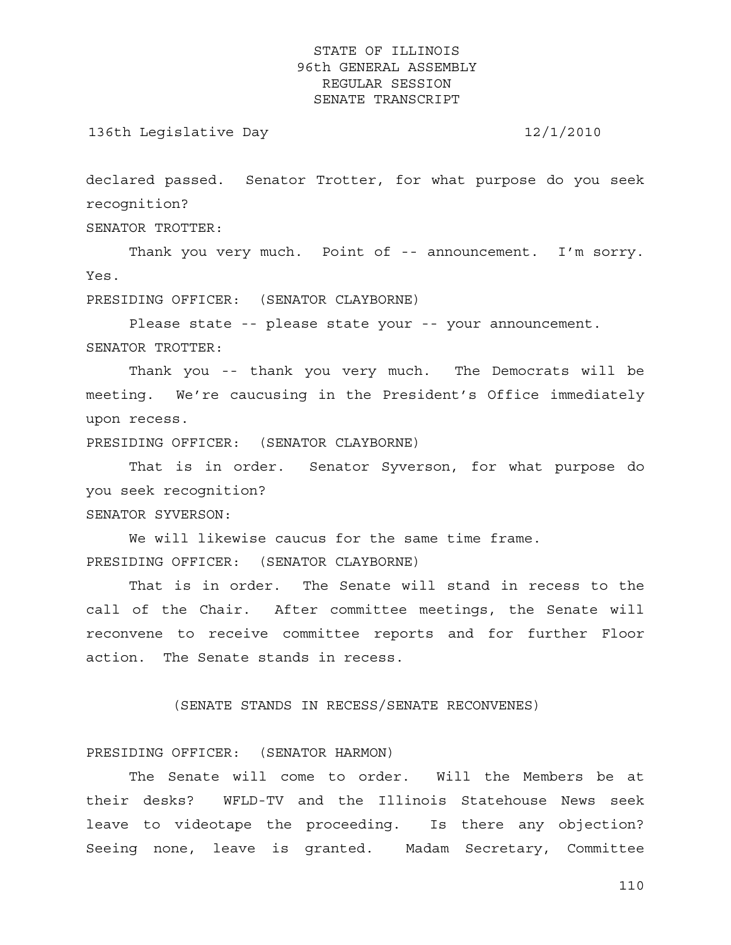136th Legislative Day 12/1/2010

declared passed. Senator Trotter, for what purpose do you seek recognition?

SENATOR TROTTER:

Thank you very much. Point of -- announcement. I'm sorry. Yes.

PRESIDING OFFICER: (SENATOR CLAYBORNE)

 Please state -- please state your -- your announcement. SENATOR TROTTER:

 Thank you -- thank you very much. The Democrats will be meeting. We're caucusing in the President's Office immediately upon recess.

PRESIDING OFFICER: (SENATOR CLAYBORNE)

 That is in order. Senator Syverson, for what purpose do you seek recognition?

SENATOR SYVERSON:

 We will likewise caucus for the same time frame. PRESIDING OFFICER: (SENATOR CLAYBORNE)

 That is in order. The Senate will stand in recess to the call of the Chair. After committee meetings, the Senate will reconvene to receive committee reports and for further Floor action. The Senate stands in recess.

(SENATE STANDS IN RECESS/SENATE RECONVENES)

PRESIDING OFFICER: (SENATOR HARMON)

 The Senate will come to order. Will the Members be at their desks? WFLD-TV and the Illinois Statehouse News seek leave to videotape the proceeding. Is there any objection? Seeing none, leave is granted. Madam Secretary, Committee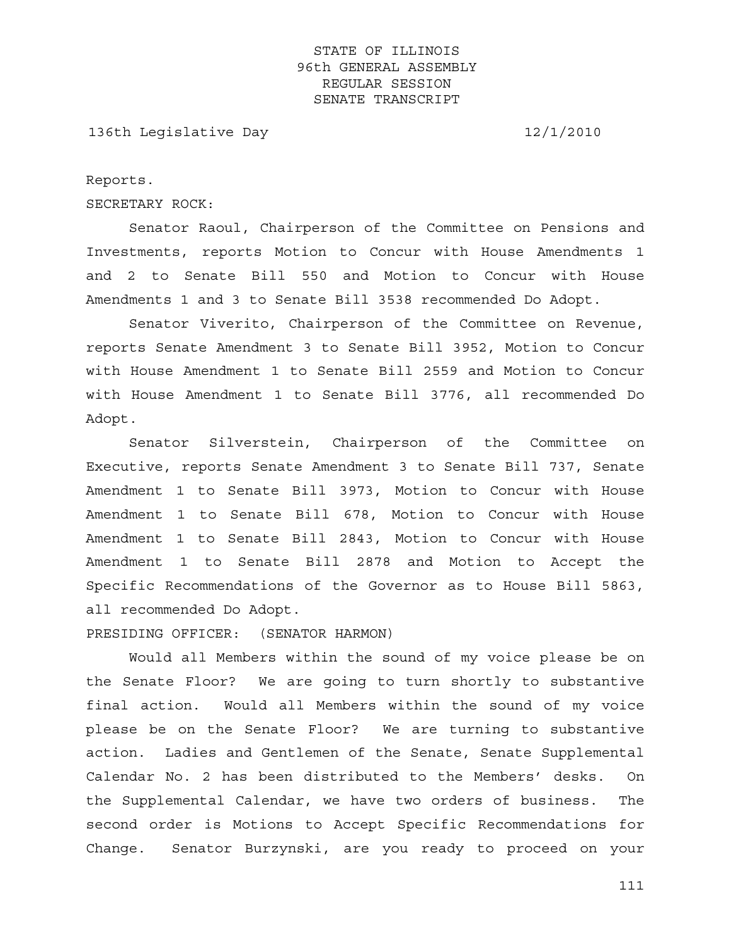136th Legislative Day 12/1/2010

Reports.

SECRETARY ROCK:

 Senator Raoul, Chairperson of the Committee on Pensions and Investments, reports Motion to Concur with House Amendments 1 and 2 to Senate Bill 550 and Motion to Concur with House Amendments 1 and 3 to Senate Bill 3538 recommended Do Adopt.

 Senator Viverito, Chairperson of the Committee on Revenue, reports Senate Amendment 3 to Senate Bill 3952, Motion to Concur with House Amendment 1 to Senate Bill 2559 and Motion to Concur with House Amendment 1 to Senate Bill 3776, all recommended Do Adopt.

 Senator Silverstein, Chairperson of the Committee on Executive, reports Senate Amendment 3 to Senate Bill 737, Senate Amendment 1 to Senate Bill 3973, Motion to Concur with House Amendment 1 to Senate Bill 678, Motion to Concur with House Amendment 1 to Senate Bill 2843, Motion to Concur with House Amendment 1 to Senate Bill 2878 and Motion to Accept the Specific Recommendations of the Governor as to House Bill 5863, all recommended Do Adopt.

PRESIDING OFFICER: (SENATOR HARMON)

 Would all Members within the sound of my voice please be on the Senate Floor? We are going to turn shortly to substantive final action. Would all Members within the sound of my voice please be on the Senate Floor? We are turning to substantive action. Ladies and Gentlemen of the Senate, Senate Supplemental Calendar No. 2 has been distributed to the Members' desks. On the Supplemental Calendar, we have two orders of business. The second order is Motions to Accept Specific Recommendations for Change. Senator Burzynski, are you ready to proceed on your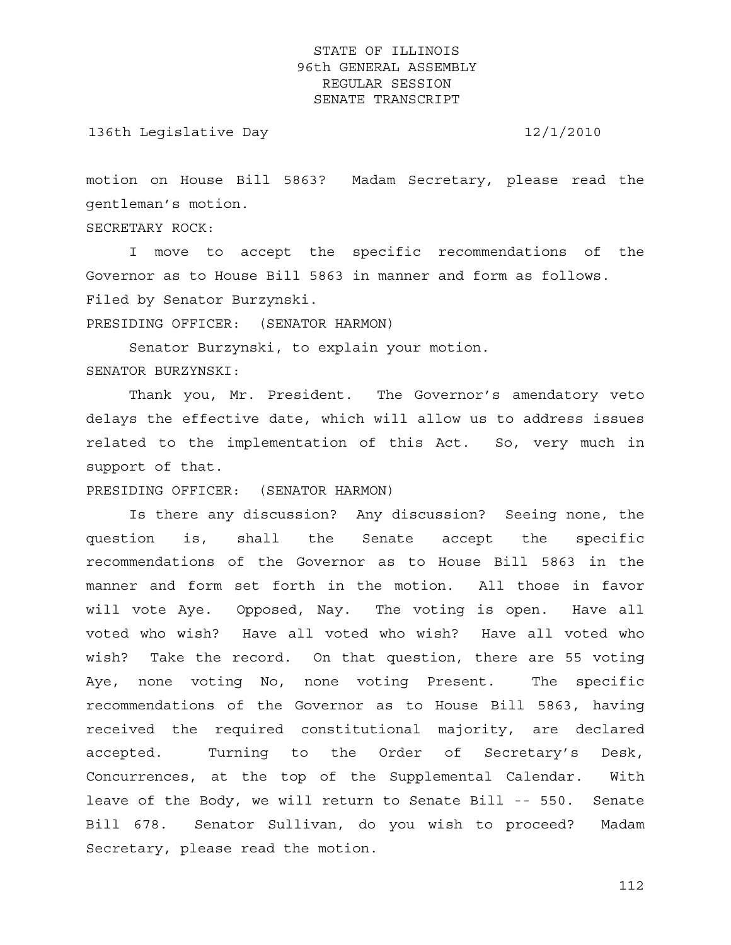136th Legislative Day 12/1/2010

motion on House Bill 5863? Madam Secretary, please read the gentleman's motion.

SECRETARY ROCK:

 I move to accept the specific recommendations of the Governor as to House Bill 5863 in manner and form as follows. Filed by Senator Burzynski.

PRESIDING OFFICER: (SENATOR HARMON)

Senator Burzynski, to explain your motion.

SENATOR BURZYNSKI:

 Thank you, Mr. President. The Governor's amendatory veto delays the effective date, which will allow us to address issues related to the implementation of this Act. So, very much in support of that.

PRESIDING OFFICER: (SENATOR HARMON)

 Is there any discussion? Any discussion? Seeing none, the question is, shall the Senate accept the specific recommendations of the Governor as to House Bill 5863 in the manner and form set forth in the motion. All those in favor will vote Aye. Opposed, Nay. The voting is open. Have all voted who wish? Have all voted who wish? Have all voted who wish? Take the record. On that question, there are 55 voting Aye, none voting No, none voting Present. The specific recommendations of the Governor as to House Bill 5863, having received the required constitutional majority, are declared accepted. Turning to the Order of Secretary's Desk, Concurrences, at the top of the Supplemental Calendar. With leave of the Body, we will return to Senate Bill -- 550. Senate Bill 678. Senator Sullivan, do you wish to proceed? Madam Secretary, please read the motion.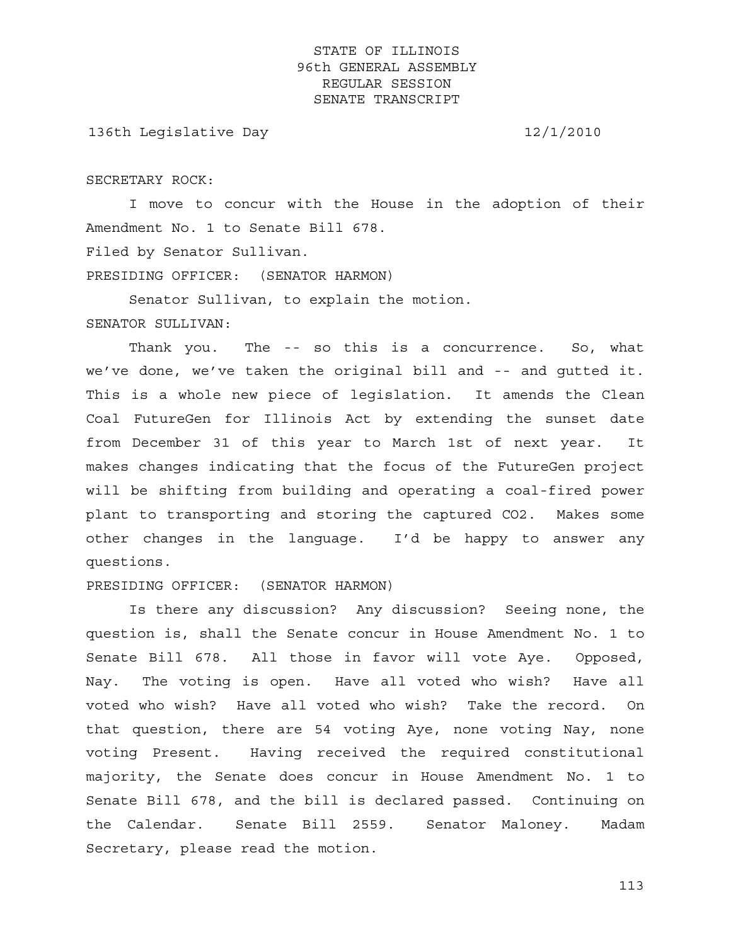136th Legislative Day 12/1/2010

SECRETARY ROCK:

 I move to concur with the House in the adoption of their Amendment No. 1 to Senate Bill 678. Filed by Senator Sullivan.

PRESIDING OFFICER: (SENATOR HARMON)

 Senator Sullivan, to explain the motion. SENATOR SULLIVAN:

 Thank you. The -- so this is a concurrence. So, what we've done, we've taken the original bill and -- and gutted it. This is a whole new piece of legislation. It amends the Clean Coal FutureGen for Illinois Act by extending the sunset date from December 31 of this year to March 1st of next year. It makes changes indicating that the focus of the FutureGen project will be shifting from building and operating a coal-fired power plant to transporting and storing the captured CO2. Makes some other changes in the language. I'd be happy to answer any questions.

PRESIDING OFFICER: (SENATOR HARMON)

 Is there any discussion? Any discussion? Seeing none, the question is, shall the Senate concur in House Amendment No. 1 to Senate Bill 678. All those in favor will vote Aye. Opposed, Nay. The voting is open. Have all voted who wish? Have all voted who wish? Have all voted who wish? Take the record. On that question, there are 54 voting Aye, none voting Nay, none voting Present. Having received the required constitutional majority, the Senate does concur in House Amendment No. 1 to Senate Bill 678, and the bill is declared passed. Continuing on the Calendar. Senate Bill 2559. Senator Maloney. Madam Secretary, please read the motion.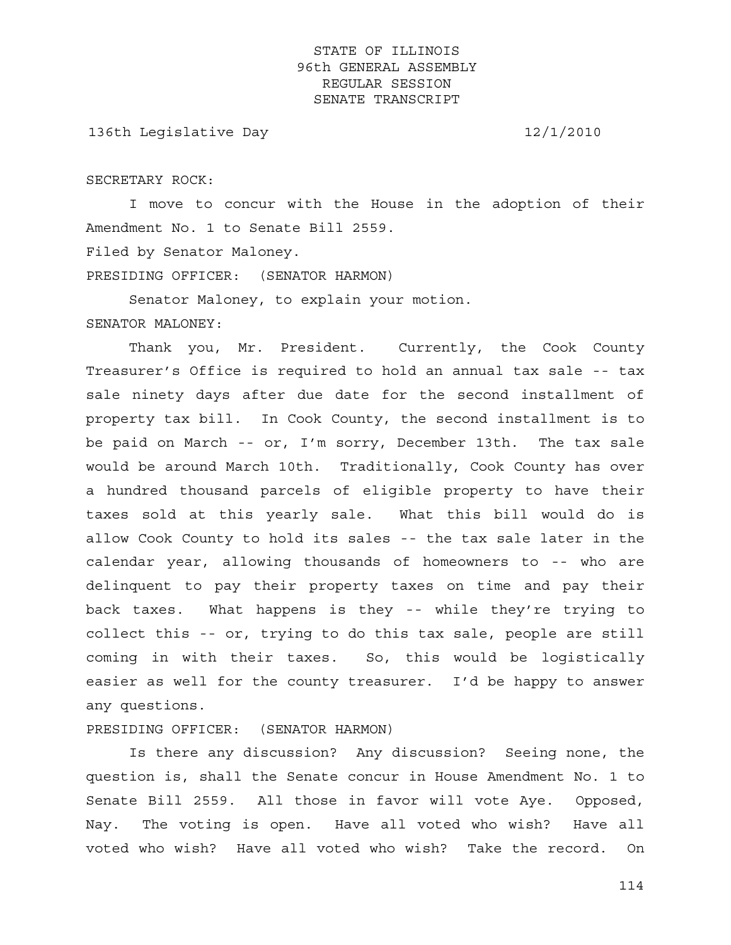136th Legislative Day 12/1/2010

SECRETARY ROCK:

 I move to concur with the House in the adoption of their Amendment No. 1 to Senate Bill 2559. Filed by Senator Maloney.

PRESIDING OFFICER: (SENATOR HARMON)

 Senator Maloney, to explain your motion. SENATOR MALONEY:

 Thank you, Mr. President. Currently, the Cook County Treasurer's Office is required to hold an annual tax sale -- tax sale ninety days after due date for the second installment of property tax bill. In Cook County, the second installment is to be paid on March -- or, I'm sorry, December 13th. The tax sale would be around March 10th. Traditionally, Cook County has over a hundred thousand parcels of eligible property to have their taxes sold at this yearly sale. What this bill would do is allow Cook County to hold its sales -- the tax sale later in the calendar year, allowing thousands of homeowners to -- who are delinquent to pay their property taxes on time and pay their back taxes. What happens is they -- while they're trying to collect this -- or, trying to do this tax sale, people are still coming in with their taxes. So, this would be logistically easier as well for the county treasurer. I'd be happy to answer any questions.

PRESIDING OFFICER: (SENATOR HARMON)

 Is there any discussion? Any discussion? Seeing none, the question is, shall the Senate concur in House Amendment No. 1 to Senate Bill 2559. All those in favor will vote Aye. Opposed, Nay. The voting is open. Have all voted who wish? Have all voted who wish? Have all voted who wish? Take the record. On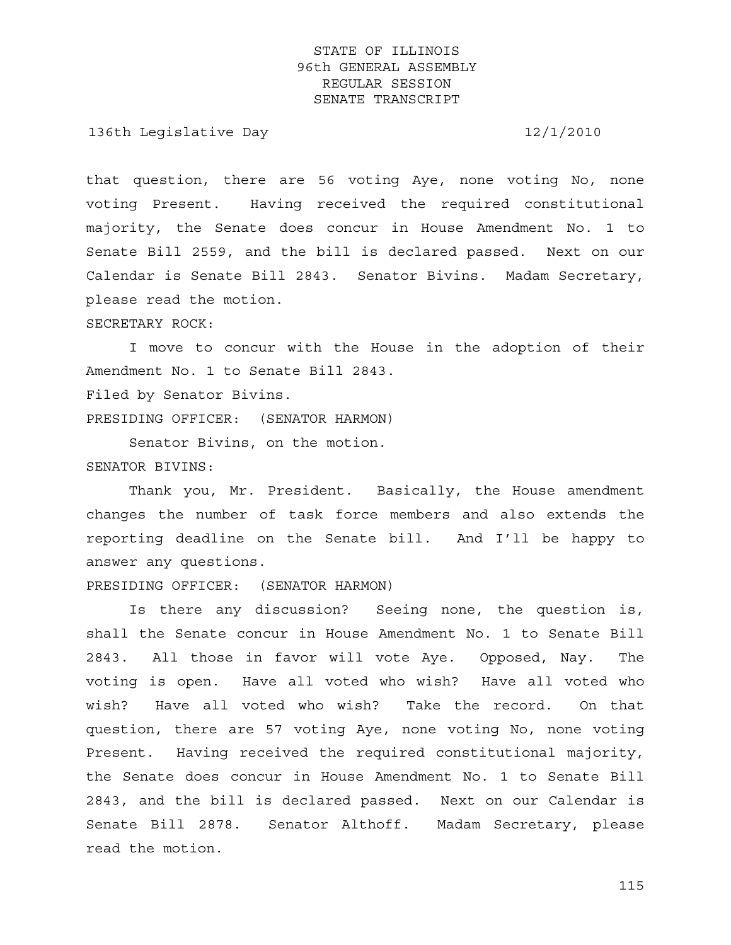136th Legislative Day 12/1/2010

that question, there are 56 voting Aye, none voting No, none voting Present. Having received the required constitutional majority, the Senate does concur in House Amendment No. 1 to Senate Bill 2559, and the bill is declared passed. Next on our Calendar is Senate Bill 2843. Senator Bivins. Madam Secretary, please read the motion. SECRETARY ROCK:

 I move to concur with the House in the adoption of their Amendment No. 1 to Senate Bill 2843. Filed by Senator Bivins.

PRESIDING OFFICER: (SENATOR HARMON)

Senator Bivins, on the motion.

## SENATOR BIVINS:

 Thank you, Mr. President. Basically, the House amendment changes the number of task force members and also extends the reporting deadline on the Senate bill. And I'll be happy to answer any questions.

PRESIDING OFFICER: (SENATOR HARMON)

 Is there any discussion? Seeing none, the question is, shall the Senate concur in House Amendment No. 1 to Senate Bill 2843. All those in favor will vote Aye. Opposed, Nay. The voting is open. Have all voted who wish? Have all voted who wish? Have all voted who wish? Take the record. On that question, there are 57 voting Aye, none voting No, none voting Present. Having received the required constitutional majority, the Senate does concur in House Amendment No. 1 to Senate Bill 2843, and the bill is declared passed. Next on our Calendar is Senate Bill 2878. Senator Althoff. Madam Secretary, please read the motion.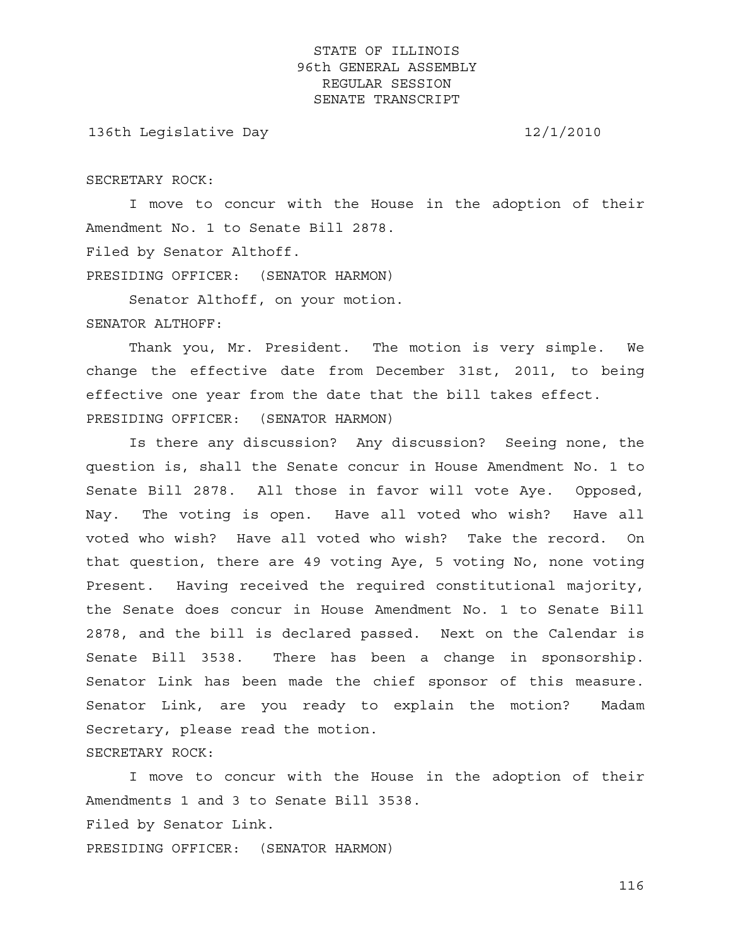136th Legislative Day 12/1/2010

SECRETARY ROCK:

 I move to concur with the House in the adoption of their Amendment No. 1 to Senate Bill 2878. Filed by Senator Althoff.

PRESIDING OFFICER: (SENATOR HARMON)

 Senator Althoff, on your motion. SENATOR ALTHOFF:

 Thank you, Mr. President. The motion is very simple. We change the effective date from December 31st, 2011, to being effective one year from the date that the bill takes effect. PRESIDING OFFICER: (SENATOR HARMON)

 Is there any discussion? Any discussion? Seeing none, the question is, shall the Senate concur in House Amendment No. 1 to Senate Bill 2878. All those in favor will vote Aye. Opposed, Nay. The voting is open. Have all voted who wish? Have all voted who wish? Have all voted who wish? Take the record. On that question, there are 49 voting Aye, 5 voting No, none voting Present. Having received the required constitutional majority, the Senate does concur in House Amendment No. 1 to Senate Bill 2878, and the bill is declared passed. Next on the Calendar is Senate Bill 3538. There has been a change in sponsorship. Senator Link has been made the chief sponsor of this measure. Senator Link, are you ready to explain the motion? Madam Secretary, please read the motion. SECRETARY ROCK:

 I move to concur with the House in the adoption of their Amendments 1 and 3 to Senate Bill 3538. Filed by Senator Link. PRESIDING OFFICER: (SENATOR HARMON)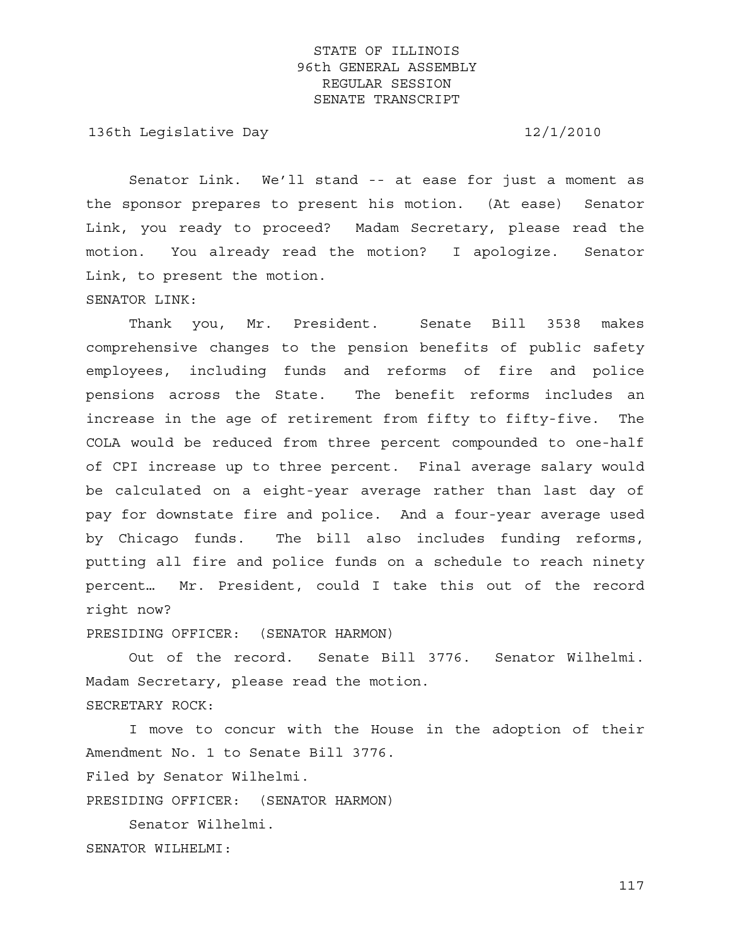136th Legislative Day 12/1/2010

 Senator Link. We'll stand -- at ease for just a moment as the sponsor prepares to present his motion. (At ease) Senator Link, you ready to proceed? Madam Secretary, please read the motion. You already read the motion? I apologize. Senator Link, to present the motion. SENATOR LINK:

 Thank you, Mr. President. Senate Bill 3538 makes comprehensive changes to the pension benefits of public safety employees, including funds and reforms of fire and police pensions across the State. The benefit reforms includes an increase in the age of retirement from fifty to fifty-five. The COLA would be reduced from three percent compounded to one-half of CPI increase up to three percent. Final average salary would be calculated on a eight-year average rather than last day of pay for downstate fire and police. And a four-year average used by Chicago funds. The bill also includes funding reforms, putting all fire and police funds on a schedule to reach ninety percent… Mr. President, could I take this out of the record right now?

PRESIDING OFFICER: (SENATOR HARMON)

 Out of the record. Senate Bill 3776. Senator Wilhelmi. Madam Secretary, please read the motion. SECRETARY ROCK:

 I move to concur with the House in the adoption of their Amendment No. 1 to Senate Bill 3776.

Filed by Senator Wilhelmi.

PRESIDING OFFICER: (SENATOR HARMON)

 Senator Wilhelmi. SENATOR WILHELMI: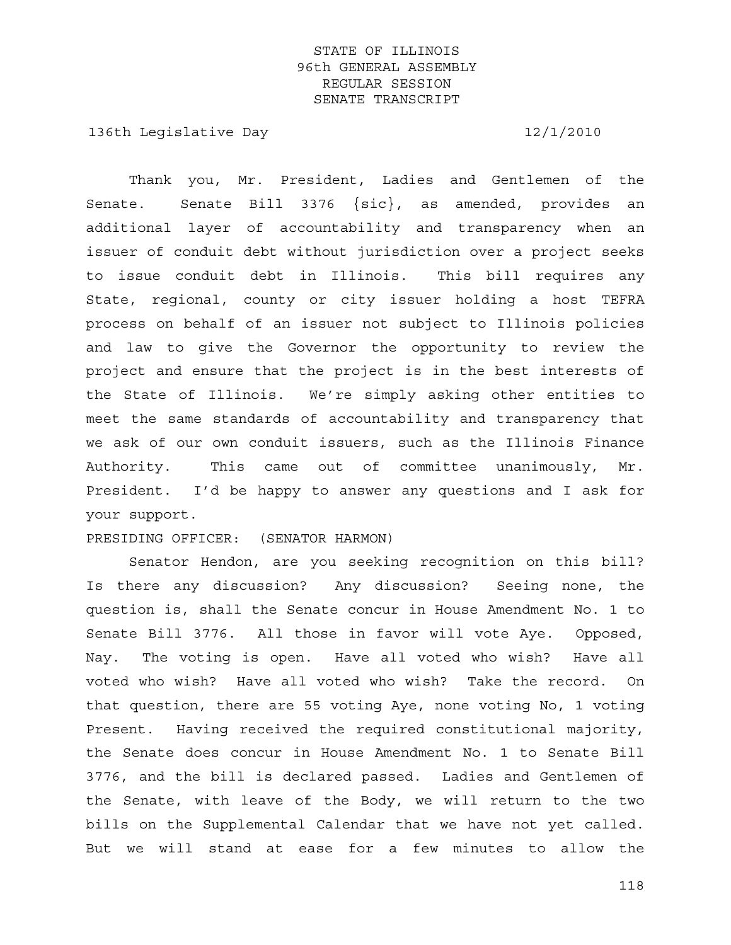136th Legislative Day 12/1/2010

 Thank you, Mr. President, Ladies and Gentlemen of the Senate. Senate Bill 3376 {sic}, as amended, provides an additional layer of accountability and transparency when an issuer of conduit debt without jurisdiction over a project seeks to issue conduit debt in Illinois. This bill requires any State, regional, county or city issuer holding a host TEFRA process on behalf of an issuer not subject to Illinois policies and law to give the Governor the opportunity to review the project and ensure that the project is in the best interests of the State of Illinois. We're simply asking other entities to meet the same standards of accountability and transparency that we ask of our own conduit issuers, such as the Illinois Finance Authority. This came out of committee unanimously, Mr. President. I'd be happy to answer any questions and I ask for your support.

PRESIDING OFFICER: (SENATOR HARMON)

 Senator Hendon, are you seeking recognition on this bill? Is there any discussion? Any discussion? Seeing none, the question is, shall the Senate concur in House Amendment No. 1 to Senate Bill 3776. All those in favor will vote Aye. Opposed, Nay. The voting is open. Have all voted who wish? Have all voted who wish? Have all voted who wish? Take the record. On that question, there are 55 voting Aye, none voting No, 1 voting Present. Having received the required constitutional majority, the Senate does concur in House Amendment No. 1 to Senate Bill 3776, and the bill is declared passed. Ladies and Gentlemen of the Senate, with leave of the Body, we will return to the two bills on the Supplemental Calendar that we have not yet called. But we will stand at ease for a few minutes to allow the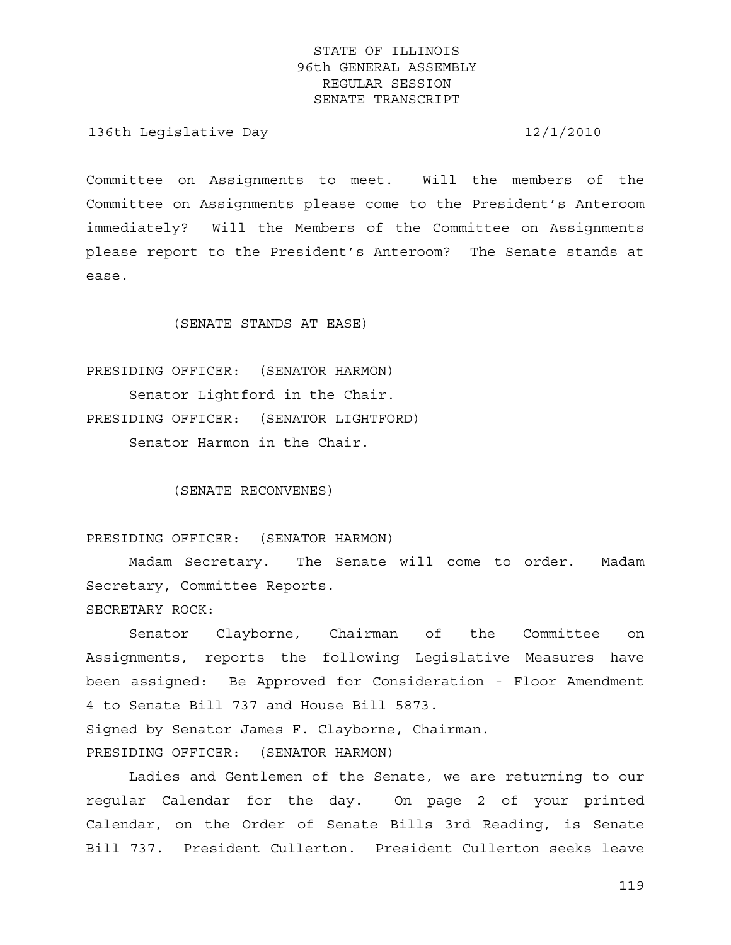136th Legislative Day 12/1/2010

Committee on Assignments to meet. Will the members of the Committee on Assignments please come to the President's Anteroom immediately? Will the Members of the Committee on Assignments please report to the President's Anteroom? The Senate stands at ease.

(SENATE STANDS AT EASE)

PRESIDING OFFICER: (SENATOR HARMON) Senator Lightford in the Chair. PRESIDING OFFICER: (SENATOR LIGHTFORD) Senator Harmon in the Chair.

(SENATE RECONVENES)

PRESIDING OFFICER: (SENATOR HARMON)

 Madam Secretary. The Senate will come to order. Madam Secretary, Committee Reports.

SECRETARY ROCK:

 Senator Clayborne, Chairman of the Committee on Assignments, reports the following Legislative Measures have been assigned: Be Approved for Consideration - Floor Amendment 4 to Senate Bill 737 and House Bill 5873. Signed by Senator James F. Clayborne, Chairman.

PRESIDING OFFICER: (SENATOR HARMON)

 Ladies and Gentlemen of the Senate, we are returning to our regular Calendar for the day. On page 2 of your printed Calendar, on the Order of Senate Bills 3rd Reading, is Senate Bill 737. President Cullerton. President Cullerton seeks leave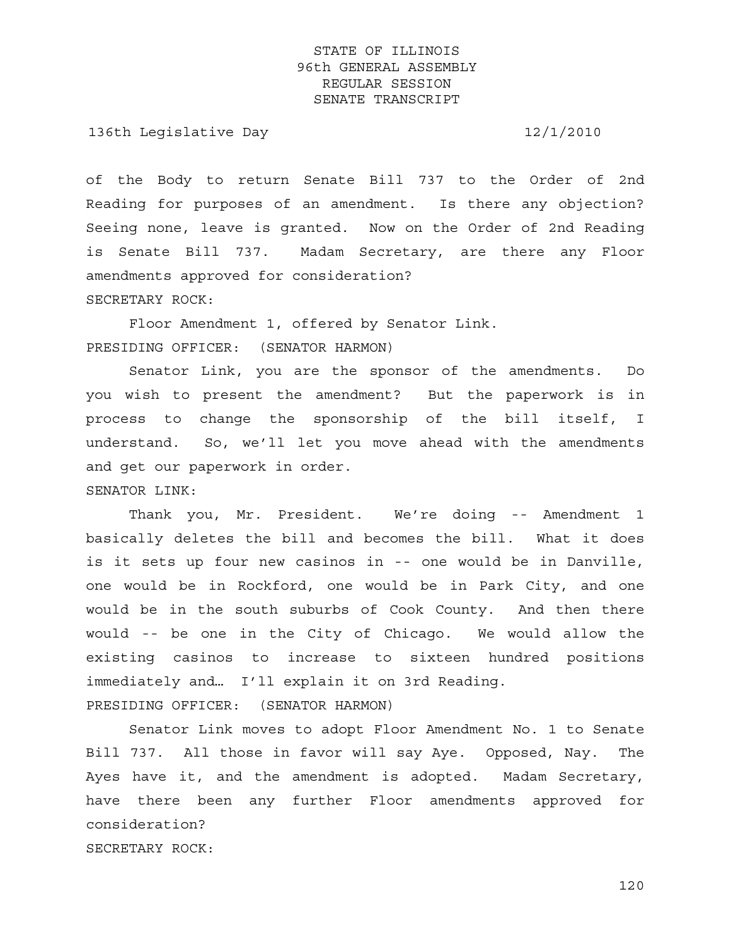136th Legislative Day 12/1/2010

of the Body to return Senate Bill 737 to the Order of 2nd Reading for purposes of an amendment. Is there any objection? Seeing none, leave is granted. Now on the Order of 2nd Reading is Senate Bill 737. Madam Secretary, are there any Floor amendments approved for consideration? SECRETARY ROCK:

 Floor Amendment 1, offered by Senator Link. PRESIDING OFFICER: (SENATOR HARMON)

 Senator Link, you are the sponsor of the amendments. Do you wish to present the amendment? But the paperwork is in process to change the sponsorship of the bill itself, I understand. So, we'll let you move ahead with the amendments and get our paperwork in order.

SENATOR LINK:

 Thank you, Mr. President. We're doing -- Amendment 1 basically deletes the bill and becomes the bill. What it does is it sets up four new casinos in -- one would be in Danville, one would be in Rockford, one would be in Park City, and one would be in the south suburbs of Cook County. And then there would -- be one in the City of Chicago. We would allow the existing casinos to increase to sixteen hundred positions immediately and… I'll explain it on 3rd Reading. PRESIDING OFFICER: (SENATOR HARMON)

 Senator Link moves to adopt Floor Amendment No. 1 to Senate Bill 737. All those in favor will say Aye. Opposed, Nay. The Ayes have it, and the amendment is adopted. Madam Secretary, have there been any further Floor amendments approved for consideration? SECRETARY ROCK: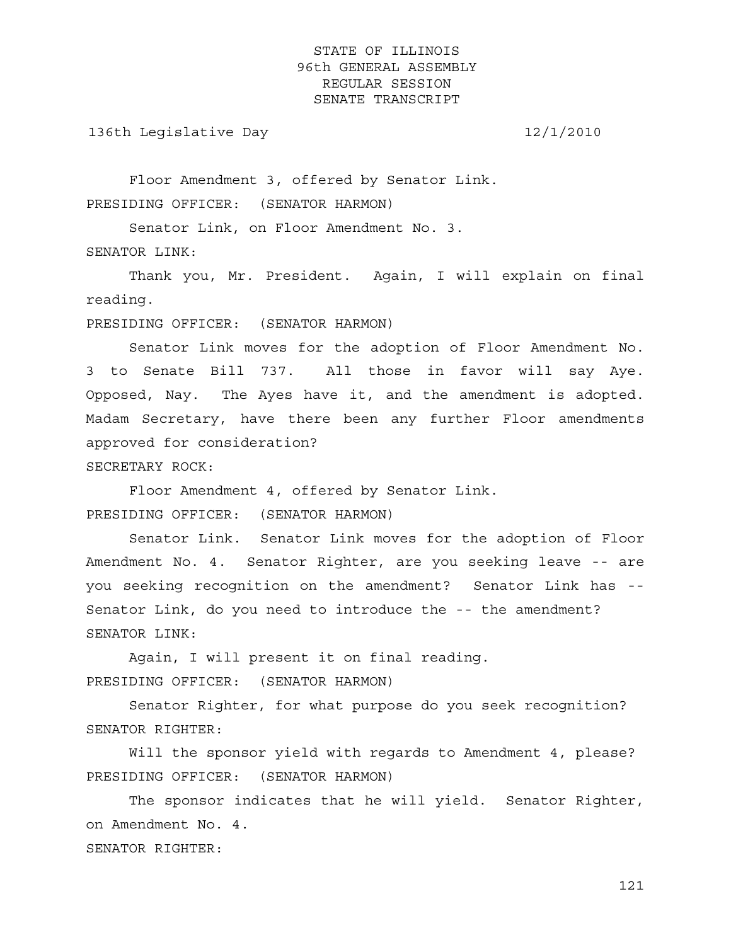136th Legislative Day 12/1/2010

 Floor Amendment 3, offered by Senator Link. PRESIDING OFFICER: (SENATOR HARMON)

 Senator Link, on Floor Amendment No. 3. SENATOR LINK:

 Thank you, Mr. President. Again, I will explain on final reading.

PRESIDING OFFICER: (SENATOR HARMON)

 Senator Link moves for the adoption of Floor Amendment No. 3 to Senate Bill 737. All those in favor will say Aye. Opposed, Nay. The Ayes have it, and the amendment is adopted. Madam Secretary, have there been any further Floor amendments approved for consideration?

SECRETARY ROCK:

 Floor Amendment 4, offered by Senator Link. PRESIDING OFFICER: (SENATOR HARMON)

 Senator Link. Senator Link moves for the adoption of Floor Amendment No. 4. Senator Righter, are you seeking leave -- are you seeking recognition on the amendment? Senator Link has -- Senator Link, do you need to introduce the -- the amendment? SENATOR LINK:

 Again, I will present it on final reading. PRESIDING OFFICER: (SENATOR HARMON)

 Senator Righter, for what purpose do you seek recognition? SENATOR RIGHTER:

 Will the sponsor yield with regards to Amendment 4, please? PRESIDING OFFICER: (SENATOR HARMON)

 The sponsor indicates that he will yield. Senator Righter, on Amendment No. 4. SENATOR RIGHTER: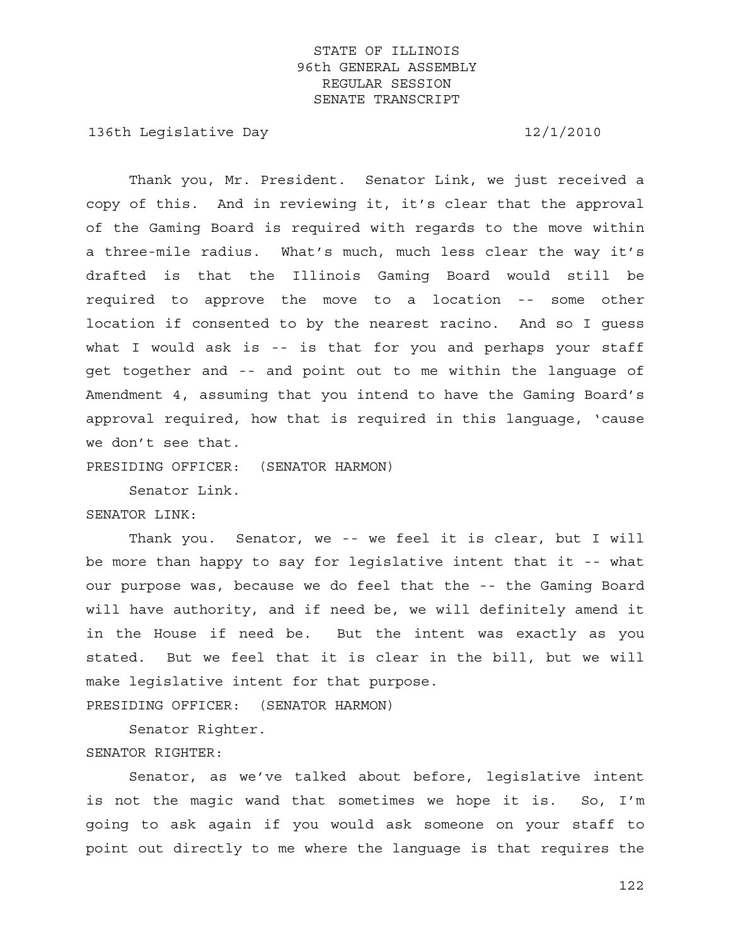136th Legislative Day 12/1/2010

 Thank you, Mr. President. Senator Link, we just received a copy of this. And in reviewing it, it's clear that the approval of the Gaming Board is required with regards to the move within a three-mile radius. What's much, much less clear the way it's drafted is that the Illinois Gaming Board would still be required to approve the move to a location -- some other location if consented to by the nearest racino. And so I guess what I would ask is -- is that for you and perhaps your staff get together and -- and point out to me within the language of Amendment 4, assuming that you intend to have the Gaming Board's approval required, how that is required in this language, 'cause we don't see that.

PRESIDING OFFICER: (SENATOR HARMON)

Senator Link.

### SENATOR LINK:

 Thank you. Senator, we -- we feel it is clear, but I will be more than happy to say for legislative intent that it -- what our purpose was, because we do feel that the -- the Gaming Board will have authority, and if need be, we will definitely amend it in the House if need be. But the intent was exactly as you stated. But we feel that it is clear in the bill, but we will make legislative intent for that purpose.

PRESIDING OFFICER: (SENATOR HARMON)

 Senator Righter. SENATOR RIGHTER:

 Senator, as we've talked about before, legislative intent is not the magic wand that sometimes we hope it is. So, I'm going to ask again if you would ask someone on your staff to point out directly to me where the language is that requires the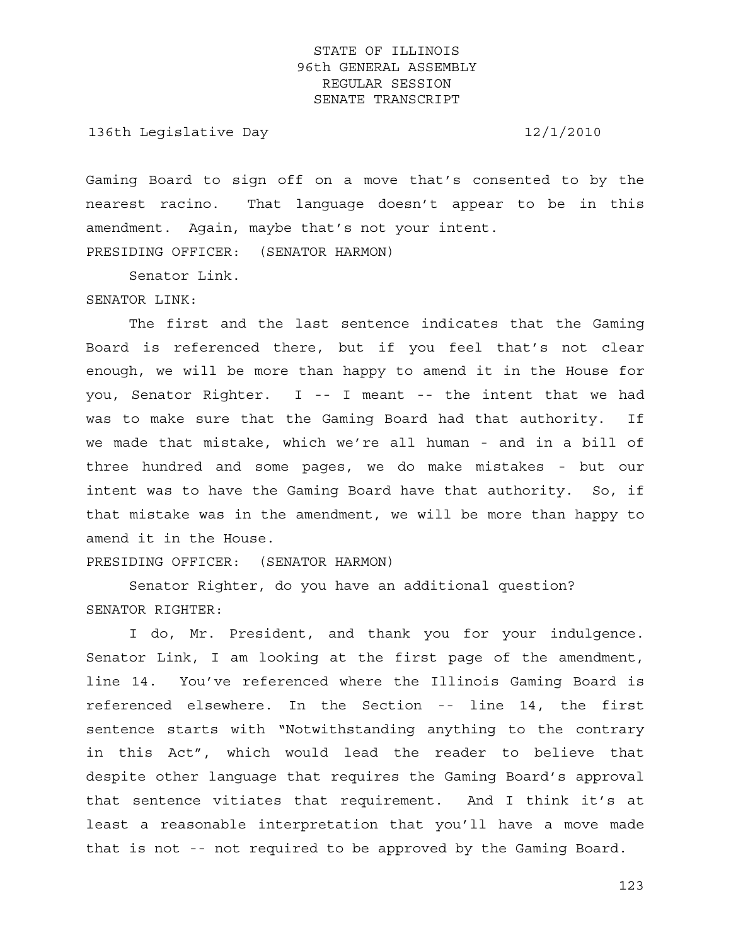136th Legislative Day 12/1/2010

Gaming Board to sign off on a move that's consented to by the nearest racino. That language doesn't appear to be in this amendment. Again, maybe that's not your intent. PRESIDING OFFICER: (SENATOR HARMON)

Senator Link.

#### SENATOR LINK:

 The first and the last sentence indicates that the Gaming Board is referenced there, but if you feel that's not clear enough, we will be more than happy to amend it in the House for you, Senator Righter. I -- I meant -- the intent that we had was to make sure that the Gaming Board had that authority. If we made that mistake, which we're all human - and in a bill of three hundred and some pages, we do make mistakes - but our intent was to have the Gaming Board have that authority. So, if that mistake was in the amendment, we will be more than happy to amend it in the House.

PRESIDING OFFICER: (SENATOR HARMON)

 Senator Righter, do you have an additional question? SENATOR RIGHTER:

 I do, Mr. President, and thank you for your indulgence. Senator Link, I am looking at the first page of the amendment, line 14. You've referenced where the Illinois Gaming Board is referenced elsewhere. In the Section -- line 14, the first sentence starts with "Notwithstanding anything to the contrary in this Act", which would lead the reader to believe that despite other language that requires the Gaming Board's approval that sentence vitiates that requirement. And I think it's at least a reasonable interpretation that you'll have a move made that is not -- not required to be approved by the Gaming Board.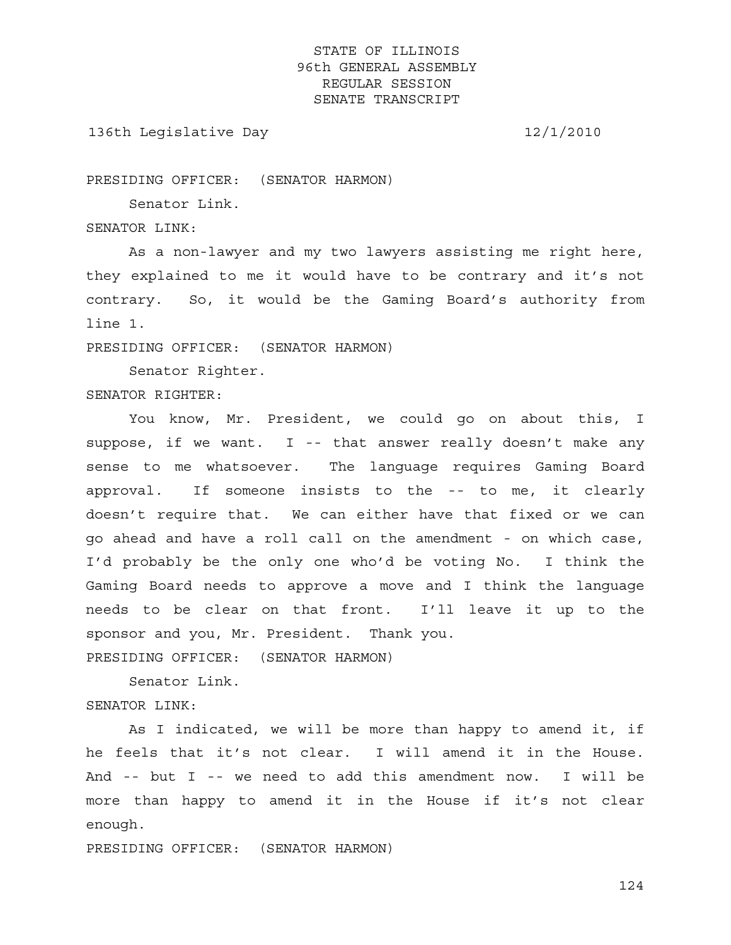136th Legislative Day 12/1/2010

PRESIDING OFFICER: (SENATOR HARMON)

Senator Link.

SENATOR LINK:

 As a non-lawyer and my two lawyers assisting me right here, they explained to me it would have to be contrary and it's not contrary. So, it would be the Gaming Board's authority from line 1.

PRESIDING OFFICER: (SENATOR HARMON)

 Senator Righter. SENATOR RIGHTER:

 You know, Mr. President, we could go on about this, I suppose, if we want. I -- that answer really doesn't make any sense to me whatsoever. The language requires Gaming Board approval. If someone insists to the -- to me, it clearly doesn't require that. We can either have that fixed or we can go ahead and have a roll call on the amendment - on which case, I'd probably be the only one who'd be voting No. I think the Gaming Board needs to approve a move and I think the language needs to be clear on that front. I'll leave it up to the sponsor and you, Mr. President. Thank you.

PRESIDING OFFICER: (SENATOR HARMON)

Senator Link.

### SENATOR LINK:

 As I indicated, we will be more than happy to amend it, if he feels that it's not clear. I will amend it in the House. And -- but I -- we need to add this amendment now. I will be more than happy to amend it in the House if it's not clear enough.

PRESIDING OFFICER: (SENATOR HARMON)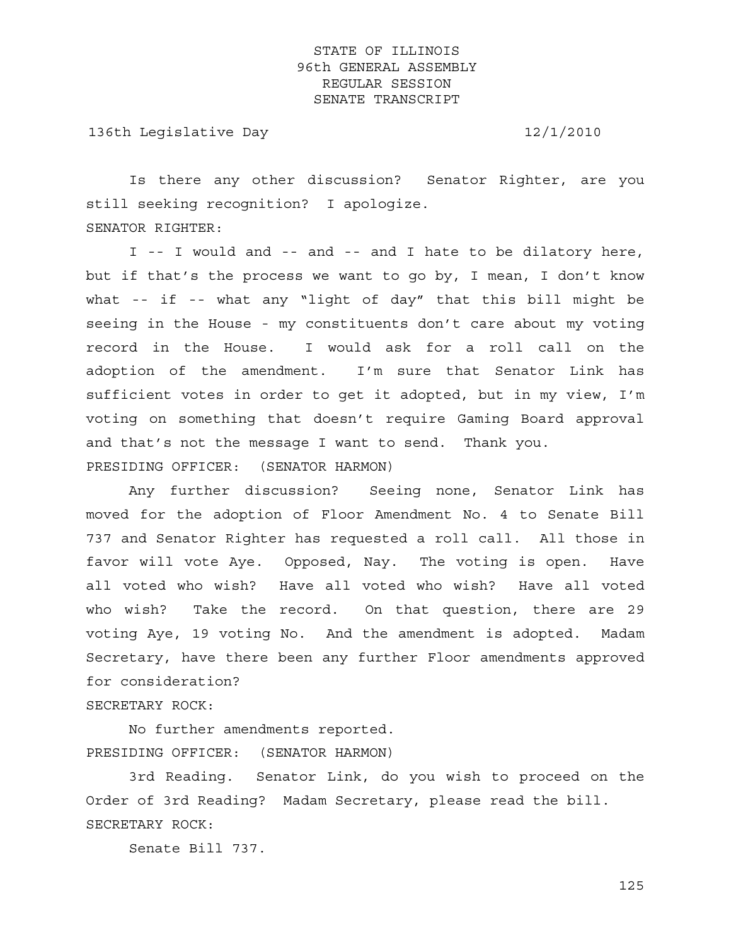136th Legislative Day 12/1/2010

 Is there any other discussion? Senator Righter, are you still seeking recognition? I apologize. SENATOR RIGHTER:

 I -- I would and -- and -- and I hate to be dilatory here, but if that's the process we want to go by, I mean, I don't know what -- if -- what any "light of day" that this bill might be seeing in the House - my constituents don't care about my voting record in the House. I would ask for a roll call on the adoption of the amendment. I'm sure that Senator Link has sufficient votes in order to get it adopted, but in my view, I'm voting on something that doesn't require Gaming Board approval and that's not the message I want to send. Thank you. PRESIDING OFFICER: (SENATOR HARMON)

 Any further discussion? Seeing none, Senator Link has moved for the adoption of Floor Amendment No. 4 to Senate Bill 737 and Senator Righter has requested a roll call. All those in favor will vote Aye. Opposed, Nay. The voting is open. Have all voted who wish? Have all voted who wish? Have all voted who wish? Take the record. On that question, there are 29 voting Aye, 19 voting No. And the amendment is adopted. Madam Secretary, have there been any further Floor amendments approved for consideration?

### SECRETARY ROCK:

 No further amendments reported. PRESIDING OFFICER: (SENATOR HARMON)

 3rd Reading. Senator Link, do you wish to proceed on the Order of 3rd Reading? Madam Secretary, please read the bill. SECRETARY ROCK:

Senate Bill 737.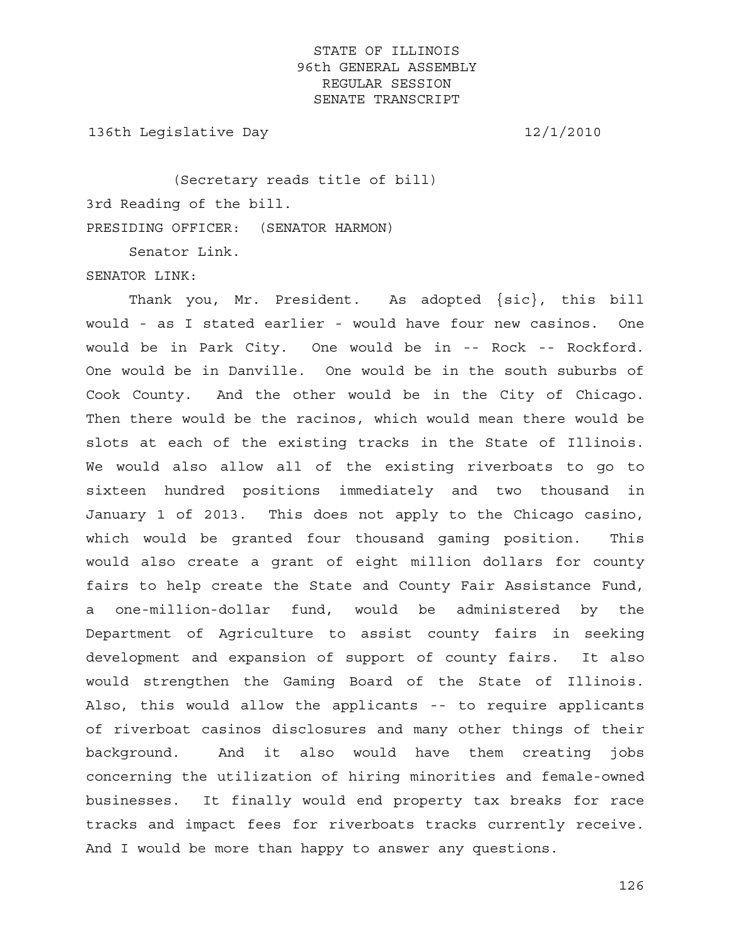136th Legislative Day 12/1/2010

 (Secretary reads title of bill) 3rd Reading of the bill. PRESIDING OFFICER: (SENATOR HARMON)

Senator Link.

SENATOR LINK:

 Thank you, Mr. President. As adopted {sic}, this bill would - as I stated earlier - would have four new casinos. One would be in Park City. One would be in -- Rock -- Rockford. One would be in Danville. One would be in the south suburbs of Cook County. And the other would be in the City of Chicago. Then there would be the racinos, which would mean there would be slots at each of the existing tracks in the State of Illinois. We would also allow all of the existing riverboats to go to sixteen hundred positions immediately and two thousand in January 1 of 2013. This does not apply to the Chicago casino, which would be granted four thousand gaming position. This would also create a grant of eight million dollars for county fairs to help create the State and County Fair Assistance Fund, a one-million-dollar fund, would be administered by the Department of Agriculture to assist county fairs in seeking development and expansion of support of county fairs. It also would strengthen the Gaming Board of the State of Illinois. Also, this would allow the applicants -- to require applicants of riverboat casinos disclosures and many other things of their background. And it also would have them creating jobs concerning the utilization of hiring minorities and female-owned businesses. It finally would end property tax breaks for race tracks and impact fees for riverboats tracks currently receive. And I would be more than happy to answer any questions.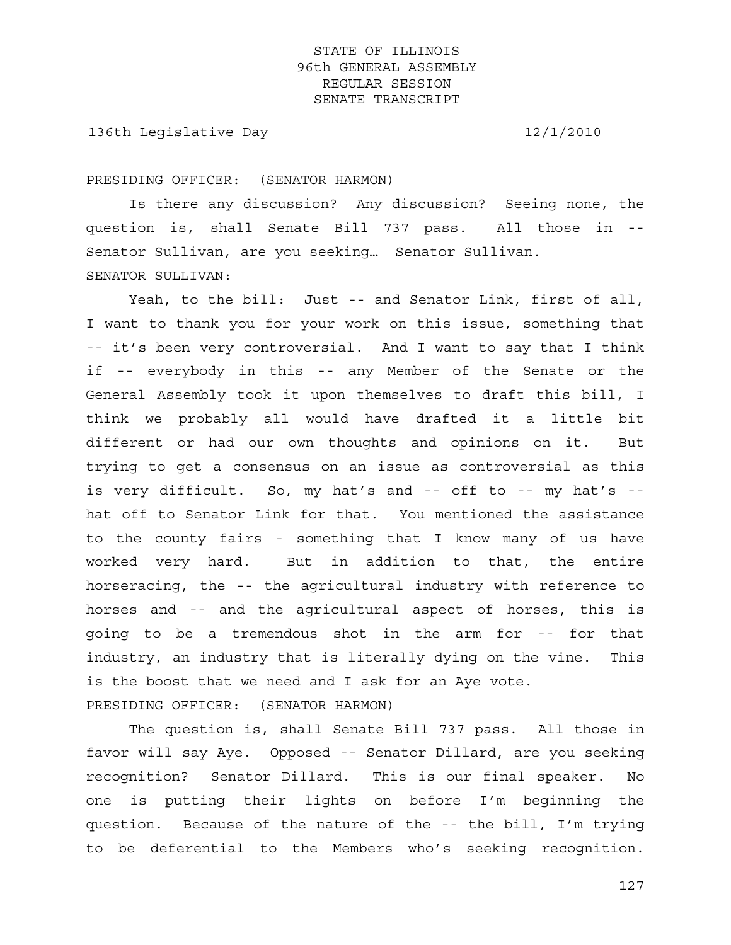136th Legislative Day 12/1/2010

#### PRESIDING OFFICER: (SENATOR HARMON)

 Is there any discussion? Any discussion? Seeing none, the question is, shall Senate Bill 737 pass. All those in -- Senator Sullivan, are you seeking… Senator Sullivan. SENATOR SULLIVAN:

 Yeah, to the bill: Just -- and Senator Link, first of all, I want to thank you for your work on this issue, something that -- it's been very controversial. And I want to say that I think if -- everybody in this -- any Member of the Senate or the General Assembly took it upon themselves to draft this bill, I think we probably all would have drafted it a little bit different or had our own thoughts and opinions on it. But trying to get a consensus on an issue as controversial as this is very difficult. So, my hat's and -- off to -- my hat's - hat off to Senator Link for that. You mentioned the assistance to the county fairs - something that I know many of us have worked very hard. But in addition to that, the entire horseracing, the -- the agricultural industry with reference to horses and -- and the agricultural aspect of horses, this is going to be a tremendous shot in the arm for -- for that industry, an industry that is literally dying on the vine. This is the boost that we need and I ask for an Aye vote. PRESIDING OFFICER: (SENATOR HARMON)

 The question is, shall Senate Bill 737 pass. All those in favor will say Aye. Opposed -- Senator Dillard, are you seeking recognition? Senator Dillard. This is our final speaker. No one is putting their lights on before I'm beginning the question. Because of the nature of the -- the bill, I'm trying to be deferential to the Members who's seeking recognition.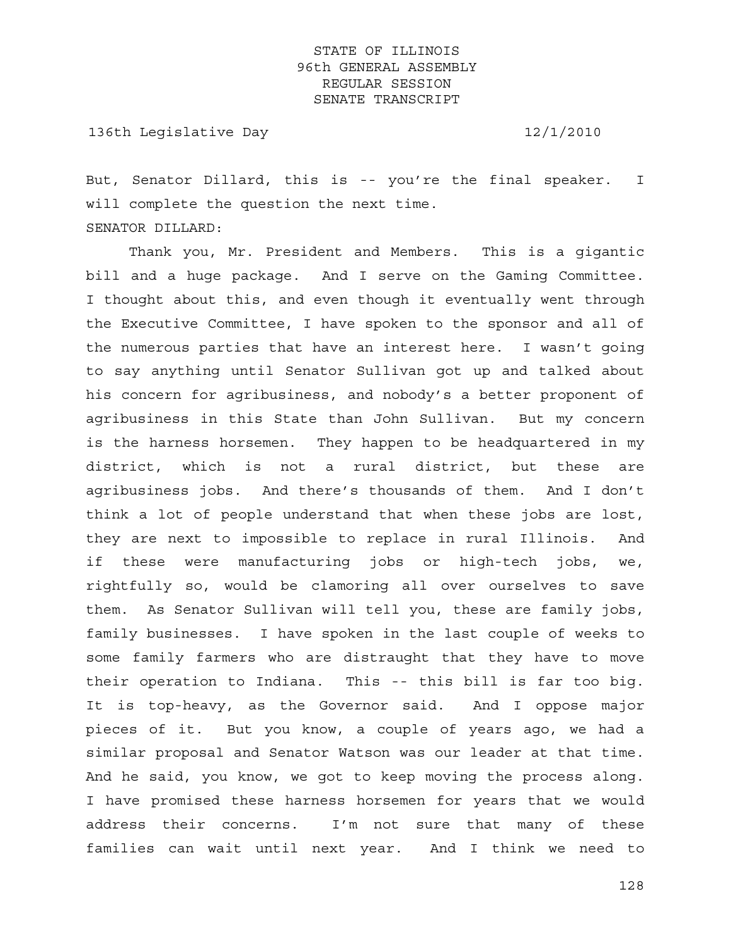136th Legislative Day 12/1/2010

But, Senator Dillard, this is -- you're the final speaker. I will complete the question the next time. SENATOR DILLARD:

 Thank you, Mr. President and Members. This is a gigantic bill and a huge package. And I serve on the Gaming Committee. I thought about this, and even though it eventually went through the Executive Committee, I have spoken to the sponsor and all of the numerous parties that have an interest here. I wasn't going to say anything until Senator Sullivan got up and talked about his concern for agribusiness, and nobody's a better proponent of agribusiness in this State than John Sullivan. But my concern is the harness horsemen. They happen to be headquartered in my district, which is not a rural district, but these are agribusiness jobs. And there's thousands of them. And I don't think a lot of people understand that when these jobs are lost, they are next to impossible to replace in rural Illinois. And if these were manufacturing jobs or high-tech jobs, we, rightfully so, would be clamoring all over ourselves to save them. As Senator Sullivan will tell you, these are family jobs, family businesses. I have spoken in the last couple of weeks to some family farmers who are distraught that they have to move their operation to Indiana. This -- this bill is far too big. It is top-heavy, as the Governor said. And I oppose major pieces of it. But you know, a couple of years ago, we had a similar proposal and Senator Watson was our leader at that time. And he said, you know, we got to keep moving the process along. I have promised these harness horsemen for years that we would address their concerns. I'm not sure that many of these families can wait until next year. And I think we need to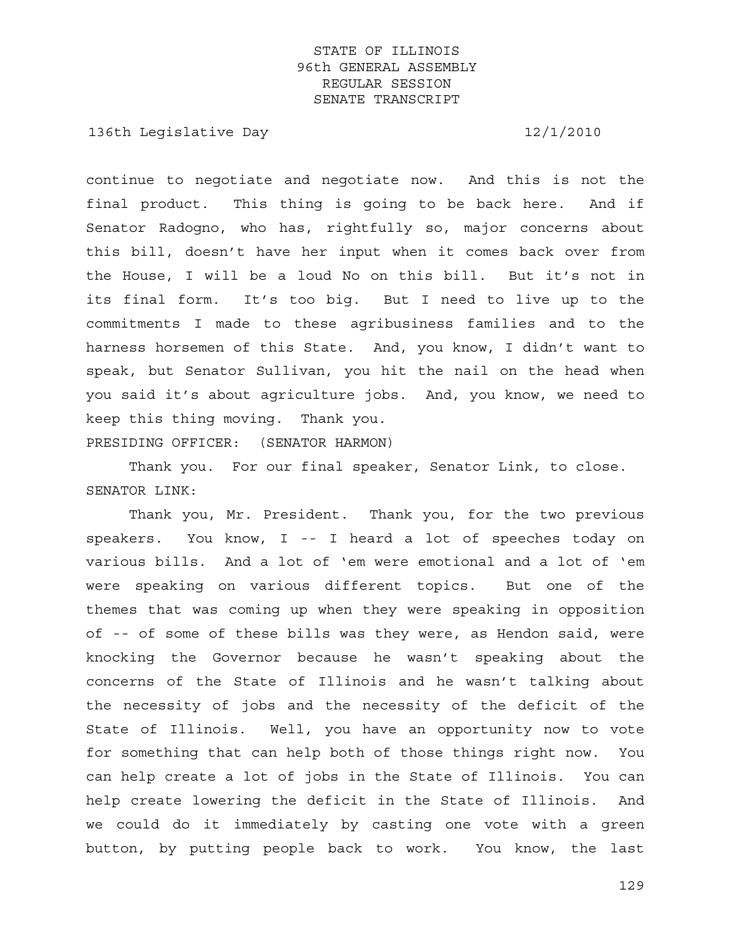136th Legislative Day 12/1/2010

continue to negotiate and negotiate now. And this is not the final product. This thing is going to be back here. And if Senator Radogno, who has, rightfully so, major concerns about this bill, doesn't have her input when it comes back over from the House, I will be a loud No on this bill. But it's not in its final form. It's too big. But I need to live up to the commitments I made to these agribusiness families and to the harness horsemen of this State. And, you know, I didn't want to speak, but Senator Sullivan, you hit the nail on the head when you said it's about agriculture jobs. And, you know, we need to keep this thing moving. Thank you.

PRESIDING OFFICER: (SENATOR HARMON)

 Thank you. For our final speaker, Senator Link, to close. SENATOR LINK:

 Thank you, Mr. President. Thank you, for the two previous speakers. You know, I -- I heard a lot of speeches today on various bills. And a lot of 'em were emotional and a lot of 'em were speaking on various different topics. But one of the themes that was coming up when they were speaking in opposition of -- of some of these bills was they were, as Hendon said, were knocking the Governor because he wasn't speaking about the concerns of the State of Illinois and he wasn't talking about the necessity of jobs and the necessity of the deficit of the State of Illinois. Well, you have an opportunity now to vote for something that can help both of those things right now. You can help create a lot of jobs in the State of Illinois. You can help create lowering the deficit in the State of Illinois. And we could do it immediately by casting one vote with a green button, by putting people back to work. You know, the last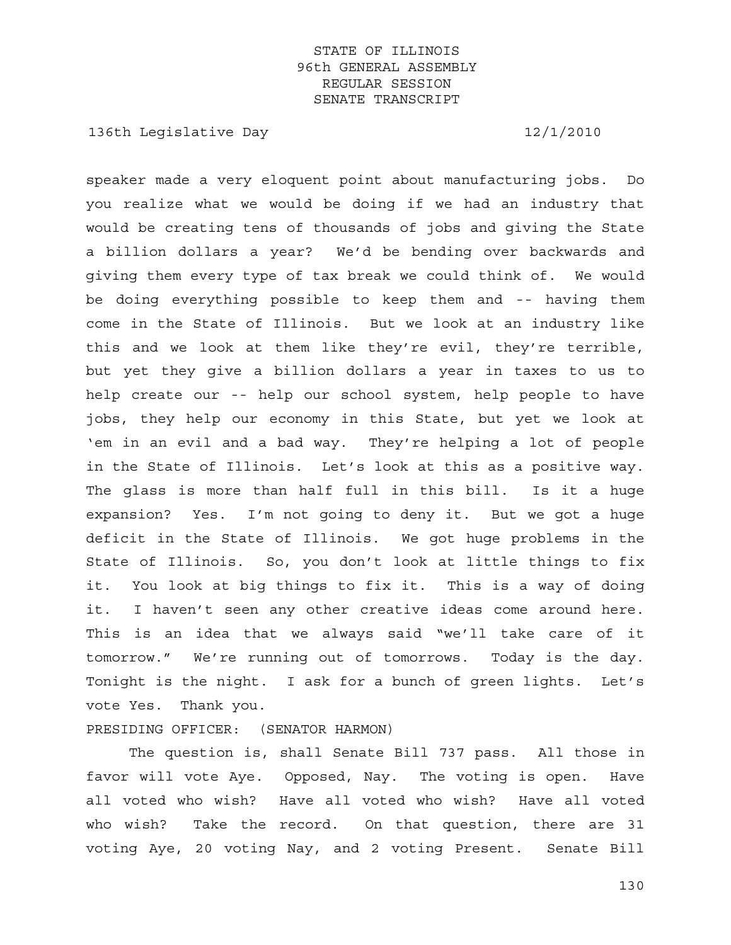136th Legislative Day 12/1/2010

speaker made a very eloquent point about manufacturing jobs. Do you realize what we would be doing if we had an industry that would be creating tens of thousands of jobs and giving the State a billion dollars a year? We'd be bending over backwards and giving them every type of tax break we could think of. We would be doing everything possible to keep them and -- having them come in the State of Illinois. But we look at an industry like this and we look at them like they're evil, they're terrible, but yet they give a billion dollars a year in taxes to us to help create our -- help our school system, help people to have jobs, they help our economy in this State, but yet we look at 'em in an evil and a bad way. They're helping a lot of people in the State of Illinois. Let's look at this as a positive way. The glass is more than half full in this bill. Is it a huge expansion? Yes. I'm not going to deny it. But we got a huge deficit in the State of Illinois. We got huge problems in the State of Illinois. So, you don't look at little things to fix it. You look at big things to fix it. This is a way of doing it. I haven't seen any other creative ideas come around here. This is an idea that we always said "we'll take care of it tomorrow." We're running out of tomorrows. Today is the day. Tonight is the night. I ask for a bunch of green lights. Let's vote Yes. Thank you.

PRESIDING OFFICER: (SENATOR HARMON)

 The question is, shall Senate Bill 737 pass. All those in favor will vote Aye. Opposed, Nay. The voting is open. Have all voted who wish? Have all voted who wish? Have all voted who wish? Take the record. On that question, there are 31 voting Aye, 20 voting Nay, and 2 voting Present. Senate Bill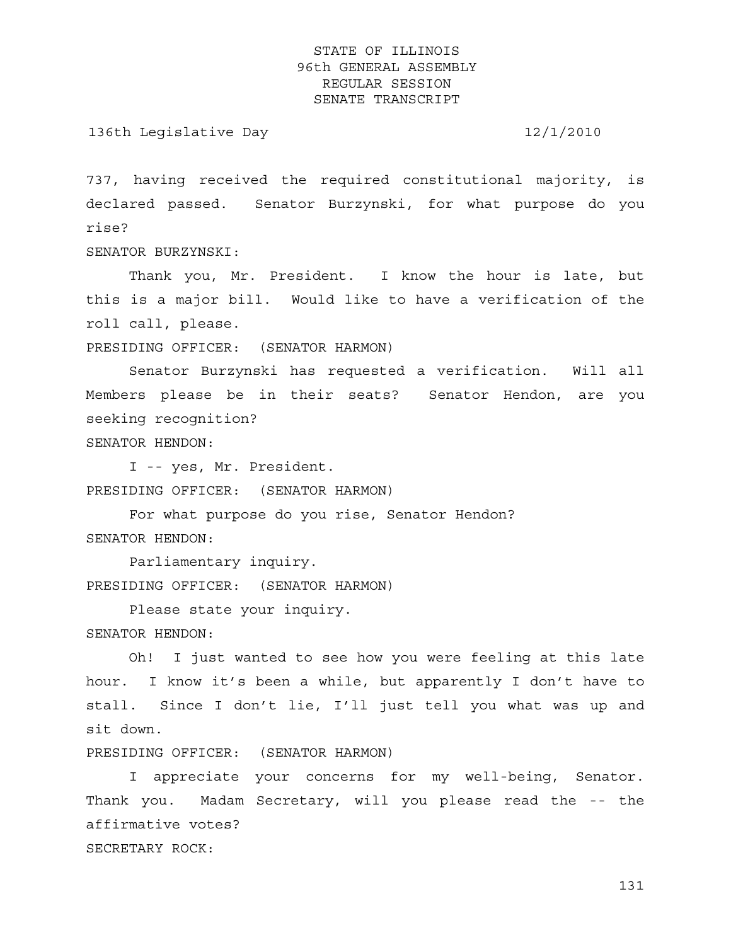136th Legislative Day 12/1/2010

737, having received the required constitutional majority, is declared passed. Senator Burzynski, for what purpose do you rise?

SENATOR BURZYNSKI:

 Thank you, Mr. President. I know the hour is late, but this is a major bill. Would like to have a verification of the roll call, please.

PRESIDING OFFICER: (SENATOR HARMON)

 Senator Burzynski has requested a verification. Will all Members please be in their seats? Senator Hendon, are you seeking recognition?

SENATOR HENDON:

 I -- yes, Mr. President. PRESIDING OFFICER: (SENATOR HARMON)

 For what purpose do you rise, Senator Hendon? SENATOR HENDON:

 Parliamentary inquiry. PRESIDING OFFICER: (SENATOR HARMON)

 Please state your inquiry. SENATOR HENDON:

 Oh! I just wanted to see how you were feeling at this late hour. I know it's been a while, but apparently I don't have to stall. Since I don't lie, I'll just tell you what was up and sit down.

PRESIDING OFFICER: (SENATOR HARMON)

 I appreciate your concerns for my well-being, Senator. Thank you. Madam Secretary, will you please read the -- the affirmative votes? SECRETARY ROCK: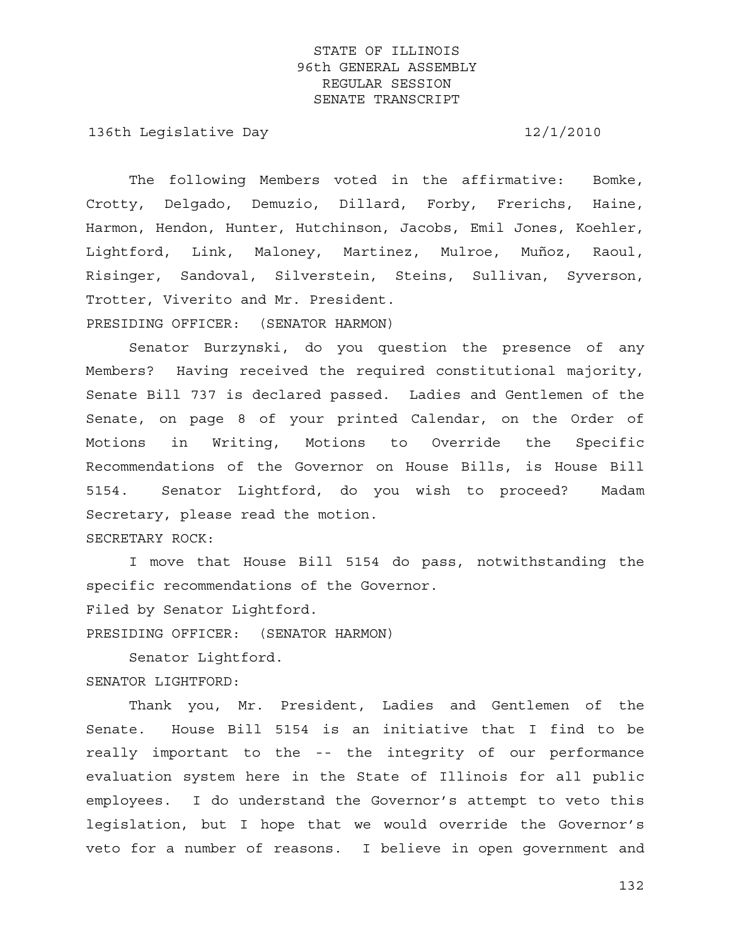136th Legislative Day 12/1/2010

 The following Members voted in the affirmative: Bomke, Crotty, Delgado, Demuzio, Dillard, Forby, Frerichs, Haine, Harmon, Hendon, Hunter, Hutchinson, Jacobs, Emil Jones, Koehler, Lightford, Link, Maloney, Martinez, Mulroe, Muñoz, Raoul, Risinger, Sandoval, Silverstein, Steins, Sullivan, Syverson, Trotter, Viverito and Mr. President.

PRESIDING OFFICER: (SENATOR HARMON)

 Senator Burzynski, do you question the presence of any Members? Having received the required constitutional majority, Senate Bill 737 is declared passed. Ladies and Gentlemen of the Senate, on page 8 of your printed Calendar, on the Order of Motions in Writing, Motions to Override the Specific Recommendations of the Governor on House Bills, is House Bill 5154. Senator Lightford, do you wish to proceed? Madam Secretary, please read the motion. SECRETARY ROCK:

 I move that House Bill 5154 do pass, notwithstanding the specific recommendations of the Governor.

Filed by Senator Lightford.

PRESIDING OFFICER: (SENATOR HARMON)

 Senator Lightford. SENATOR LIGHTFORD:

 Thank you, Mr. President, Ladies and Gentlemen of the Senate. House Bill 5154 is an initiative that I find to be really important to the -- the integrity of our performance evaluation system here in the State of Illinois for all public employees. I do understand the Governor's attempt to veto this legislation, but I hope that we would override the Governor's veto for a number of reasons. I believe in open government and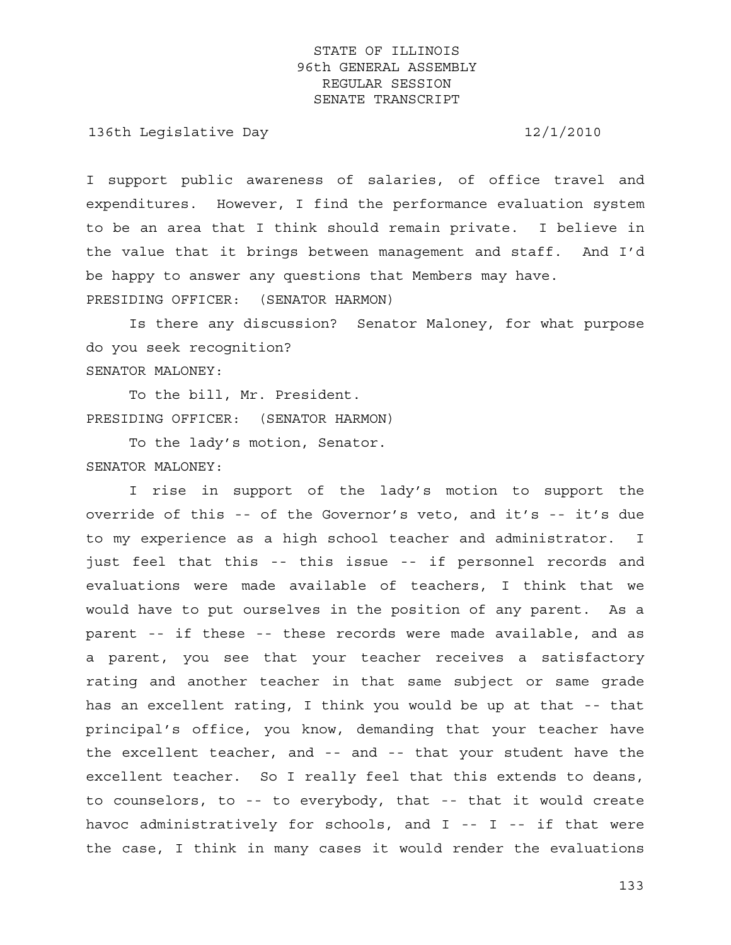136th Legislative Day 12/1/2010

I support public awareness of salaries, of office travel and expenditures. However, I find the performance evaluation system to be an area that I think should remain private. I believe in the value that it brings between management and staff. And I'd be happy to answer any questions that Members may have. PRESIDING OFFICER: (SENATOR HARMON)

 Is there any discussion? Senator Maloney, for what purpose do you seek recognition? SENATOR MALONEY:

 To the bill, Mr. President. PRESIDING OFFICER: (SENATOR HARMON)

 To the lady's motion, Senator. SENATOR MALONEY:

 I rise in support of the lady's motion to support the override of this -- of the Governor's veto, and it's -- it's due to my experience as a high school teacher and administrator. I just feel that this -- this issue -- if personnel records and evaluations were made available of teachers, I think that we would have to put ourselves in the position of any parent. As a parent -- if these -- these records were made available, and as a parent, you see that your teacher receives a satisfactory rating and another teacher in that same subject or same grade has an excellent rating, I think you would be up at that -- that principal's office, you know, demanding that your teacher have the excellent teacher, and -- and -- that your student have the excellent teacher. So I really feel that this extends to deans, to counselors, to -- to everybody, that -- that it would create havoc administratively for schools, and I -- I -- if that were the case, I think in many cases it would render the evaluations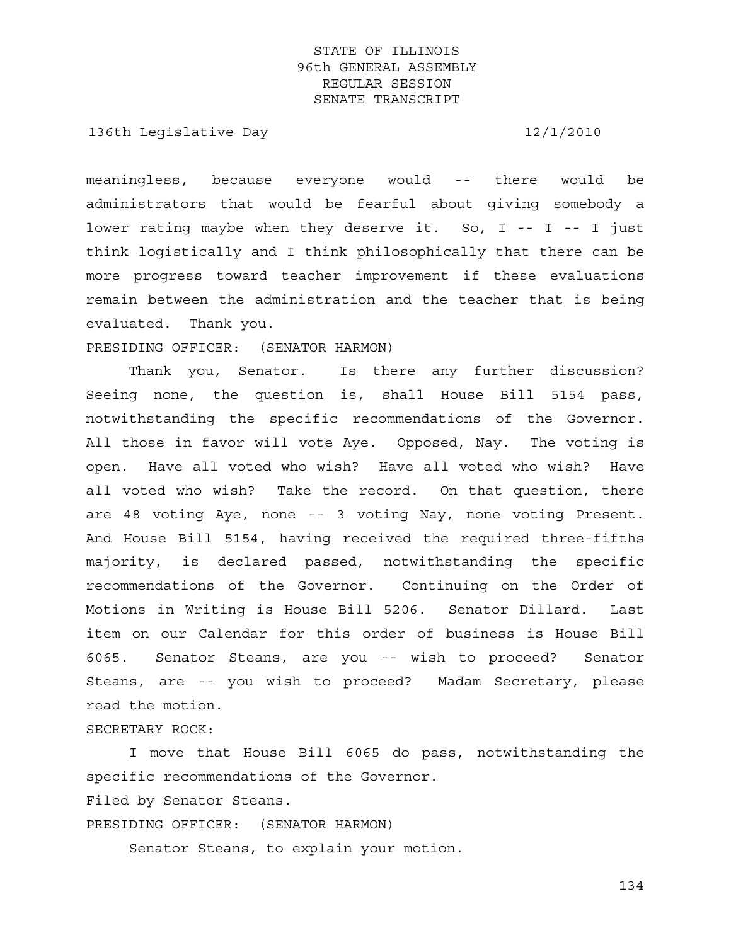136th Legislative Day 12/1/2010

meaningless, because everyone would -- there would be administrators that would be fearful about giving somebody a lower rating maybe when they deserve it. So,  $I$  --  $I$  --  $I$  just think logistically and I think philosophically that there can be more progress toward teacher improvement if these evaluations remain between the administration and the teacher that is being evaluated. Thank you.

PRESIDING OFFICER: (SENATOR HARMON)

 Thank you, Senator. Is there any further discussion? Seeing none, the question is, shall House Bill 5154 pass, notwithstanding the specific recommendations of the Governor. All those in favor will vote Aye. Opposed, Nay. The voting is open. Have all voted who wish? Have all voted who wish? Have all voted who wish? Take the record. On that question, there are 48 voting Aye, none -- 3 voting Nay, none voting Present. And House Bill 5154, having received the required three-fifths majority, is declared passed, notwithstanding the specific recommendations of the Governor. Continuing on the Order of Motions in Writing is House Bill 5206. Senator Dillard. Last item on our Calendar for this order of business is House Bill 6065. Senator Steans, are you -- wish to proceed? Senator Steans, are -- you wish to proceed? Madam Secretary, please read the motion.

### SECRETARY ROCK:

 I move that House Bill 6065 do pass, notwithstanding the specific recommendations of the Governor. Filed by Senator Steans. PRESIDING OFFICER: (SENATOR HARMON) Senator Steans, to explain your motion.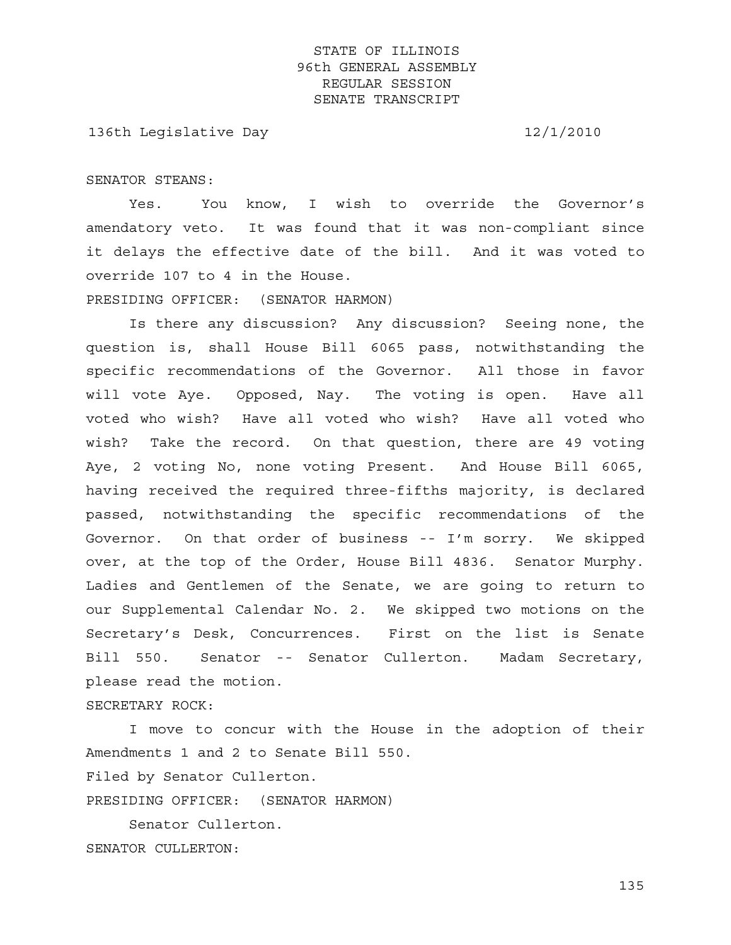136th Legislative Day 12/1/2010

SENATOR STEANS:

 Yes. You know, I wish to override the Governor's amendatory veto. It was found that it was non-compliant since it delays the effective date of the bill. And it was voted to override 107 to 4 in the House.

PRESIDING OFFICER: (SENATOR HARMON)

 Is there any discussion? Any discussion? Seeing none, the question is, shall House Bill 6065 pass, notwithstanding the specific recommendations of the Governor. All those in favor will vote Aye. Opposed, Nay. The voting is open. Have all voted who wish? Have all voted who wish? Have all voted who wish? Take the record. On that question, there are 49 voting Aye, 2 voting No, none voting Present. And House Bill 6065, having received the required three-fifths majority, is declared passed, notwithstanding the specific recommendations of the Governor. On that order of business -- I'm sorry. We skipped over, at the top of the Order, House Bill 4836. Senator Murphy. Ladies and Gentlemen of the Senate, we are going to return to our Supplemental Calendar No. 2. We skipped two motions on the Secretary's Desk, Concurrences. First on the list is Senate Bill 550. Senator -- Senator Cullerton. Madam Secretary, please read the motion.

SECRETARY ROCK:

 I move to concur with the House in the adoption of their Amendments 1 and 2 to Senate Bill 550.

Filed by Senator Cullerton.

PRESIDING OFFICER: (SENATOR HARMON)

 Senator Cullerton. SENATOR CULLERTON: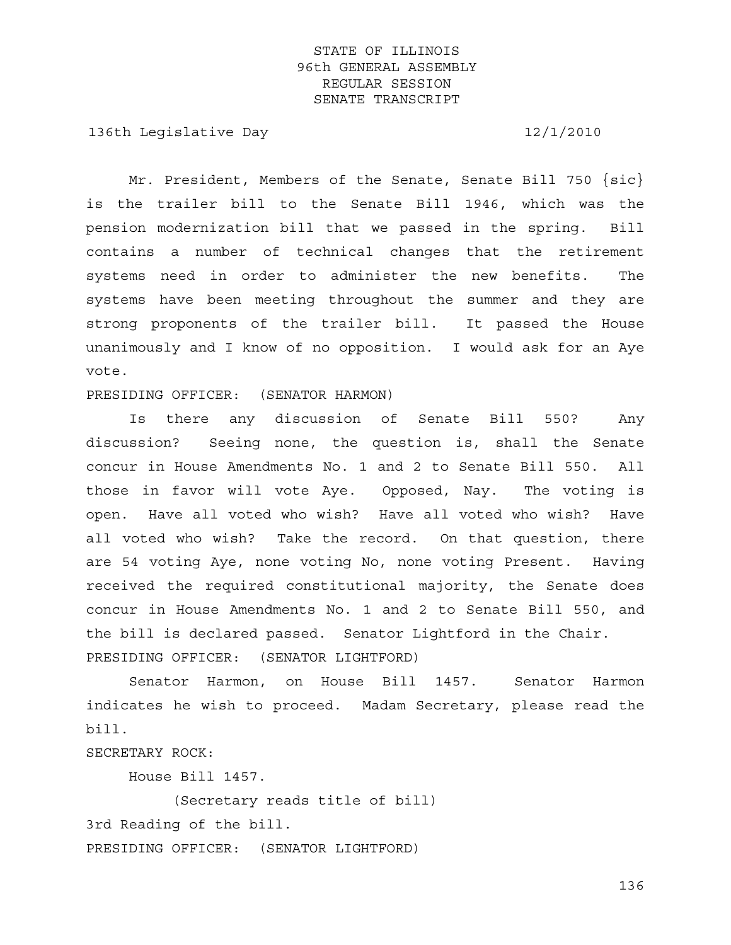136th Legislative Day 12/1/2010

Mr. President, Members of the Senate, Senate Bill 750  $\{sic\}$ is the trailer bill to the Senate Bill 1946, which was the pension modernization bill that we passed in the spring. Bill contains a number of technical changes that the retirement systems need in order to administer the new benefits. The systems have been meeting throughout the summer and they are strong proponents of the trailer bill. It passed the House unanimously and I know of no opposition. I would ask for an Aye vote.

PRESIDING OFFICER: (SENATOR HARMON)

 Is there any discussion of Senate Bill 550? Any discussion? Seeing none, the question is, shall the Senate concur in House Amendments No. 1 and 2 to Senate Bill 550. All those in favor will vote Aye. Opposed, Nay. The voting is open. Have all voted who wish? Have all voted who wish? Have all voted who wish? Take the record. On that question, there are 54 voting Aye, none voting No, none voting Present. Having received the required constitutional majority, the Senate does concur in House Amendments No. 1 and 2 to Senate Bill 550, and the bill is declared passed. Senator Lightford in the Chair. PRESIDING OFFICER: (SENATOR LIGHTFORD)

 Senator Harmon, on House Bill 1457. Senator Harmon indicates he wish to proceed. Madam Secretary, please read the bill.

SECRETARY ROCK:

House Bill 1457.

 (Secretary reads title of bill) 3rd Reading of the bill. PRESIDING OFFICER: (SENATOR LIGHTFORD)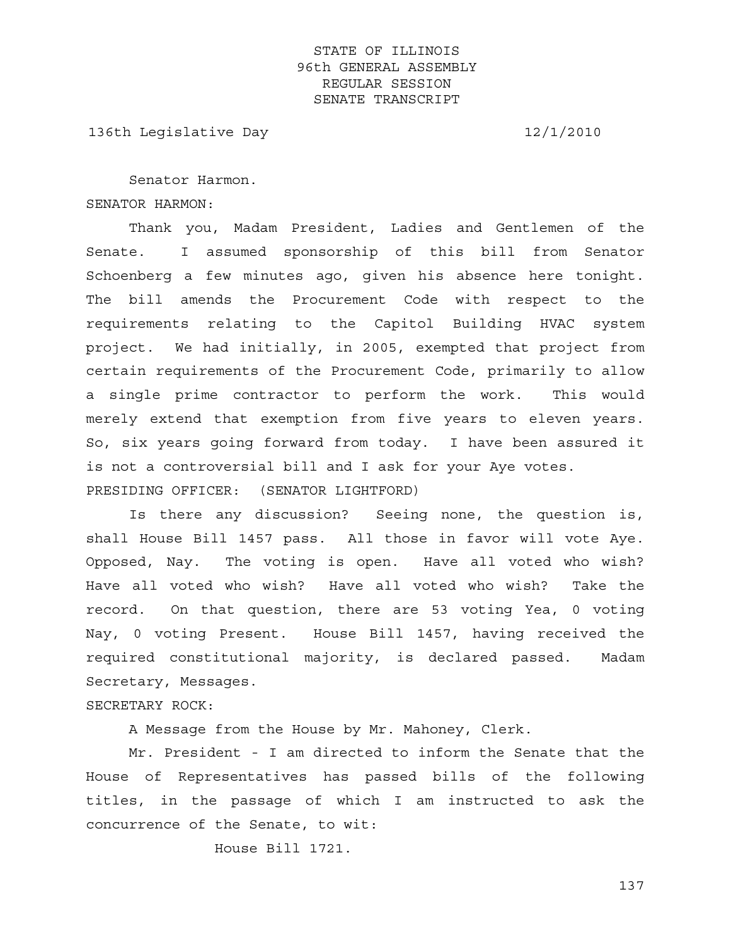136th Legislative Day 12/1/2010

 Senator Harmon. SENATOR HARMON:

 Thank you, Madam President, Ladies and Gentlemen of the Senate. I assumed sponsorship of this bill from Senator Schoenberg a few minutes ago, given his absence here tonight. The bill amends the Procurement Code with respect to the requirements relating to the Capitol Building HVAC system project. We had initially, in 2005, exempted that project from certain requirements of the Procurement Code, primarily to allow a single prime contractor to perform the work. This would merely extend that exemption from five years to eleven years. So, six years going forward from today. I have been assured it is not a controversial bill and I ask for your Aye votes. PRESIDING OFFICER: (SENATOR LIGHTFORD)

 Is there any discussion? Seeing none, the question is, shall House Bill 1457 pass. All those in favor will vote Aye. Opposed, Nay. The voting is open. Have all voted who wish? Have all voted who wish? Have all voted who wish? Take the record. On that question, there are 53 voting Yea, 0 voting Nay, 0 voting Present. House Bill 1457, having received the required constitutional majority, is declared passed. Madam Secretary, Messages.

SECRETARY ROCK:

A Message from the House by Mr. Mahoney, Clerk.

 Mr. President - I am directed to inform the Senate that the House of Representatives has passed bills of the following titles, in the passage of which I am instructed to ask the concurrence of the Senate, to wit:

House Bill 1721.